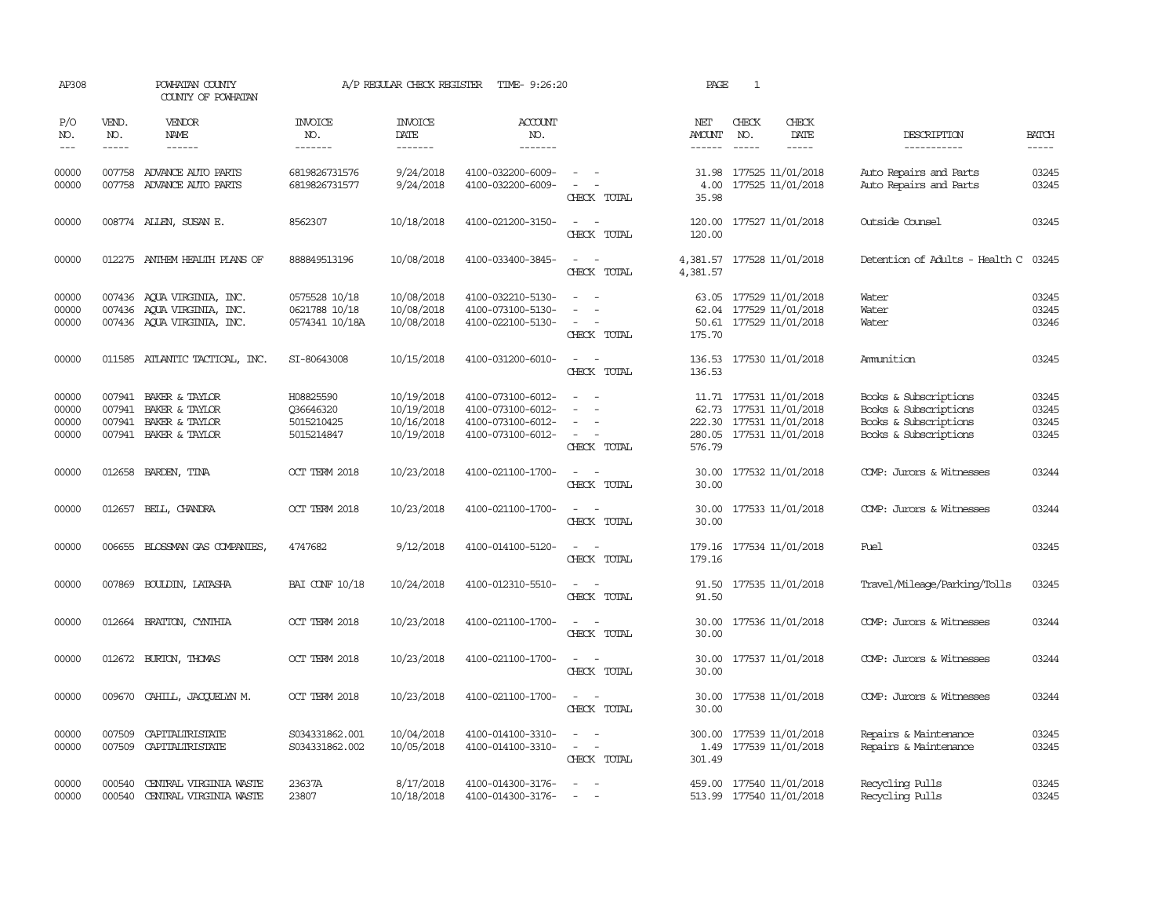| AP308                            |                               | POWHATAN COUNTY<br>COUNTY OF POWHATAN                                                  |                                                    | A/P REGULAR CHECK REGISTER                           | TIME- 9:26:20                                                                    |                                                                                                                             | PAGE                    | 1                                                                                                          |                                                                                                  |                                  |
|----------------------------------|-------------------------------|----------------------------------------------------------------------------------------|----------------------------------------------------|------------------------------------------------------|----------------------------------------------------------------------------------|-----------------------------------------------------------------------------------------------------------------------------|-------------------------|------------------------------------------------------------------------------------------------------------|--------------------------------------------------------------------------------------------------|----------------------------------|
| P/O<br>NO.<br>$---$              | VEND.<br>NO.<br>$\frac{1}{2}$ | <b>VENDOR</b><br>NAME<br>$- - - - - -$                                                 | <b>INVOICE</b><br>NO.<br>-------                   | <b>INVOICE</b><br>DATE<br>--------                   | ACCOUNT<br>NO.<br>$- - - - - - -$                                                |                                                                                                                             | NET<br>AMOUNT<br>------ | CHECK<br>CHECK<br>NO.<br>DATE<br>$\frac{1}{2}$<br>$\frac{1}{2}$                                            | DESCRIPTION<br>-----------                                                                       | <b>BATCH</b><br>-----            |
| 00000<br>00000                   |                               | 007758 ADVANCE AUTO PARTS<br>007758 ADVANCE AUTO PARTS                                 | 6819826731576<br>6819826731577                     | 9/24/2018<br>9/24/2018                               | 4100-032200-6009-<br>4100-032200-6009-                                           | $\sim$ $ \sim$<br>$\sim$<br>CHECK TOTAL                                                                                     | 31.98<br>35.98          | 177525 11/01/2018<br>4.00 177525 11/01/2018                                                                | Auto Repairs and Parts<br>Auto Repairs and Parts                                                 | 03245<br>03245                   |
| 00000                            |                               | 008774 ALLEN, SUSAN E.                                                                 | 8562307                                            | 10/18/2018                                           | 4100-021200-3150-                                                                | $\sim$<br>CHECK TOTAL                                                                                                       | 120.00<br>120.00        | 177527 11/01/2018                                                                                          | Outside Counsel                                                                                  | 03245                            |
| 00000                            |                               | 012275 ANTHEM HEALTH PLANS OF                                                          | 888849513196                                       | 10/08/2018                                           | 4100-033400-3845-                                                                | $\sim$<br>CHECK TOTAL                                                                                                       | 4,381.57                | 4,381.57 177528 11/01/2018                                                                                 | Detention of Adults - Health C                                                                   | 03245                            |
| 00000<br>00000<br>00000          |                               | 007436 AQUA VIRGINIA, INC.<br>007436 AQUA VIRGINIA, INC.<br>007436 AQUA VIRGINIA, INC. | 0575528 10/18<br>0621788 10/18<br>0574341 10/18A   | 10/08/2018<br>10/08/2018<br>10/08/2018               | 4100-032210-5130-<br>4100-073100-5130-<br>4100-022100-5130-                      | $\sim$ $ \sim$<br>$\overline{\phantom{a}}$<br>$\sim$ $\sim$<br>CHECK TOTAL                                                  | 175.70                  | 63.05 177529 11/01/2018<br>62.04 177529 11/01/2018<br>50.61 177529 11/01/2018                              | Water<br>Water<br>Water                                                                          | 03245<br>03245<br>03246          |
| 00000                            |                               | 011585 ATLANTIC TACTICAL, INC.                                                         | SI-80643008                                        | 10/15/2018                                           | 4100-031200-6010-                                                                | $\sim$ $-$<br>CHECK TOTAL                                                                                                   | 136.53                  | 136.53 177530 11/01/2018                                                                                   | Ammition                                                                                         | 03245                            |
| 00000<br>00000<br>00000<br>00000 | 007941<br>007941              | 007941 BAKER & TAYLOR<br>BAKER & TAYLOR<br>BAKER & TAYLOR<br>007941 BAKER & TAYLOR     | H08825590<br>Q36646320<br>5015210425<br>5015214847 | 10/19/2018<br>10/19/2018<br>10/16/2018<br>10/19/2018 | 4100-073100-6012-<br>4100-073100-6012-<br>4100-073100-6012-<br>4100-073100-6012- | $\sim$<br>$\sim$<br>CHECK TOTAL                                                                                             | 576.79                  | 11.71 177531 11/01/2018<br>62.73 177531 11/01/2018<br>222.30 177531 11/01/2018<br>280.05 177531 11/01/2018 | Books & Subscriptions<br>Books & Subscriptions<br>Books & Subscriptions<br>Books & Subscriptions | 03245<br>03245<br>03245<br>03245 |
| 00000                            |                               | 012658 BARDEN, TINA                                                                    | OCT TERM 2018                                      | 10/23/2018                                           | 4100-021100-1700-                                                                | $\overline{\phantom{a}}$<br>CHECK TOTAL                                                                                     | 30.00<br>30.00          | 177532 11/01/2018                                                                                          | COMP: Jurors & Witnesses                                                                         | 03244                            |
| 00000                            |                               | 012657 BELL, CHANDRA                                                                   | OCT TERM 2018                                      | 10/23/2018                                           | 4100-021100-1700-                                                                | $\sim$ $ \sim$<br>CHECK TOTAL                                                                                               | 30.00                   | 30.00 177533 11/01/2018                                                                                    | COMP: Jurors & Witnesses                                                                         | 03244                            |
| 00000                            |                               | 006655 BLOSSMAN GAS COMPANIES                                                          | 4747682                                            | 9/12/2018                                            | 4100-014100-5120-                                                                | $\frac{1}{2} \left( \frac{1}{2} \right) \left( \frac{1}{2} \right) = \frac{1}{2} \left( \frac{1}{2} \right)$<br>CHECK TOTAL | 179.16                  | 179.16 177534 11/01/2018                                                                                   | Fuel                                                                                             | 03245                            |
| 00000                            |                               | 007869 BOULDIN, LATASHA                                                                | <b>BAI CONF 10/18</b>                              | 10/24/2018                                           | 4100-012310-5510-                                                                | $\sim$ $ \sim$<br>CHECK TOTAL                                                                                               | 91.50                   | 91.50 177535 11/01/2018                                                                                    | Travel/Mileage/Parking/Tolls                                                                     | 03245                            |
| 00000                            |                               | 012664 BRATTON, CYNTHIA                                                                | OCT TERM 2018                                      | 10/23/2018                                           | 4100-021100-1700-                                                                | $\sim$ $\sim$<br>CHECK TOTAL                                                                                                | 30.00<br>30.00          | 177536 11/01/2018                                                                                          | COMP: Jurors & Witnesses                                                                         | 03244                            |
| 00000                            |                               | 012672 BURTON, THOMAS                                                                  | OCT TERM 2018                                      | 10/23/2018                                           | 4100-021100-1700-                                                                | $ -$<br>CHECK TOTAL                                                                                                         | 30.00<br>30.00          | 177537 11/01/2018                                                                                          | COMP: Jurors & Witnesses                                                                         | 03244                            |
| 00000                            | 009670                        | CAHILL, JACQUELYN M.                                                                   | OCT TERM 2018                                      | 10/23/2018                                           | 4100-021100-1700-                                                                | CHECK TOTAL                                                                                                                 | 30.00                   | 30.00 177538 11/01/2018                                                                                    | COMP: Jurors & Witnesses                                                                         | 03244                            |
| 00000<br>00000                   | 007509                        | CAPITALIRISTATE<br>007509 CAPITALIRISTATE                                              | S034331862.001<br>S034331862.002                   | 10/04/2018<br>10/05/2018                             | 4100-014100-3310-<br>4100-014100-3310-                                           | $\overline{\phantom{a}}$<br>$\omega_{\rm{max}}$ and $\omega_{\rm{max}}$<br>CHECK TOTAL                                      | 300.00<br>301.49        | 177539 11/01/2018<br>1.49 177539 11/01/2018                                                                | Repairs & Maintenance<br>Repairs & Maintenance                                                   | 03245<br>03245                   |
| 00000<br>00000                   | 000540                        | 000540 CENTRAL VIRGINIA WASTE<br>CENTRAL VIRGINIA WASTE                                | 23637A<br>23807                                    | 8/17/2018<br>10/18/2018                              | 4100-014300-3176-<br>4100-014300-3176-                                           | $\sim$ 10 $\pm$<br>$\sim$                                                                                                   |                         | 459.00 177540 11/01/2018<br>513.99 177540 11/01/2018                                                       | Recycling Pulls<br>Recycling Pulls                                                               | 03245<br>03245                   |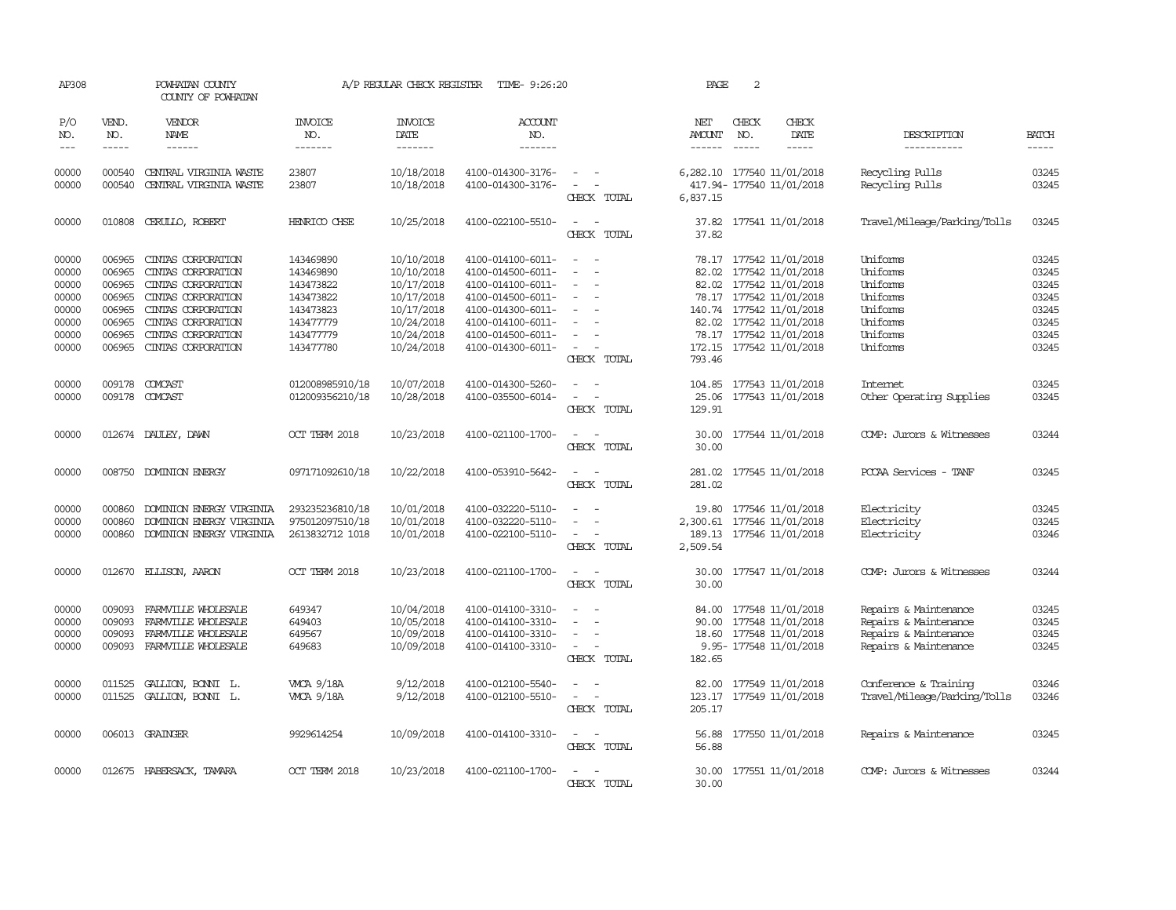| AP308                                                                |                                                                              | POWHATAN COUNTY<br>COUNTY OF POWHATAN                                                                                                                                        |                                                                                                      | A/P REGULAR CHECK REGISTER                                                                                   | TIME- 9:26:20                                                                                                                                                        |                                                                                                                             | PAGE                                  | $\sqrt{2}$                    |                                                                                                                                                                                                            |                                                                                                  |                                                                      |
|----------------------------------------------------------------------|------------------------------------------------------------------------------|------------------------------------------------------------------------------------------------------------------------------------------------------------------------------|------------------------------------------------------------------------------------------------------|--------------------------------------------------------------------------------------------------------------|----------------------------------------------------------------------------------------------------------------------------------------------------------------------|-----------------------------------------------------------------------------------------------------------------------------|---------------------------------------|-------------------------------|------------------------------------------------------------------------------------------------------------------------------------------------------------------------------------------------------------|--------------------------------------------------------------------------------------------------|----------------------------------------------------------------------|
| P/O<br>NO.<br>$\frac{1}{2}$                                          | VEND.<br>NO.<br>$- - - - -$                                                  | VENDOR<br>NAME<br>$- - - - - -$                                                                                                                                              | <b>INVOICE</b><br>NO.<br>--------                                                                    | <b>INVOICE</b><br>DATE<br>-------                                                                            | ACCOUNT<br>NO.<br>-------                                                                                                                                            |                                                                                                                             | NET<br><b>AMOUNT</b><br>$- - - - - -$ | CHECK<br>NO.<br>$\frac{1}{2}$ | CHECK<br>DATE<br>$- - - - -$                                                                                                                                                                               | DESCRIPTION<br>-----------                                                                       | <b>BATCH</b>                                                         |
| 00000<br>00000                                                       | 000540<br>000540                                                             | CENTRAL VIRGINIA WASTE<br>CENTRAL VIRGINIA WASTE                                                                                                                             | 23807<br>23807                                                                                       | 10/18/2018<br>10/18/2018                                                                                     | 4100-014300-3176-<br>4100-014300-3176-                                                                                                                               | $\overline{\phantom{a}}$<br>$\sim$<br>CHECK TOTAL                                                                           | 6,837.15                              |                               | 6,282.10 177540 11/01/2018<br>417.94-177540 11/01/2018                                                                                                                                                     | Recycling Pulls<br>Recycling Pulls                                                               | 03245<br>03245                                                       |
| 00000                                                                |                                                                              | 010808 CERULLO, ROBERT                                                                                                                                                       | HENRICO CHSE                                                                                         | 10/25/2018                                                                                                   | 4100-022100-5510-                                                                                                                                                    | $\sim$ $\sim$<br>CHECK TOTAL                                                                                                | 37.82                                 |                               | 37.82 177541 11/01/2018                                                                                                                                                                                    | Travel/Mileage/Parking/Tolls                                                                     | 03245                                                                |
| 00000<br>00000<br>00000<br>00000<br>00000<br>00000<br>00000<br>00000 | 006965<br>006965<br>006965<br>006965<br>006965<br>006965<br>006965<br>006965 | CINTAS CORPORATION<br>CINIAS CORPORATION<br>CINIAS CORPORATION<br>CINIAS CORPORATION<br>CINIAS CORPORATION<br>CINIAS CORPORATION<br>CINIAS CORPORATION<br>CINIAS CORPORATION | 143469890<br>143469890<br>143473822<br>143473822<br>143473823<br>143477779<br>143477779<br>143477780 | 10/10/2018<br>10/10/2018<br>10/17/2018<br>10/17/2018<br>10/17/2018<br>10/24/2018<br>10/24/2018<br>10/24/2018 | 4100-014100-6011-<br>4100-014500-6011-<br>4100-014100-6011-<br>4100-014500-6011-<br>4100-014300-6011-<br>4100-014100-6011-<br>4100-014500-6011-<br>4100-014300-6011- | $\omega$<br>$\overline{\phantom{a}}$<br>$\equiv$<br>$\overline{\phantom{a}}$<br>$\overline{\phantom{a}}$<br>CHECK TOTAL     | 82.02<br>82.02<br>793.46              |                               | 78.17 177542 11/01/2018<br>82.02 177542 11/01/2018<br>177542 11/01/2018<br>78.17 177542 11/01/2018<br>140.74 177542 11/01/2018<br>177542 11/01/2018<br>78.17 177542 11/01/2018<br>172.15 177542 11/01/2018 | Uniforms<br>Uniforms<br>Uniforms<br>Uniforms<br>Uniforms<br>Uniforms<br>Uniforms<br>Uniforms     | 03245<br>03245<br>03245<br>03245<br>03245<br>03245<br>03245<br>03245 |
| 00000<br>00000                                                       | 009178                                                                       | 009178 COMCAST<br>COMCAST                                                                                                                                                    | 012008985910/18<br>012009356210/18                                                                   | 10/07/2018<br>10/28/2018                                                                                     | 4100-014300-5260-<br>4100-035500-6014-                                                                                                                               | $\overline{\phantom{a}}$<br>$\equiv$<br>CHECK TOTAL                                                                         | 104.85<br>25.06<br>129.91             |                               | 177543 11/01/2018<br>177543 11/01/2018                                                                                                                                                                     | Internet<br>Other Operating Supplies                                                             | 03245<br>03245                                                       |
| 00000                                                                |                                                                              | 012674 DAULEY, DAWN                                                                                                                                                          | OCT TERM 2018                                                                                        | 10/23/2018                                                                                                   | 4100-021100-1700-                                                                                                                                                    | $\equiv$<br>CHECK TOTAL                                                                                                     | 30.00<br>30.00                        |                               | 177544 11/01/2018                                                                                                                                                                                          | COMP: Jurors & Witnesses                                                                         | 03244                                                                |
| 00000                                                                |                                                                              | 008750 DOMINION ENERGY                                                                                                                                                       | 097171092610/18                                                                                      | 10/22/2018                                                                                                   | 4100-053910-5642-                                                                                                                                                    | CHECK TOTAL                                                                                                                 | 281.02                                |                               | 281.02 177545 11/01/2018                                                                                                                                                                                   | PCCAA Services - TANF                                                                            | 03245                                                                |
| 00000<br>00000<br>00000                                              | 000860<br>000860<br>000860                                                   | DOMINION ENERGY VIRGINIA<br>DOMINION ENERGY VIRGINIA<br>DOMINION ENERGY VIRGINIA                                                                                             | 293235236810/18<br>975012097510/18<br>2613832712 1018                                                | 10/01/2018<br>10/01/2018<br>10/01/2018                                                                       | 4100-032220-5110-<br>4100-032220-5110-<br>4100-022100-5110-                                                                                                          | $\equiv$<br>CHECK TOTAL                                                                                                     | 2,300.61<br>2,509.54                  |                               | 19.80 177546 11/01/2018<br>177546 11/01/2018<br>189.13 177546 11/01/2018                                                                                                                                   | Electricity<br>Electricity<br>Electricity                                                        | 03245<br>03245<br>03246                                              |
| 00000                                                                |                                                                              | 012670 ELLISON, AARON                                                                                                                                                        | OCT TERM 2018                                                                                        | 10/23/2018                                                                                                   | 4100-021100-1700-                                                                                                                                                    | $\equiv$<br>$\sim$<br>CHECK TOTAL                                                                                           | 30.00                                 |                               | 30.00 177547 11/01/2018                                                                                                                                                                                    | COMP: Jurors & Witnesses                                                                         | 03244                                                                |
| 00000<br>00000<br>00000<br>00000                                     | 009093<br>009093<br>009093                                                   | FARMVILLE WHOLESALE<br>FARMVILLE WHOLESALE<br>FARMVILLE WHOLESALE<br>009093 FARMVILLE WHOLESALE                                                                              | 649347<br>649403<br>649567<br>649683                                                                 | 10/04/2018<br>10/05/2018<br>10/09/2018<br>10/09/2018                                                         | 4100-014100-3310-<br>4100-014100-3310-<br>4100-014100-3310-<br>4100-014100-3310-                                                                                     | $\equiv$<br>$\overline{\phantom{a}}$<br>$\sim$<br>CHECK TOTAL                                                               | 84.00<br>182.65                       |                               | 177548 11/01/2018<br>90.00 177548 11/01/2018<br>18.60 177548 11/01/2018<br>9.95- 177548 11/01/2018                                                                                                         | Repairs & Maintenance<br>Repairs & Maintenance<br>Repairs & Maintenance<br>Repairs & Maintenance | 03245<br>03245<br>03245<br>03245                                     |
| 00000<br>00000                                                       | 011525<br>011525                                                             | GALLION, BONNI L.<br>GALLION, BONNI L.                                                                                                                                       | <b>WCA 9/18A</b><br><b>WCA 9/18A</b>                                                                 | 9/12/2018<br>9/12/2018                                                                                       | 4100-012100-5540-<br>4100-012100-5510-                                                                                                                               | $\sim$<br>$\overline{\phantom{a}}$<br>CHECK TOTAL                                                                           | 82.00<br>205.17                       |                               | 177549 11/01/2018<br>123.17 177549 11/01/2018                                                                                                                                                              | Conference & Training<br>Travel/Mileage/Parking/Tolls                                            | 03246<br>03246                                                       |
| 00000                                                                |                                                                              | 006013 GRAINGER                                                                                                                                                              | 9929614254                                                                                           | 10/09/2018                                                                                                   | 4100-014100-3310-                                                                                                                                                    | $\frac{1}{2} \left( \frac{1}{2} \right) \left( \frac{1}{2} \right) = \frac{1}{2} \left( \frac{1}{2} \right)$<br>CHECK TOTAL | 56.88<br>56.88                        |                               | 177550 11/01/2018                                                                                                                                                                                          | Repairs & Maintenance                                                                            | 03245                                                                |
| 00000                                                                |                                                                              | 012675 HABERSACK, TAMARA                                                                                                                                                     | OCT TERM 2018                                                                                        | 10/23/2018                                                                                                   | 4100-021100-1700-                                                                                                                                                    | CHECK TOTAL                                                                                                                 | 30.00                                 |                               | 30.00 177551 11/01/2018                                                                                                                                                                                    | COMP: Jurors & Witnesses                                                                         | 03244                                                                |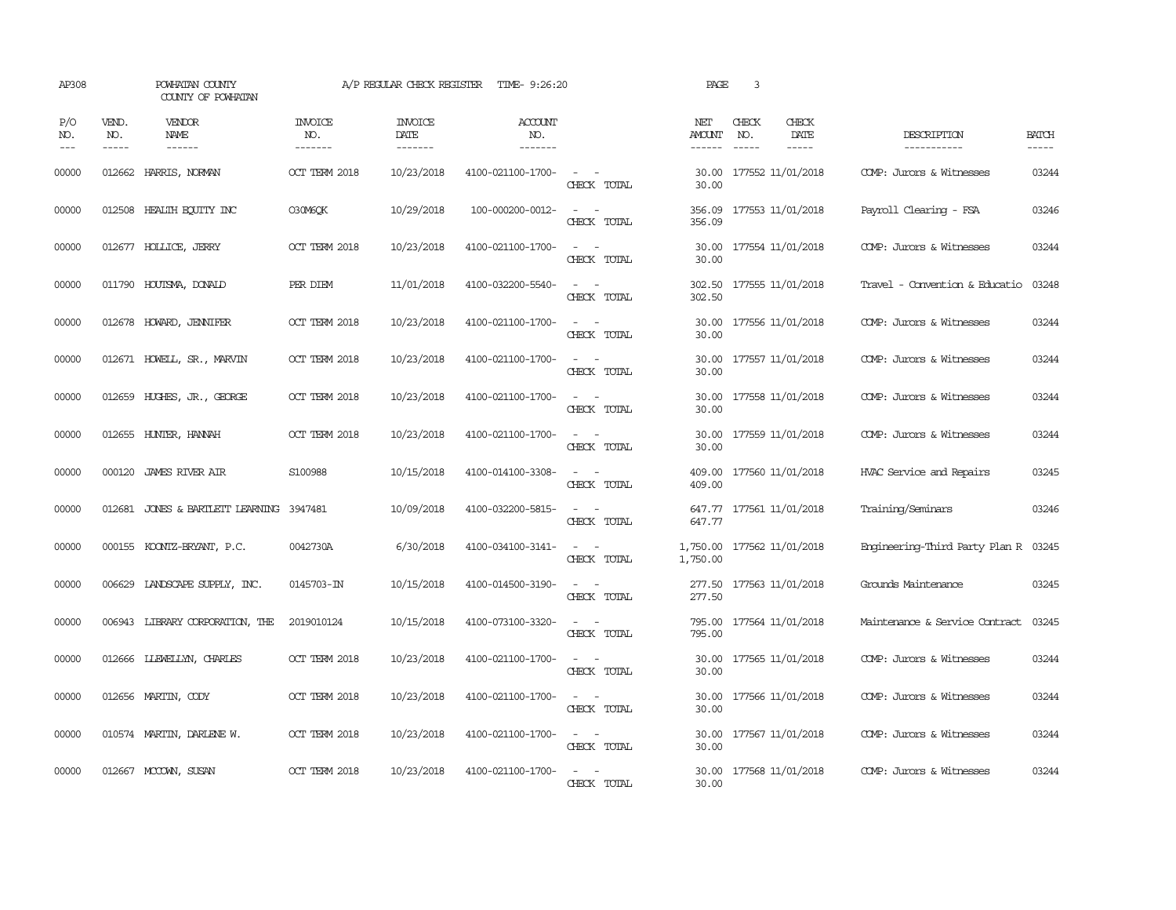| AP308               |                             | POWHATAN COUNTY<br>COUNTY OF POWHATAN    |                                  | A/P REGULAR CHECK REGISTER        | TIME- 9:26:20                            |                                                                                                                             | PAGE                    | 3                             |                              |                                      |                             |
|---------------------|-----------------------------|------------------------------------------|----------------------------------|-----------------------------------|------------------------------------------|-----------------------------------------------------------------------------------------------------------------------------|-------------------------|-------------------------------|------------------------------|--------------------------------------|-----------------------------|
| P/O<br>NO.<br>$---$ | VEND.<br>NO.<br>$- - - - -$ | <b>VENDOR</b><br>NAME                    | <b>INVOICE</b><br>NO.<br>------- | <b>INVOICE</b><br>DATE<br>------- | <b>ACCOUNT</b><br>NO.<br>$- - - - - - -$ |                                                                                                                             | NET<br>AMOUNT<br>------ | CHECK<br>NO.<br>$\frac{1}{2}$ | CHECK<br>DATE<br>$- - - - -$ | DESCRIPTION<br>-----------           | <b>BATCH</b><br>$- - - - -$ |
| 00000               |                             | 012662 HARRIS, NORMAN                    | OCT TERM 2018                    | 10/23/2018                        | 4100-021100-1700-                        | $\sim$<br>CHECK TOTAL                                                                                                       | 30.00<br>30.00          |                               | 177552 11/01/2018            | COMP: Jurors & Witnesses             | 03244                       |
| 00000               |                             | 012508 HEALTH ECUTTY INC                 | <b>O30M6OK</b>                   | 10/29/2018                        | 100-000200-0012-                         | $\overline{\phantom{a}}$<br>CHECK TOTAL                                                                                     | 356.09<br>356.09        |                               | 177553 11/01/2018            | Payroll Clearing - FSA               | 03246                       |
| 00000               |                             | 012677 HOLLICE, JERRY                    | OCT TERM 2018                    | 10/23/2018                        | 4100-021100-1700-                        | $\frac{1}{2} \left( \frac{1}{2} \right) \left( \frac{1}{2} \right) = \frac{1}{2} \left( \frac{1}{2} \right)$<br>CHECK TOTAL | 30.00<br>30.00          |                               | 177554 11/01/2018            | COMP: Jurors & Witnesses             | 03244                       |
| 00000               |                             | 011790 HOUTSMA, DONALD                   | PER DIEM                         | 11/01/2018                        | 4100-032200-5540-                        | $\equiv$<br>$\sim$<br>CHECK TOTAL                                                                                           | 302.50<br>302.50        |                               | 177555 11/01/2018            | Travel - Convention & Educatio       | 03248                       |
| 00000               |                             | 012678 HOWARD, JENNIFER                  | OCT TERM 2018                    | 10/23/2018                        | 4100-021100-1700-                        | $\frac{1}{2} \left( \frac{1}{2} \right) \left( \frac{1}{2} \right) = \frac{1}{2} \left( \frac{1}{2} \right)$<br>CHECK TOTAL | 30.00                   |                               | 30.00 177556 11/01/2018      | COMP: Jurors & Witnesses             | 03244                       |
| 00000               |                             | 012671 HOWELL, SR., MARVIN               | OCT TERM 2018                    | 10/23/2018                        | 4100-021100-1700-                        | $\sim$ $\sim$<br>CHECK TOTAL                                                                                                | 30.00                   |                               | 30.00 177557 11/01/2018      | COMP: Jurors & Witnesses             | 03244                       |
| 00000               |                             | 012659 HUGHES, JR., GEORGE               | OCT TERM 2018                    | 10/23/2018                        | 4100-021100-1700-                        | $\frac{1}{2} \left( \frac{1}{2} \right) \left( \frac{1}{2} \right) = \frac{1}{2} \left( \frac{1}{2} \right)$<br>CHECK TOTAL | 30.00<br>30.00          |                               | 177558 11/01/2018            | COMP: Jurors & Witnesses             | 03244                       |
| 00000               |                             | 012655 HUNTER, HANNAH                    | OCT TERM 2018                    | 10/23/2018                        | 4100-021100-1700-                        | $\omega_{\rm{max}}$ and $\omega_{\rm{max}}$<br>CHECK TOTAL                                                                  | 30.00<br>30.00          |                               | 177559 11/01/2018            | COMP: Jurors & Witnesses             | 03244                       |
| 00000               |                             | 000120 JAMES RIVER AIR                   | S100988                          | 10/15/2018                        | 4100-014100-3308-                        | $\sim$ $ \sim$<br>CHECK TOTAL                                                                                               | 409.00                  |                               | 409.00 177560 11/01/2018     | HVAC Service and Repairs             | 03245                       |
| 00000               |                             | 012681 JONES & BARTLETT LEARNING 3947481 |                                  | 10/09/2018                        | 4100-032200-5815-                        | $\sim$ 100 $\sim$<br>CHECK TOTAL                                                                                            | 647.77                  |                               | 647.77 177561 11/01/2018     | Training/Seminars                    | 03246                       |
| 00000               |                             | 000155 KCONTZ-BRYANT, P.C.               | 0042730A                         | 6/30/2018                         | 4100-034100-3141-                        | $\sim$ 100 $\sim$<br>CHECK TOTAL                                                                                            | 1,750.00                |                               | 1,750.00 177562 11/01/2018   | Engineering-Third Party Plan R 03245 |                             |
| 00000               |                             | 006629 LANDSCAPE SUPPLY, INC.            | 0145703-IN                       | 10/15/2018                        | 4100-014500-3190-                        | $\overline{\phantom{a}}$<br>$\sim$<br>CHECK TOTAL                                                                           | 277.50<br>277.50        |                               | 177563 11/01/2018            | Grounds Maintenance                  | 03245                       |
| 00000               |                             | 006943 LIBRARY CORPORATION, THE          | 2019010124                       | 10/15/2018                        | 4100-073100-3320-                        | $\sim$ $ \sim$<br>CHECK TOTAL                                                                                               | 795.00<br>795.00        |                               | 177564 11/01/2018            | Maintenance & Service Contract       | 03245                       |
| 00000               |                             | 012666 LLEWELLYN, CHARLES                | OCT TERM 2018                    | 10/23/2018                        | 4100-021100-1700-                        | $\sim$<br>$\sim$<br>CHECK TOTAL                                                                                             | 30.00<br>30.00          |                               | 177565 11/01/2018            | COMP: Jurors & Witnesses             | 03244                       |
| 00000               |                             | 012656 MARTIN, CODY                      | OCT TERM 2018                    | 10/23/2018                        | 4100-021100-1700-                        | $\frac{1}{2} \left( \frac{1}{2} \right) \left( \frac{1}{2} \right) = \frac{1}{2} \left( \frac{1}{2} \right)$<br>CHECK TOTAL | 30.00<br>30.00          |                               | 177566 11/01/2018            | COMP: Jurors & Witnesses             | 03244                       |
| 00000               |                             | 010574 MARTIN, DARLENE W.                | OCT TERM 2018                    | 10/23/2018                        | 4100-021100-1700-                        | $\sim$ $\sim$<br>CHECK TOTAL                                                                                                | 30.00<br>30.00          |                               | 177567 11/01/2018            | COMP: Jurors & Witnesses             | 03244                       |
| 00000               |                             | 012667 MCCOWN, SUSAN                     | OCT TERM 2018                    | 10/23/2018                        | 4100-021100-1700-                        | $\sim$<br>CHECK TOTAL                                                                                                       | 30.00<br>30.00          |                               | 177568 11/01/2018            | COMP: Jurors & Witnesses             | 03244                       |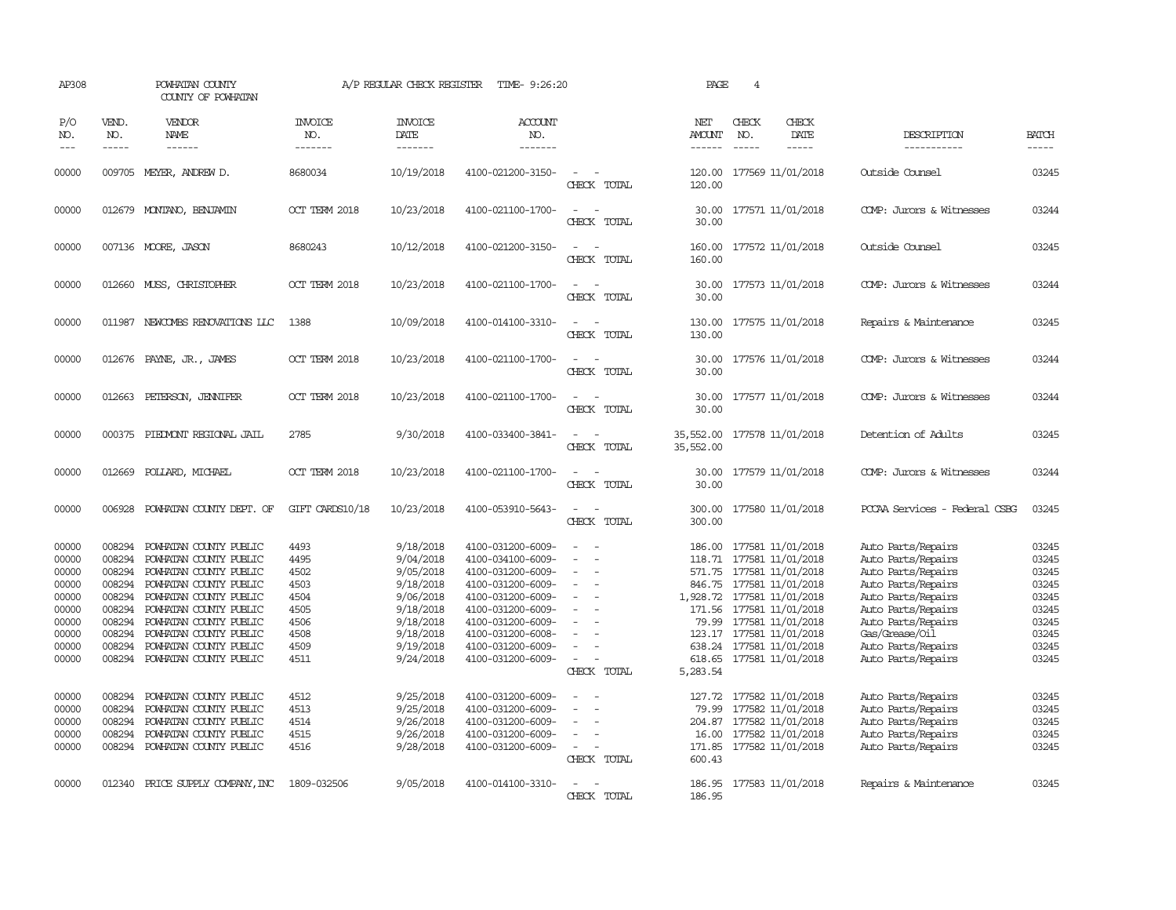| AP308                                                                                                                               |                                                                                                                                          | POWHATAN COUNTY<br>COUNTY OF POWHATAN                                                                                                                                                                                                                                                                                                                                                                     |                                                                                                                      | A/P REGULAR CHECK REGISTER                                                                                                                                                                      | TIME- 9:26:20                                                                                                                                                                                                                                                                                                           |                                                                                                                         | PAGE                                            | $\overline{4}$                                                                                                                                                                                                                                                                                                                                                                              |                              |                                                                                                                                                                                                                                                                                                                                    |                                                                                                                                     |
|-------------------------------------------------------------------------------------------------------------------------------------|------------------------------------------------------------------------------------------------------------------------------------------|-----------------------------------------------------------------------------------------------------------------------------------------------------------------------------------------------------------------------------------------------------------------------------------------------------------------------------------------------------------------------------------------------------------|----------------------------------------------------------------------------------------------------------------------|-------------------------------------------------------------------------------------------------------------------------------------------------------------------------------------------------|-------------------------------------------------------------------------------------------------------------------------------------------------------------------------------------------------------------------------------------------------------------------------------------------------------------------------|-------------------------------------------------------------------------------------------------------------------------|-------------------------------------------------|---------------------------------------------------------------------------------------------------------------------------------------------------------------------------------------------------------------------------------------------------------------------------------------------------------------------------------------------------------------------------------------------|------------------------------|------------------------------------------------------------------------------------------------------------------------------------------------------------------------------------------------------------------------------------------------------------------------------------------------------------------------------------|-------------------------------------------------------------------------------------------------------------------------------------|
| P/O<br>NO.<br>$---$                                                                                                                 | VEND.<br>NO.<br>$\frac{1}{2}$                                                                                                            | VENDOR<br>NAME<br>$- - - - - -$                                                                                                                                                                                                                                                                                                                                                                           | <b>INVOICE</b><br>NO.<br>-------                                                                                     | <b>INVOICE</b><br>DATE<br>--------                                                                                                                                                              | <b>ACCOUNT</b><br>NO.<br>-------                                                                                                                                                                                                                                                                                        |                                                                                                                         | NET<br>AMOUNT<br>------                         | CHECK<br>NO.<br>$\frac{1}{2}$                                                                                                                                                                                                                                                                                                                                                               | CHECK<br>DATE<br>$- - - - -$ | DESCRIPTION<br>-----------                                                                                                                                                                                                                                                                                                         | <b>BATCH</b><br>-----                                                                                                               |
| 00000                                                                                                                               |                                                                                                                                          | 009705 MEYER, ANDREW D.                                                                                                                                                                                                                                                                                                                                                                                   | 8680034                                                                                                              | 10/19/2018                                                                                                                                                                                      | 4100-021200-3150-                                                                                                                                                                                                                                                                                                       | $\overline{\phantom{a}}$<br>CHECK TOTAL                                                                                 | 120.00<br>120.00                                | 177569 11/01/2018                                                                                                                                                                                                                                                                                                                                                                           |                              | Outside Counsel                                                                                                                                                                                                                                                                                                                    | 03245                                                                                                                               |
| 00000                                                                                                                               |                                                                                                                                          | 012679 MONTANO, BENJAMIN                                                                                                                                                                                                                                                                                                                                                                                  | OCT TERM 2018                                                                                                        | 10/23/2018                                                                                                                                                                                      | 4100-021100-1700-                                                                                                                                                                                                                                                                                                       | CHECK TOTAL                                                                                                             | 30.00                                           | 30.00 177571 11/01/2018                                                                                                                                                                                                                                                                                                                                                                     |                              | COMP: Jurors & Witnesses                                                                                                                                                                                                                                                                                                           | 03244                                                                                                                               |
| 00000                                                                                                                               |                                                                                                                                          | 007136 MOORE, JASON                                                                                                                                                                                                                                                                                                                                                                                       | 8680243                                                                                                              | 10/12/2018                                                                                                                                                                                      | 4100-021200-3150-                                                                                                                                                                                                                                                                                                       | $\equiv$<br>CHECK TOTAL                                                                                                 | 160.00                                          | 160.00 177572 11/01/2018                                                                                                                                                                                                                                                                                                                                                                    |                              | Outside Counsel                                                                                                                                                                                                                                                                                                                    | 03245                                                                                                                               |
| 00000                                                                                                                               |                                                                                                                                          | 012660 MUSS, CHRISTOPHER                                                                                                                                                                                                                                                                                                                                                                                  | OCT TERM 2018                                                                                                        | 10/23/2018                                                                                                                                                                                      | 4100-021100-1700-                                                                                                                                                                                                                                                                                                       | $\sim$ $\sim$<br>CHECK TOTAL                                                                                            | 30.00<br>30.00                                  | 177573 11/01/2018                                                                                                                                                                                                                                                                                                                                                                           |                              | COMP: Jurors & Witnesses                                                                                                                                                                                                                                                                                                           | 03244                                                                                                                               |
| 00000                                                                                                                               |                                                                                                                                          | 011987 NEWCOMBS RENOVATIONS LLC                                                                                                                                                                                                                                                                                                                                                                           | 1388                                                                                                                 | 10/09/2018                                                                                                                                                                                      | 4100-014100-3310-                                                                                                                                                                                                                                                                                                       | CHECK TOTAL                                                                                                             | 130.00<br>130.00                                | 177575 11/01/2018                                                                                                                                                                                                                                                                                                                                                                           |                              | Repairs & Maintenance                                                                                                                                                                                                                                                                                                              | 03245                                                                                                                               |
| 00000                                                                                                                               |                                                                                                                                          | 012676 PAYNE, JR., JAMES                                                                                                                                                                                                                                                                                                                                                                                  | OCT TERM 2018                                                                                                        | 10/23/2018                                                                                                                                                                                      | 4100-021100-1700-                                                                                                                                                                                                                                                                                                       | $\overline{a}$<br>CHECK TOTAL                                                                                           | 30.00                                           | 30.00 177576 11/01/2018                                                                                                                                                                                                                                                                                                                                                                     |                              | COMP: Jurors & Witnesses                                                                                                                                                                                                                                                                                                           | 03244                                                                                                                               |
| 00000                                                                                                                               |                                                                                                                                          | 012663 PETERSON, JENNIFER                                                                                                                                                                                                                                                                                                                                                                                 | OCT TERM 2018                                                                                                        | 10/23/2018                                                                                                                                                                                      | 4100-021100-1700-                                                                                                                                                                                                                                                                                                       | CHECK TOTAL                                                                                                             | 30.00<br>30.00                                  | 177577 11/01/2018                                                                                                                                                                                                                                                                                                                                                                           |                              | COMP: Jurors & Witnesses                                                                                                                                                                                                                                                                                                           | 03244                                                                                                                               |
| 00000                                                                                                                               | 000375                                                                                                                                   | PIEDMONT REGIONAL JAIL                                                                                                                                                                                                                                                                                                                                                                                    | 2785                                                                                                                 | 9/30/2018                                                                                                                                                                                       | 4100-033400-3841-                                                                                                                                                                                                                                                                                                       | CHECK TOTAL                                                                                                             | 35,552.00<br>35,552.00                          |                                                                                                                                                                                                                                                                                                                                                                                             | 177578 11/01/2018            | Detention of Adults                                                                                                                                                                                                                                                                                                                | 03245                                                                                                                               |
| 00000                                                                                                                               |                                                                                                                                          | 012669 POLLARD, MICHAEL                                                                                                                                                                                                                                                                                                                                                                                   | OCT TERM 2018                                                                                                        | 10/23/2018                                                                                                                                                                                      | 4100-021100-1700-                                                                                                                                                                                                                                                                                                       | CHECK TOTAL                                                                                                             | 30.00<br>30.00                                  |                                                                                                                                                                                                                                                                                                                                                                                             | 177579 11/01/2018            | COMP: Jurors & Witnesses                                                                                                                                                                                                                                                                                                           | 03244                                                                                                                               |
| 00000                                                                                                                               |                                                                                                                                          | 006928 POWHATAN COUNTY DEPT. OF                                                                                                                                                                                                                                                                                                                                                                           | GIFT CARDS10/18                                                                                                      | 10/23/2018                                                                                                                                                                                      | 4100-053910-5643-                                                                                                                                                                                                                                                                                                       | $\sim$<br>CHECK TOTAL                                                                                                   | 300.00                                          | 300.00 177580 11/01/2018                                                                                                                                                                                                                                                                                                                                                                    |                              | PCCAA Services - Federal CSBG                                                                                                                                                                                                                                                                                                      | 03245                                                                                                                               |
| 00000<br>00000<br>00000<br>00000<br>00000<br>00000<br>00000<br>00000<br>00000<br>00000<br>00000<br>00000<br>00000<br>00000<br>00000 | 008294<br>008294<br>008294<br>008294<br>008294<br>008294<br>008294<br>008294<br>008294<br>008294<br>008294<br>008294<br>008294<br>008294 | POWHATAN COUNTY PUBLIC<br>POWHATAN COUNTY PUBLIC<br>POWHATAN COUNTY PUBLIC<br>POWHATAN COUNTY PUBLIC<br>POWHATAN COUNTY PUBLIC<br>POWHATAN COUNTY PUBLIC<br>POWHATAN COUNTY PUBLIC<br>POWHATAN COUNTY PUBLIC<br>POWHATAN COUNTY PUBLIC<br>POWHATAN COUNTY PUBLIC<br>POWHATAN COUNTY PUBLIC<br>POWHATAN COUNTY PUBLIC<br>POWHATAN COUNTY PUBLIC<br>POWHATAN COUNTY PUBLIC<br>008294 POWHATAN COUNTY PUBLIC | 4493<br>4495<br>4502<br>4503<br>4504<br>4505<br>4506<br>4508<br>4509<br>4511<br>4512<br>4513<br>4514<br>4515<br>4516 | 9/18/2018<br>9/04/2018<br>9/05/2018<br>9/18/2018<br>9/06/2018<br>9/18/2018<br>9/18/2018<br>9/18/2018<br>9/19/2018<br>9/24/2018<br>9/25/2018<br>9/25/2018<br>9/26/2018<br>9/26/2018<br>9/28/2018 | 4100-031200-6009-<br>4100-034100-6009-<br>4100-031200-6009-<br>4100-031200-6009-<br>4100-031200-6009-<br>4100-031200-6009-<br>4100-031200-6009-<br>4100-031200-6008-<br>4100-031200-6009-<br>4100-031200-6009-<br>4100-031200-6009-<br>4100-031200-6009-<br>4100-031200-6009-<br>4100-031200-6009-<br>4100-031200-6009- | $\equiv$<br>$\sim$<br>$\overline{\phantom{a}}$<br>$\equiv$<br>$\sim$<br>CHECK TOTAL<br>$\equiv$<br>$\equiv$<br>$\equiv$ | 1,928.72 177581 11/01/2018<br>5,283.54<br>16.00 | 186.00 177581 11/01/2018<br>118.71 177581 11/01/2018<br>571.75 177581 11/01/2018<br>846.75 177581 11/01/2018<br>171.56 177581 11/01/2018<br>79.99 177581 11/01/2018<br>123.17 177581 11/01/2018<br>638.24 177581 11/01/2018<br>618.65 177581 11/01/2018<br>127.72 177582 11/01/2018<br>79.99 177582 11/01/2018<br>204.87 177582 11/01/2018<br>177582 11/01/2018<br>171.85 177582 11/01/2018 |                              | Auto Parts/Repairs<br>Auto Parts/Repairs<br>Auto Parts/Repairs<br>Auto Parts/Repairs<br>Auto Parts/Repairs<br>Auto Parts/Repairs<br>Auto Parts/Repairs<br>Gas/Grease/Oil<br>Auto Parts/Repairs<br>Auto Parts/Repairs<br>Auto Parts/Repairs<br>Auto Parts/Repairs<br>Auto Parts/Repairs<br>Auto Parts/Repairs<br>Auto Parts/Repairs | 03245<br>03245<br>03245<br>03245<br>03245<br>03245<br>03245<br>03245<br>03245<br>03245<br>03245<br>03245<br>03245<br>03245<br>03245 |
| 00000                                                                                                                               |                                                                                                                                          | 012340 PRICE SUPPLY COMPANY, INC                                                                                                                                                                                                                                                                                                                                                                          | 1809-032506                                                                                                          | 9/05/2018                                                                                                                                                                                       | 4100-014100-3310-                                                                                                                                                                                                                                                                                                       | CHECK TOTAL<br>CHECK TOTAL                                                                                              | 600.43<br>186.95                                | 186.95 177583 11/01/2018                                                                                                                                                                                                                                                                                                                                                                    |                              | Repairs & Maintenance                                                                                                                                                                                                                                                                                                              | 03245                                                                                                                               |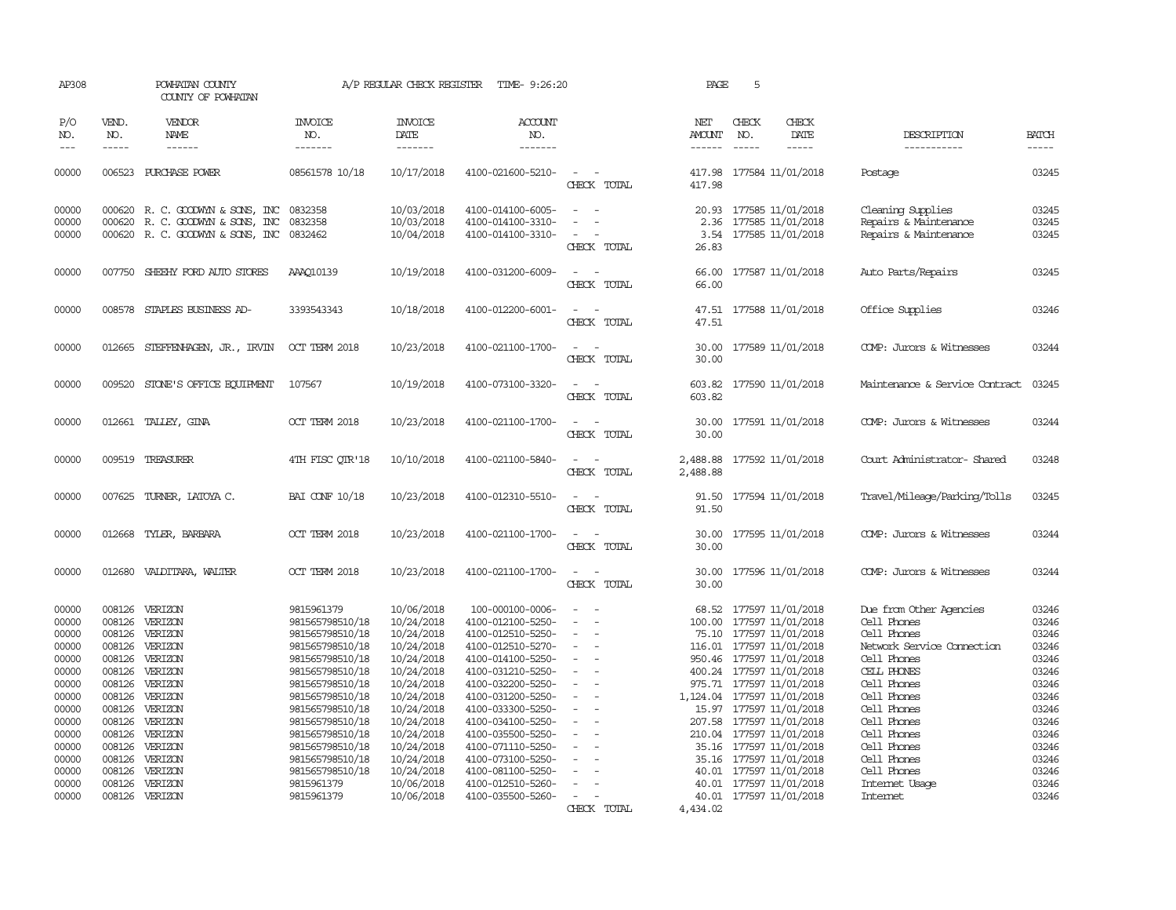| AP308                                                                                                                                        |                                                | POWHATAN COUNTY<br>COUNTY OF POWHATAN                                                                                                                                                                                                                     |                                                                                                                                                                                                                                                                                               | A/P REGULAR CHECK REGISTER                                                                                                                                                                                                   | TIME- 9:26:20                                                                                                                                                                                                                                                                                                                               |                                                     | PAGE                 | 5                             |                                                                                                                                                                                                                                                                                                                                                                                                                                                         |                                                                                                                                                                                                                                                                         |                                                                                                                                              |
|----------------------------------------------------------------------------------------------------------------------------------------------|------------------------------------------------|-----------------------------------------------------------------------------------------------------------------------------------------------------------------------------------------------------------------------------------------------------------|-----------------------------------------------------------------------------------------------------------------------------------------------------------------------------------------------------------------------------------------------------------------------------------------------|------------------------------------------------------------------------------------------------------------------------------------------------------------------------------------------------------------------------------|---------------------------------------------------------------------------------------------------------------------------------------------------------------------------------------------------------------------------------------------------------------------------------------------------------------------------------------------|-----------------------------------------------------|----------------------|-------------------------------|---------------------------------------------------------------------------------------------------------------------------------------------------------------------------------------------------------------------------------------------------------------------------------------------------------------------------------------------------------------------------------------------------------------------------------------------------------|-------------------------------------------------------------------------------------------------------------------------------------------------------------------------------------------------------------------------------------------------------------------------|----------------------------------------------------------------------------------------------------------------------------------------------|
| P/O<br>NO.<br>$---$                                                                                                                          | VEND.<br>NO.<br>$- - - - -$                    | <b>VENDOR</b><br>NAME<br>$- - - - - -$                                                                                                                                                                                                                    | <b>INVOICE</b><br>NO.<br>-------                                                                                                                                                                                                                                                              | <b>INVOICE</b><br>DATE<br>-------                                                                                                                                                                                            | <b>ACCOUNT</b><br>NO.<br>-------                                                                                                                                                                                                                                                                                                            |                                                     | NET<br>AMOUNT        | CHECK<br>NO.<br>$\frac{1}{2}$ | CHECK<br>DATE<br>-----                                                                                                                                                                                                                                                                                                                                                                                                                                  | DESCRIPTION<br>-----------                                                                                                                                                                                                                                              | <b>BATCH</b><br>-----                                                                                                                        |
|                                                                                                                                              |                                                |                                                                                                                                                                                                                                                           |                                                                                                                                                                                                                                                                                               |                                                                                                                                                                                                                              |                                                                                                                                                                                                                                                                                                                                             |                                                     | ------               |                               |                                                                                                                                                                                                                                                                                                                                                                                                                                                         |                                                                                                                                                                                                                                                                         |                                                                                                                                              |
| 00000                                                                                                                                        |                                                | 006523 PURCHASE POWER                                                                                                                                                                                                                                     | 08561578 10/18                                                                                                                                                                                                                                                                                | 10/17/2018                                                                                                                                                                                                                   | 4100-021600-5210-                                                                                                                                                                                                                                                                                                                           | CHECK TOTAL                                         | 417.98               |                               | 417.98 177584 11/01/2018                                                                                                                                                                                                                                                                                                                                                                                                                                | Postage                                                                                                                                                                                                                                                                 | 03245                                                                                                                                        |
| 00000<br>00000<br>00000                                                                                                                      |                                                | 000620 R. C. GOODWYN & SONS, INC<br>000620 R. C. GOODWYN & SONS, INC<br>000620 R. C. GOODWYN & SONS, INC                                                                                                                                                  | 0832358<br>0832358<br>0832462                                                                                                                                                                                                                                                                 | 10/03/2018<br>10/03/2018<br>10/04/2018                                                                                                                                                                                       | 4100-014100-6005-<br>4100-014100-3310-<br>4100-014100-3310-                                                                                                                                                                                                                                                                                 | $\overline{\phantom{a}}$<br>$\equiv$<br>CHECK TOTAL | 20.93<br>26.83       |                               | 177585 11/01/2018<br>2.36 177585 11/01/2018<br>3.54 177585 11/01/2018                                                                                                                                                                                                                                                                                                                                                                                   | Cleaning Supplies<br>Repairs & Maintenance<br>Repairs & Maintenance                                                                                                                                                                                                     | 03245<br>03245<br>03245                                                                                                                      |
| 00000                                                                                                                                        |                                                | 007750 SHEEHY FORD AUTO STORES                                                                                                                                                                                                                            | AAA010139                                                                                                                                                                                                                                                                                     | 10/19/2018                                                                                                                                                                                                                   | 4100-031200-6009-                                                                                                                                                                                                                                                                                                                           | CHECK TOTAL                                         | 66.00                |                               | 66.00 177587 11/01/2018                                                                                                                                                                                                                                                                                                                                                                                                                                 | Auto Parts/Repairs                                                                                                                                                                                                                                                      | 03245                                                                                                                                        |
| 00000                                                                                                                                        |                                                | 008578 STAPLES BUSINESS AD-                                                                                                                                                                                                                               | 3393543343                                                                                                                                                                                                                                                                                    | 10/18/2018                                                                                                                                                                                                                   | 4100-012200-6001-                                                                                                                                                                                                                                                                                                                           | $\sim$<br>$\overline{\phantom{a}}$<br>CHECK TOTAL   | 47.51                |                               | 47.51 177588 11/01/2018                                                                                                                                                                                                                                                                                                                                                                                                                                 | Office Supplies                                                                                                                                                                                                                                                         | 03246                                                                                                                                        |
| 00000                                                                                                                                        |                                                | 012665 STEFFENHAGEN, JR., IRVIN                                                                                                                                                                                                                           | OCT TERM 2018                                                                                                                                                                                                                                                                                 | 10/23/2018                                                                                                                                                                                                                   | 4100-021100-1700-                                                                                                                                                                                                                                                                                                                           | $\sim$<br>- -<br>CHECK TOTAL                        | 30.00<br>30.00       |                               | 177589 11/01/2018                                                                                                                                                                                                                                                                                                                                                                                                                                       | COMP: Jurors & Witnesses                                                                                                                                                                                                                                                | 03244                                                                                                                                        |
| 00000                                                                                                                                        |                                                | 009520 STONE'S OFFICE EQUIPMENT                                                                                                                                                                                                                           | 107567                                                                                                                                                                                                                                                                                        | 10/19/2018                                                                                                                                                                                                                   | 4100-073100-3320-                                                                                                                                                                                                                                                                                                                           | CHECK TOTAL                                         | 603.82               |                               | 603.82 177590 11/01/2018                                                                                                                                                                                                                                                                                                                                                                                                                                | Maintenance & Service Contract                                                                                                                                                                                                                                          | 03245                                                                                                                                        |
| 00000                                                                                                                                        |                                                | 012661 TALLEY, GINA                                                                                                                                                                                                                                       | OCT TERM 2018                                                                                                                                                                                                                                                                                 | 10/23/2018                                                                                                                                                                                                                   | 4100-021100-1700-                                                                                                                                                                                                                                                                                                                           | $\overline{a}$<br>CHECK TOTAL                       | 30.00<br>30.00       |                               | 177591 11/01/2018                                                                                                                                                                                                                                                                                                                                                                                                                                       | COMP: Jurors & Witnesses                                                                                                                                                                                                                                                | 03244                                                                                                                                        |
| 00000                                                                                                                                        |                                                | 009519 TREASURER                                                                                                                                                                                                                                          | 4TH FISC OTR'18                                                                                                                                                                                                                                                                               | 10/10/2018                                                                                                                                                                                                                   | 4100-021100-5840-                                                                                                                                                                                                                                                                                                                           | $\overline{\phantom{a}}$<br>CHECK TOTAL             | 2,488.88<br>2,488.88 |                               | 177592 11/01/2018                                                                                                                                                                                                                                                                                                                                                                                                                                       | Court Administrator-Shared                                                                                                                                                                                                                                              | 03248                                                                                                                                        |
| 00000                                                                                                                                        |                                                | 007625 TURNER, LATOYA C.                                                                                                                                                                                                                                  | <b>BAI CONF 10/18</b>                                                                                                                                                                                                                                                                         | 10/23/2018                                                                                                                                                                                                                   | 4100-012310-5510-                                                                                                                                                                                                                                                                                                                           | CHECK TOTAL                                         | 91.50<br>91.50       |                               | 177594 11/01/2018                                                                                                                                                                                                                                                                                                                                                                                                                                       | Travel/Mileage/Parking/Tolls                                                                                                                                                                                                                                            | 03245                                                                                                                                        |
| 00000                                                                                                                                        |                                                | 012668 TYLER, BARBARA                                                                                                                                                                                                                                     | OCT TERM 2018                                                                                                                                                                                                                                                                                 | 10/23/2018                                                                                                                                                                                                                   | 4100-021100-1700-                                                                                                                                                                                                                                                                                                                           | CHECK TOTAL                                         | 30.00<br>30.00       |                               | 177595 11/01/2018                                                                                                                                                                                                                                                                                                                                                                                                                                       | COMP: Jurors & Witnesses                                                                                                                                                                                                                                                | 03244                                                                                                                                        |
| 00000                                                                                                                                        | 012680                                         | VALDITARA, WALTER                                                                                                                                                                                                                                         | OCT TERM 2018                                                                                                                                                                                                                                                                                 | 10/23/2018                                                                                                                                                                                                                   | 4100-021100-1700-                                                                                                                                                                                                                                                                                                                           | CHECK TOTAL                                         | 30.00<br>30.00       |                               | 177596 11/01/2018                                                                                                                                                                                                                                                                                                                                                                                                                                       | COMP: Jurors & Witnesses                                                                                                                                                                                                                                                | 03244                                                                                                                                        |
| 00000<br>00000<br>00000<br>00000<br>00000<br>00000<br>00000<br>00000<br>00000<br>00000<br>00000<br>00000<br>00000<br>00000<br>00000<br>00000 | 008126<br>008126<br>008126<br>008126<br>008126 | 008126 VERIZON<br>VERIZON<br>VERIZON<br>VERIZON<br>VERIZON<br>VERIZON<br>008126 VERIZON<br>008126 VERIZON<br>008126 VERIZON<br>008126 VERIZON<br>008126 VERIZON<br>008126 VERIZON<br>008126 VERIZON<br>008126 VERIZON<br>008126 VERIZON<br>008126 VERIZON | 9815961379<br>981565798510/18<br>981565798510/18<br>981565798510/18<br>981565798510/18<br>981565798510/18<br>981565798510/18<br>981565798510/18<br>981565798510/18<br>981565798510/18<br>981565798510/18<br>981565798510/18<br>981565798510/18<br>981565798510/18<br>9815961379<br>9815961379 | 10/06/2018<br>10/24/2018<br>10/24/2018<br>10/24/2018<br>10/24/2018<br>10/24/2018<br>10/24/2018<br>10/24/2018<br>10/24/2018<br>10/24/2018<br>10/24/2018<br>10/24/2018<br>10/24/2018<br>10/24/2018<br>10/06/2018<br>10/06/2018 | 100-000100-0006-<br>4100-012100-5250-<br>4100-012510-5250-<br>4100-012510-5270-<br>4100-014100-5250-<br>4100-031210-5250-<br>4100-032200-5250-<br>4100-031200-5250-<br>4100-033300-5250-<br>4100-034100-5250-<br>4100-035500-5250-<br>4100-071110-5250-<br>4100-073100-5250-<br>4100-081100-5250-<br>4100-012510-5260-<br>4100-035500-5260- | $\sim$<br>$\equiv$<br>$\overline{\phantom{a}}$      |                      |                               | 68.52 177597 11/01/2018<br>100.00 177597 11/01/2018<br>75.10 177597 11/01/2018<br>116.01 177597 11/01/2018<br>950.46 177597 11/01/2018<br>400.24 177597 11/01/2018<br>975.71 177597 11/01/2018<br>1, 124.04 177597 11/01/2018<br>15.97 177597 11/01/2018<br>207.58 177597 11/01/2018<br>210.04 177597 11/01/2018<br>35.16 177597 11/01/2018<br>35.16 177597 11/01/2018<br>40.01 177597 11/01/2018<br>40.01 177597 11/01/2018<br>40.01 177597 11/01/2018 | Due from Other Agencies<br>Cell Phones<br>Cell Phones<br>Network Service Connection<br>Cell Phones<br>CELL PHONES<br>Cell Phones<br>Cell Phones<br>Cell Phones<br>Cell Phones<br>Cell Phones<br>Cell Phones<br>Cell Phones<br>Cell Phones<br>Internet Usage<br>Internet | 03246<br>03246<br>03246<br>03246<br>03246<br>03246<br>03246<br>03246<br>03246<br>03246<br>03246<br>03246<br>03246<br>03246<br>03246<br>03246 |
|                                                                                                                                              |                                                |                                                                                                                                                                                                                                                           |                                                                                                                                                                                                                                                                                               |                                                                                                                                                                                                                              |                                                                                                                                                                                                                                                                                                                                             | CHECK TOTAL                                         | 4,434.02             |                               |                                                                                                                                                                                                                                                                                                                                                                                                                                                         |                                                                                                                                                                                                                                                                         |                                                                                                                                              |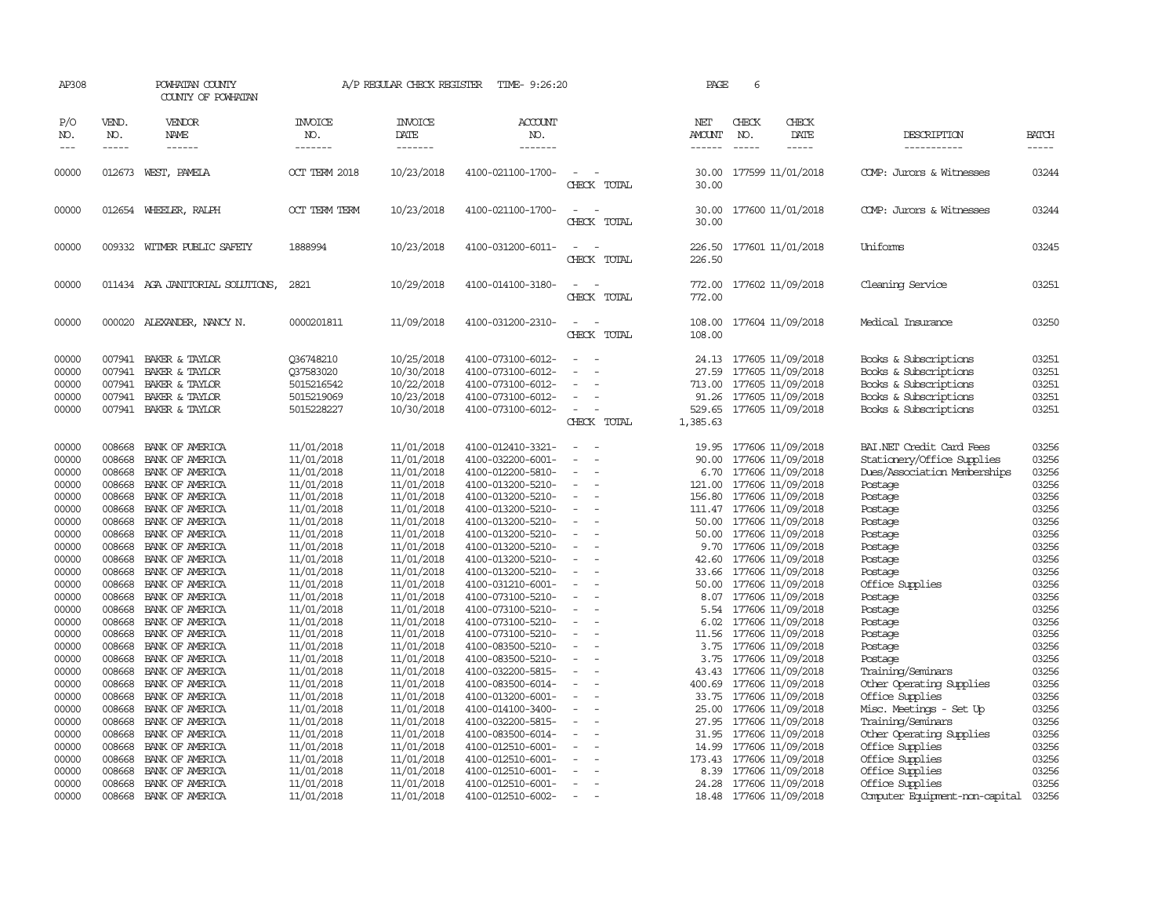| AP308                                     |                                      | POWHATAN COUNTY<br>COUNTY OF POWHATAN                                                                                     |                                                                  | A/P REGULAR CHECK REGISTER                                         | TIME- 9:26:20                                                                                         |                                                                              | PAGE                                 | 6                                                                                                                  |                                                                                                                           |                                           |
|-------------------------------------------|--------------------------------------|---------------------------------------------------------------------------------------------------------------------------|------------------------------------------------------------------|--------------------------------------------------------------------|-------------------------------------------------------------------------------------------------------|------------------------------------------------------------------------------|--------------------------------------|--------------------------------------------------------------------------------------------------------------------|---------------------------------------------------------------------------------------------------------------------------|-------------------------------------------|
| P/O<br>NO.<br>$---$                       | VEND.<br>NO.<br>$- - - - -$          | VENDOR<br><b>NAME</b>                                                                                                     | <b>INVOICE</b><br>NO.<br>-------                                 | <b>INVOICE</b><br>DATE<br>-------                                  | <b>ACCOUNT</b><br>NO.<br>-------                                                                      |                                                                              | NET<br>AMOUNT<br>------              | CHECK<br>CHECK<br>DATE<br>NO.<br>$- - - - -$<br>$\frac{1}{2}$                                                      | DESCRIPTION<br>-----------                                                                                                | <b>BATCH</b><br>-----                     |
| 00000                                     | 012673                               | WEST, PAMELA                                                                                                              | OCT TERM 2018                                                    | 10/23/2018                                                         | 4100-021100-1700-                                                                                     | $\equiv$<br>CHECK TOTAL                                                      | 30.00<br>30.00                       | 177599 11/01/2018                                                                                                  | COMP: Jurors & Witnesses                                                                                                  | 03244                                     |
| 00000                                     |                                      | 012654 WHEELER, RALPH                                                                                                     | <b>OCT TERM TERM</b>                                             | 10/23/2018                                                         | 4100-021100-1700-                                                                                     | $\sim$<br>$\sim$<br>CHECK TOTAL                                              | 30.00<br>30.00                       | 177600 11/01/2018                                                                                                  | COMP: Jurors & Witnesses                                                                                                  | 03244                                     |
| 00000                                     |                                      | 009332 WITMER PUBLIC SAFETY                                                                                               | 1888994                                                          | 10/23/2018                                                         | 4100-031200-6011-                                                                                     | $\sim$<br>CHECK TOTAL                                                        | 226.50                               | 226.50 177601 11/01/2018                                                                                           | Uniforms                                                                                                                  | 03245                                     |
| 00000                                     |                                      | 011434 AGA JANITORIAL SOLUTIONS,                                                                                          | 2821                                                             | 10/29/2018                                                         | 4100-014100-3180-                                                                                     | $\sim$<br>CHECK TOTAL                                                        | 772.00                               | 772.00 177602 11/09/2018                                                                                           | Cleaning Service                                                                                                          | 03251                                     |
| 00000                                     |                                      | 000020 ALEXANDER, NANCY N.                                                                                                | 0000201811                                                       | 11/09/2018                                                         | 4100-031200-2310-                                                                                     | $\sim$ $ \sim$<br>CHECK TOTAL                                                | 108.00                               | 108.00 177604 11/09/2018                                                                                           | Medical Insurance                                                                                                         | 03250                                     |
| 00000<br>00000<br>00000<br>00000<br>00000 |                                      | 007941 BAKER & TAYLOR<br>007941 BAKER & TAYLOR<br>007941 BAKER & TAYLOR<br>007941 BAKER & TAYLOR<br>007941 BAKER & TAYLOR | 036748210<br>Q37583020<br>5015216542<br>5015219069<br>5015228227 | 10/25/2018<br>10/30/2018<br>10/22/2018<br>10/23/2018<br>10/30/2018 | 4100-073100-6012-<br>4100-073100-6012-<br>4100-073100-6012-<br>4100-073100-6012-<br>4100-073100-6012- | $\sim$<br>$\equiv$<br>$\sim$<br>$\equiv$<br>CHECK TOTAL                      | 24.13<br>27.59<br>713.00<br>1,385.63 | 177605 11/09/2018<br>177605 11/09/2018<br>177605 11/09/2018<br>91.26 177605 11/09/2018<br>529.65 177605 11/09/2018 | Books & Subscriptions<br>Books & Subscriptions<br>Books & Subscriptions<br>Books & Subscriptions<br>Books & Subscriptions | 03251<br>03251<br>03251<br>03251<br>03251 |
| 00000<br>00000<br>00000<br>00000          | 008668<br>008668                     | BANK OF AMERICA<br>BANK OF AMERICA<br>008668 BANK OF AMERICA<br>008668 BANK OF AMERICA                                    | 11/01/2018<br>11/01/2018<br>11/01/2018<br>11/01/2018             | 11/01/2018<br>11/01/2018<br>11/01/2018<br>11/01/2018               | 4100-012410-3321-<br>4100-032200-6001-<br>4100-012200-5810-<br>4100-013200-5210-                      | $\sim$<br>$\overline{\phantom{a}}$<br>$\sim$                                 | 19.95<br>90.00<br>121.00             | 177606 11/09/2018<br>177606 11/09/2018<br>6.70 177606 11/09/2018<br>177606 11/09/2018                              | BAI.NET Credit Card Fees<br>Stationery/Office Supplies<br>Dues/Association Memberships<br>Postage                         | 03256<br>03256<br>03256<br>03256          |
| 00000<br>00000<br>00000                   | 008668<br>008668<br>008668           | BANK OF AMERICA<br>BANK OF AMERICA<br>BANK OF AMERICA                                                                     | 11/01/2018<br>11/01/2018<br>11/01/2018                           | 11/01/2018<br>11/01/2018<br>11/01/2018                             | 4100-013200-5210-<br>4100-013200-5210-<br>4100-013200-5210-                                           | $\equiv$<br>$\overline{\phantom{a}}$<br>$\overline{\phantom{a}}$             | 156.80<br>50.00                      | 177606 11/09/2018<br>111.47 177606 11/09/2018<br>177606 11/09/2018                                                 | Postage<br>Postage<br>Postage                                                                                             | 03256<br>03256<br>03256                   |
| 00000<br>00000<br>00000                   | 008668<br>008668                     | BANK OF AMERICA<br>BANK OF AMERICA<br>008668 BANK OF AMERICA                                                              | 11/01/2018<br>11/01/2018<br>11/01/2018                           | 11/01/2018<br>11/01/2018<br>11/01/2018                             | 4100-013200-5210-<br>4100-013200-5210-<br>4100-013200-5210-                                           | $\sim$<br>$\sim$<br>$\sim$                                                   | 50.00<br>9.70<br>42.60               | 177606 11/09/2018<br>177606 11/09/2018<br>177606 11/09/2018                                                        | Postage<br>Postage<br>Postage                                                                                             | 03256<br>03256<br>03256                   |
| 00000<br>00000<br>00000                   | 008668<br>008668<br>008668<br>008668 | BANK OF AMERICA<br>BANK OF AMERICA<br>BANK OF AMERICA                                                                     | 11/01/2018<br>11/01/2018<br>11/01/2018                           | 11/01/2018<br>11/01/2018<br>11/01/2018                             | 4100-013200-5210-<br>4100-031210-6001-<br>4100-073100-5210-                                           | $\equiv$<br>$\overline{\phantom{a}}$<br>$\overline{\phantom{a}}$<br>$\equiv$ | 50.00                                | 33.66 177606 11/09/2018<br>177606 11/09/2018<br>8.07 177606 11/09/2018                                             | Postage<br>Office Supplies<br>Postage                                                                                     | 03256<br>03256<br>03256                   |
| 00000<br>00000<br>00000<br>00000          | 008668<br>008668                     | BANK OF AMERICA<br>BANK OF AMERICA<br>008668 BANK OF AMERICA<br>BANK OF AMERICA                                           | 11/01/2018<br>11/01/2018<br>11/01/2018<br>11/01/2018             | 11/01/2018<br>11/01/2018<br>11/01/2018<br>11/01/2018               | 4100-073100-5210-<br>4100-073100-5210-<br>4100-073100-5210-<br>4100-083500-5210-                      | $\equiv$<br>$\sim$<br>$\equiv$                                               | 5.54<br>6.02<br>3.75                 | 177606 11/09/2018<br>177606 11/09/2018<br>11.56 177606 11/09/2018<br>177606 11/09/2018                             | Postage<br>Postage<br>Postage<br>Postage                                                                                  | 03256<br>03256<br>03256<br>03256          |
| 00000<br>00000<br>00000                   | 008668                               | 008668 BANK OF AMERICA<br>BANK OF AMERICA<br>008668 BANK OF AMERICA                                                       | 11/01/2018<br>11/01/2018<br>11/01/2018                           | 11/01/2018<br>11/01/2018<br>11/01/2018                             | 4100-083500-5210-<br>4100-032200-5815-<br>4100-083500-6014-                                           | $\equiv$<br>$\equiv$<br>$\overline{\phantom{a}}$                             | 3.75<br>43.43<br>400.69              | 177606 11/09/2018<br>177606 11/09/2018<br>177606 11/09/2018                                                        | Postage<br>Training/Seminars<br>Other Operating Supplies                                                                  | 03256<br>03256<br>03256                   |
| 00000<br>00000<br>00000                   | 008668<br>008668                     | BANK OF AMERICA<br>BANK OF AMERICA<br>008668 BANK OF AMERICA                                                              | 11/01/2018<br>11/01/2018<br>11/01/2018                           | 11/01/2018<br>11/01/2018<br>11/01/2018                             | 4100-013200-6001-<br>4100-014100-3400-<br>4100-032200-5815-                                           | $\equiv$<br>$\sim$<br>$\overline{\phantom{a}}$                               | 33.75<br>25.00<br>27.95              | 177606 11/09/2018<br>177606 11/09/2018<br>177606 11/09/2018                                                        | Office Supplies<br>Misc. Meetings - Set Up<br>Training/Seminars                                                           | 03256<br>03256<br>03256                   |
| 00000<br>00000<br>00000                   | 008668<br>008668<br>008668           | BANK OF AMERICA<br>BANK OF AMERICA<br>BANK OF AMERICA                                                                     | 11/01/2018<br>11/01/2018<br>11/01/2018                           | 11/01/2018<br>11/01/2018<br>11/01/2018                             | 4100-083500-6014-<br>4100-012510-6001-<br>4100-012510-6001-                                           | $\sim$<br>$\equiv$                                                           | 31.95<br>14.99<br>173.43             | 177606 11/09/2018<br>177606 11/09/2018<br>177606 11/09/2018                                                        | Other Operating Supplies<br>Office Supplies<br>Office Supplies                                                            | 03256<br>03256<br>03256                   |
| 00000<br>00000<br>00000                   | 008668<br>008668<br>008668           | BANK OF AMERICA<br>BANK OF AMERICA<br>BANK OF AMERICA                                                                     | 11/01/2018<br>11/01/2018<br>11/01/2018                           | 11/01/2018<br>11/01/2018<br>11/01/2018                             | 4100-012510-6001-<br>4100-012510-6001-<br>4100-012510-6002-                                           | $\equiv$<br>$\sim$<br>$\sim$                                                 | 8.39                                 | 177606 11/09/2018<br>24.28 177606 11/09/2018<br>18.48 177606 11/09/2018                                            | Office Supplies<br>Office Supplies<br>Computer Equipment-non-capital                                                      | 03256<br>03256<br>03256                   |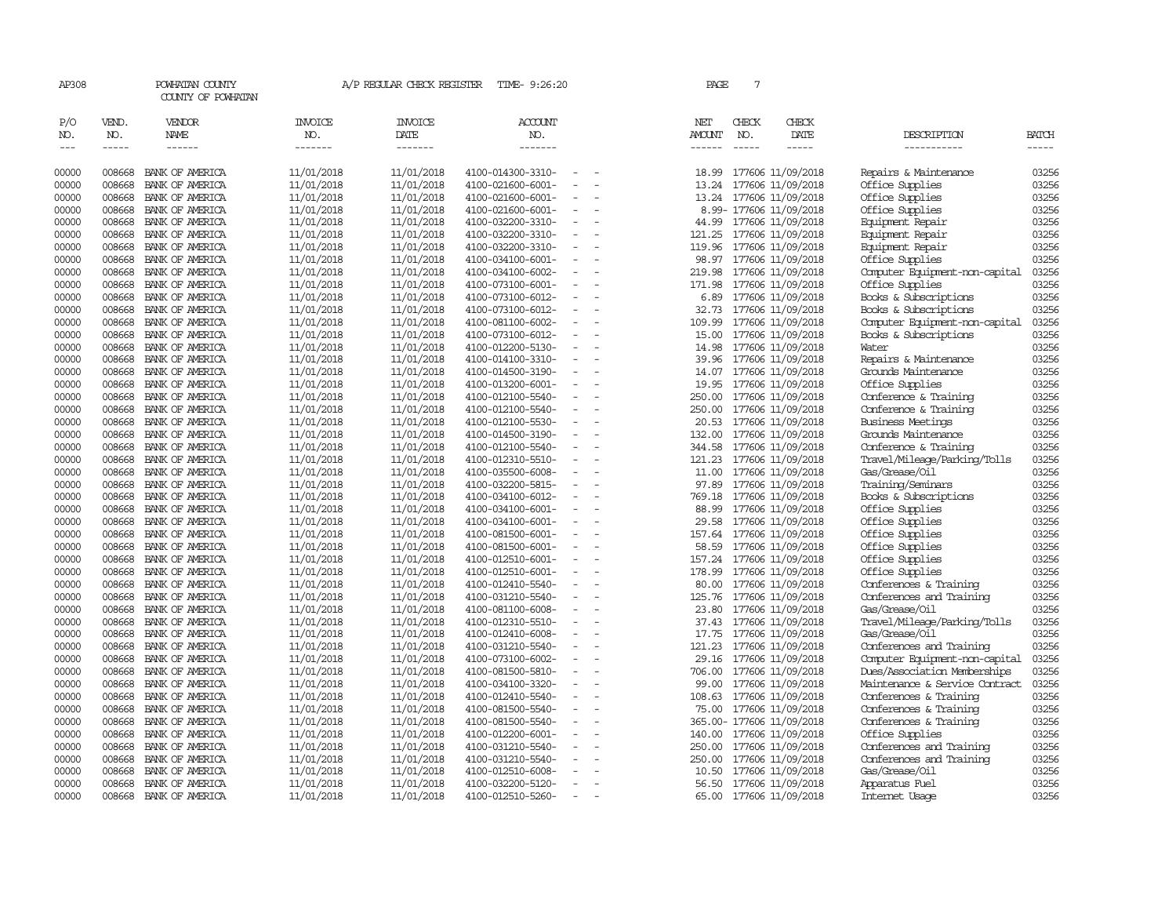| AP308          |                  | POWHATAN COUNTY<br>COUNTY OF POWHATAN |                          | A/P REGULAR CHECK REGISTER | TIME- 9:26:20                          |                                      | PAGE           | 7             |                                        |                                              |                |
|----------------|------------------|---------------------------------------|--------------------------|----------------------------|----------------------------------------|--------------------------------------|----------------|---------------|----------------------------------------|----------------------------------------------|----------------|
| P/O            | VEND.            | VENDOR                                | <b>INVOICE</b>           | <b>INVOICE</b>             | <b>ACCOUNT</b>                         |                                      | NET            | CHECK         | CHECK                                  |                                              |                |
| NO.            | NO.              | <b>NAME</b>                           | NO.                      | DATE                       | NO.                                    |                                      | <b>AMOUNT</b>  | NO.           | DATE                                   | DESCRIPTION                                  | <b>BATCH</b>   |
| $\frac{1}{2}$  | $- - - - -$      | $- - - - - -$                         | -------                  | -------                    | -------                                |                                      | $- - - - - -$  | $\frac{1}{2}$ | -----                                  | -----------                                  | $- - - - -$    |
| 00000          | 008668           | BANK OF AMERICA                       | 11/01/2018               | 11/01/2018                 | 4100-014300-3310-                      | $\overline{\phantom{a}}$             | 18.99          |               | 177606 11/09/2018                      | Repairs & Maintenance                        | 03256          |
| 00000          | 008668           | BANK OF AMERICA                       | 11/01/2018               | 11/01/2018                 | 4100-021600-6001-                      |                                      | 13.24          |               | 177606 11/09/2018                      | Office Supplies                              | 03256          |
| 00000          | 008668           | BANK OF AMERICA                       | 11/01/2018               | 11/01/2018                 | 4100-021600-6001-                      |                                      | 13.24          |               | 177606 11/09/2018                      | Office Supplies                              | 03256          |
| 00000          | 008668           | BANK OF AMERICA                       | 11/01/2018               | 11/01/2018                 | 4100-021600-6001-                      | $\sim$                               |                |               | 8.99- 177606 11/09/2018                | Office Supplies                              | 03256          |
| 00000          | 008668           | BANK OF AMERICA                       | 11/01/2018               | 11/01/2018                 | 4100-032200-3310-                      | $\overline{\phantom{a}}$             | 44.99          |               | 177606 11/09/2018                      | Equipment Repair                             | 03256          |
| 00000          | 008668           | BANK OF AMERICA                       | 11/01/2018               | 11/01/2018                 | 4100-032200-3310-                      |                                      | 121.25         |               | 177606 11/09/2018                      | Equipment Repair                             | 03256          |
| 00000          | 008668           | BANK OF AMERICA                       | 11/01/2018               | 11/01/2018                 | 4100-032200-3310-                      | $\overline{\phantom{a}}$             | 119.96         |               | 177606 11/09/2018                      | Equipment Repair                             | 03256          |
| 00000          | 008668           | BANK OF AMERICA                       | 11/01/2018               | 11/01/2018                 | 4100-034100-6001-                      | $\overline{\phantom{a}}$             | 98.97          |               | 177606 11/09/2018                      | Office Supplies                              | 03256          |
| 00000          | 008668           | BANK OF AMERICA                       | 11/01/2018               | 11/01/2018                 | 4100-034100-6002-                      | $\equiv$                             | 219.98         |               | 177606 11/09/2018                      | Computer Equipment-non-capital               | 03256          |
| 00000          | 008668           | BANK OF AMERICA                       | 11/01/2018               | 11/01/2018                 | 4100-073100-6001-                      |                                      | 171.98         |               | 177606 11/09/2018                      | Office Supplies                              | 03256          |
| 00000          | 008668           | BANK OF AMERICA                       | 11/01/2018               | 11/01/2018                 | 4100-073100-6012-                      | $\equiv$                             | 6.89           |               | 177606 11/09/2018                      | Books & Subscriptions                        | 03256          |
| 00000          | 008668           | BANK OF AMERICA                       | 11/01/2018               | 11/01/2018                 | 4100-073100-6012-                      | $\overline{\phantom{a}}$             | 32.73          |               | 177606 11/09/2018                      | Books & Subscriptions                        | 03256          |
| 00000          | 008668           | BANK OF AMERICA                       | 11/01/2018               | 11/01/2018                 | 4100-081100-6002-                      |                                      | 109.99         |               | 177606 11/09/2018                      | Computer Equipment-non-capital               | 03256          |
| 00000          | 008668           | BANK OF AMERICA                       | 11/01/2018               | 11/01/2018                 | 4100-073100-6012-                      | $\equiv$<br>$\overline{\phantom{a}}$ | 15.00          |               | 177606 11/09/2018                      | Books & Subscriptions<br>Water               | 03256<br>03256 |
| 00000          | 008668           | BANK OF AMERICA                       | 11/01/2018               | 11/01/2018                 | 4100-012200-5130-                      | $\sim$                               | 14.98          |               | 177606 11/09/2018                      |                                              |                |
| 00000          | 008668           | BANK OF AMERICA                       | 11/01/2018               | 11/01/2018                 | 4100-014100-3310-                      |                                      | 39.96          |               | 177606 11/09/2018                      | Repairs & Maintenance<br>Grounds Maintenance | 03256          |
| 00000          | 008668<br>008668 | BANK OF AMERICA<br>BANK OF AMERICA    | 11/01/2018               | 11/01/2018                 | 4100-014500-3190-                      | $\overline{\phantom{a}}$             | 14.07<br>19.95 |               | 177606 11/09/2018                      |                                              | 03256<br>03256 |
| 00000<br>00000 | 008668           | BANK OF AMERICA                       | 11/01/2018<br>11/01/2018 | 11/01/2018<br>11/01/2018   | 4100-013200-6001-<br>4100-012100-5540- | $\overline{\phantom{a}}$             | 250.00         |               | 177606 11/09/2018<br>177606 11/09/2018 | Office Supplies<br>Conference & Training     | 03256          |
| 00000          | 008668           | BANK OF AMERICA                       | 11/01/2018               | 11/01/2018                 | 4100-012100-5540-                      |                                      | 250.00         |               | 177606 11/09/2018                      | Conference & Training                        | 03256          |
| 00000          | 008668           | BANK OF AMERICA                       | 11/01/2018               | 11/01/2018                 | 4100-012100-5530-                      | $\overline{\phantom{a}}$             | 20.53          |               | 177606 11/09/2018                      | <b>Business Meetings</b>                     | 03256          |
| 00000          | 008668           | BANK OF AMERICA                       | 11/01/2018               | 11/01/2018                 | 4100-014500-3190-                      | $\overline{\phantom{a}}$             | 132.00         |               | 177606 11/09/2018                      | Grounds Maintenance                          | 03256          |
| 00000          | 008668           | BANK OF AMERICA                       | 11/01/2018               | 11/01/2018                 | 4100-012100-5540-                      | $\overline{\phantom{a}}$             | 344.58         |               | 177606 11/09/2018                      | Conference & Training                        | 03256          |
| 00000          | 008668           | BANK OF AMERICA                       | 11/01/2018               | 11/01/2018                 | 4100-012310-5510-                      |                                      | 121.23         |               | 177606 11/09/2018                      | Travel/Mileage/Parking/Tolls                 | 03256          |
| 00000          | 008668           | BANK OF AMERICA                       | 11/01/2018               | 11/01/2018                 | 4100-035500-6008-                      | $\sim$                               | 11.00          |               | 177606 11/09/2018                      | Gas/Grease/Oil                               | 03256          |
| 00000          | 008668           | BANK OF AMERICA                       | 11/01/2018               | 11/01/2018                 | 4100-032200-5815-                      | $\overline{\phantom{a}}$             | 97.89          |               | 177606 11/09/2018                      | Training/Seminars                            | 03256          |
| 00000          | 008668           | BANK OF AMERICA                       | 11/01/2018               | 11/01/2018                 | 4100-034100-6012-                      |                                      | 769.18         |               | 177606 11/09/2018                      | Books & Subscriptions                        | 03256          |
| 00000          | 008668           | BANK OF AMERICA                       | 11/01/2018               | 11/01/2018                 | 4100-034100-6001-                      | $\overline{\phantom{a}}$             | 88.99          |               | 177606 11/09/2018                      | Office Supplies                              | 03256          |
| 00000          | 008668           | BANK OF AMERICA                       | 11/01/2018               | 11/01/2018                 | 4100-034100-6001-                      |                                      | 29.58          |               | 177606 11/09/2018                      | Office Supplies                              | 03256          |
| 00000          | 008668           | BANK OF AMERICA                       | 11/01/2018               | 11/01/2018                 | 4100-081500-6001-                      | $\equiv$                             | 157.64         |               | 177606 11/09/2018                      | Office Supplies                              | 03256          |
| 00000          | 008668           | BANK OF AMERICA                       | 11/01/2018               | 11/01/2018                 | 4100-081500-6001-                      |                                      | 58.59          |               | 177606 11/09/2018                      | Office Supplies                              | 03256          |
| 00000          | 008668           | BANK OF AMERICA                       | 11/01/2018               | 11/01/2018                 | 4100-012510-6001-                      | $\sim$                               |                |               | 157.24 177606 11/09/2018               | Office Supplies                              | 03256          |
| 00000          | 008668           | BANK OF AMERICA                       | 11/01/2018               | 11/01/2018                 | 4100-012510-6001-                      | $\overline{\phantom{a}}$             | 178.99         |               | 177606 11/09/2018                      | Office Supplies                              | 03256          |
| 00000          | 008668           | BANK OF AMERICA                       | 11/01/2018               | 11/01/2018                 | 4100-012410-5540-                      |                                      | 80.00          |               | 177606 11/09/2018                      | Conferences & Training                       | 03256          |
| 00000          | 008668           | BANK OF AMERICA                       | 11/01/2018               | 11/01/2018                 | 4100-031210-5540-                      | $\overline{\phantom{a}}$             | 125.76         |               | 177606 11/09/2018                      | Conferences and Training                     | 03256          |
| 00000          | 008668           | BANK OF AMERICA                       | 11/01/2018               | 11/01/2018                 | 4100-081100-6008-                      | $\equiv$                             | 23.80          |               | 177606 11/09/2018                      | Gas/Grease/Oil                               | 03256          |
| 00000          | 008668           | BANK OF AMERICA                       | 11/01/2018               | 11/01/2018                 | 4100-012310-5510-                      | $\equiv$                             | 37.43          |               | 177606 11/09/2018                      | Travel/Mileage/Parking/Tolls                 | 03256          |
| 00000          | 008668           | BANK OF AMERICA                       | 11/01/2018               | 11/01/2018                 | 4100-012410-6008-                      |                                      | 17.75          |               | 177606 11/09/2018                      | Gas/Grease/Oil                               | 03256          |
| 00000          | 008668           | BANK OF AMERICA                       | 11/01/2018               | 11/01/2018                 | 4100-031210-5540-                      | $\equiv$                             | 121.23         |               | 177606 11/09/2018                      | Conferences and Training                     | 03256          |
| 00000          | 008668           | BANK OF AMERICA                       | 11/01/2018               | 11/01/2018                 | 4100-073100-6002-                      | $\overline{\phantom{a}}$             | 29.16          |               | 177606 11/09/2018                      | Computer Equipment-non-capital               | 03256          |
| 00000          | 008668           | BANK OF AMERICA                       | 11/01/2018               | 11/01/2018                 | 4100-081500-5810-                      |                                      | 706.00         |               | 177606 11/09/2018                      | Dues/Association Memberships                 | 03256          |
| 00000          | 008668           | BANK OF AMERICA                       | 11/01/2018               | 11/01/2018                 | 4100-034100-3320-                      | $\equiv$                             | 99.00          |               | 177606 11/09/2018                      | Maintenance & Service Contract               | 03256          |
| 00000          | 008668           | BANK OF AMERICA                       | 11/01/2018               | 11/01/2018                 | 4100-012410-5540-                      |                                      | 108.63         |               | 177606 11/09/2018                      | Conferences & Training                       | 03256          |
| 00000          | 008668           | BANK OF AMERICA                       | 11/01/2018               | 11/01/2018                 | 4100-081500-5540-                      | $\equiv$                             | 75.00          |               | 177606 11/09/2018                      | Conferences & Training                       | 03256          |
| 00000          | 008668           | BANK OF AMERICA                       | 11/01/2018               | 11/01/2018                 | 4100-081500-5540-                      |                                      |                |               | 365.00- 177606 11/09/2018              | Conferences & Training                       | 03256          |
| 00000          | 008668           | BANK OF AMERICA                       | 11/01/2018               | 11/01/2018                 | 4100-012200-6001-                      | $\overline{\phantom{a}}$             | 140.00         |               | 177606 11/09/2018                      | Office Supplies                              | 03256          |
| 00000          | 008668           | BANK OF AMERICA                       | 11/01/2018               | 11/01/2018                 | 4100-031210-5540-                      | $\overline{\phantom{a}}$             | 250.00         |               | 177606 11/09/2018                      | Conferences and Training                     | 03256          |
| 00000          | 008668           | BANK OF AMERICA                       | 11/01/2018               | 11/01/2018                 | 4100-031210-5540-                      |                                      | 250.00         |               | 177606 11/09/2018                      | Conferences and Training                     | 03256          |
| 00000          | 008668           | BANK OF AMERICA                       | 11/01/2018               | 11/01/2018                 | 4100-012510-6008-                      | $\overline{\phantom{a}}$             | 10.50          |               | 177606 11/09/2018                      | Gas/Grease/Oil                               | 03256          |
| 00000          | 008668           | BANK OF AMERICA                       | 11/01/2018               | 11/01/2018                 | 4100-032200-5120-                      |                                      | 56.50          |               | 177606 11/09/2018                      | Apparatus Fuel                               | 03256          |
| 00000          | 008668           | BANK OF AMERICA                       | 11/01/2018               | 11/01/2018                 | 4100-012510-5260-                      | $\sim$                               |                |               | 65.00 177606 11/09/2018                | Internet Usage                               | 03256          |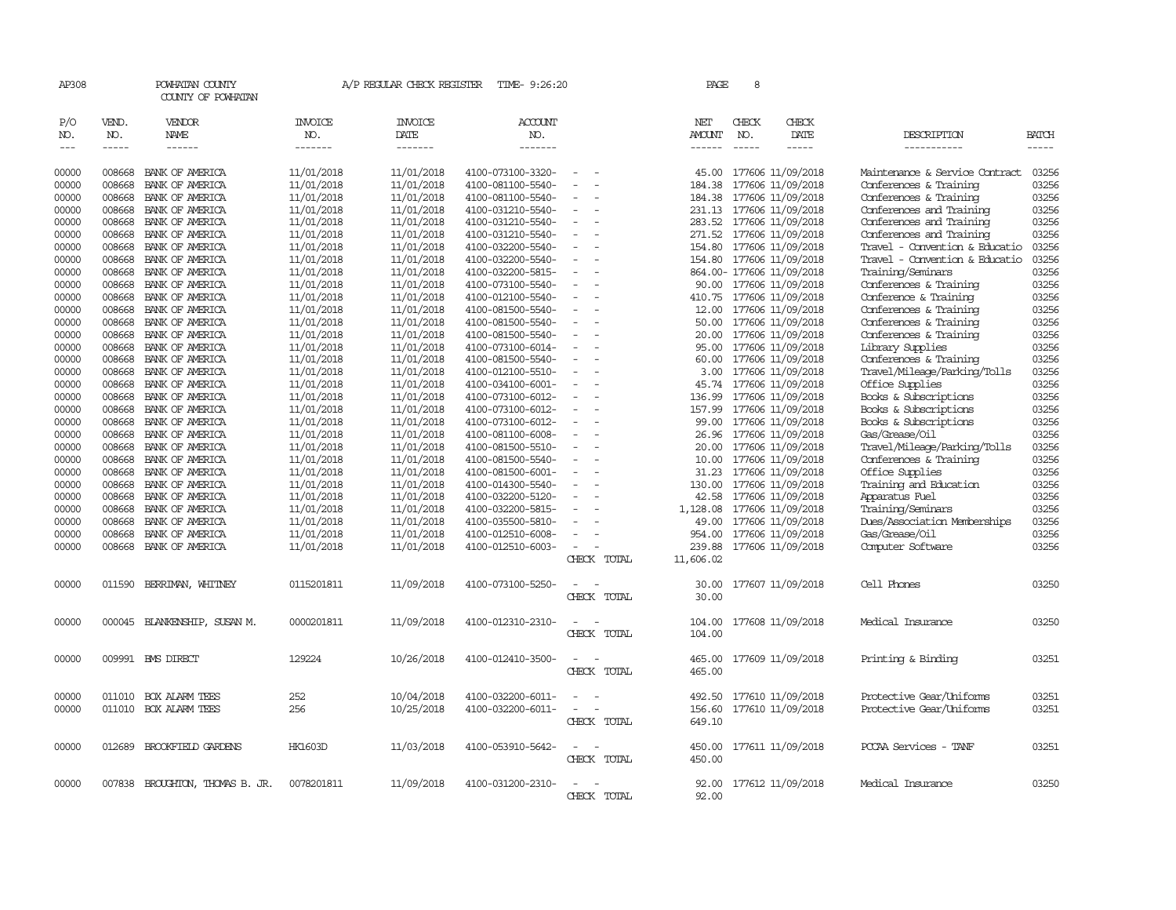| AP308               |                       | POWHATAN COUNTY<br>COUNTY OF POWHATAN |                                  | A/P REGULAR CHECK REGISTER        | TIME- 9:26:20                    |                          | PAGE                           | $\mathsf{R}$                |                           |                                |                             |
|---------------------|-----------------------|---------------------------------------|----------------------------------|-----------------------------------|----------------------------------|--------------------------|--------------------------------|-----------------------------|---------------------------|--------------------------------|-----------------------------|
| P/O<br>NO.<br>$---$ | VEND.<br>NO.<br>----- | VENDOR<br>NAME<br>$- - - - - -$       | <b>INVOICE</b><br>NO.<br>------- | <b>INVOICE</b><br>DATE<br>------- | <b>ACCOUNT</b><br>NO.<br>------- |                          | NET<br><b>AMOUNT</b><br>------ | CHECK<br>NO.<br>$- - - - -$ | CHECK<br>DATE<br>-----    | DESCRIPTION<br>-----------     | <b>BATCH</b><br>$- - - - -$ |
| 00000               | 008668                | BANK OF AMERICA                       | 11/01/2018                       | 11/01/2018                        | 4100-073100-3320-                |                          | 45.00                          |                             | 177606 11/09/2018         | Maintenance & Service Contract | 03256                       |
| 00000               | 008668                | BANK OF AMERICA                       | 11/01/2018                       | 11/01/2018                        | 4100-081100-5540-                | $\overline{\phantom{a}}$ | 184.38                         |                             | 177606 11/09/2018         | Conferences & Training         | 03256                       |
| 00000               | 008668                | BANK OF AMERICA                       | 11/01/2018                       | 11/01/2018                        | 4100-081100-5540-                |                          | 184.38                         |                             | 177606 11/09/2018         | Conferences & Training         | 03256                       |
| 00000               | 008668                | BANK OF AMERICA                       | 11/01/2018                       | 11/01/2018                        | 4100-031210-5540-                |                          |                                |                             | 231.13 177606 11/09/2018  | Conferences and Training       | 03256                       |
| 00000               | 008668                | BANK OF AMERICA                       | 11/01/2018                       | 11/01/2018                        | 4100-031210-5540-                |                          | 283.52                         |                             | 177606 11/09/2018         | Conferences and Training       | 03256                       |
| 00000               | 008668                | BANK OF AMERICA                       | 11/01/2018                       | 11/01/2018                        | 4100-031210-5540-                | $\overline{\phantom{a}}$ |                                |                             | 271.52 177606 11/09/2018  | Conferences and Training       | 03256                       |
| 00000               | 008668                | BANK OF AMERICA                       | 11/01/2018                       | 11/01/2018                        | 4100-032200-5540-                |                          | 154.80                         |                             | 177606 11/09/2018         | Travel - Convention & Educatio | 03256                       |
| 00000               | 008668                | BANK OF AMERICA                       | 11/01/2018                       | 11/01/2018                        | 4100-032200-5540-                |                          | 154.80                         |                             | 177606 11/09/2018         | Travel - Convention & Educatio | 03256                       |
| 00000               | 008668                | BANK OF AMERICA                       | 11/01/2018                       | 11/01/2018                        | 4100-032200-5815-                | $\equiv$                 |                                |                             | 864.00- 177606 11/09/2018 | Training/Seminars              | 03256                       |
| 00000               | 008668                | BANK OF AMERICA                       | 11/01/2018                       | 11/01/2018                        | 4100-073100-5540-                |                          | 90.00                          |                             | 177606 11/09/2018         | Conferences & Training         | 03256                       |
| 00000               | 008668                | BANK OF AMERICA                       | 11/01/2018                       | 11/01/2018                        | 4100-012100-5540-                |                          | 410.75                         |                             | 177606 11/09/2018         | Conference & Training          | 03256                       |
| 00000               | 008668                | BANK OF AMERICA                       | 11/01/2018                       | 11/01/2018                        | 4100-081500-5540-                |                          | 12.00                          |                             | 177606 11/09/2018         | Conferences & Training         | 03256                       |
| 00000               | 008668                | BANK OF AMERICA                       | 11/01/2018                       | 11/01/2018                        | 4100-081500-5540-                |                          | 50.00                          |                             | 177606 11/09/2018         | Conferences & Training         | 03256                       |
| 00000               | 008668                | BANK OF AMERICA                       | 11/01/2018                       | 11/01/2018                        | 4100-081500-5540-                |                          | 20.00                          |                             | 177606 11/09/2018         | Conferences & Training         | 03256                       |
| 00000               | 008668                | BANK OF AMERICA                       | 11/01/2018                       | 11/01/2018                        | 4100-073100-6014-                |                          | 95.00                          |                             | 177606 11/09/2018         | Library Supplies               | 03256                       |
| 00000               | 008668                | BANK OF AMERICA                       | 11/01/2018                       | 11/01/2018                        | 4100-081500-5540-                | $\equiv$                 | 60.00                          |                             | 177606 11/09/2018         | Conferences & Training         | 03256                       |
| 00000               | 008668                | BANK OF AMERICA                       | 11/01/2018                       | 11/01/2018                        | 4100-012100-5510-                |                          | 3.00                           |                             | 177606 11/09/2018         | Travel/Mileage/Parking/Tolls   | 03256                       |
| 00000               | 008668                | BANK OF AMERICA                       | 11/01/2018                       | 11/01/2018                        | 4100-034100-6001-                |                          |                                |                             | 45.74 177606 11/09/2018   | Office Supplies                | 03256                       |
| 00000               | 008668                | BANK OF AMERICA                       | 11/01/2018                       | 11/01/2018                        | 4100-073100-6012-                |                          | 136.99                         |                             | 177606 11/09/2018         | Books & Subscriptions          | 03256                       |
| 00000               | 008668                | BANK OF AMERICA                       | 11/01/2018                       | 11/01/2018                        | 4100-073100-6012-                |                          | 157.99                         |                             | 177606 11/09/2018         | Books & Subscriptions          | 03256                       |
| 00000               | 008668                | BANK OF AMERICA                       | 11/01/2018                       | 11/01/2018                        | 4100-073100-6012-                |                          | 99.00                          |                             | 177606 11/09/2018         | Books & Subscriptions          | 03256                       |
| 00000               | 008668                | BANK OF AMERICA                       | 11/01/2018                       | 11/01/2018                        | 4100-081100-6008-                |                          | 26.96                          |                             | 177606 11/09/2018         | Gas/Grease/Oil                 | 03256                       |
| 00000               | 008668                | BANK OF AMERICA                       | 11/01/2018                       | 11/01/2018                        | 4100-081500-5510-                |                          | 20.00                          |                             | 177606 11/09/2018         | Travel/Mileage/Parking/Tolls   | 03256                       |
| 00000               | 008668                | BANK OF AMERICA                       | 11/01/2018                       | 11/01/2018                        | 4100-081500-5540-                |                          | 10.00                          |                             | 177606 11/09/2018         | Conferences & Training         | 03256                       |
| 00000               | 008668                | BANK OF AMERICA                       | 11/01/2018                       | 11/01/2018                        | 4100-081500-6001-                |                          | 31.23                          |                             | 177606 11/09/2018         | Office Supplies                | 03256                       |
| 00000               | 008668                | BANK OF AMERICA                       | 11/01/2018                       | 11/01/2018                        | 4100-014300-5540-                |                          | 130.00                         |                             | 177606 11/09/2018         | Training and Education         | 03256                       |
| 00000               | 008668                | BANK OF AMERICA                       | 11/01/2018                       | 11/01/2018                        | 4100-032200-5120-                | $\overline{\phantom{a}}$ | 42.58                          |                             | 177606 11/09/2018         | Apparatus Fuel                 | 03256                       |
| 00000               | 008668                | BANK OF AMERICA                       | 11/01/2018                       | 11/01/2018                        | 4100-032200-5815-                |                          | 1,128.08                       |                             | 177606 11/09/2018         | Training/Seminars              | 03256                       |
| 00000               | 008668                | BANK OF AMERICA                       | 11/01/2018                       | 11/01/2018                        | 4100-035500-5810-                |                          | 49.00                          |                             | 177606 11/09/2018         | Dues/Association Memberships   | 03256                       |
| 00000               | 008668                | BANK OF AMERICA                       | 11/01/2018                       | 11/01/2018                        | 4100-012510-6008-                |                          | 954.00                         |                             | 177606 11/09/2018         | Gas/Grease/Oil                 | 03256                       |
| 00000               | 008668                | BANK OF AMERICA                       | 11/01/2018                       | 11/01/2018                        | 4100-012510-6003-                |                          | 239.88                         |                             | 177606 11/09/2018         | Computer Software              | 03256                       |
|                     |                       |                                       |                                  |                                   |                                  | CHECK TOTAL              | 11,606.02                      |                             |                           |                                |                             |
| 00000               |                       | 011590 BERRIMAN, WHITNEY              | 0115201811                       | 11/09/2018                        | 4100-073100-5250-                |                          | 30.00                          |                             | 177607 11/09/2018         | Cell Phones                    | 03250                       |
|                     |                       |                                       |                                  |                                   |                                  | CHECK TOTAL              | 30.00                          |                             |                           |                                |                             |
|                     |                       |                                       |                                  |                                   |                                  |                          |                                |                             |                           |                                |                             |
| 00000               |                       | 000045 BLANKENSHIP, SUSAN M.          | 0000201811                       | 11/09/2018                        | 4100-012310-2310-                |                          | 104.00                         |                             | 177608 11/09/2018         | Medical Insurance              | 03250                       |
|                     |                       |                                       |                                  |                                   |                                  | CHECK TOTAL              | 104.00                         |                             |                           |                                |                             |
| 00000               |                       | 009991 BMS DIRECT                     | 129224                           | 10/26/2018                        | 4100-012410-3500-                |                          | 465.00                         |                             | 177609 11/09/2018         | Printing & Binding             | 03251                       |
|                     |                       |                                       |                                  |                                   |                                  | CHECK TOTAL              | 465.00                         |                             |                           |                                |                             |
| 00000               |                       | 011010 BOX ALARM TEES                 | 252                              | 10/04/2018                        | 4100-032200-6011-                |                          | 492.50                         |                             | 177610 11/09/2018         | Protective Gear/Uniforms       | 03251                       |
| 00000               |                       | 011010 BOX ALARM TEES                 | 256                              | 10/25/2018                        | 4100-032200-6011-                | $\equiv$                 | 156.60                         |                             | 177610 11/09/2018         | Protective Gear/Uniforms       | 03251                       |
|                     |                       |                                       |                                  |                                   |                                  | CHECK TOTAL              | 649.10                         |                             |                           |                                |                             |
|                     |                       |                                       |                                  |                                   |                                  |                          |                                |                             |                           |                                |                             |
| 00000               |                       | 012689 BROOKFIELD GARDENS             | <b>HK1603D</b>                   | 11/03/2018                        | 4100-053910-5642-                |                          | 450.00                         |                             | 177611 11/09/2018         | PCCAA Services - TANF          | 03251                       |
|                     |                       |                                       |                                  |                                   |                                  | CHECK TOTAL              | 450.00                         |                             |                           |                                |                             |
| 00000               |                       | 007838 BROUGHTON, THOMAS B. JR.       | 0078201811                       | 11/09/2018                        | 4100-031200-2310-                |                          | 92.00                          |                             | 177612 11/09/2018         | Medical Insurance              | 03250                       |
|                     |                       |                                       |                                  |                                   |                                  | CHECK TOTAL              | 92.00                          |                             |                           |                                |                             |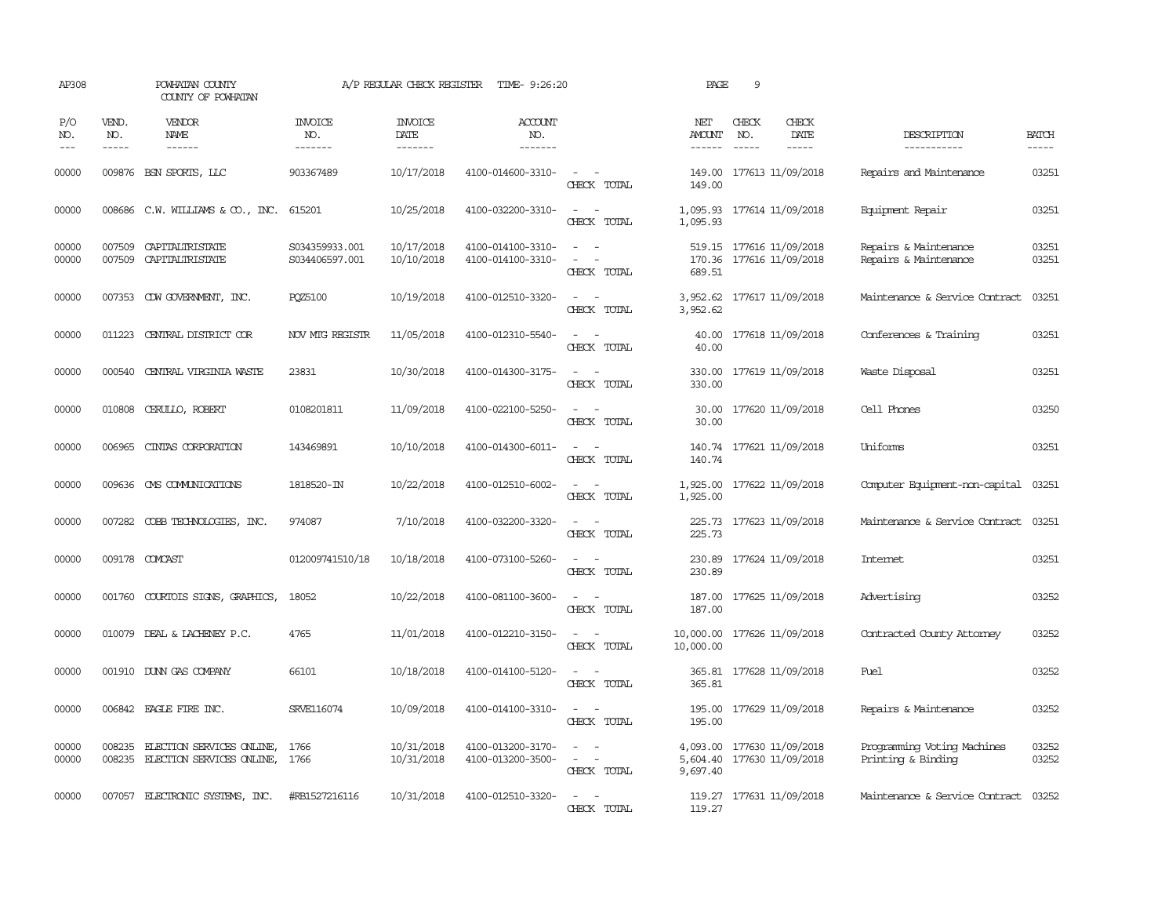| AP308                 |                             | POWHATAN COUNTY<br>COUNTY OF POWHATAN                  |                                  | A/P REGULAR CHECK REGISTER                | TIME- 9:26:20                          |                                                                                                                             | PAGE                                                                 | 9                                                    |                              |                                                   |                       |
|-----------------------|-----------------------------|--------------------------------------------------------|----------------------------------|-------------------------------------------|----------------------------------------|-----------------------------------------------------------------------------------------------------------------------------|----------------------------------------------------------------------|------------------------------------------------------|------------------------------|---------------------------------------------------|-----------------------|
| P/O<br>NO.<br>$- - -$ | VEND.<br>NO.<br>$- - - - -$ | VENDOR<br>NAME<br>$- - - - - -$                        | <b>INVOICE</b><br>NO.<br>------- | <b>INVOICE</b><br>DATE<br>$- - - - - - -$ | <b>ACCOUNT</b><br>NO.<br>-------       |                                                                                                                             | NET<br>AMOUNT<br>$- - - - - -$                                       | CHECK<br>NO.<br>$\frac{1}{2}$                        | CHECK<br>DATE<br>$- - - - -$ | DESCRIPTION<br>-----------                        | <b>BATCH</b><br>----- |
| 00000                 |                             | 009876 BSN SPORTS, LLC                                 | 903367489                        | 10/17/2018                                | 4100-014600-3310-                      | $\sim$ 10 $\sim$ 10 $\sim$<br>CHECK TOTAL                                                                                   | 149.00                                                               | 149.00 177613 11/09/2018                             |                              | Repairs and Maintenance                           | 03251                 |
| 00000                 |                             | 008686 C.W. WILLIAMS & CO., INC.                       | 615201                           | 10/25/2018                                | 4100-032200-3310-                      | $\equiv$<br>$\sim$<br>CHECK TOTAL                                                                                           | 1,095.93 177614 11/09/2018<br>1,095.93                               |                                                      |                              | Equipment Repair                                  | 03251                 |
| 00000<br>00000        | 007509<br>007509            | CAPITALIRISTATE<br>CAPITALIRISTATE                     | S034359933.001<br>S034406597.001 | 10/17/2018<br>10/10/2018                  | 4100-014100-3310-<br>4100-014100-3310- | $\equiv$<br>CHECK TOTAL                                                                                                     | 689.51                                                               | 519.15 177616 11/09/2018<br>170.36 177616 11/09/2018 |                              | Repairs & Maintenance<br>Repairs & Maintenance    | 03251<br>03251        |
| 00000                 |                             | 007353 CDW GOVERNMENT, INC.                            | <b>PQZ5100</b>                   | 10/19/2018                                | 4100-012510-3320-                      | $\frac{1}{2} \left( \frac{1}{2} \right) \left( \frac{1}{2} \right) = \frac{1}{2} \left( \frac{1}{2} \right)$<br>CHECK TOTAL | 3,952.62<br>3,952.62                                                 |                                                      | 177617 11/09/2018            | Maintenance & Service Contract                    | 03251                 |
| 00000                 | 011223                      | CENTRAL DISTRICT COR                                   | NOV MIG REGISTR                  | 11/05/2018                                | 4100-012310-5540-                      | $\overline{\phantom{a}}$<br>CHECK TOTAL                                                                                     | 40.00<br>40.00                                                       | 177618 11/09/2018                                    |                              | Conferences & Training                            | 03251                 |
| 00000                 | 000540                      | CENTRAL VIRGINIA WASTE                                 | 23831                            | 10/30/2018                                | 4100-014300-3175-                      | CHECK TOTAL                                                                                                                 | 330.00<br>330.00                                                     | 177619 11/09/2018                                    |                              | Waste Disposal                                    | 03251                 |
| 00000                 | 010808                      | CERULLO, ROBERT                                        | 0108201811                       | 11/09/2018                                | 4100-022100-5250-                      | CHECK TOTAL                                                                                                                 | 30.00<br>30.00                                                       | 177620 11/09/2018                                    |                              | Cell Phones                                       | 03250                 |
| 00000                 | 006965                      | CINIAS CORPORATION                                     | 143469891                        | 10/10/2018                                | 4100-014300-6011-                      | $\overline{\phantom{a}}$<br>$\sim$<br>CHECK TOTAL                                                                           | 140.74                                                               | 140.74 177621 11/09/2018                             |                              | Uniforms                                          | 03251                 |
| 00000                 |                             | 009636 CMS COMMUNICATIONS                              | 1818520-IN                       | 10/22/2018                                | 4100-012510-6002-                      | $\sim$<br>$\sim$<br>CHECK TOTAL                                                                                             | 1,925.00 177622 11/09/2018<br>1,925.00                               |                                                      |                              | Computer Equipment-non-capital                    | 03251                 |
| 00000                 |                             | 007282 COBB TECHNOLOGIES, INC.                         | 974087                           | 7/10/2018                                 | 4100-032200-3320-                      | $\sim$<br>CHECK TOTAL                                                                                                       | 225.73                                                               |                                                      | 225.73 177623 11/09/2018     | Maintenance & Service Contract                    | 03251                 |
| 00000                 |                             | 009178 COMCAST                                         | 012009741510/18                  | 10/18/2018                                | 4100-073100-5260-                      | CHECK TOTAL                                                                                                                 | 230.89                                                               | 230.89 177624 11/09/2018                             |                              | Intemet                                           | 03251                 |
| 00000                 | 001760                      | COURTOIS SIGNS, GRAPHICS,                              | 18052                            | 10/22/2018                                | 4100-081100-3600-                      | $\sim$<br>$\overline{\phantom{a}}$<br>CHECK TOTAL                                                                           | 187.00<br>187.00                                                     | 177625 11/09/2018                                    |                              | Advertising                                       | 03252                 |
| 00000                 |                             | 010079 DEAL & LACHENEY P.C.                            | 4765                             | 11/01/2018                                | 4100-012210-3150-                      | $\overline{\phantom{a}}$<br>$\sim$<br>CHECK TOTAL                                                                           | 10,000.00<br>10,000.00                                               | 177626 11/09/2018                                    |                              | Contracted County Attomey                         | 03252                 |
| 00000                 |                             | 001910 DUNN GAS COMPANY                                | 66101                            | 10/18/2018                                | 4100-014100-5120-                      | CHECK TOTAL                                                                                                                 | 365.81                                                               | 365.81 177628 11/09/2018                             |                              | Fuel                                              | 03252                 |
| 00000                 |                             | 006842 EAGLE FIRE INC.                                 | SRVE116074                       | 10/09/2018                                | 4100-014100-3310-                      | $\sim$ $-$<br>CHECK TOTAL                                                                                                   | 195.00<br>195.00                                                     |                                                      | 177629 11/09/2018            | Repairs & Maintenance                             | 03252                 |
| 00000<br>00000        | 008235<br>008235            | ELECTION SERVICES ONLINE,<br>ELECTION SERVICES ONLINE, | 1766<br>1766                     | 10/31/2018<br>10/31/2018                  | 4100-013200-3170-<br>4100-013200-3500- | $\sim$<br>$\overline{\phantom{a}}$<br>CHECK TOTAL                                                                           | 4,093.00 177630 11/09/2018<br>5,604.40 177630 11/09/2018<br>9,697.40 |                                                      |                              | Programming Voting Machines<br>Printing & Binding | 03252<br>03252        |
| 00000                 |                             | 007057 ELECTRONIC SYSTEMS, INC.                        | #RB1527216116                    | 10/31/2018                                | 4100-012510-3320-                      | $\sim$<br>CHECK TOTAL                                                                                                       | 119.27                                                               |                                                      | 119.27 177631 11/09/2018     | Maintenance & Service Contract                    | 03252                 |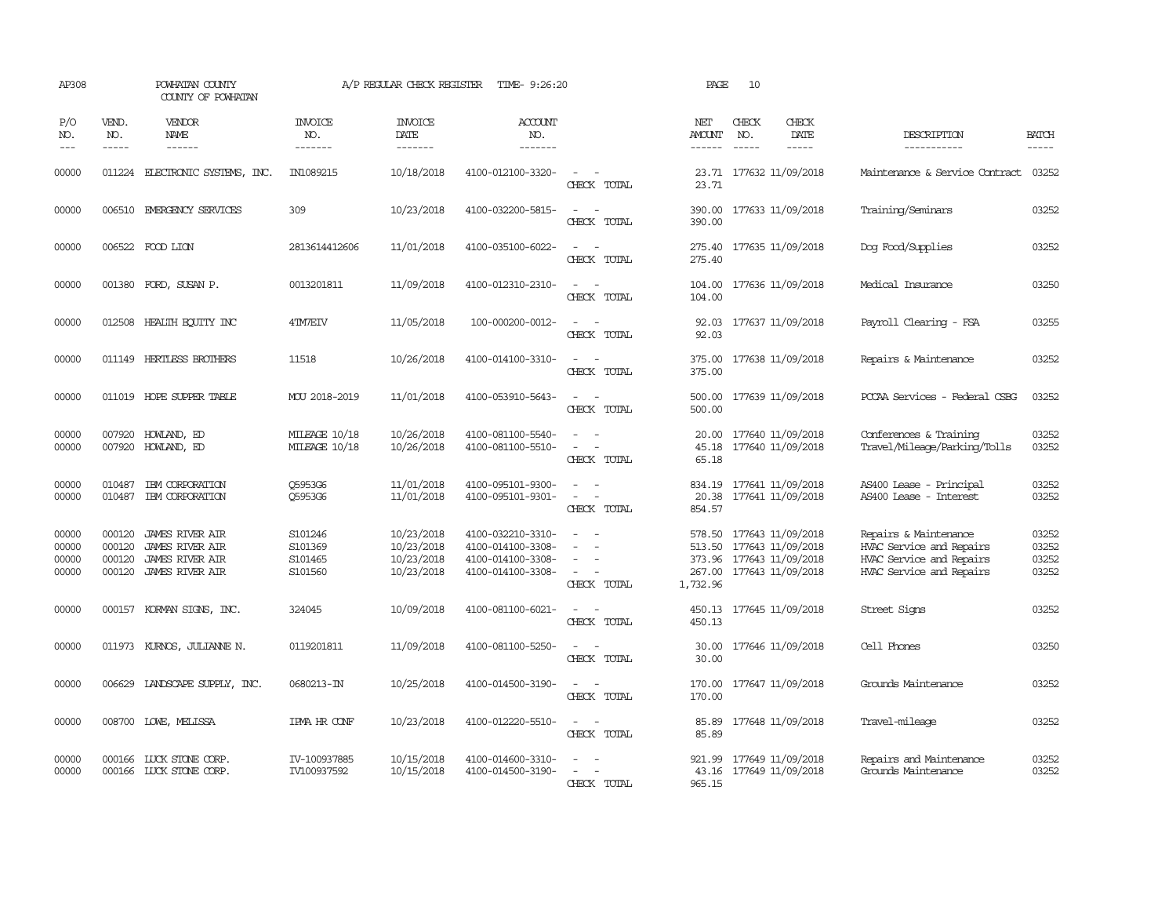| AP308                            |                                      | POWHATAN COUNTY<br>COUNTY OF POWHATAN                                                         |                                          | A/P REGULAR CHECK REGISTER                           | TIME- 9:26:20                                                                    |                                                     | PAGE                           | 10           |                                                                                                |                                                                                                           |                                  |
|----------------------------------|--------------------------------------|-----------------------------------------------------------------------------------------------|------------------------------------------|------------------------------------------------------|----------------------------------------------------------------------------------|-----------------------------------------------------|--------------------------------|--------------|------------------------------------------------------------------------------------------------|-----------------------------------------------------------------------------------------------------------|----------------------------------|
| P/O<br>NO.<br>$ -$               | VEND.<br>NO.<br>$\frac{1}{2}$        | VENDOR<br><b>NAME</b><br>------                                                               | <b>INVOICE</b><br>NO.<br>-------         | <b>INVOICE</b><br>DATE<br>-------                    | <b>ACCOUNT</b><br>NO.<br>-------                                                 |                                                     | NET<br><b>AMOUNT</b><br>------ | CHECK<br>NO. | CHECK<br>DATE<br>$\frac{1}{2}$                                                                 | DESCRIPTION<br>-----------                                                                                | <b>BATCH</b><br>-----            |
| 00000                            | 011224                               | ELECTRONIC SYSTEMS, INC.                                                                      | IN1089215                                | 10/18/2018                                           | 4100-012100-3320-                                                                | $\equiv$<br>CHECK TOTAL                             | 23.71<br>23.71                 |              | 177632 11/09/2018                                                                              | Maintenance & Service Contract                                                                            | 03252                            |
| 00000                            |                                      | 006510 EMERGENCY SERVICES                                                                     | 309                                      | 10/23/2018                                           | 4100-032200-5815-                                                                | $\sim$<br>$\overline{\phantom{a}}$<br>CHECK TOTAL   | 390.00<br>390.00               |              | 177633 11/09/2018                                                                              | Training/Seminars                                                                                         | 03252                            |
| 00000                            |                                      | 006522 FOOD LION                                                                              | 2813614412606                            | 11/01/2018                                           | 4100-035100-6022-                                                                | $\equiv$<br>CHECK TOTAL                             | 275.40<br>275.40               |              | 177635 11/09/2018                                                                              | Dog Food/Supplies                                                                                         | 03252                            |
| 00000                            |                                      | 001380 FORD, SUSAN P.                                                                         | 0013201811                               | 11/09/2018                                           | 4100-012310-2310-                                                                | $\equiv$<br>CHECK TOTAL                             | 104.00                         |              | 104.00 177636 11/09/2018                                                                       | Medical Insurance                                                                                         | 03250                            |
| 00000                            |                                      | 012508 HEALTH ECUTTY INC                                                                      | 4TM7EIV                                  | 11/05/2018                                           | 100-000200-0012-                                                                 | CHECK TOTAL                                         | 92.03                          |              | 92.03 177637 11/09/2018                                                                        | Payroll Clearing - FSA                                                                                    | 03255                            |
| 00000                            |                                      | 011149 HERTLESS BROTHERS                                                                      | 11518                                    | 10/26/2018                                           | 4100-014100-3310-                                                                | $\equiv$<br>$\overline{\phantom{a}}$<br>CHECK TOTAL | 375.00<br>375.00               |              | 177638 11/09/2018                                                                              | Repairs & Maintenance                                                                                     | 03252                            |
| 00000                            |                                      | 011019 HOPE SUPPER TABLE                                                                      | MOU 2018-2019                            | 11/01/2018                                           | 4100-053910-5643-                                                                | $\sim$ $\sim$<br>CHECK TOTAL                        | 500.00<br>500.00               |              | 177639 11/09/2018                                                                              | PCCAA Services - Federal CSBG                                                                             | 03252                            |
| 00000<br>00000                   | 007920                               | HOWLAND, ED<br>007920 HOWLAND, ED                                                             | MILEAGE 10/18<br>MILEAGE 10/18           | 10/26/2018<br>10/26/2018                             | 4100-081100-5540-<br>4100-081100-5510-                                           | $\equiv$<br>CHECK TOTAL                             | 20.00<br>45.18<br>65.18        |              | 177640 11/09/2018<br>177640 11/09/2018                                                         | Conferences & Training<br>Travel/Mileage/Parking/Tolls                                                    | 03252<br>03252                   |
| 00000<br>00000                   | 010487<br>010487                     | IBM CORPORATION<br>IBM CORPORATION                                                            | Q5953G6<br>Q5953G6                       | 11/01/2018<br>11/01/2018                             | 4100-095101-9300-<br>4100-095101-9301-                                           | $\overline{\phantom{a}}$<br>CHECK TOTAL             | 834.19<br>20.38<br>854.57      |              | 177641 11/09/2018<br>177641 11/09/2018                                                         | AS400 Lease - Principal<br>AS400 Lease - Interest                                                         | 03252<br>03252                   |
| 00000<br>00000<br>00000<br>00000 | 000120<br>000120<br>000120<br>000120 | <b>JAMES RIVER AIR</b><br><b>JAMES RIVER AIR</b><br>JAMES RIVER AIR<br><b>JAMES RIVER AIR</b> | S101246<br>S101369<br>S101465<br>S101560 | 10/23/2018<br>10/23/2018<br>10/23/2018<br>10/23/2018 | 4100-032210-3310-<br>4100-014100-3308-<br>4100-014100-3308-<br>4100-014100-3308- | $\sim$<br>$\equiv$<br>$\sim$<br>CHECK TOTAL         | 578.50<br>513.50<br>1,732.96   |              | 177643 11/09/2018<br>177643 11/09/2018<br>373.96 177643 11/09/2018<br>267.00 177643 11/09/2018 | Repairs & Maintenance<br>HVAC Service and Repairs<br>HVAC Service and Repairs<br>HVAC Service and Repairs | 03252<br>03252<br>03252<br>03252 |
| 00000                            |                                      | 000157 KORMAN SIGNS, INC.                                                                     | 324045                                   | 10/09/2018                                           | 4100-081100-6021-                                                                | CHECK TOTAL                                         | 450.13                         |              | 450.13 177645 11/09/2018                                                                       | Street Signs                                                                                              | 03252                            |
| 00000                            |                                      | 011973 KURNOS, JULIANNE N.                                                                    | 0119201811                               | 11/09/2018                                           | 4100-081100-5250-                                                                | $\sim$<br>CHECK TOTAL                               | 30.00<br>30.00                 |              | 177646 11/09/2018                                                                              | Cell Phones                                                                                               | 03250                            |
| 00000                            |                                      | 006629 LANDSCAPE SUPPLY, INC.                                                                 | 0680213-IN                               | 10/25/2018                                           | 4100-014500-3190-                                                                | $\sim$ $\sim$<br>CHECK TOTAL                        | 170.00<br>170.00               |              | 177647 11/09/2018                                                                              | Grounds Maintenance                                                                                       | 03252                            |
| 00000                            |                                      | 008700 LOWE, MELISSA                                                                          | IPMA HR CONF                             | 10/23/2018                                           | 4100-012220-5510-                                                                | $\overline{\phantom{a}}$<br>$\sim$<br>CHECK TOTAL   | 85.89<br>85.89                 |              | 177648 11/09/2018                                                                              | Travel-mileage                                                                                            | 03252                            |
| 00000<br>00000                   | 000166                               | LUCK STONE CORP.<br>000166 LUCK STONE CORP.                                                   | IV-100937885<br>IV100937592              | 10/15/2018<br>10/15/2018                             | 4100-014600-3310-<br>4100-014500-3190-                                           | CHECK TOTAL                                         | 921.99<br>43.16<br>965.15      |              | 177649 11/09/2018<br>177649 11/09/2018                                                         | Repairs and Maintenance<br>Grounds Maintenance                                                            | 03252<br>03252                   |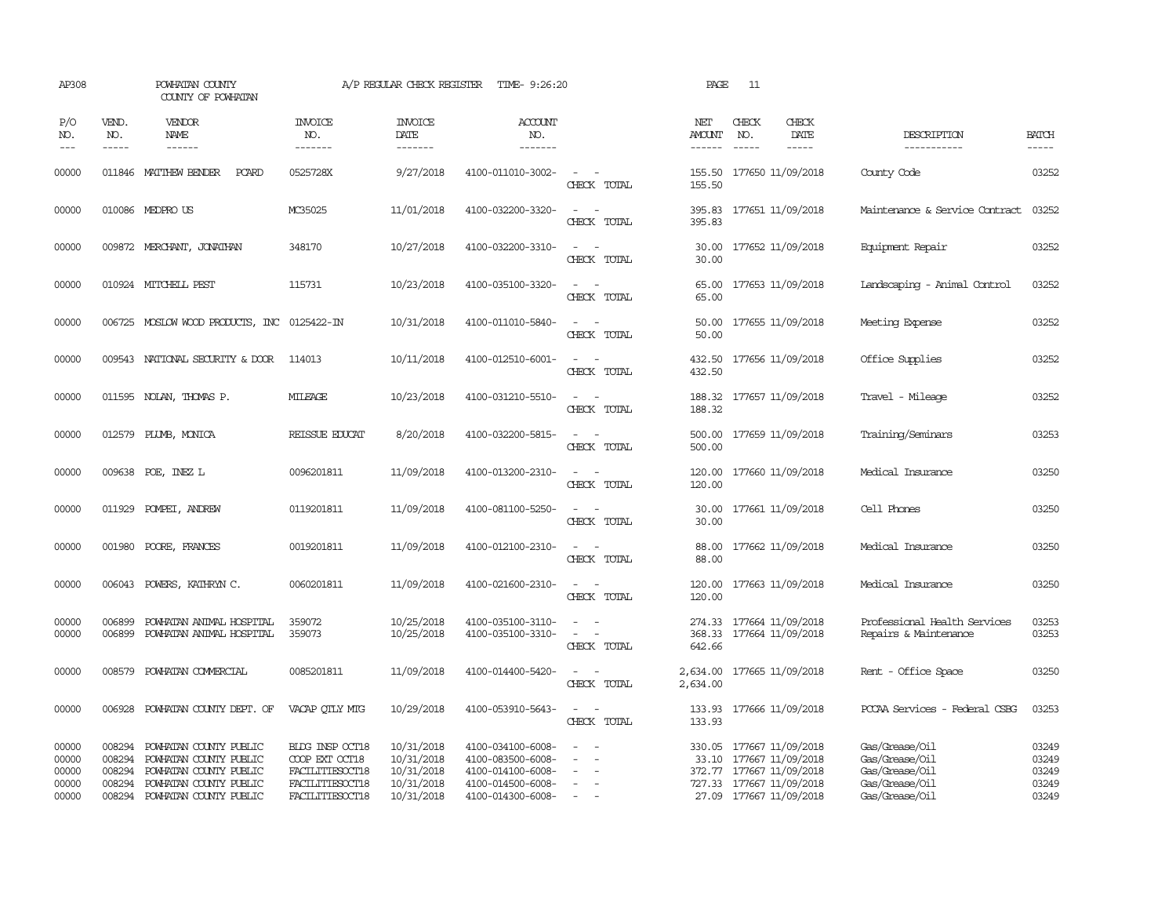| AP308                                     |                                                | POWHATAN COUNTY<br>COUNTY OF POWHATAN                                                                                          |                                                                                            | A/P REGULAR CHECK REGISTER                                         | TIME- 9:26:20                                                                                         |                                                                                                                             | PAGE                           | - 11                          |                                                                                                                                        |                                                                                        |                                           |
|-------------------------------------------|------------------------------------------------|--------------------------------------------------------------------------------------------------------------------------------|--------------------------------------------------------------------------------------------|--------------------------------------------------------------------|-------------------------------------------------------------------------------------------------------|-----------------------------------------------------------------------------------------------------------------------------|--------------------------------|-------------------------------|----------------------------------------------------------------------------------------------------------------------------------------|----------------------------------------------------------------------------------------|-------------------------------------------|
| P/O<br>NO.<br>$- - -$                     | VEND.<br>NO.<br>$\frac{1}{2}$                  | <b>VENDOR</b><br>NAME                                                                                                          | <b>INVOICE</b><br>NO.<br>-------                                                           | <b>INVOICE</b><br>DATE<br>--------                                 | <b>ACCOUNT</b><br>NO.<br>-------                                                                      |                                                                                                                             | NET<br><b>AMOUNT</b><br>------ | CHECK<br>NO.<br>$\frac{1}{2}$ | CHECK<br>DATE<br>$\frac{1}{2}$                                                                                                         | DESCRIPTION<br>------------                                                            | <b>BATCH</b><br>$- - - - -$               |
| 00000                                     |                                                | 011846 MATTHEW BENDER<br>PCARD                                                                                                 | 0525728X                                                                                   | 9/27/2018                                                          | 4100-011010-3002-                                                                                     | $\sim$<br>CHECK TOTAL                                                                                                       | 155.50<br>155.50               |                               | 177650 11/09/2018                                                                                                                      | County Code                                                                            | 03252                                     |
| 00000                                     |                                                | 010086 MEDPRO US                                                                                                               | MC35025                                                                                    | 11/01/2018                                                         | 4100-032200-3320-                                                                                     | $\sim$ $\sim$<br>CHECK TOTAL                                                                                                | 395.83                         |                               | 395.83 177651 11/09/2018                                                                                                               | Maintenance & Service Contract                                                         | 03252                                     |
| 00000                                     |                                                | 009872 MERCHANT, JONATHAN                                                                                                      | 348170                                                                                     | 10/27/2018                                                         | 4100-032200-3310-                                                                                     | $\sim$<br>$\sim$<br>CHECK TOTAL                                                                                             | 30.00<br>30.00                 |                               | 177652 11/09/2018                                                                                                                      | Equipment Repair                                                                       | 03252                                     |
| 00000                                     |                                                | 010924 MITCHELL PEST                                                                                                           | 115731                                                                                     | 10/23/2018                                                         | 4100-035100-3320-                                                                                     | $\omega_{\rm{max}}$ , $\omega_{\rm{max}}$<br>CHECK TOTAL                                                                    | 65.00<br>65.00                 |                               | 177653 11/09/2018                                                                                                                      | Landscaping - Animal Control                                                           | 03252                                     |
| 00000                                     |                                                | 006725 MOSLOW WOOD PRODUCTS, INC 0125422-IN                                                                                    |                                                                                            | 10/31/2018                                                         | 4100-011010-5840-                                                                                     | $\sim$<br>$\sim$<br>CHECK TOTAL                                                                                             | 50.00                          |                               | 50.00 177655 11/09/2018                                                                                                                | Meeting Expense                                                                        | 03252                                     |
| 00000                                     |                                                | 009543 NATIONAL SECURITY & DOOR                                                                                                | 114013                                                                                     | 10/11/2018                                                         | 4100-012510-6001-                                                                                     | $\sim$ 100 $\sim$<br>CHECK TOTAL                                                                                            | 432.50<br>432.50               |                               | 177656 11/09/2018                                                                                                                      | Office Supplies                                                                        | 03252                                     |
| 00000                                     | 011595                                         | NOLAN, THOMAS P.                                                                                                               | MILEAGE                                                                                    | 10/23/2018                                                         | 4100-031210-5510-                                                                                     | $\overline{\phantom{a}}$<br>- -<br>CHECK TOTAL                                                                              | 188.32<br>188.32               |                               | 177657 11/09/2018                                                                                                                      | Travel - Mileage                                                                       | 03252                                     |
| 00000                                     | 012579                                         | PLUMB, MONICA                                                                                                                  | REISSUE EDUCAT                                                                             | 8/20/2018                                                          | 4100-032200-5815-                                                                                     | $\sim$<br>$\sim$<br>CHECK TOTAL                                                                                             | 500.00<br>500.00               |                               | 177659 11/09/2018                                                                                                                      | Training/Seminars                                                                      | 03253                                     |
| 00000                                     |                                                | 009638 POE, INEZ L                                                                                                             | 0096201811                                                                                 | 11/09/2018                                                         | 4100-013200-2310-                                                                                     | $\frac{1}{2} \left( \frac{1}{2} \right) \left( \frac{1}{2} \right) = \frac{1}{2} \left( \frac{1}{2} \right)$<br>CHECK TOTAL | 120.00<br>120.00               |                               | 177660 11/09/2018                                                                                                                      | Medical Insurance                                                                      | 03250                                     |
| 00000                                     |                                                | 011929 POMPEI, ANDREW                                                                                                          | 0119201811                                                                                 | 11/09/2018                                                         | 4100-081100-5250-                                                                                     | $ -$<br>CHECK TOTAL                                                                                                         | 30.00<br>30.00                 |                               | 177661 11/09/2018                                                                                                                      | Cell Phones                                                                            | 03250                                     |
| 00000                                     | 001980                                         | POORE, FRANCES                                                                                                                 | 0019201811                                                                                 | 11/09/2018                                                         | 4100-012100-2310-                                                                                     | $\overline{\phantom{a}}$<br>CHECK TOTAL                                                                                     | 88.00<br>88,00                 |                               | 177662 11/09/2018                                                                                                                      | Medical Insurance                                                                      | 03250                                     |
| 00000                                     | 006043                                         | POWERS, KATHRYN C.                                                                                                             | 0060201811                                                                                 | 11/09/2018                                                         | 4100-021600-2310-                                                                                     | $\sim$ 100 $\sim$<br>CHECK TOTAL                                                                                            | 120.00<br>120.00               |                               | 177663 11/09/2018                                                                                                                      | Medical Insurance                                                                      | 03250                                     |
| 00000<br>00000                            | 006899<br>006899                               | POWHATAN ANIMAL HOSPITAL<br>POWHATAN ANIMAL HOSPITAL                                                                           | 359072<br>359073                                                                           | 10/25/2018<br>10/25/2018                                           | 4100-035100-3110-<br>4100-035100-3310-                                                                | $\sim$<br>CHECK TOTAL                                                                                                       | 642.66                         |                               | 274.33 177664 11/09/2018<br>368.33 177664 11/09/2018                                                                                   | Professional Health Services<br>Repairs & Maintenance                                  | 03253<br>03253                            |
| 00000                                     | 008579                                         | POWHATAN COMMERCIAL                                                                                                            | 0085201811                                                                                 | 11/09/2018                                                         | 4100-014400-5420-                                                                                     | $\sim$ $\sim$<br>CHECK TOTAL                                                                                                | 2,634.00<br>2,634.00           |                               | 177665 11/09/2018                                                                                                                      | Rent - Office Space                                                                    | 03250                                     |
| 00000                                     | 006928                                         | POWHATAN COUNTY DEPT. OF                                                                                                       | VACAP OTLY MTG                                                                             | 10/29/2018                                                         | 4100-053910-5643-                                                                                     | $\sim$<br>$\sim$<br>CHECK TOTAL                                                                                             | 133.93                         |                               | 133.93 177666 11/09/2018                                                                                                               | PCCAA Services - Federal CSBG                                                          | 03253                                     |
| 00000<br>00000<br>00000<br>00000<br>00000 | 008294<br>008294<br>008294<br>008294<br>008294 | POWHATAN COUNTY PUBLIC<br>POWHATAN COUNTY PUBLIC<br>POWHATAN COUNTY PUBLIC<br>POWHATAN COUNTY PUBLIC<br>POWHATAN COUNTY PUBLIC | BIDG INSP OCT18<br>COOP EXT OCT18<br>FACILITIESOCT18<br>FACILITIESOCT18<br>FACILITIESOCT18 | 10/31/2018<br>10/31/2018<br>10/31/2018<br>10/31/2018<br>10/31/2018 | 4100-034100-6008-<br>4100-083500-6008-<br>4100-014100-6008-<br>4100-014500-6008-<br>4100-014300-6008- | $\sim$                                                                                                                      |                                |                               | 330.05 177667 11/09/2018<br>33.10 177667 11/09/2018<br>372.77 177667 11/09/2018<br>727.33 177667 11/09/2018<br>27.09 177667 11/09/2018 | Gas/Grease/Oil<br>Gas/Grease/Oil<br>Gas/Grease/Oil<br>Gas/Grease/Oil<br>Gas/Grease/Oil | 03249<br>03249<br>03249<br>03249<br>03249 |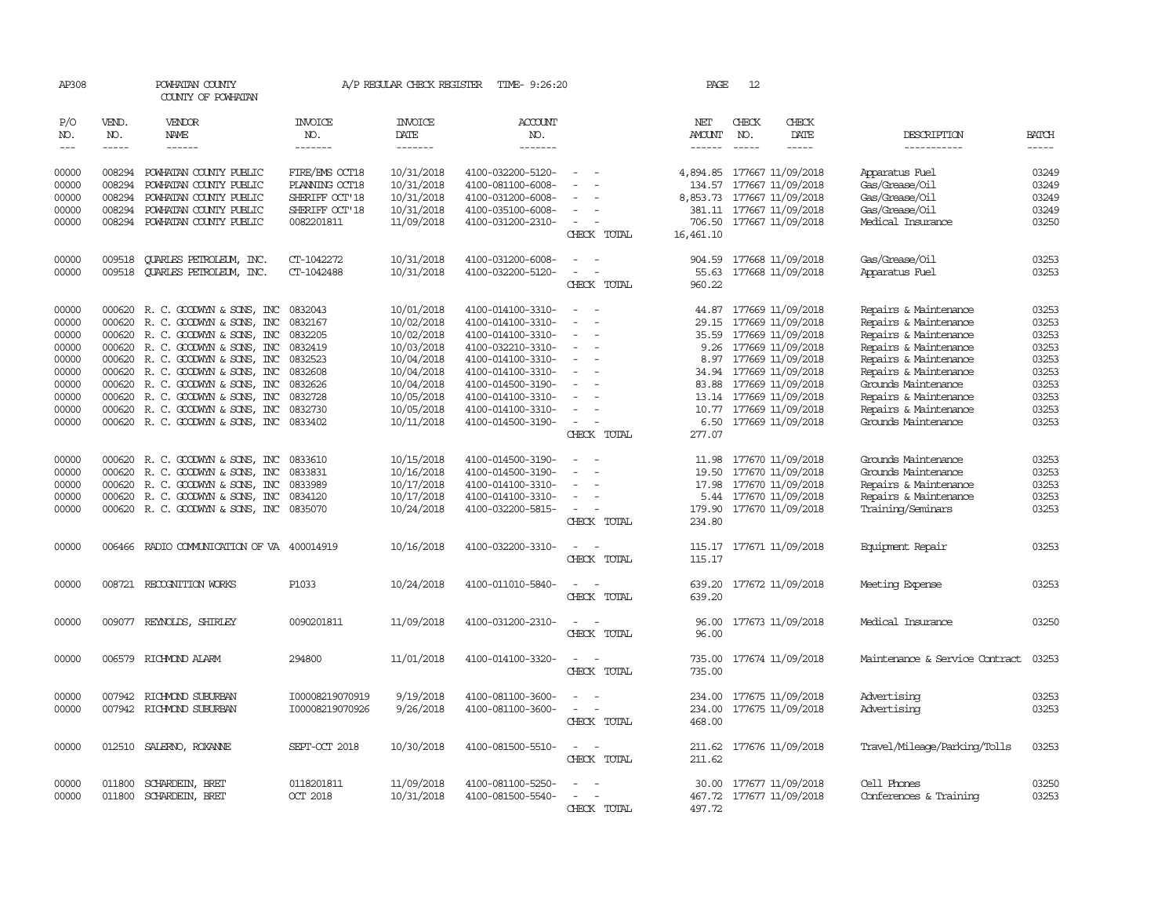| AP308               |                               | POWHATAN COUNTY<br>COUNTY OF POWHATAN |                                  | A/P REGULAR CHECK REGISTER         | TIME- 9:26:20                    |                                            | PAGE                                  | 12                          |                                |                                |                               |
|---------------------|-------------------------------|---------------------------------------|----------------------------------|------------------------------------|----------------------------------|--------------------------------------------|---------------------------------------|-----------------------------|--------------------------------|--------------------------------|-------------------------------|
| P/O<br>NO.<br>$---$ | VEND.<br>NO.<br>$\frac{1}{2}$ | VENDOR<br>NAME<br>$\frac{1}{2}$       | <b>INVOICE</b><br>NO.<br>------- | INVOICE<br>DATE<br>$- - - - - - -$ | <b>ACCOUNT</b><br>NO.<br>------- |                                            | NET<br><b>AMOUNT</b><br>$- - - - - -$ | CHECK<br>NO.<br>$- - - - -$ | CHECK<br>DATE<br>$\frac{1}{2}$ | DESCRIPTION<br>-----------     | <b>BATCH</b><br>$\frac{1}{2}$ |
|                     |                               |                                       |                                  |                                    |                                  |                                            |                                       |                             |                                |                                |                               |
| 00000               | 008294                        | POWHATAN COUNTY PUBLIC                | FIRE/EMS OCT18                   | 10/31/2018                         | 4100-032200-5120-                | $\overline{a}$                             |                                       |                             | 4,894.85 177667 11/09/2018     | Apparatus Fuel                 | 03249                         |
| 00000               | 008294                        | POWHATAN COUNTY PUBLIC                | PLANING OCT18                    | 10/31/2018                         | 4100-081100-6008-                | $\sim$                                     | 134.57                                |                             | 177667 11/09/2018              | Gas/Grease/Oil                 | 03249                         |
| 00000               | 008294                        | POWHATAN COUNTY PUBLIC                | SHERIFF OCT'18                   | 10/31/2018                         | 4100-031200-6008-                |                                            |                                       |                             | 8,853.73 177667 11/09/2018     | Gas/Grease/Oil                 | 03249                         |
| 00000               | 008294                        | POWHATAN COUNTY PUBLIC                | SHERIFF OCT'18                   | 10/31/2018                         | 4100-035100-6008-                |                                            | 381.11                                |                             | 177667 11/09/2018              | Gas/Grease/Oil                 | 03249                         |
| 00000               |                               | 008294 POWHATAN COUNTY PUBLIC         | 0082201811                       | 11/09/2018                         | 4100-031200-2310-                | $\sim$<br>CHECK TOTAL                      | 16,461.10                             |                             | 706.50 177667 11/09/2018       | Medical Insurance              | 03250                         |
| 00000               | 009518                        | QUARLES PETROLEUM, INC.               | CT-1042272                       | 10/31/2018                         | 4100-031200-6008-                | $\sim$<br>$\overline{\phantom{a}}$         | 904.59                                |                             | 177668 11/09/2018              | Gas/Grease/Oil                 | 03253                         |
| 00000               | 009518                        | <b>QUARLES PETROLEUM, INC.</b>        | CT-1042488                       | 10/31/2018                         | 4100-032200-5120-                | $\sim$<br>$\overline{\phantom{a}}$         |                                       |                             | 55.63 177668 11/09/2018        | Apparatus Fuel                 | 03253                         |
|                     |                               |                                       |                                  |                                    |                                  | CHECK TOTAL                                | 960.22                                |                             |                                |                                |                               |
| 00000               |                               | 000620 R. C. GOODWIN & SONS, INC      | 0832043                          | 10/01/2018                         | 4100-014100-3310-                | $\sim$<br>$\sim$                           |                                       |                             | 44.87 177669 11/09/2018        | Repairs & Maintenance          | 03253                         |
| 00000               | 000620                        | R. C. GOODWYN & SONS, INC             | 0832167                          | 10/02/2018                         | 4100-014100-3310-                | $\overline{a}$<br>$\overline{\phantom{a}}$ | 29.15                                 |                             | 177669 11/09/2018              | Repairs & Maintenance          | 03253                         |
| 00000               |                               | 000620 R. C. GOODWYN & SONS, INC      | 0832205                          | 10/02/2018                         | 4100-014100-3310-                | $\equiv$                                   | 35.59                                 |                             | 177669 11/09/2018              | Repairs & Maintenance          | 03253                         |
| 00000               |                               | 000620 R. C. GOODWYN & SONS, INC      | 0832419                          | 10/03/2018                         | 4100-032210-3310-                |                                            |                                       |                             | 9.26 177669 11/09/2018         | Repairs & Maintenance          | 03253                         |
| 00000               |                               | 000620 R. C. GOODWYN & SONS, INC      | 0832523                          | 10/04/2018                         | 4100-014100-3310-                | $\sim$<br>$\sim$                           |                                       |                             | 8.97 177669 11/09/2018         | Repairs & Maintenance          | 03253                         |
| 00000               |                               | 000620 R. C. GOODWYN & SONS, INC      | 0832608                          | 10/04/2018                         | 4100-014100-3310-                | $\equiv$                                   |                                       |                             | 34.94 177669 11/09/2018        | Repairs & Maintenance          | 03253                         |
| 00000               |                               | 000620 R. C. GOODWYN & SONS, INC      | 0832626                          | 10/04/2018                         | 4100-014500-3190-                |                                            |                                       |                             | 83.88 177669 11/09/2018        | Grounds Maintenance            | 03253                         |
| 00000               |                               | 000620 R. C. GOODWYN & SONS, INC      | 0832728                          | 10/05/2018                         | 4100-014100-3310-                |                                            |                                       |                             | 13.14 177669 11/09/2018        | Repairs & Maintenance          | 03253                         |
| 00000               |                               | 000620 R. C. GOODWYN & SONS, INC      | 0832730                          | 10/05/2018                         | 4100-014100-3310-                | $\sim$                                     |                                       |                             | 10.77 177669 11/09/2018        | Repairs & Maintenance          | 03253                         |
| 00000               |                               | 000620 R. C. GOODWYN & SONS, INC      | 0833402                          | 10/11/2018                         | 4100-014500-3190-                | $\overline{\phantom{a}}$                   | 6.50                                  |                             | 177669 11/09/2018              | Grounds Maintenance            | 03253                         |
|                     |                               |                                       |                                  |                                    |                                  | CHECK TOTAL                                | 277.07                                |                             |                                |                                |                               |
| 00000               | 000620                        | R. C. GOODWYN & SONS, INC             | 0833610                          | 10/15/2018                         | 4100-014500-3190-                | $\equiv$                                   | 11.98                                 |                             | 177670 11/09/2018              | Grounds Maintenance            | 03253                         |
| 00000               |                               | 000620 R. C. GOODWYN & SONS, INC      | 0833831                          | 10/16/2018                         | 4100-014500-3190-                |                                            | 19.50                                 |                             | 177670 11/09/2018              | Grounds Maintenance            | 03253                         |
| 00000               |                               | 000620 R. C. GOODWYN & SONS, INC      | 0833989                          | 10/17/2018                         | 4100-014100-3310-                | $\overline{a}$                             |                                       |                             | 17.98 177670 11/09/2018        | Repairs & Maintenance          | 03253                         |
| 00000               |                               | 000620 R. C. GOODWYN & SONS, INC      | 0834120                          | 10/17/2018                         | 4100-014100-3310-                | $\sim$                                     |                                       |                             | 5.44 177670 11/09/2018         | Repairs & Maintenance          | 03253                         |
| 00000               |                               | 000620 R. C. GOODWYN & SONS, INC      | 0835070                          | 10/24/2018                         | 4100-032200-5815-                | $\sim$<br>$\overline{\phantom{a}}$         | 179.90                                |                             | 177670 11/09/2018              | Training/Seminars              | 03253                         |
|                     |                               |                                       |                                  |                                    |                                  | CHECK TOTAL                                | 234.80                                |                             |                                |                                |                               |
| 00000               | 006466                        | RADIO COMMUNICATION OF VA 400014919   |                                  | 10/16/2018                         | 4100-032200-3310-                | $\overline{\phantom{a}}$                   |                                       |                             | 115.17 177671 11/09/2018       | Equipment Repair               | 03253                         |
|                     |                               |                                       |                                  |                                    |                                  | CHECK TOTAL                                | 115.17                                |                             |                                |                                |                               |
| 00000               |                               | 008721 RECOGNITION WORKS              | P1033                            | 10/24/2018                         | 4100-011010-5840-                | $\sim$                                     |                                       |                             | 639.20 177672 11/09/2018       | Meeting Expense                | 03253                         |
|                     |                               |                                       |                                  |                                    |                                  | CHECK TOTAL                                | 639.20                                |                             |                                |                                |                               |
| 00000               |                               | 009077 REYNOLDS, SHIRLEY              | 0090201811                       | 11/09/2018                         | 4100-031200-2310-                | $\sim$<br>$\sim$                           |                                       |                             | 96.00 177673 11/09/2018        | Medical Insurance              | 03250                         |
|                     |                               |                                       |                                  |                                    |                                  | CHECK TOTAL                                | 96.00                                 |                             |                                |                                |                               |
| 00000               |                               | 006579 RICHMOND ALARM                 | 294800                           | 11/01/2018                         | 4100-014100-3320-                | $\sim$<br>$\overline{a}$                   |                                       |                             | 735.00 177674 11/09/2018       | Maintenance & Service Contract | 03253                         |
|                     |                               |                                       |                                  |                                    |                                  | CHECK TOTAL                                | 735.00                                |                             |                                |                                |                               |
| 00000               |                               | 007942 RICHMOND SUBURBAN              | I00008219070919                  | 9/19/2018                          | 4100-081100-3600-                |                                            |                                       |                             | 234.00 177675 11/09/2018       | Advertising                    | 03253                         |
| 00000               |                               | 007942 RICHMOND SUBURBAN              | I00008219070926                  | 9/26/2018                          | 4100-081100-3600-                | $\sim$<br>$\sim$ $-$                       | 234.00                                |                             | 177675 11/09/2018              | Advertising                    | 03253                         |
|                     |                               |                                       |                                  |                                    |                                  | CHECK TOTAL                                | 468.00                                |                             |                                |                                |                               |
| 00000               | 012510                        | SALERNO, ROXANNE                      | SEPT-CCT 2018                    | 10/30/2018                         | 4100-081500-5510-                | $\overline{\phantom{a}}$                   |                                       |                             | 211.62 177676 11/09/2018       | Travel/Mileage/Parking/Tolls   | 03253                         |
|                     |                               |                                       |                                  |                                    |                                  | CHECK TOTAL                                | 211.62                                |                             |                                |                                |                               |
| 00000               | 011800                        | SCHARDEIN, BRET                       | 0118201811                       | 11/09/2018                         | 4100-081100-5250-                |                                            |                                       |                             | 30.00 177677 11/09/2018        | Cell Phones                    | 03250                         |
| 00000               |                               | 011800 SCHARDEIN, BRET                | <b>CCT 2018</b>                  | 10/31/2018                         | 4100-081500-5540-                |                                            |                                       |                             | 467.72 177677 11/09/2018       | Conferences & Training         | 03253                         |
|                     |                               |                                       |                                  |                                    |                                  | CHECK TOTAL                                | 497.72                                |                             |                                |                                |                               |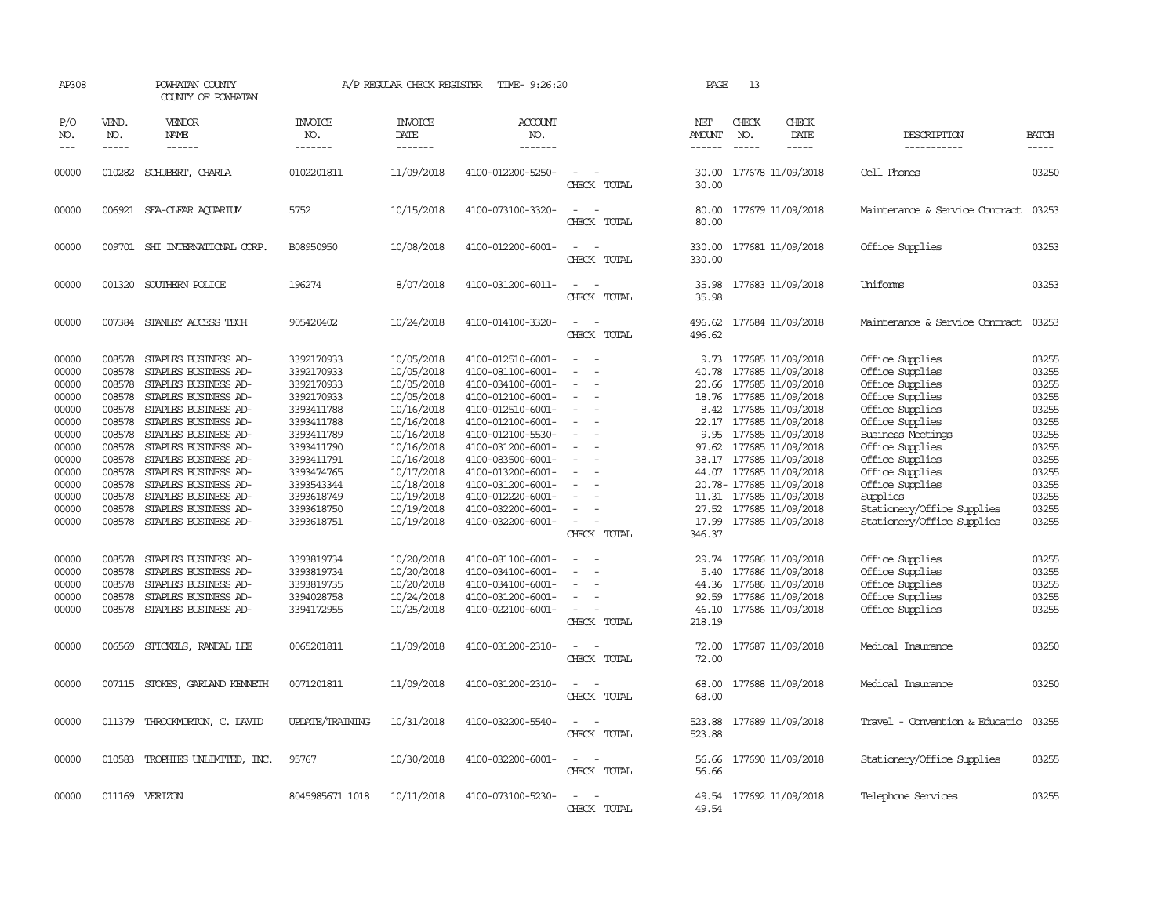| AP308                 |                             | POWHATAN COUNTY<br>COUNTY OF POWHATAN |                                   | A/P REGULAR CHECK REGISTER                | TIME- 9:26:20                    |                                         | PAGE                    | 13                            |                              |                                |                             |
|-----------------------|-----------------------------|---------------------------------------|-----------------------------------|-------------------------------------------|----------------------------------|-----------------------------------------|-------------------------|-------------------------------|------------------------------|--------------------------------|-----------------------------|
| P/O<br>NO.<br>$- - -$ | VEND.<br>NO.<br>$- - - - -$ | VENDOR<br>NAME<br>$- - - - - -$       | <b>INVOICE</b><br>NO.<br>-------- | <b>INVOICE</b><br>DATE<br>$- - - - - - -$ | <b>ACCOUNT</b><br>NO.<br>------- |                                         | NET<br>AMOUNT<br>------ | CHECK<br>NO.<br>$\frac{1}{2}$ | CHECK<br>DATE<br>$- - - - -$ | DESCRIPTION<br>-----------     | <b>BATCH</b><br>$- - - - -$ |
| 00000                 | 010282                      | SCHUBERT, CHARLA                      | 0102201811                        | 11/09/2018                                | 4100-012200-5250-                | $\overline{\phantom{a}}$                |                         |                               | 30.00 177678 11/09/2018      | Cell Phones                    | 03250                       |
|                       |                             |                                       |                                   |                                           |                                  | CHECK TOTAL                             | 30.00                   |                               |                              |                                |                             |
| 00000                 |                             | 006921 SEA-CLEAR AQUARIUM             | 5752                              | 10/15/2018                                | 4100-073100-3320-                | $\sim$<br>CHECK TOTAL                   | 80.00                   |                               | 80.00 177679 11/09/2018      | Maintenance & Service Contract | 03253                       |
| 00000                 |                             | 009701 SHI INTERNATIONAL CORP.        | B08950950                         | 10/08/2018                                | 4100-012200-6001-                | $ -$<br>CHECK TOTAL                     | 330.00                  |                               | 330.00 177681 11/09/2018     | Office Supplies                | 03253                       |
| 00000                 |                             | 001320 SOUTHERN POLICE                | 196274                            | 8/07/2018                                 | 4100-031200-6011-                | $\sim$<br>CHECK TOTAL                   | 35.98                   |                               | 35.98 177683 11/09/2018      | Uniforms                       | 03253                       |
| 00000                 |                             | 007384 STANLEY ACCESS TECH            | 905420402                         | 10/24/2018                                | 4100-014100-3320-                | $\overline{\phantom{a}}$                | 496.62                  |                               | 177684 11/09/2018            | Maintenance & Service Contract | 03253                       |
|                       |                             |                                       |                                   |                                           |                                  | CHECK TOTAL                             | 496.62                  |                               |                              |                                |                             |
| 00000                 | 008578                      | STAPLES BUSINESS AD-                  | 3392170933                        | 10/05/2018                                | 4100-012510-6001-                | $\overline{\phantom{a}}$                | 9.73                    |                               | 177685 11/09/2018            | Office Supplies                | 03255                       |
| 00000                 | 008578                      | STAPLES BUSINESS AD-                  | 3392170933                        | 10/05/2018                                | 4100-081100-6001-                |                                         | 40.78                   |                               | 177685 11/09/2018            | Office Supplies                | 03255                       |
| 00000                 | 008578                      | STAPLES BUSINESS AD-                  | 3392170933                        | 10/05/2018                                | 4100-034100-6001-                |                                         |                         |                               | 20.66 177685 11/09/2018      | Office Supplies                | 03255                       |
| 00000                 |                             | 008578 STAPLES BUSINESS AD-           | 3392170933                        | 10/05/2018                                | 4100-012100-6001-                | $\overline{\phantom{a}}$                |                         |                               | 18.76 177685 11/09/2018      | Office Supplies                | 03255                       |
| 00000                 | 008578                      | STAPLES BUSINESS AD-                  | 3393411788                        | 10/16/2018                                | 4100-012510-6001-                | $\equiv$                                |                         |                               | 8.42 177685 11/09/2018       | Office Supplies                | 03255                       |
| 00000                 | 008578                      | STAPLES BUSINESS AD-                  | 3393411788                        | 10/16/2018                                | 4100-012100-6001-                |                                         |                         |                               | 22.17 177685 11/09/2018      | Office Supplies                | 03255                       |
| 00000                 | 008578                      | STAPLES BUSINESS AD-                  | 3393411789                        | 10/16/2018                                | 4100-012100-5530-                |                                         |                         |                               | 9.95 177685 11/09/2018       | <b>Business Meetings</b>       | 03255                       |
| 00000                 |                             | 008578 STAPLES BUSINESS AD-           | 3393411790                        | 10/16/2018                                | 4100-031200-6001-                | $\equiv$                                |                         |                               | 97.62 177685 11/09/2018      | Office Supplies                | 03255                       |
| 00000                 |                             | 008578 STAPLES BUSINESS AD-           | 3393411791                        | 10/16/2018                                | 4100-083500-6001-                |                                         | 38.17                   |                               | 177685 11/09/2018            | Office Supplies                | 03255                       |
| 00000                 |                             | 008578 STAPLES BUSINESS AD-           | 3393474765                        | 10/17/2018                                | 4100-013200-6001-                |                                         |                         |                               | 44.07 177685 11/09/2018      | Office Supplies                | 03255                       |
| 00000                 | 008578                      | STAPLES BUSINESS AD-                  | 3393543344                        | 10/18/2018                                | 4100-031200-6001-                |                                         |                         |                               | 20.78-177685 11/09/2018      | Office Supplies                | 03255                       |
| 00000                 | 008578                      | STAPLES BUSINESS AD-                  | 3393618749                        | 10/19/2018                                | 4100-012220-6001-                |                                         |                         |                               | 11.31 177685 11/09/2018      | Supplies                       | 03255                       |
| 00000                 | 008578                      | STAPLES BUSINESS AD-                  | 3393618750                        | 10/19/2018                                | 4100-032200-6001-                | $\equiv$                                |                         |                               | 27.52 177685 11/09/2018      | Stationery/Office Supplies     | 03255                       |
| 00000                 |                             | 008578 STAPLES BUSINESS AD-           | 3393618751                        | 10/19/2018                                | 4100-032200-6001-                | $\overline{\phantom{a}}$                |                         |                               | 17.99 177685 11/09/2018      | Stationery/Office Supplies     | 03255                       |
|                       |                             |                                       |                                   |                                           |                                  | CHECK TOTAL                             | 346.37                  |                               |                              |                                |                             |
| 00000                 | 008578                      | STAPLES BUSINESS AD-                  | 3393819734                        | 10/20/2018                                | 4100-081100-6001-                |                                         |                         |                               | 29.74 177686 11/09/2018      | Office Supplies                | 03255                       |
| 00000                 | 008578                      | STAPLES BUSINESS AD-                  | 3393819734                        | 10/20/2018                                | 4100-034100-6001-                |                                         | 5.40                    |                               | 177686 11/09/2018            | Office Supplies                | 03255                       |
| 00000                 | 008578                      | STAPLES BUSINESS AD-                  | 3393819735                        | 10/20/2018                                | 4100-034100-6001-                | $\sim$                                  |                         |                               | 44.36 177686 11/09/2018      | Office Supplies                | 03255                       |
| 00000                 | 008578                      | STAPLES BUSINESS AD-                  | 3394028758                        | 10/24/2018                                | 4100-031200-6001-                |                                         | 92.59                   |                               | 177686 11/09/2018            | Office Supplies                | 03255                       |
| 00000                 | 008578                      | STAPLES BUSINESS AD-                  | 3394172955                        | 10/25/2018                                | 4100-022100-6001-                | $\sim$                                  | 46.10                   |                               | 177686 11/09/2018            | Office Supplies                | 03255                       |
|                       |                             |                                       |                                   |                                           |                                  | CHECK TOTAL                             | 218.19                  |                               |                              |                                |                             |
| 00000                 | 006569                      | STICKELS, RANDAL LEE                  | 0065201811                        | 11/09/2018                                | 4100-031200-2310-                |                                         | 72.00                   |                               | 177687 11/09/2018            | Medical Insurance              | 03250                       |
|                       |                             |                                       |                                   |                                           |                                  | CHECK TOTAL                             | 72.00                   |                               |                              |                                |                             |
| 00000                 |                             | 007115 STOKES, GARLAND KENNETH        | 0071201811                        | 11/09/2018                                | 4100-031200-2310-                |                                         | 68.00                   |                               | 177688 11/09/2018            | Medical Insurance              | 03250                       |
|                       |                             |                                       |                                   |                                           |                                  | CHECK TOTAL                             | 68.00                   |                               |                              |                                |                             |
| 00000                 |                             | 011379 THROCKMORTON, C. DAVID         | <b>UPDATE/TRAINING</b>            | 10/31/2018                                | 4100-032200-5540-                |                                         |                         |                               | 523.88 177689 11/09/2018     | Travel - Convention & Educatio | 03255                       |
|                       |                             |                                       |                                   |                                           |                                  | CHECK TOTAL                             | 523.88                  |                               |                              |                                |                             |
|                       |                             |                                       |                                   |                                           |                                  |                                         |                         |                               |                              |                                | 03255                       |
| 00000                 |                             | 010583 TROPHIES UNLIMITED, INC.       | 95767                             | 10/30/2018                                | 4100-032200-6001-                | $\overline{\phantom{a}}$<br>CHECK TOTAL | 56.66                   |                               | 56.66 177690 11/09/2018      | Stationery/Office Supplies     |                             |
|                       |                             |                                       |                                   |                                           |                                  |                                         |                         |                               |                              |                                |                             |
| 00000                 |                             | 011169 VERIZON                        | 8045985671 1018                   | 10/11/2018                                | 4100-073100-5230-                | $\equiv$                                |                         |                               | 49.54 177692 11/09/2018      | Telephone Services             | 03255                       |
|                       |                             |                                       |                                   |                                           |                                  | CHECK TOTAL                             | 49.54                   |                               |                              |                                |                             |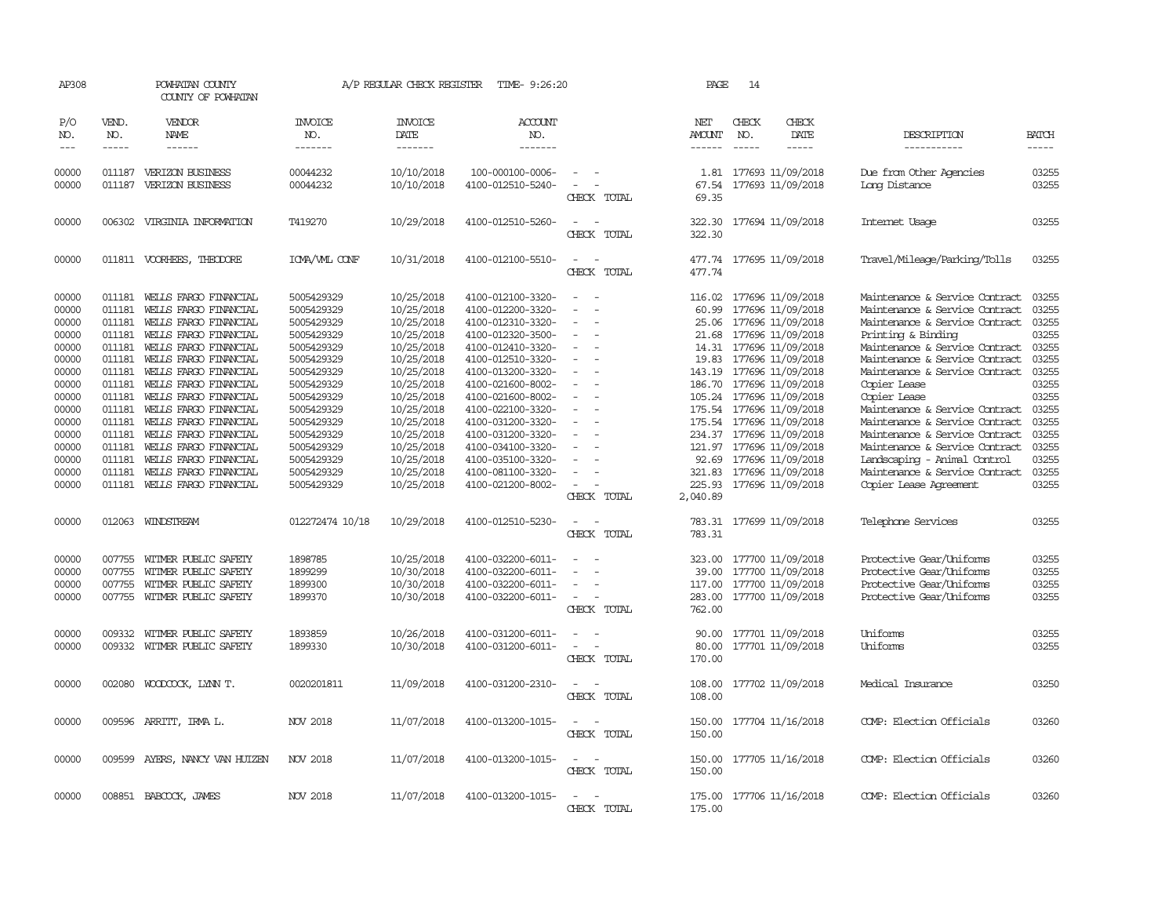| AP308               |                             | POWHATAN COUNTY<br>COUNTY OF POWHATAN |                                  | A/P REGULAR CHECK REGISTER                | TIME- 9:26:20                         |                                                      | PAGE                                  | 14                            |                                             |                                          |                       |
|---------------------|-----------------------------|---------------------------------------|----------------------------------|-------------------------------------------|---------------------------------------|------------------------------------------------------|---------------------------------------|-------------------------------|---------------------------------------------|------------------------------------------|-----------------------|
| P/O<br>NO.<br>$---$ | VEND.<br>NO.<br>$- - - - -$ | VENDOR<br>NAME<br>$- - - - - -$       | <b>INVOICE</b><br>NO.<br>------- | <b>INVOICE</b><br>DATE<br>$- - - - - - -$ | <b>ACCOUNT</b><br>NO.<br>-------      |                                                      | NET<br><b>AMOUNT</b><br>$- - - - - -$ | CHECK<br>NO.<br>$\frac{1}{2}$ | CHECK<br>DATE<br>$- - - - -$                | DESCRIPTION<br>-----------               | <b>BATCH</b><br>----- |
|                     |                             |                                       |                                  |                                           |                                       |                                                      |                                       |                               |                                             |                                          |                       |
| 00000<br>00000      | 011187<br>011187            | VERIZON BUSINESS<br>VERIZON BUSINESS  | 00044232<br>00044232             | 10/10/2018<br>10/10/2018                  | 100-000100-0006-<br>4100-012510-5240- | $\overline{\phantom{a}}$<br>$\overline{\phantom{a}}$ | 67.54                                 |                               | 1.81 177693 11/09/2018<br>177693 11/09/2018 | Due from Other Agencies<br>Long Distance | 03255<br>03255        |
|                     |                             |                                       |                                  |                                           |                                       | CHECK TOTAL                                          | 69.35                                 |                               |                                             |                                          |                       |
| 00000               |                             | 006302 VIRGINIA INFORMATION           | T419270                          | 10/29/2018                                | 4100-012510-5260-                     | CHECK TOTAL                                          | 322.30<br>322.30                      |                               | 177694 11/09/2018                           | Internet Usage                           | 03255                 |
| 00000               |                             | 011811 VOORHEES, THEODORE             | ICMA/WL CONF                     | 10/31/2018                                | 4100-012100-5510-                     | CHECK TOTAL                                          | 477.74                                |                               | 477.74 177695 11/09/2018                    | Travel/Mileage/Parking/Tolls             | 03255                 |
| 00000               | 011181                      | WELLS FARGO FINANCIAL                 | 5005429329                       | 10/25/2018                                | 4100-012100-3320-                     |                                                      | 116.02                                |                               | 177696 11/09/2018                           | Maintenance & Service Contract           | 03255                 |
| 00000               | 011181                      | WELLS FARGO FINANCIAL                 | 5005429329                       | 10/25/2018                                | 4100-012200-3320-                     | $\equiv$                                             | 60.99                                 |                               | 177696 11/09/2018                           | Maintenance & Service Contract           | 03255                 |
| 00000               | 011181                      | WELLS FARGO FINANCIAL                 | 5005429329                       | 10/25/2018                                | 4100-012310-3320-                     | $\overline{\phantom{a}}$                             |                                       |                               | 25.06 177696 11/09/2018                     | Maintenance & Service Contract           | 03255                 |
| 00000               | 011181                      | WELLS FARGO FINANCIAL                 | 5005429329                       | 10/25/2018                                | 4100-012320-3500-                     |                                                      | 21.68                                 |                               | 177696 11/09/2018                           | Printing & Binding                       | 03255                 |
| 00000               | 011181                      | WELLS FARGO FINANCIAL                 | 5005429329                       | 10/25/2018                                | 4100-012410-3320-                     | $\equiv$                                             |                                       |                               | 14.31 177696 11/09/2018                     | Maintenance & Service Contract           | 03255                 |
| 00000               | 011181                      | WEILS FARGO FINANCIAL                 | 5005429329                       | 10/25/2018                                | 4100-012510-3320-                     |                                                      | 19.83                                 |                               | 177696 11/09/2018                           | Maintenance & Service Contract           | 03255                 |
| 00000               | 011181                      | WELLS FARGO FINANCIAL                 | 5005429329                       | 10/25/2018                                | 4100-013200-3320-                     | $\overline{\phantom{a}}$                             | 143.19                                |                               | 177696 11/09/2018                           | Maintenance & Service Contract           | 03255                 |
| 00000               | 011181                      | WELLS FARGO FINANCIAL                 | 5005429329                       | 10/25/2018                                | 4100-021600-8002-                     |                                                      |                                       |                               | 186.70 177696 11/09/2018                    | Copier Lease                             | 03255                 |
| 00000               | 011181                      | WELLS FARGO FINANCIAL                 | 5005429329                       | 10/25/2018                                | 4100-021600-8002-                     | $\overline{\phantom{a}}$                             |                                       |                               | 105.24 177696 11/09/2018                    | Copier Lease                             | 03255                 |
| 00000               | 011181                      | WELLS FARGO FINANCIAL                 | 5005429329                       | 10/25/2018                                | 4100-022100-3320-                     |                                                      |                                       |                               | 175.54 177696 11/09/2018                    | Maintenance & Service Contract           | 03255                 |
| 00000               | 011181                      | WEILS FARGO FINANCIAL                 | 5005429329                       | 10/25/2018                                | 4100-031200-3320-                     |                                                      |                                       |                               | 175.54 177696 11/09/2018                    | Maintenance & Service Contract           | 03255                 |
| 00000               | 011181                      | WELLS FARGO FINANCIAL                 | 5005429329                       | 10/25/2018                                | 4100-031200-3320-                     |                                                      |                                       |                               | 234.37 177696 11/09/2018                    | Maintenance & Service Contract           | 03255                 |
| 00000               | 011181                      | WEILS FARGO FINANCIAL                 | 5005429329                       | 10/25/2018                                | 4100-034100-3320-                     | $\overline{\phantom{a}}$                             |                                       |                               | 121.97 177696 11/09/2018                    | Maintenance & Service Contract           | 03255                 |
| 00000               | 011181                      | WELLS FARGO FINANCIAL                 | 5005429329                       | 10/25/2018                                | 4100-035100-3320-                     |                                                      | 92.69                                 |                               | 177696 11/09/2018                           | Landscaping - Animal Control             | 03255                 |
| 00000               | 011181                      | WELLS FARGO FINANCIAL                 | 5005429329                       | 10/25/2018                                | 4100-081100-3320-                     |                                                      |                                       |                               | 321.83 177696 11/09/2018                    | Maintenance & Service Contract           | 03255                 |
| 00000               |                             | 011181 WELLS FARGO FINANCIAL          | 5005429329                       | 10/25/2018                                | 4100-021200-8002-                     | $\equiv$                                             |                                       |                               | 225.93 177696 11/09/2018                    | <b>Copier Lease Agreement</b>            | 03255                 |
|                     |                             |                                       |                                  |                                           |                                       | CHECK TOTAL                                          | 2,040.89                              |                               |                                             |                                          |                       |
| 00000               |                             | 012063 WINDSTREAM                     | 012272474 10/18                  | 10/29/2018                                | 4100-012510-5230-                     |                                                      |                                       |                               | 783.31 177699 11/09/2018                    | Telephone Services                       | 03255                 |
|                     |                             |                                       |                                  |                                           |                                       | CHECK TOTAL                                          | 783.31                                |                               |                                             |                                          |                       |
| 00000               | 007755                      | WITMER PUBLIC SAFETY                  | 1898785                          | 10/25/2018                                | 4100-032200-6011-                     |                                                      |                                       |                               | 323.00 177700 11/09/2018                    | Protective Gear/Uniforms                 | 03255                 |
| 00000               | 007755                      | WITMER PUBLIC SAFETY                  | 1899299                          | 10/30/2018                                | 4100-032200-6011-                     |                                                      | 39.00                                 |                               | 177700 11/09/2018                           | Protective Gear/Uniforms                 | 03255                 |
| 00000               | 007755                      | WITMER PUBLIC SAFETY                  | 1899300                          | 10/30/2018                                | 4100-032200-6011-                     | $\equiv$                                             | 117.00                                |                               | 177700 11/09/2018                           | Protective Gear/Uniforms                 | 03255                 |
| 00000               |                             | 007755 WITMER PUBLIC SAFETY           | 1899370                          | 10/30/2018                                | 4100-032200-6011-                     | $\sim$                                               | 283.00                                |                               | 177700 11/09/2018                           | Protective Gear/Uniforms                 | 03255                 |
|                     |                             |                                       |                                  |                                           |                                       | CHECK TOTAL                                          | 762.00                                |                               |                                             |                                          |                       |
| 00000               | 009332                      | WITMER PUBLIC SAFETY                  | 1893859                          | 10/26/2018                                | 4100-031200-6011-                     | $\equiv$                                             | 90.00                                 |                               | 177701 11/09/2018                           | Uniforms                                 | 03255                 |
| 00000               | 009332                      | WITMER PUBLIC SAFETY                  | 1899330                          | 10/30/2018                                | 4100-031200-6011-                     | $\equiv$                                             | 80.00                                 |                               | 177701 11/09/2018                           | Uniforms                                 | 03255                 |
|                     |                             |                                       |                                  |                                           |                                       | CHECK TOTAL                                          | 170.00                                |                               |                                             |                                          |                       |
| 00000               | 002080                      | WOODCOCK, LYNN T.                     | 0020201811                       | 11/09/2018                                | 4100-031200-2310-                     |                                                      | 108.00                                |                               | 177702 11/09/2018                           | Medical Insurance                        | 03250                 |
|                     |                             |                                       |                                  |                                           |                                       | CHECK TOTAL                                          | 108.00                                |                               |                                             |                                          |                       |
| 00000               |                             | 009596 ARRITT, IRMA L.                | NOV 2018                         | 11/07/2018                                | 4100-013200-1015-                     |                                                      |                                       |                               | 150.00 177704 11/16/2018                    | COMP: Election Officials                 | 03260                 |
|                     |                             |                                       |                                  |                                           |                                       | CHECK TOTAL                                          | 150.00                                |                               |                                             |                                          |                       |
| 00000               | 009599                      | AYERS, NANCY VAN HUIZEN               | NOV 2018                         | 11/07/2018                                | 4100-013200-1015-                     |                                                      | 150.00                                |                               | 177705 11/16/2018                           | COMP: Election Officials                 | 03260                 |
|                     |                             |                                       |                                  |                                           |                                       | CHECK TOTAL                                          | 150.00                                |                               |                                             |                                          |                       |
| 00000               |                             | 008851 BABCOCK, JAMES                 | NOV 2018                         | 11/07/2018                                | 4100-013200-1015-                     | $\overline{\phantom{a}}$                             |                                       |                               | 175.00 177706 11/16/2018                    | COMP: Election Officials                 | 03260                 |
|                     |                             |                                       |                                  |                                           |                                       | CHECK TOTAL                                          | 175.00                                |                               |                                             |                                          |                       |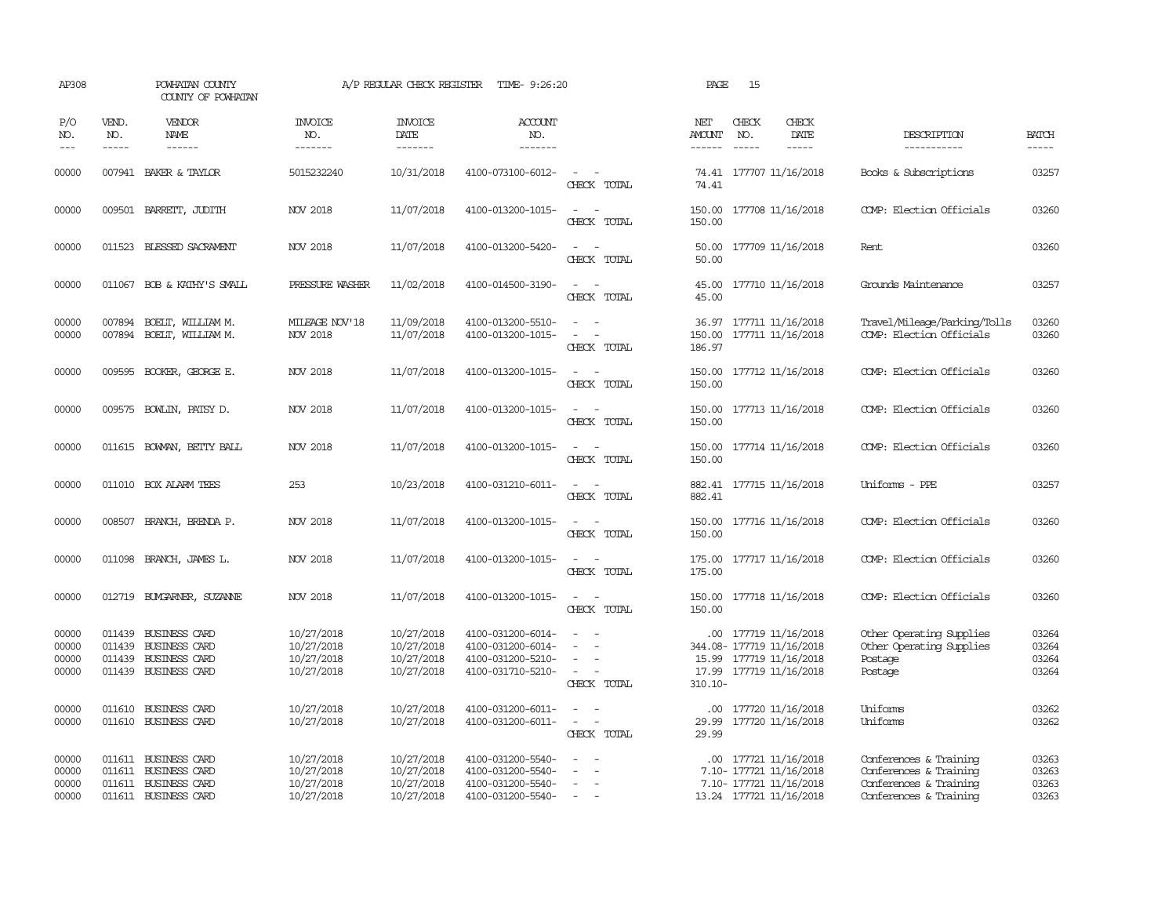| AP308                            |                             | POWHATAN COUNTY<br>COUNTY OF POWHATAN                                                        |                                                      | A/P REGULAR CHECK REGISTER                           | TIME- 9:26:20                                                                    |                                                                                                                                          | PAGE                          | 15                            |                                                                                                         |                                                                                                      |                                  |
|----------------------------------|-----------------------------|----------------------------------------------------------------------------------------------|------------------------------------------------------|------------------------------------------------------|----------------------------------------------------------------------------------|------------------------------------------------------------------------------------------------------------------------------------------|-------------------------------|-------------------------------|---------------------------------------------------------------------------------------------------------|------------------------------------------------------------------------------------------------------|----------------------------------|
| P/O<br>NO.<br>$---$              | VEND.<br>NO.<br>$- - - - -$ | <b>VENDOR</b><br><b>NAME</b><br>$- - - - - -$                                                | <b>INVOICE</b><br>NO.<br>-------                     | <b>INVOICE</b><br>DATE<br>$- - - - - - -$            | <b>ACCOUNT</b><br>NO.<br>-------                                                 |                                                                                                                                          | NET<br>AMOUNT<br>------       | CHECK<br>NO.<br>$\frac{1}{2}$ | CHECK<br>DATE<br>$- - - - -$                                                                            | DESCRIPTION<br>-----------                                                                           | <b>BATCH</b><br>$- - - - -$      |
| 00000                            |                             | 007941 BAKER & TAYLOR                                                                        | 5015232240                                           | 10/31/2018                                           | 4100-073100-6012-                                                                | $\sim$ $ \sim$<br>CHECK TOTAL                                                                                                            | 74.41                         |                               | 74.41 177707 11/16/2018                                                                                 | Books & Subscriptions                                                                                | 03257                            |
| 00000                            |                             | 009501 BARRETT, JUDITH                                                                       | NOV 2018                                             | 11/07/2018                                           | 4100-013200-1015-                                                                | $\sim$<br>CHECK TOTAL                                                                                                                    | 150.00                        |                               | 150.00 177708 11/16/2018                                                                                | COMP: Election Officials                                                                             | 03260                            |
| 00000                            |                             | 011523 BLESSED SACRAMENT                                                                     | NOV 2018                                             | 11/07/2018                                           | 4100-013200-5420-                                                                | $\sim$ $\sim$<br>CHECK TOTAL                                                                                                             | 50.00<br>50.00                |                               | 177709 11/16/2018                                                                                       | Rent                                                                                                 | 03260                            |
| 00000                            |                             | 011067 BOB & KATHY'S SMALL                                                                   | PRESSURE WASHER                                      | 11/02/2018                                           | 4100-014500-3190-                                                                | $\sim$<br>$\sim$<br>CHECK TOTAL                                                                                                          | 45.00<br>45.00                |                               | 177710 11/16/2018                                                                                       | Grounds Maintenance                                                                                  | 03257                            |
| 00000<br>00000                   | 007894<br>007894            | BOELT, WILLIAM M.<br>BOELT, WILLIAM M.                                                       | MILEAGE NOV'18<br>NOV 2018                           | 11/09/2018<br>11/07/2018                             | 4100-013200-5510-<br>4100-013200-1015-                                           | $\equiv$<br>$\overline{\phantom{a}}$<br>CHECK TOTAL                                                                                      | 150.00<br>186.97              |                               | 36.97 177711 11/16/2018<br>177711 11/16/2018                                                            | Travel/Mileage/Parking/Tolls<br>COMP: Election Officials                                             | 03260<br>03260                   |
| 00000                            |                             | 009595 BOOKER, GEORGE E.                                                                     | <b>NOV 2018</b>                                      | 11/07/2018                                           | 4100-013200-1015-                                                                | CHECK TOTAL                                                                                                                              | 150.00<br>150.00              |                               | 177712 11/16/2018                                                                                       | COMP: Election Officials                                                                             | 03260                            |
| 00000                            |                             | 009575 BOWLIN, PATSY D.                                                                      | <b>NOV 2018</b>                                      | 11/07/2018                                           | 4100-013200-1015-                                                                | $\sim$<br>$\overline{\phantom{a}}$<br>CHECK TOTAL                                                                                        | 150.00                        |                               | 150.00 177713 11/16/2018                                                                                | COMP: Election Officials                                                                             | 03260                            |
| 00000                            |                             | 011615 BOWMAN, BETTY BALL                                                                    | <b>NOV 2018</b>                                      | 11/07/2018                                           | 4100-013200-1015-                                                                | CHECK TOTAL                                                                                                                              | 150.00<br>150.00              |                               | 177714 11/16/2018                                                                                       | COMP: Election Officials                                                                             | 03260                            |
| 00000                            | 011010                      | BOX ALARM TEES                                                                               | 253                                                  | 10/23/2018                                           | 4100-031210-6011-                                                                | $\sim$<br>CHECK TOTAL                                                                                                                    | 882.41                        |                               | 882.41 177715 11/16/2018                                                                                | Uniforms - PPE                                                                                       | 03257                            |
| 00000                            | 008507                      | BRANCH, BRENDA P.                                                                            | NOV 2018                                             | 11/07/2018                                           | 4100-013200-1015-                                                                | $\equiv$<br>CHECK TOTAL                                                                                                                  | 150.00<br>150.00              |                               | 177716 11/16/2018                                                                                       | COMP: Election Officials                                                                             | 03260                            |
| 00000                            |                             | 011098 BRANCH, JAMES L.                                                                      | <b>NOV 2018</b>                                      | 11/07/2018                                           | 4100-013200-1015-                                                                | $\sim$<br>CHECK TOTAL                                                                                                                    | 175.00                        |                               | 175.00 177717 11/16/2018                                                                                | COMP: Election Officials                                                                             | 03260                            |
| 00000                            |                             | 012719 BUXGARNER, SUZANNE                                                                    | NOV 2018                                             | 11/07/2018                                           | 4100-013200-1015-                                                                | $\frac{1}{2} \left( \frac{1}{2} \right) \left( \frac{1}{2} \right) \left( \frac{1}{2} \right) \left( \frac{1}{2} \right)$<br>CHECK TOTAL | 150.00                        |                               | 150.00 177718 11/16/2018                                                                                | COMP: Election Officials                                                                             | 03260                            |
| 00000<br>00000<br>00000<br>00000 |                             | 011439 BUSINESS CARD<br>011439 BUSINESS CARD<br>011439 BUSINESS CARD<br>011439 BUSINESS CARD | 10/27/2018<br>10/27/2018<br>10/27/2018<br>10/27/2018 | 10/27/2018<br>10/27/2018<br>10/27/2018<br>10/27/2018 | 4100-031200-6014-<br>4100-031200-6014-<br>4100-031200-5210-<br>4100-031710-5210- | $\sim$<br>$\sim$ 100 $\mu$<br>CHECK TOTAL                                                                                                | $310.10 -$                    |                               | .00 177719 11/16/2018<br>344.08-177719 11/16/2018<br>15.99 177719 11/16/2018<br>17.99 177719 11/16/2018 | Other Operating Supplies<br>Other Operating Supplies<br>Postage<br>Postage                           | 03264<br>03264<br>03264<br>03264 |
| 00000<br>00000                   | 011610<br>011610            | <b>BUSINESS CARD</b><br><b>BUSINESS CARD</b>                                                 | 10/27/2018<br>10/27/2018                             | 10/27/2018<br>10/27/2018                             | 4100-031200-6011-<br>4100-031200-6011-                                           | $\sim$<br>$\sim$<br>CHECK TOTAL                                                                                                          | $.00 \cdot$<br>29.99<br>29.99 |                               | 177720 11/16/2018<br>177720 11/16/2018                                                                  | Uniforms<br>Uniforms                                                                                 | 03262<br>03262                   |
| 00000<br>00000<br>00000<br>00000 | 011611                      | <b>BUSINESS CARD</b><br>011611 BUSINESS CARD<br>011611 BUSINESS CARD<br>011611 BUSINESS CARD | 10/27/2018<br>10/27/2018<br>10/27/2018<br>10/27/2018 | 10/27/2018<br>10/27/2018<br>10/27/2018<br>10/27/2018 | 4100-031200-5540-<br>4100-031200-5540-<br>4100-031200-5540-<br>4100-031200-5540- | $\equiv$<br>$\equiv$<br>$\sim$                                                                                                           | $.00 \cdot$                   |                               | 177721 11/16/2018<br>7.10- 177721 11/16/2018<br>7.10- 177721 11/16/2018<br>13.24 177721 11/16/2018      | Conferences & Training<br>Conferences & Training<br>Conferences & Training<br>Conferences & Training | 03263<br>03263<br>03263<br>03263 |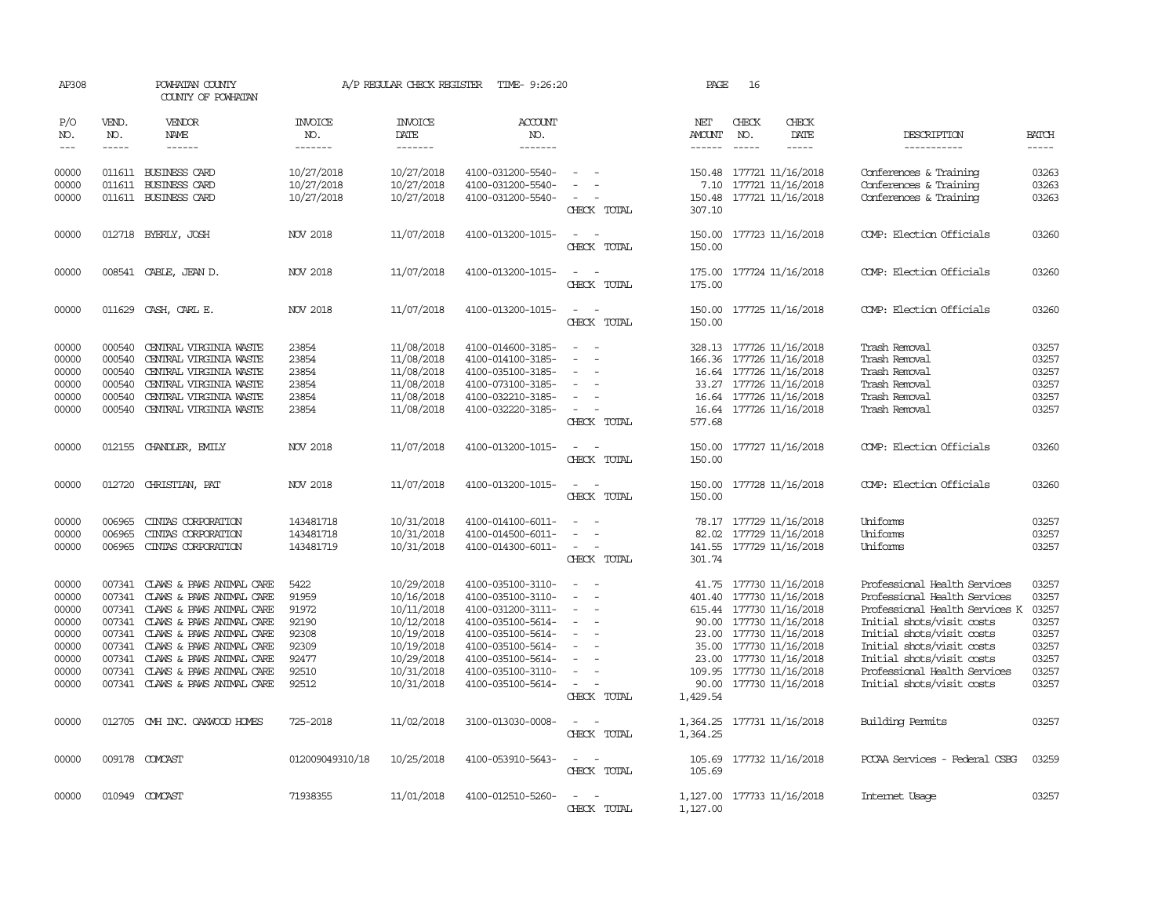| AP308          |              | POWHATAN COUNTY<br>COUNTY OF POWHATAN        |                          | A/P REGULAR CHECK REGISTER | TIME- 9:26:20                          |                                                                                                                             | PAGE                 | 16           |                                               |                                                  |                |
|----------------|--------------|----------------------------------------------|--------------------------|----------------------------|----------------------------------------|-----------------------------------------------------------------------------------------------------------------------------|----------------------|--------------|-----------------------------------------------|--------------------------------------------------|----------------|
| P/O<br>NO.     | VEND.<br>NO. | VENDOR<br>NAME                               | <b>INVOICE</b><br>NO.    | <b>INVOICE</b><br>DATE     | <b>ACCOUNT</b><br>NO.                  |                                                                                                                             | NET<br>AMOUNT        | CHECK<br>NO. | CHECK<br>DATE                                 | DESCRIPTION                                      | <b>BATCH</b>   |
| $\frac{1}{2}$  | $- - - - -$  | ------                                       | -------                  | -------                    | -------                                |                                                                                                                             | $- - - - - -$        | $- - - - -$  | $- - - - -$                                   | -----------                                      | -----          |
| 00000<br>00000 | 011611       | 011611 BUSINESS CARD<br><b>BUSINESS CARD</b> | 10/27/2018<br>10/27/2018 | 10/27/2018<br>10/27/2018   | 4100-031200-5540-<br>4100-031200-5540- | $\sim$<br>$\equiv$                                                                                                          | 7.10                 |              | 150.48 177721 11/16/2018<br>177721 11/16/2018 | Conferences & Training<br>Conferences & Training | 03263<br>03263 |
| 00000          |              | 011611 BUSINESS CARD                         | 10/27/2018               | 10/27/2018                 | 4100-031200-5540-                      | $\sim$<br>CHECK TOTAL                                                                                                       | 307.10               |              | 150.48 177721 11/16/2018                      | Conferences & Training                           | 03263          |
| 00000          |              | 012718 BYERLY, JOSH                          | NOV 2018                 | 11/07/2018                 | 4100-013200-1015-                      | $\sim$<br>CHECK TOTAL                                                                                                       | 150.00<br>150.00     |              | 177723 11/16/2018                             | COMP: Election Officials                         | 03260          |
| 00000          |              | 008541 CABLE, JEAN D.                        | NOV 2018                 | 11/07/2018                 | 4100-013200-1015-                      | $\frac{1}{2} \left( \frac{1}{2} \right) \left( \frac{1}{2} \right) = \frac{1}{2} \left( \frac{1}{2} \right)$<br>CHECK TOTAL | 175.00               |              | 175.00 177724 11/16/2018                      | COMP: Election Officials                         | 03260          |
| 00000          |              | 011629 CASH, CARL E.                         | NOV 2018                 | 11/07/2018                 | 4100-013200-1015-                      | $\frac{1}{2} \left( \frac{1}{2} \right) \left( \frac{1}{2} \right) = \frac{1}{2} \left( \frac{1}{2} \right)$<br>CHECK TOTAL | 150.00               |              | 150.00 177725 11/16/2018                      | COMP: Election Officials                         | 03260          |
| 00000          | 000540       | CENTRAL VIRGINIA WASTE                       | 23854                    | 11/08/2018                 | 4100-014600-3185-                      | $\overline{a}$                                                                                                              |                      |              | 328.13 177726 11/16/2018                      | Trash Removal                                    | 03257          |
| 00000          | 000540       | CENTRAL VIRGINIA WASTE                       | 23854                    | 11/08/2018                 | 4100-014100-3185-                      |                                                                                                                             |                      |              | 166.36 177726 11/16/2018                      | Trash Removal                                    | 03257          |
| 00000          | 000540       | CENTRAL VIRGINIA WASTE                       | 23854                    | 11/08/2018                 | 4100-035100-3185-                      | $\overline{\phantom{a}}$                                                                                                    |                      |              | 16.64 177726 11/16/2018                       | Trash Removal                                    | 03257          |
| 00000          | 000540       | CENIRAL VIRGINIA WASTE                       | 23854                    | 11/08/2018                 | 4100-073100-3185-                      |                                                                                                                             |                      |              | 33.27 177726 11/16/2018                       | Trash Removal                                    | 03257          |
| 00000          | 000540       | CENTRAL VIRGINIA WASTE                       | 23854                    | 11/08/2018                 | 4100-032210-3185-                      |                                                                                                                             |                      |              | 16.64 177726 11/16/2018                       | Trash Removal                                    | 03257          |
| 00000          | 000540       | CENIRAL VIRGINIA WASTE                       | 23854                    | 11/08/2018                 | 4100-032220-3185-                      | $\overline{\phantom{a}}$<br>CHECK TOTAL                                                                                     | 577.68               |              | 16.64 177726 11/16/2018                       | Trash Removal                                    | 03257          |
| 00000          |              | 012155 CHANDLER, EMILY                       | NOV 2018                 | 11/07/2018                 | 4100-013200-1015-                      | $\overline{\phantom{a}}$<br>$\sim$<br>CHECK TOTAL                                                                           | 150.00               |              | 150.00 177727 11/16/2018                      | COMP: Election Officials                         | 03260          |
| 00000          | 012720       | CHRISTIAN, PAT                               | NOV 2018                 | 11/07/2018                 | 4100-013200-1015-                      | CHECK TOTAL                                                                                                                 | 150.00<br>150.00     |              | 177728 11/16/2018                             | COMP: Election Officials                         | 03260          |
| 00000          | 006965       | CINIAS CORPORATION                           | 143481718                | 10/31/2018                 | 4100-014100-6011-                      |                                                                                                                             |                      |              | 78.17 177729 11/16/2018                       | Uniforms                                         | 03257          |
| 00000          | 006965       | CINIAS CORPORATION                           | 143481718                | 10/31/2018                 | 4100-014500-6011-                      |                                                                                                                             |                      |              | 82.02 177729 11/16/2018                       | Uniforms                                         | 03257          |
| 00000          | 006965       | CINIAS CORPORATION                           | 143481719                | 10/31/2018                 | 4100-014300-6011-                      | $\sim$ $-$<br>CHECK TOTAL                                                                                                   | 301.74               |              | 141.55 177729 11/16/2018                      | Uniforms                                         | 03257          |
| 00000          | 007341       | CLAWS & PAWS ANIMAL CARE                     | 5422                     | 10/29/2018                 | 4100-035100-3110-                      | $\equiv$                                                                                                                    |                      |              | 41.75 177730 11/16/2018                       | Professional Health Services                     | 03257          |
| 00000          | 007341       | CLAWS & PAWS ANIMAL CARE                     | 91959                    | 10/16/2018                 | 4100-035100-3110-                      |                                                                                                                             |                      |              | 401.40 177730 11/16/2018                      | Professional Health Services                     | 03257          |
| 00000          |              | 007341 CLAWS & PAWS ANIMAL CARE              | 91972                    | 10/11/2018                 | 4100-031200-3111-                      | $\equiv$                                                                                                                    |                      |              | 615.44 177730 11/16/2018                      | Professional Health Services K                   | 03257          |
| 00000          |              | 007341 CLAWS & PAWS ANIMAL CARE              | 92190                    | 10/12/2018                 | 4100-035100-5614-                      |                                                                                                                             |                      |              | 90.00 177730 11/16/2018                       | Initial shots/visit costs                        | 03257          |
| 00000          |              | 007341 CLAWS & PAWS ANIMAL CARE              | 92308                    | 10/19/2018                 | 4100-035100-5614-                      | $\sim$                                                                                                                      |                      |              | 23.00 177730 11/16/2018                       | Initial shots/visit costs                        | 03257          |
| 00000          |              | 007341 CLAWS & PAWS ANIMAL CARE              | 92309                    | 10/19/2018                 | 4100-035100-5614-                      |                                                                                                                             | 35.00                |              | 177730 11/16/2018                             | Initial shots/visit costs                        | 03257          |
| 00000          |              | 007341 CLAWS & PAWS ANIMAL CARE              | 92477                    | 10/29/2018                 | 4100-035100-5614-                      | $\equiv$                                                                                                                    |                      |              | 23.00 177730 11/16/2018                       | Initial shots/visit costs                        | 03257          |
| 00000          |              | 007341 CLAWS & PAWS ANIMAL CARE              | 92510                    | 10/31/2018                 | 4100-035100-3110-                      | $\equiv$<br>$\sim$                                                                                                          |                      |              | 109.95 177730 11/16/2018                      | Professional Health Services                     | 03257          |
| 00000          |              | 007341 CLAWS & PAWS ANIMAL CARE              | 92512                    | 10/31/2018                 | 4100-035100-5614-                      | CHECK TOTAL                                                                                                                 | 1,429.54             |              | 90.00 177730 11/16/2018                       | Initial shots/visit costs                        | 03257          |
| 00000          |              | 012705 CMH INC. OAKWOOD HOMES                | 725-2018                 | 11/02/2018                 | 3100-013030-0008-                      | $\sim$<br>CHECK TOTAL                                                                                                       | 1,364.25<br>1,364.25 |              | 177731 11/16/2018                             | <b>Building Permits</b>                          | 03257          |
| 00000          |              | 009178 COMCAST                               | 012009049310/18          | 10/25/2018                 | 4100-053910-5643-                      | $\sim$<br>CHECK TOTAL                                                                                                       | 105.69               |              | 105.69 177732 11/16/2018                      | PCCAA Services - Federal CSBG                    | 03259          |
| 00000          |              | 010949 COMCAST                               | 71938355                 | 11/01/2018                 | 4100-012510-5260-                      | $\frac{1}{2} \left( \frac{1}{2} \right) \left( \frac{1}{2} \right) = \frac{1}{2} \left( \frac{1}{2} \right)$<br>CHECK TOTAL | 1,127.00             |              | 1,127.00 177733 11/16/2018                    | Internet Usage                                   | 03257          |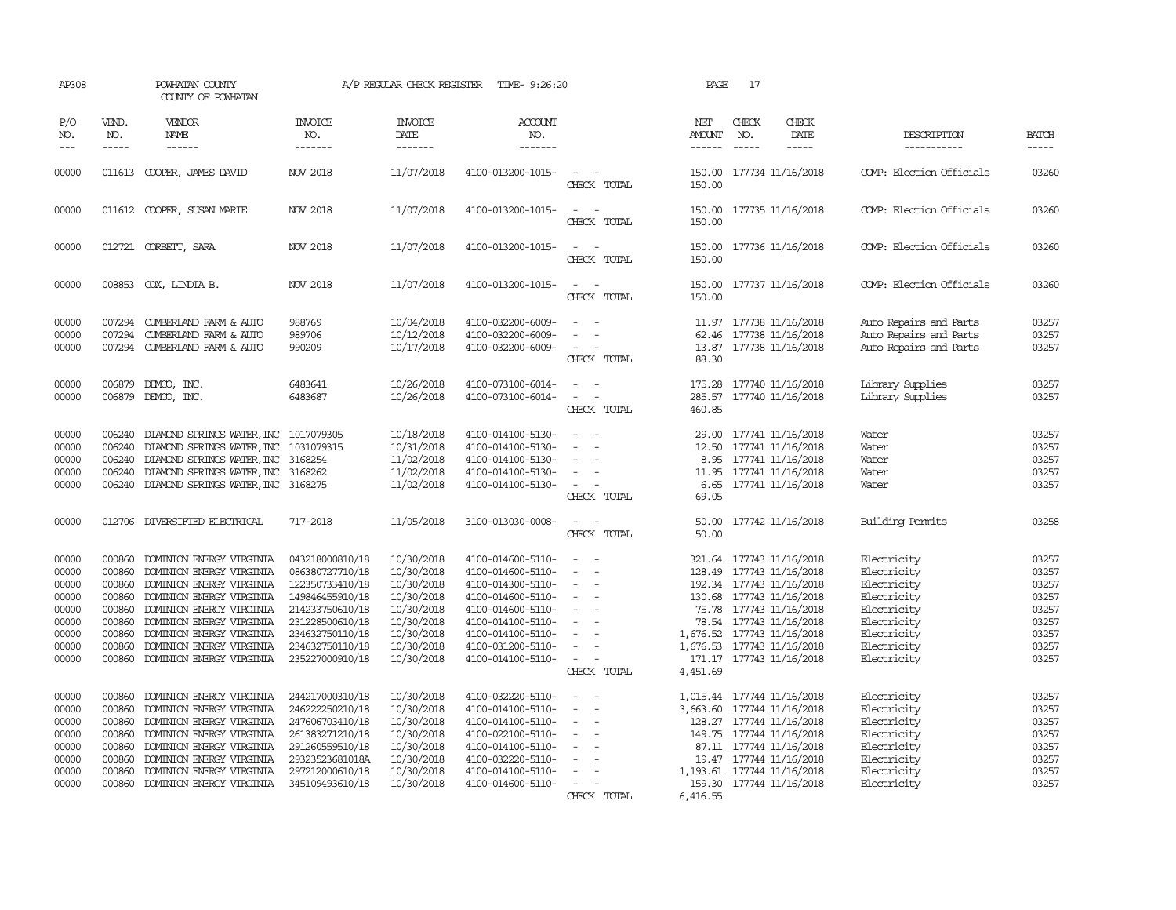| AP308                                                                         |                                                                                        | POWHATAN COUNTY<br>COUNTY OF POWHATAN                                                                                                                                                                                                                    |                                                                                                                                                                         | A/P REGULAR CHECK REGISTER                                                                                                 | TIME- 9:26:20                                                                                                                                                                             |                                                                                                                                                   | PAGE                    | 17                                                                                                                                                                                                                                                         |                                                                                                                                     |                                                                               |
|-------------------------------------------------------------------------------|----------------------------------------------------------------------------------------|----------------------------------------------------------------------------------------------------------------------------------------------------------------------------------------------------------------------------------------------------------|-------------------------------------------------------------------------------------------------------------------------------------------------------------------------|----------------------------------------------------------------------------------------------------------------------------|-------------------------------------------------------------------------------------------------------------------------------------------------------------------------------------------|---------------------------------------------------------------------------------------------------------------------------------------------------|-------------------------|------------------------------------------------------------------------------------------------------------------------------------------------------------------------------------------------------------------------------------------------------------|-------------------------------------------------------------------------------------------------------------------------------------|-------------------------------------------------------------------------------|
| P/O<br>NO.<br>$\frac{1}{2}$                                                   | VEND.<br>NO.<br>$- - - - -$                                                            | VENDOR<br>NAME<br>------                                                                                                                                                                                                                                 | <b>INVOICE</b><br>NO.<br>-------                                                                                                                                        | <b>INVOICE</b><br>DATE<br>-------                                                                                          | <b>ACCOUNT</b><br>NO.<br>-------                                                                                                                                                          |                                                                                                                                                   | NET<br>AMOUNT<br>------ | CHECK<br>CHECK<br>NO.<br>DATE<br>$\frac{1}{2}$<br>$- - - - -$                                                                                                                                                                                              | DESCRIPTION<br>-----------                                                                                                          | <b>BATCH</b><br>-----                                                         |
| 00000                                                                         |                                                                                        | 011613 COOPER, JAMES DAVID                                                                                                                                                                                                                               | NOV 2018                                                                                                                                                                | 11/07/2018                                                                                                                 | 4100-013200-1015-                                                                                                                                                                         | $\sim$<br>CHECK TOTAL                                                                                                                             | 150.00                  | 150.00 177734 11/16/2018                                                                                                                                                                                                                                   | COMP: Election Officials                                                                                                            | 03260                                                                         |
| 00000                                                                         |                                                                                        | 011612 COOPER, SUSAN MARIE                                                                                                                                                                                                                               | <b>NOV 2018</b>                                                                                                                                                         | 11/07/2018                                                                                                                 | 4100-013200-1015-                                                                                                                                                                         | CHECK TOTAL                                                                                                                                       | 150.00                  | 150.00 177735 11/16/2018                                                                                                                                                                                                                                   | COMP: Election Officials                                                                                                            | 03260                                                                         |
| 00000                                                                         |                                                                                        | 012721 CORBETT, SARA                                                                                                                                                                                                                                     | <b>NOV 2018</b>                                                                                                                                                         | 11/07/2018                                                                                                                 | 4100-013200-1015-                                                                                                                                                                         | $\equiv$<br>$\sim$<br>CHECK TOTAL                                                                                                                 | 150.00                  | 150.00 177736 11/16/2018                                                                                                                                                                                                                                   | COMP: Election Officials                                                                                                            | 03260                                                                         |
| 00000                                                                         |                                                                                        | 008853 COX, LINDIA B.                                                                                                                                                                                                                                    | NOV 2018                                                                                                                                                                | 11/07/2018                                                                                                                 | 4100-013200-1015-                                                                                                                                                                         | $\overline{\phantom{a}}$<br>CHECK TOTAL                                                                                                           | 150.00<br>150.00        | 177737 11/16/2018                                                                                                                                                                                                                                          | COMP: Election Officials                                                                                                            | 03260                                                                         |
| 00000<br>00000<br>00000                                                       | 007294<br>007294                                                                       | 007294 CUMBERLAND FARM & AUTO<br>CUMBERLAND FARM & AUTO<br>CUMBERLAND FARM & AUTO                                                                                                                                                                        | 988769<br>989706<br>990209                                                                                                                                              | 10/04/2018<br>10/12/2018<br>10/17/2018                                                                                     | 4100-032200-6009-<br>4100-032200-6009-<br>4100-032200-6009-                                                                                                                               | CHECK TOTAL                                                                                                                                       | 88.30                   | 11.97 177738 11/16/2018<br>62.46 177738 11/16/2018<br>13.87 177738 11/16/2018                                                                                                                                                                              | Auto Repairs and Parts<br>Auto Repairs and Parts<br>Auto Repairs and Parts                                                          | 03257<br>03257<br>03257                                                       |
| 00000<br>00000                                                                |                                                                                        | 006879 DEMCO, INC.<br>006879 DEMCO, INC.                                                                                                                                                                                                                 | 6483641<br>6483687                                                                                                                                                      | 10/26/2018<br>10/26/2018                                                                                                   | 4100-073100-6014-<br>4100-073100-6014-                                                                                                                                                    | $\sim$<br>CHECK TOTAL                                                                                                                             | 460.85                  | 175.28 177740 11/16/2018<br>285.57 177740 11/16/2018                                                                                                                                                                                                       | Library Supplies<br>Library Supplies                                                                                                | 03257<br>03257                                                                |
| 00000<br>00000<br>00000<br>00000<br>00000                                     | 006240<br>006240<br>006240<br>006240                                                   | DIAMOND SPRINGS WATER, INC 1017079305<br>DIAMOND SPRINGS WATER, INC<br>DIAMOND SPRINGS WATER, INC 3168254<br>DIAMOND SPRINGS WATER, INC<br>006240 DIAMOND SPRINGS WATER, INC 3168275                                                                     | 1031079315<br>3168262                                                                                                                                                   | 10/18/2018<br>10/31/2018<br>11/02/2018<br>11/02/2018<br>11/02/2018                                                         | 4100-014100-5130-<br>4100-014100-5130-<br>4100-014100-5130-<br>4100-014100-5130-<br>4100-014100-5130-                                                                                     | $\equiv$<br>CHECK TOTAL                                                                                                                           | 69.05                   | 29.00 177741 11/16/2018<br>12.50 177741 11/16/2018<br>8.95 177741 11/16/2018<br>11.95 177741 11/16/2018<br>6.65 177741 11/16/2018                                                                                                                          | Water<br>Water<br>Water<br>Water<br>Water                                                                                           | 03257<br>03257<br>03257<br>03257<br>03257                                     |
| 00000                                                                         | 012706                                                                                 | DIVERSIFIED ELECTRICAL                                                                                                                                                                                                                                   | 717-2018                                                                                                                                                                | 11/05/2018                                                                                                                 | 3100-013030-0008-                                                                                                                                                                         | $\overline{\phantom{a}}$<br>CHECK TOTAL                                                                                                           | 50.00<br>50.00          | 177742 11/16/2018                                                                                                                                                                                                                                          | Building Permits                                                                                                                    | 03258                                                                         |
| 00000<br>00000<br>00000<br>00000<br>00000<br>00000<br>00000<br>00000<br>00000 | 000860<br>000860<br>000860<br>000860<br>000860<br>000860<br>000860<br>000860<br>000860 | DOMINION ENERGY VIRGINIA<br>DOMINION ENERGY VIRGINIA<br>DOMINION ENERGY VIRGINIA<br>DOMINION ENERGY VIRGINIA<br>DOMINION ENERGY VIRGINIA<br>DOMINION ENERGY VIRGINIA<br>DOMINION ENERGY VIRGINIA<br>DOMINION ENERGY VIRGINIA<br>DOMINION ENERGY VIRGINIA | 043218000810/18<br>086380727710/18<br>122350733410/18<br>149846455910/18<br>214233750610/18<br>231228500610/18<br>234632750110/18<br>234632750110/18<br>235227000910/18 | 10/30/2018<br>10/30/2018<br>10/30/2018<br>10/30/2018<br>10/30/2018<br>10/30/2018<br>10/30/2018<br>10/30/2018<br>10/30/2018 | 4100-014600-5110-<br>4100-014600-5110-<br>4100-014300-5110-<br>4100-014600-5110-<br>4100-014600-5110-<br>4100-014100-5110-<br>4100-014100-5110-<br>4100-031200-5110-<br>4100-014100-5110- | $\overline{\phantom{a}}$<br>$\sim$<br>$\overline{\phantom{a}}$<br>$\overline{\phantom{a}}$<br>$\equiv$<br>$\overline{\phantom{a}}$<br>CHECK TOTAL | 4,451.69                | 321.64 177743 11/16/2018<br>128.49 177743 11/16/2018<br>192.34 177743 11/16/2018<br>130.68 177743 11/16/2018<br>75.78 177743 11/16/2018<br>78.54 177743 11/16/2018<br>1,676.52 177743 11/16/2018<br>1,676.53 177743 11/16/2018<br>171.17 177743 11/16/2018 | Electricity<br>Electricity<br>Electricity<br>Electricity<br>Electricity<br>Electricity<br>Electricity<br>Electricity<br>Electricity | 03257<br>03257<br>03257<br>03257<br>03257<br>03257<br>03257<br>03257<br>03257 |
| 00000<br>00000<br>00000<br>00000<br>00000<br>00000<br>00000<br>00000          | 000860<br>000860<br>000860<br>000860<br>000860<br>000860<br>000860<br>000860           | DOMINION ENERGY VIRGINIA<br>DOMINION ENERGY VIRGINIA<br>DOMINION ENERGY VIRGINIA<br>DOMINION ENERGY VIRGINIA<br>DOMINION ENERGY VIRGINIA<br>DOMINION ENERGY VIRGINIA<br>DOMINION ENERGY VIRGINIA<br>DOMINION ENERGY VIRGINIA                             | 244217000310/18<br>246222250210/18<br>247606703410/18<br>261383271210/18<br>291260559510/18<br>29323523681018A<br>297212000610/18<br>345109493610/18                    | 10/30/2018<br>10/30/2018<br>10/30/2018<br>10/30/2018<br>10/30/2018<br>10/30/2018<br>10/30/2018<br>10/30/2018               | 4100-032220-5110-<br>4100-014100-5110-<br>4100-014100-5110-<br>4100-022100-5110-<br>4100-014100-5110-<br>4100-032220-5110-<br>4100-014100-5110-<br>4100-014600-5110-                      | $\sim$<br>$\sim$<br>$\sim$<br>$\overline{\phantom{a}}$<br>$\overline{\phantom{a}}$<br>$\overline{\phantom{a}}$<br>CHECK TOTAL                     | 6,416.55                | 1,015.44 177744 11/16/2018<br>3,663.60 177744 11/16/2018<br>128.27 177744 11/16/2018<br>149.75 177744 11/16/2018<br>87.11 177744 11/16/2018<br>19.47 177744 11/16/2018<br>1, 193.61 177744 11/16/2018<br>159.30 177744 11/16/2018                          | Electricity<br>Electricity<br>Electricity<br>Electricity<br>Electricity<br>Electricity<br>Electricity<br>Electricity                | 03257<br>03257<br>03257<br>03257<br>03257<br>03257<br>03257<br>03257          |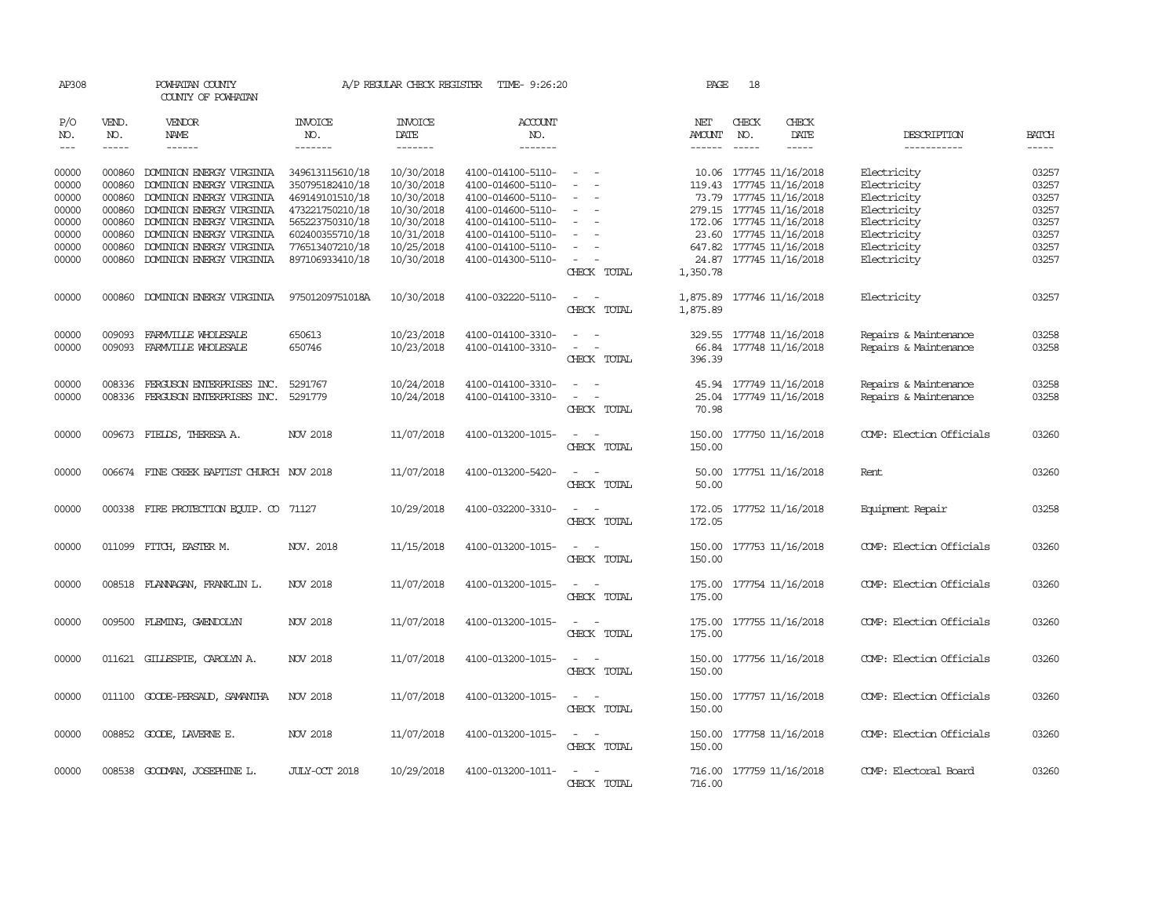| AP308          |                  | POWHATAN COUNTY<br>COUNTY OF POWHATAN                  |                                    | A/P REGULAR CHECK REGISTER | TIME- 9:26:20                          |                                                   | PAGE                 | 18           |                                                     |                                                |                |
|----------------|------------------|--------------------------------------------------------|------------------------------------|----------------------------|----------------------------------------|---------------------------------------------------|----------------------|--------------|-----------------------------------------------------|------------------------------------------------|----------------|
| P/O<br>NO.     | VEND.<br>NO.     | VENDOR<br>NAME                                         | <b>INVOICE</b><br>NO.              | <b>INVOICE</b><br>DATE     | ACCOUNT<br>NO.                         |                                                   | NET<br>AMOUNT        | CHECK<br>NO. | CHECK<br>DATE                                       | DESCRIPTION                                    | <b>BATCH</b>   |
| $\frac{1}{2}$  | $- - - - -$      | ------                                                 | -------                            | $- - - - - - -$            | -------                                |                                                   | $- - - - - -$        | $- - - - -$  | -----                                               | -----------                                    | $- - - - -$    |
| 00000<br>00000 | 000860<br>000860 | DOMINION ENERGY VIRGINIA<br>DOMINION ENERGY VIRGINIA   | 349613115610/18<br>350795182410/18 | 10/30/2018<br>10/30/2018   | 4100-014100-5110-<br>4100-014600-5110- | $\sim$<br>$\sim$                                  |                      |              | 10.06 177745 11/16/2018<br>119.43 177745 11/16/2018 | Electricity<br>Electricity                     | 03257<br>03257 |
| 00000<br>00000 | 000860<br>000860 | DOMINION ENERGY VIRGINIA<br>DOMINION ENERGY VIRGINIA   | 469149101510/18<br>473221750210/18 | 10/30/2018<br>10/30/2018   | 4100-014600-5110-<br>4100-014600-5110- | $\overline{\phantom{a}}$                          |                      |              | 73.79 177745 11/16/2018<br>279.15 177745 11/16/2018 | Electricity<br>Electricity                     | 03257<br>03257 |
| 00000<br>00000 | 000860<br>000860 | DOMINION ENERGY VIRGINIA<br>DOMINION ENERGY VIRGINIA   | 565223750310/18<br>602400355710/18 | 10/30/2018<br>10/31/2018   | 4100-014100-5110-<br>4100-014100-5110- |                                                   |                      |              | 172.06 177745 11/16/2018<br>23.60 177745 11/16/2018 | Electricity<br>Electricity                     | 03257<br>03257 |
| 00000<br>00000 | 000860<br>000860 | DOMINION ENERGY VIRGINIA<br>DOMINION ENERGY VIRGINIA   | 776513407210/18<br>897106933410/18 | 10/25/2018<br>10/30/2018   | 4100-014100-5110-<br>4100-014300-5110- | $\equiv$<br>$\overline{\phantom{a}}$              |                      |              | 647.82 177745 11/16/2018<br>24.87 177745 11/16/2018 | Electricity<br>Electricity                     | 03257<br>03257 |
|                |                  |                                                        |                                    |                            |                                        | CHECK TOTAL                                       | 1,350.78             |              |                                                     |                                                |                |
| 00000          | 000860           | DOMINION ENERGY VIRGINIA                               | 97501209751018A                    | 10/30/2018                 | 4100-032220-5110-                      | $\sim$<br>$\sim$<br>CHECK TOTAL                   | 1,875.89<br>1,875.89 |              | 177746 11/16/2018                                   | Electricity                                    | 03257          |
| 00000<br>00000 | 009093<br>009093 | FARMVILLE WHOLESALE<br>FARMVILLE WHOLESALE             | 650613<br>650746                   | 10/23/2018<br>10/23/2018   | 4100-014100-3310-<br>4100-014100-3310- |                                                   | 329.55               |              | 177748 11/16/2018<br>66.84 177748 11/16/2018        | Repairs & Maintenance<br>Repairs & Maintenance | 03258<br>03258 |
|                |                  |                                                        |                                    |                            |                                        | CHECK TOTAL                                       | 396.39               |              |                                                     |                                                |                |
| 00000<br>00000 | 008336<br>008336 | FERGUSON ENTERPRISES INC.<br>FERGUSON ENTERPRISES INC. | 5291767<br>5291779                 | 10/24/2018<br>10/24/2018   | 4100-014100-3310-<br>4100-014100-3310- | $\sim$ $\sim$<br>CHECK TOTAL                      | 70.98                |              | 45.94 177749 11/16/2018<br>25.04 177749 11/16/2018  | Repairs & Maintenance<br>Repairs & Maintenance | 03258<br>03258 |
| 00000          |                  | 009673 FIELDS, THERESA A.                              | NOV 2018                           | 11/07/2018                 | 4100-013200-1015-                      | $\sim$ $  -$<br>CHECK TOTAL                       | 150.00               |              | 150.00 177750 11/16/2018                            | COMP: Election Officials                       | 03260          |
| 00000          |                  | 006674 FINE CREEK BAPTIST CHURCH NOV 2018              |                                    | 11/07/2018                 | 4100-013200-5420-                      | $\sim$<br>CHECK TOTAL                             | 50.00                |              | 50.00 177751 11/16/2018                             | Rent                                           | 03260          |
| 00000          |                  | 000338 FIRE PROTECTION EQUIP. CO 71127                 |                                    | 10/29/2018                 | 4100-032200-3310-                      | $\sim$<br>CHECK TOTAL                             | 172.05               |              | 172.05 177752 11/16/2018                            | Equipment Repair                               | 03258          |
| 00000          |                  | 011099 FITCH, EASTER M.                                | NOV. 2018                          | 11/15/2018                 | 4100-013200-1015-                      | CHECK TOTAL                                       | 150.00<br>150.00     |              | 177753 11/16/2018                                   | COMP: Election Officials                       | 03260          |
| 00000          | 008518           | FLANNAGAN, FRANKLIN L.                                 | NOV 2018                           | 11/07/2018                 | 4100-013200-1015-                      | $\overline{\phantom{a}}$<br>$\sim$<br>CHECK TOTAL | 175.00<br>175.00     |              | 177754 11/16/2018                                   | COMP: Election Officials                       | 03260          |
| 00000          | 009500           | FLEMING, GWENDOLYN                                     | NOV 2018                           | 11/07/2018                 | 4100-013200-1015-                      | $\sim$<br>CHECK TOTAL                             | 175.00<br>175.00     |              | 177755 11/16/2018                                   | COMP: Election Officials                       | 03260          |
| 00000          |                  | 011621 GILLESPIE, CAROLYN A.                           | NOV 2018                           | 11/07/2018                 | 4100-013200-1015-                      | $\overline{\phantom{a}}$<br>$\sim$<br>CHECK TOTAL | 150.00<br>150.00     |              | 177756 11/16/2018                                   | COMP: Election Officials                       | 03260          |
| 00000          |                  | 011100 GOODE-PERSAUD, SAMANTHA                         | <b>NOV 2018</b>                    | 11/07/2018                 | 4100-013200-1015-                      | $\sim$ $ \sim$<br>CHECK TOTAL                     | 150.00               |              | 150.00 177757 11/16/2018                            | COMP: Election Officials                       | 03260          |
| 00000          |                  | 008852 GOODE, LAVERNE E.                               | NOV 2018                           | 11/07/2018                 | 4100-013200-1015-                      | $\sim$ $ \sim$<br>CHECK TOTAL                     | 150.00               |              | 150.00 177758 11/16/2018                            | COMP: Election Officials                       | 03260          |
| 00000          |                  | 008538 GOODMAN, JOSEPHINE L.                           | JULY-CCT 2018                      | 10/29/2018                 | 4100-013200-1011-                      | CHECK TOTAL                                       | 716.00               |              | 716.00 177759 11/16/2018                            | COMP: Electoral Board                          | 03260          |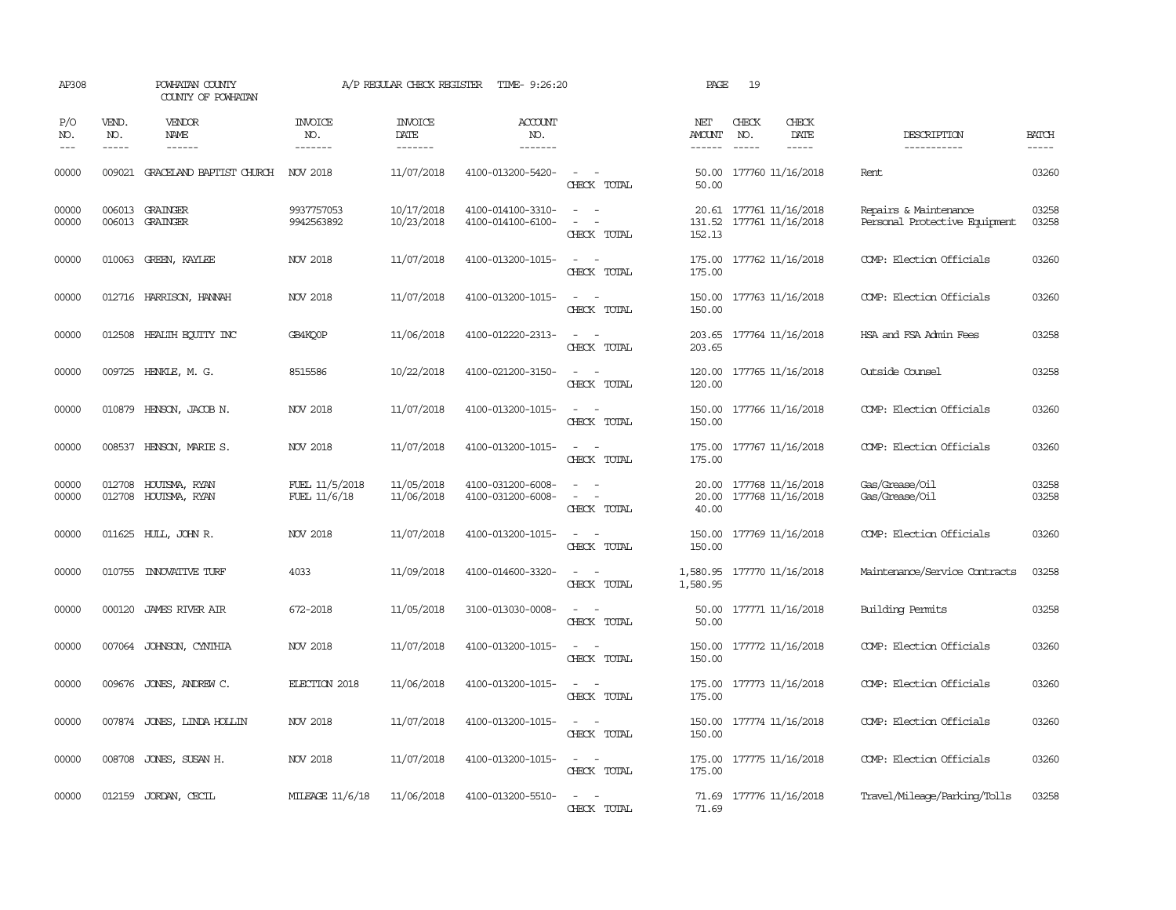| AP308               |                             | POWHATAN COUNTY<br>COUNTY OF POWHATAN        |                                  | A/P REGULAR CHECK REGISTER        | TIME- 9:26:20                          |                                                   | PAGE                                   | 19                            |                                              |                                                        |                             |
|---------------------|-----------------------------|----------------------------------------------|----------------------------------|-----------------------------------|----------------------------------------|---------------------------------------------------|----------------------------------------|-------------------------------|----------------------------------------------|--------------------------------------------------------|-----------------------------|
| P/O<br>NO.<br>$---$ | VEND.<br>NO.<br>$- - - - -$ | VENDOR<br><b>NAME</b><br>$- - - - - -$       | <b>INVOICE</b><br>NO.<br>------- | <b>INVOICE</b><br>DATE<br>------- | ACCOUNT<br>NO.<br>-------              |                                                   | NET<br><b>AMOUNT</b><br>$- - - - - -$  | CHECK<br>NO.<br>$\frac{1}{2}$ | CHECK<br>DATE<br>$- - - - -$                 | DESCRIPTION<br>-----------                             | <b>BATCH</b><br>$- - - - -$ |
| 00000               |                             | 009021 GRACELAND BAPTIST CHURCH              | NOV 2018                         | 11/07/2018                        | 4100-013200-5420-                      | $\sim$ 10 $\pm$<br>$\sim$<br>CHECK TOTAL          | 50.00                                  |                               | 50.00 177760 11/16/2018                      | Rent.                                                  | 03260                       |
| 00000<br>00000      |                             | 006013 GRAINGER<br>006013 GRAINGER           | 9937757053<br>9942563892         | 10/17/2018<br>10/23/2018          | 4100-014100-3310-<br>4100-014100-6100- | $\sim$<br>$\sim$<br>$\equiv$<br>CHECK TOTAL       | 131.52<br>152.13                       |                               | 20.61 177761 11/16/2018<br>177761 11/16/2018 | Repairs & Maintenance<br>Personal Protective Equipment | 03258<br>03258              |
| 00000               |                             | 010063 GREEN, KAYLEE                         | <b>NOV 2018</b>                  | 11/07/2018                        | 4100-013200-1015-                      | $\overline{\phantom{a}}$<br>CHECK TOTAL           | 175.00<br>175.00                       |                               | 177762 11/16/2018                            | COMP: Election Officials                               | 03260                       |
| 00000               |                             | 012716 HARRISON, HANNAH                      | NOV 2018                         | 11/07/2018                        | 4100-013200-1015-                      | CHECK TOTAL                                       | 150.00<br>150.00                       |                               | 177763 11/16/2018                            | COMP: Election Officials                               | 03260                       |
| 00000               |                             | 012508 HEALTH ECUTTY INC                     | GB4KO0P                          | 11/06/2018                        | 4100-012220-2313-                      | $\overline{\phantom{a}}$<br>CHECK TOTAL           | 203.65                                 |                               | 203.65 177764 11/16/2018                     | HSA and FSA Admin Fees                                 | 03258                       |
| 00000               | 009725                      | HENKLE, M. G.                                | 8515586                          | 10/22/2018                        | 4100-021200-3150-                      | CHECK TOTAL                                       | 120.00<br>120.00                       |                               | 177765 11/16/2018                            | Outside Counsel                                        | 03258                       |
| 00000               |                             | 010879 HENSON, JACOB N.                      | NOV 2018                         | 11/07/2018                        | 4100-013200-1015-                      | $\overline{\phantom{a}}$<br>CHECK TOTAL           | 150.00<br>150.00                       |                               | 177766 11/16/2018                            | COMP: Election Officials                               | 03260                       |
| 00000               |                             | 008537 HENSON, MARIE S.                      | <b>NOV 2018</b>                  | 11/07/2018                        | 4100-013200-1015-                      | $\sim$<br>$\overline{\phantom{a}}$<br>CHECK TOTAL | 175.00                                 |                               | 175.00 177767 11/16/2018                     | COMP: Election Officials                               | 03260                       |
| 00000<br>00000      |                             | 012708 HOUTSMA, RYAN<br>012708 HOUTSMA, RYAN | FUEL 11/5/2018<br>FUEL 11/6/18   | 11/05/2018<br>11/06/2018          | 4100-031200-6008-<br>4100-031200-6008- | $\equiv$<br>CHECK TOTAL                           | 20.00<br>20.00<br>40.00                |                               | 177768 11/16/2018<br>177768 11/16/2018       | Gas/Grease/Oil<br>Gas/Grease/Oil                       | 03258<br>03258              |
| 00000               |                             | 011625 HULL, JOHN R.                         | NOV 2018                         | 11/07/2018                        | 4100-013200-1015-                      | $\overline{\phantom{a}}$<br>CHECK TOTAL           | 150.00<br>150.00                       |                               | 177769 11/16/2018                            | COMP: Election Officials                               | 03260                       |
| 00000               |                             | 010755 INNOVATIVE TURF                       | 4033                             | 11/09/2018                        | 4100-014600-3320-                      | CHECK TOTAL                                       | 1,580.95 177770 11/16/2018<br>1,580.95 |                               |                                              | Maintenance/Service Contracts                          | 03258                       |
| 00000               |                             | 000120 JAMES RIVER AIR                       | 672-2018                         | 11/05/2018                        | 3100-013030-0008-                      | CHECK TOTAL                                       | 50.00<br>50.00                         |                               | 177771 11/16/2018                            | Building Permits                                       | 03258                       |
| 00000               | 007064                      | JOHNSON, CYNTHIA                             | NOV 2018                         | 11/07/2018                        | 4100-013200-1015-                      | $\overline{\phantom{a}}$<br>CHECK TOTAL           | 150.00<br>150.00                       |                               | 177772 11/16/2018                            | COMP: Election Officials                               | 03260                       |
| 00000               |                             | 009676 JONES, ANDREW C.                      | ELECTION 2018                    | 11/06/2018                        | 4100-013200-1015-                      | $\overline{\phantom{a}}$<br>CHECK TOTAL           | 175.00<br>175.00                       |                               | 177773 11/16/2018                            | COMP: Election Officials                               | 03260                       |
| 00000               |                             | 007874 JONES, LINDA HOLLIN                   | NOV 2018                         | 11/07/2018                        | 4100-013200-1015-                      | CHECK TOTAL                                       | 150.00                                 |                               | 150.00 177774 11/16/2018                     | COMP: Election Officials                               | 03260                       |
| 00000               |                             | 008708 JONES, SUSAN H.                       | NOV 2018                         | 11/07/2018                        | 4100-013200-1015-                      | $\sim$<br>$\sim$<br>CHECK TOTAL                   | 175.00<br>175.00                       |                               | 177775 11/16/2018                            | COMP: Election Officials                               | 03260                       |
| 00000               |                             | 012159 JORDAN, CECIL                         | MILEAGE 11/6/18                  | 11/06/2018                        | 4100-013200-5510-                      | $\sim$<br>$\sim$<br>CHECK TOTAL                   | 71.69                                  |                               | 71.69 177776 11/16/2018                      | Travel/Mileage/Parking/Tolls                           | 03258                       |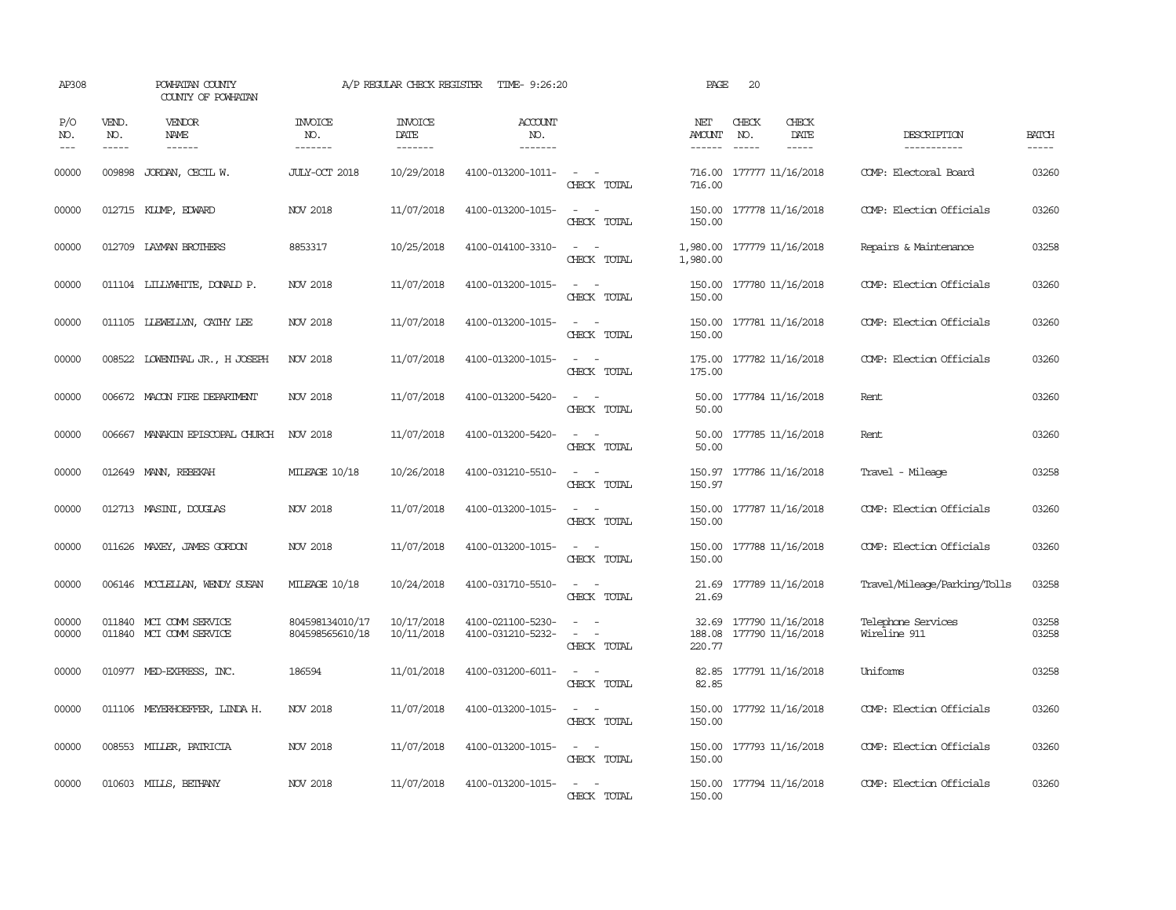| AP308                                                                                                                                                                                                                                                                                                                                                                                                      |                               | POWHATAN COUNTY<br>COUNTY OF POWHATAN              |                                    | A/P REGULAR CHECK REGISTER        | TIME- 9:26:20                          |                                                                                                                                          | PAGE                      | 20                          |                                        |                                    |                             |
|------------------------------------------------------------------------------------------------------------------------------------------------------------------------------------------------------------------------------------------------------------------------------------------------------------------------------------------------------------------------------------------------------------|-------------------------------|----------------------------------------------------|------------------------------------|-----------------------------------|----------------------------------------|------------------------------------------------------------------------------------------------------------------------------------------|---------------------------|-----------------------------|----------------------------------------|------------------------------------|-----------------------------|
| P/O<br>NO.<br>$\frac{1}{2} \frac{1}{2} \frac{1}{2} \frac{1}{2} \frac{1}{2} \frac{1}{2} \frac{1}{2} \frac{1}{2} \frac{1}{2} \frac{1}{2} \frac{1}{2} \frac{1}{2} \frac{1}{2} \frac{1}{2} \frac{1}{2} \frac{1}{2} \frac{1}{2} \frac{1}{2} \frac{1}{2} \frac{1}{2} \frac{1}{2} \frac{1}{2} \frac{1}{2} \frac{1}{2} \frac{1}{2} \frac{1}{2} \frac{1}{2} \frac{1}{2} \frac{1}{2} \frac{1}{2} \frac{1}{2} \frac{$ | VEND.<br>NO.<br>$\frac{1}{2}$ | <b>VENDOR</b><br><b>NAME</b><br>------             | <b>INVOICE</b><br>NO.<br>-------   | <b>INVOICE</b><br>DATE<br>------- | ACCOUNT<br>NO.<br>-------              |                                                                                                                                          | NET<br>AMOUNT<br>-------  | CHECK<br>NO.<br>$- - - - -$ | CHECK<br>DATE<br>$- - - - -$           | DESCRIPTION<br>-----------         | <b>BATCH</b><br>$- - - - -$ |
| 00000                                                                                                                                                                                                                                                                                                                                                                                                      | 009898                        | JORDAN, CECIL W.                                   | JULY-OCT 2018                      | 10/29/2018                        | 4100-013200-1011-                      | $\sim$<br>$\sim$<br>CHECK TOTAL                                                                                                          | 716.00<br>716.00          |                             | 177777 11/16/2018                      | COMP: Electoral Board              | 03260                       |
| 00000                                                                                                                                                                                                                                                                                                                                                                                                      |                               | 012715 KLUMP, EDWARD                               | NOV 2018                           | 11/07/2018                        | 4100-013200-1015-                      | $\sim$<br>$\sim$<br>CHECK TOTAL                                                                                                          | 150.00<br>150.00          |                             | 177778 11/16/2018                      | COMP: Election Officials           | 03260                       |
| 00000                                                                                                                                                                                                                                                                                                                                                                                                      |                               | 012709 LAYMAN BROTHERS                             | 8853317                            | 10/25/2018                        | 4100-014100-3310-                      | $\frac{1}{2} \left( \frac{1}{2} \right) \left( \frac{1}{2} \right) \left( \frac{1}{2} \right) \left( \frac{1}{2} \right)$<br>CHECK TOTAL | 1,980.00                  |                             | 1,980.00 177779 11/16/2018             | Repairs & Maintenance              | 03258                       |
| 00000                                                                                                                                                                                                                                                                                                                                                                                                      |                               | 011104 LILLYWHITE, DONALD P.                       | NOV 2018                           | 11/07/2018                        | 4100-013200-1015-                      | $\sim$<br>CHECK TOTAL                                                                                                                    | 150.00                    |                             | 150.00 177780 11/16/2018               | COMP: Election Officials           | 03260                       |
| 00000                                                                                                                                                                                                                                                                                                                                                                                                      |                               | 011105 LLEWELLYN, CATHY LEE                        | NOV 2018                           | 11/07/2018                        | 4100-013200-1015-                      | $\sim$ $ \sim$<br>CHECK TOTAL                                                                                                            | 150.00                    |                             | 150.00 177781 11/16/2018               | COMP: Election Officials           | 03260                       |
| 00000                                                                                                                                                                                                                                                                                                                                                                                                      |                               | 008522 LOWENTHAL JR., H JOSEPH                     | NOV 2018                           | 11/07/2018                        | 4100-013200-1015-                      | $\sim$ $\sim$<br>CHECK TOTAL                                                                                                             | 175.00<br>175.00          |                             | 177782 11/16/2018                      | COMP: Election Officials           | 03260                       |
| 00000                                                                                                                                                                                                                                                                                                                                                                                                      |                               | 006672 MACON FIRE DEPARTMENT                       | NOV 2018                           | 11/07/2018                        | 4100-013200-5420-                      | $\frac{1}{2} \left( \frac{1}{2} \right) \left( \frac{1}{2} \right) \left( \frac{1}{2} \right) \left( \frac{1}{2} \right)$<br>CHECK TOTAL | 50.00                     |                             | 50.00 177784 11/16/2018                | Rent                               | 03260                       |
| 00000                                                                                                                                                                                                                                                                                                                                                                                                      |                               | 006667 MANAKIN EPISCOPAL CHURCH                    | NOV 2018                           | 11/07/2018                        | 4100-013200-5420-                      | $\sim$<br>$\sim$<br>CHECK TOTAL                                                                                                          | 50.00                     |                             | 50.00 177785 11/16/2018                | Rent                               | 03260                       |
| 00000                                                                                                                                                                                                                                                                                                                                                                                                      |                               | 012649 MANN, REBEKAH                               | MILEAGE 10/18                      | 10/26/2018                        | 4100-031210-5510-                      | $\sim$<br>$\sim$<br>CHECK TOTAL                                                                                                          | 150.97<br>150.97          |                             | 177786 11/16/2018                      | Travel - Mileage                   | 03258                       |
| 00000                                                                                                                                                                                                                                                                                                                                                                                                      |                               | 012713 MASINI, DOUGLAS                             | NOV 2018                           | 11/07/2018                        | 4100-013200-1015-                      | $\sim$ $ -$<br>CHECK TOTAL                                                                                                               | 150.00<br>150.00          |                             | 177787 11/16/2018                      | COMP: Election Officials           | 03260                       |
| 00000                                                                                                                                                                                                                                                                                                                                                                                                      |                               | 011626 MAXEY, JAMES GORDON                         | <b>NOV 2018</b>                    | 11/07/2018                        | 4100-013200-1015-                      | $\omega_{\rm{max}}$ and $\omega_{\rm{max}}$<br>CHECK TOTAL                                                                               | 150.00<br>150.00          |                             | 177788 11/16/2018                      | COMP: Election Officials           | 03260                       |
| 00000                                                                                                                                                                                                                                                                                                                                                                                                      |                               | 006146 MCCLELLAN, WENDY SUSAN                      | MILEAGE 10/18                      | 10/24/2018                        | 4100-031710-5510-                      | $ -$<br>CHECK TOTAL                                                                                                                      | 21.69                     |                             | 21.69 177789 11/16/2018                | Travel/Mileage/Parking/Tolls       | 03258                       |
| 00000<br>00000                                                                                                                                                                                                                                                                                                                                                                                             |                               | 011840 MCI COMM SERVICE<br>011840 MCI COMM SERVICE | 804598134010/17<br>804598565610/18 | 10/17/2018<br>10/11/2018          | 4100-021100-5230-<br>4100-031210-5232- | $\equiv$<br>$\sim$<br>$\equiv$<br>CHECK TOTAL                                                                                            | 32.69<br>188.08<br>220.77 |                             | 177790 11/16/2018<br>177790 11/16/2018 | Telephone Services<br>Wireline 911 | 03258<br>03258              |
| 00000                                                                                                                                                                                                                                                                                                                                                                                                      |                               | 010977 MED-EXPRESS, INC.                           | 186594                             | 11/01/2018                        | 4100-031200-6011-                      | $\frac{1}{2} \left( \frac{1}{2} \right) \left( \frac{1}{2} \right) = \frac{1}{2} \left( \frac{1}{2} \right)$<br>CHECK TOTAL              | 82.85                     |                             | 82.85 177791 11/16/2018                | Uniforms                           | 03258                       |
| 00000                                                                                                                                                                                                                                                                                                                                                                                                      |                               | 011106 MEYERHOEFFER, LINDA H.                      | NOV 2018                           | 11/07/2018                        | 4100-013200-1015-                      | $\sim$<br>CHECK TOTAL                                                                                                                    | 150.00                    |                             | 150.00 177792 11/16/2018               | COMP: Election Officials           | 03260                       |
| 00000                                                                                                                                                                                                                                                                                                                                                                                                      |                               | 008553 MILLER, PATRICIA                            | NOV 2018                           | 11/07/2018                        | 4100-013200-1015-                      | $\frac{1}{2} \left( \frac{1}{2} \right) \left( \frac{1}{2} \right) = \frac{1}{2} \left( \frac{1}{2} \right)$<br>CHECK TOTAL              | 150.00                    |                             | 150.00 177793 11/16/2018               | COMP: Election Officials           | 03260                       |
| 00000                                                                                                                                                                                                                                                                                                                                                                                                      |                               | 010603 MILLS, BETHANY                              | <b>NOV 2018</b>                    | 11/07/2018                        | 4100-013200-1015-                      | $\sim$<br>CHECK TOTAL                                                                                                                    | 150.00                    |                             | 150.00 177794 11/16/2018               | COMP: Election Officials           | 03260                       |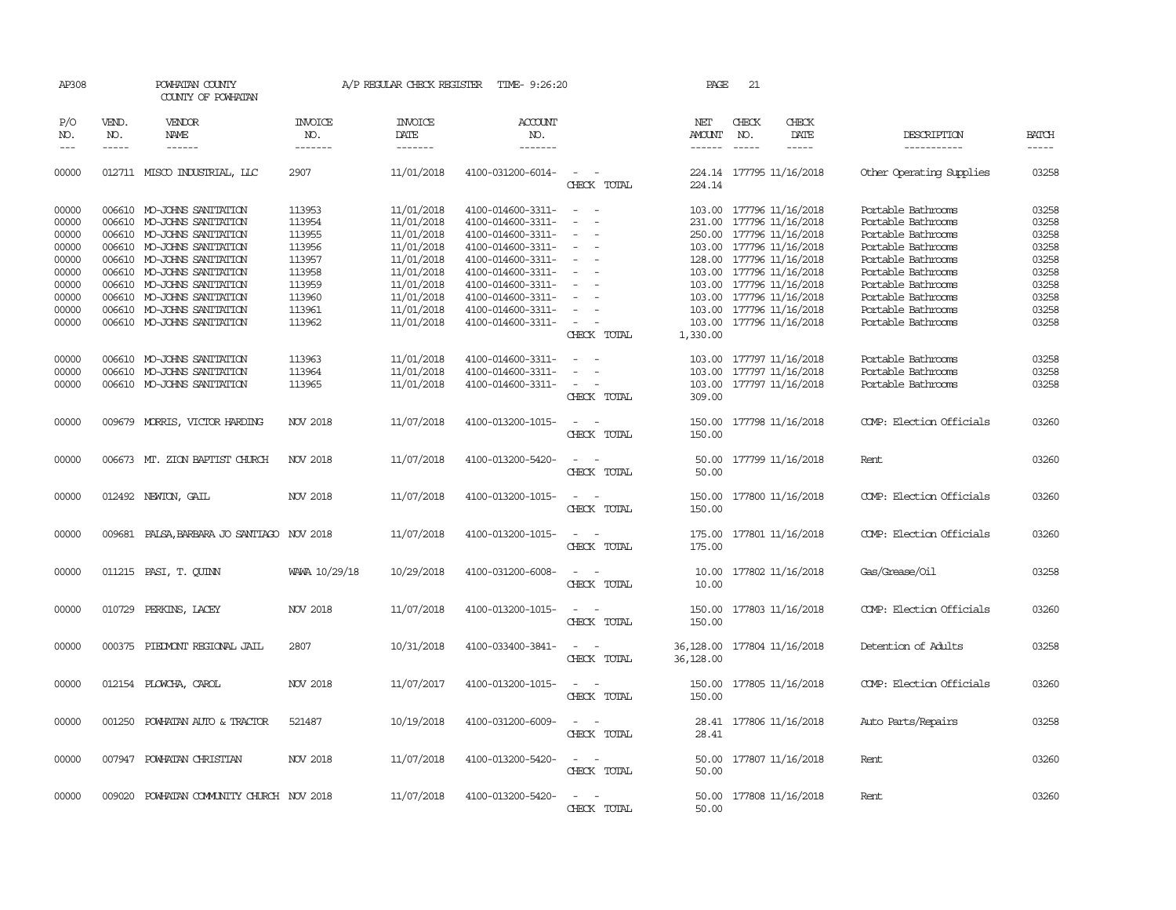| AP308                                              |                             | POWHATAN COUNTY<br>COUNTY OF POWHATAN                                                                                                                                            |                                                          | A/P REGULAR CHECK REGISTER                                                       | TIME- 9:26:20                                                                                                              |                                                                                                           | PAGE                       | 21                          |                                                                                                                                                               |                                                                                                                                  |                                                    |
|----------------------------------------------------|-----------------------------|----------------------------------------------------------------------------------------------------------------------------------------------------------------------------------|----------------------------------------------------------|----------------------------------------------------------------------------------|----------------------------------------------------------------------------------------------------------------------------|-----------------------------------------------------------------------------------------------------------|----------------------------|-----------------------------|---------------------------------------------------------------------------------------------------------------------------------------------------------------|----------------------------------------------------------------------------------------------------------------------------------|----------------------------------------------------|
| P/O<br>NO.<br>$---$                                | VEND.<br>NO.<br>$- - - - -$ | VENDOR<br><b>NAME</b><br>$- - - - - -$                                                                                                                                           | <b>INVOICE</b><br>NO.<br>-------                         | <b>INVOICE</b><br>DATE<br>-------                                                | ACCOUNT<br>NO.<br>-------                                                                                                  |                                                                                                           | NET<br>AMOUNT<br>------    | CHECK<br>NO.<br>$- - - - -$ | CHECK<br>DATE<br>-----                                                                                                                                        | DESCRIPTION<br>-----------                                                                                                       | <b>BATCH</b><br>$- - - - -$                        |
| 00000                                              |                             | 012711 MISCO INDUSTRIAL, LLC                                                                                                                                                     | 2907                                                     | 11/01/2018                                                                       | 4100-031200-6014-                                                                                                          | $\sim$<br>$\sim$<br>CHECK TOTAL                                                                           | 224.14                     |                             | 224.14 177795 11/16/2018                                                                                                                                      | Other Operating Supplies                                                                                                         | 03258                                              |
| 00000<br>00000<br>00000<br>00000                   |                             | 006610 MO-JOHNS SANITATION<br>006610 MO-JOHNS SANITATION<br>006610 MO-JOHNS SANITATION<br>006610 MO-JOHNS SANITATION                                                             | 113953<br>113954<br>113955<br>113956                     | 11/01/2018<br>11/01/2018<br>11/01/2018<br>11/01/2018                             | 4100-014600-3311-<br>4100-014600-3311-<br>4100-014600-3311-<br>4100-014600-3311-                                           | $\sim$<br>- 11<br>$\overline{\phantom{a}}$<br>$\sim$<br>$\overline{\phantom{a}}$                          |                            |                             | 103.00 177796 11/16/2018<br>231.00 177796 11/16/2018<br>250.00 177796 11/16/2018<br>103.00 177796 11/16/2018                                                  | Portable Bathrooms<br>Portable Bathrooms<br>Portable Bathrooms<br>Portable Bathrooms                                             | 03258<br>03258<br>03258<br>03258                   |
| 00000<br>00000<br>00000<br>00000<br>00000<br>00000 |                             | 006610 MO-JOHNS SANITATION<br>006610 MO-JOHNS SANITATION<br>006610 MO-JOHNS SANITATION<br>006610 MO-JOHNS SANITATION<br>006610 MO-JOHNS SANITATION<br>006610 MO-JOHNS SANITATION | 113957<br>113958<br>113959<br>113960<br>113961<br>113962 | 11/01/2018<br>11/01/2018<br>11/01/2018<br>11/01/2018<br>11/01/2018<br>11/01/2018 | 4100-014600-3311-<br>4100-014600-3311-<br>4100-014600-3311-<br>4100-014600-3311-<br>4100-014600-3311-<br>4100-014600-3311- | $\overline{\phantom{a}}$<br>$\equiv$<br>$\sim$                                                            | 103.00                     |                             | 128.00 177796 11/16/2018<br>103.00 177796 11/16/2018<br>103.00 177796 11/16/2018<br>103.00 177796 11/16/2018<br>103.00 177796 11/16/2018<br>177796 11/16/2018 | Portable Bathrooms<br>Portable Bathrooms<br>Portable Bathrooms<br>Portable Bathrooms<br>Portable Bathrooms<br>Portable Bathrooms | 03258<br>03258<br>03258<br>03258<br>03258<br>03258 |
| 00000<br>00000<br>00000                            | 006610                      | 006610 MO-JOHNS SANITATION<br>MO-JOHNS SANITATION<br>006610 MO-JOHNS SANITATION                                                                                                  | 113963<br>113964<br>113965                               | 11/01/2018<br>11/01/2018<br>11/01/2018                                           | 4100-014600-3311-<br>4100-014600-3311-<br>4100-014600-3311-                                                                | CHECK TOTAL<br>$\overline{\phantom{a}}$<br>$\sim$<br>$\overline{\phantom{a}}$<br>$\overline{\phantom{a}}$ | 1,330.00<br>103.00         |                             | 103.00 177797 11/16/2018<br>177797 11/16/2018<br>103.00 177797 11/16/2018                                                                                     | Portable Bathrooms<br>Portable Bathrooms<br>Portable Bathrooms                                                                   | 03258<br>03258<br>03258                            |
| 00000                                              |                             | 009679 MORRIS, VICTOR HARDING                                                                                                                                                    | NOV 2018                                                 | 11/07/2018                                                                       | 4100-013200-1015-                                                                                                          | CHECK TOTAL<br>$\overline{\phantom{a}}$<br>CHECK TOTAL                                                    | 309.00<br>150.00<br>150.00 |                             | 177798 11/16/2018                                                                                                                                             | COMP: Election Officials                                                                                                         | 03260                                              |
| 00000                                              |                             | 006673 MT. ZION BAPTIST CHURCH                                                                                                                                                   | NOV 2018                                                 | 11/07/2018                                                                       | 4100-013200-5420-                                                                                                          | $\sim$<br>$\sim$<br>CHECK TOTAL                                                                           | 50.00<br>50.00             |                             | 177799 11/16/2018                                                                                                                                             | Rent                                                                                                                             | 03260                                              |
| 00000                                              |                             | 012492 NEWTON, GAIL                                                                                                                                                              | NOV 2018                                                 | 11/07/2018                                                                       | 4100-013200-1015-                                                                                                          | $\sim$<br>$\overline{\phantom{a}}$<br>CHECK TOTAL                                                         | 150.00<br>150.00           |                             | 177800 11/16/2018                                                                                                                                             | COMP: Election Officials                                                                                                         | 03260                                              |
| 00000                                              |                             | 009681 PALSA, BARBARA JO SANTIAGO NOV 2018                                                                                                                                       |                                                          | 11/07/2018                                                                       | 4100-013200-1015-                                                                                                          | $\overline{\phantom{a}}$<br>$\sim$<br>CHECK TOTAL                                                         | 175.00<br>175.00           |                             | 177801 11/16/2018                                                                                                                                             | COMP: Election Officials                                                                                                         | 03260                                              |
| 00000                                              |                             | 011215 PASI, T. QUINN                                                                                                                                                            | WAWA 10/29/18                                            | 10/29/2018                                                                       | 4100-031200-6008-                                                                                                          | CHECK TOTAL                                                                                               | 10.00                      |                             | 10.00 177802 11/16/2018                                                                                                                                       | Gas/Grease/Oil                                                                                                                   | 03258                                              |
| 00000                                              |                             | 010729 PERKINS, LACEY                                                                                                                                                            | NOV 2018                                                 | 11/07/2018                                                                       | 4100-013200-1015-                                                                                                          | CHECK TOTAL                                                                                               | 150.00<br>150.00           |                             | 177803 11/16/2018                                                                                                                                             | COMP: Election Officials                                                                                                         | 03260                                              |
| 00000                                              | 000375                      | PIEDMONT REGIONAL JAIL                                                                                                                                                           | 2807                                                     | 10/31/2018                                                                       | 4100-033400-3841-                                                                                                          | CHECK TOTAL                                                                                               | 36,128.00<br>36,128.00     |                             | 177804 11/16/2018                                                                                                                                             | Detention of Adults                                                                                                              | 03258                                              |
| 00000                                              |                             | 012154 PLOWCHA, CAROL                                                                                                                                                            | NOV 2018                                                 | 11/07/2017                                                                       | 4100-013200-1015-                                                                                                          | CHECK TOTAL                                                                                               | 150.00<br>150.00           |                             | 177805 11/16/2018                                                                                                                                             | COMP: Election Officials                                                                                                         | 03260                                              |
| 00000                                              |                             | 001250 POWHATAN AUTO & TRACTOR                                                                                                                                                   | 521487                                                   | 10/19/2018                                                                       | 4100-031200-6009-                                                                                                          | $\overline{\phantom{a}}$<br>CHECK TOTAL                                                                   | 28.41                      |                             | 28.41 177806 11/16/2018                                                                                                                                       | Auto Parts/Repairs                                                                                                               | 03258                                              |
| 00000                                              |                             | 007947 POWHATAN CHRISTIAN                                                                                                                                                        | NOV 2018                                                 | 11/07/2018                                                                       | 4100-013200-5420-                                                                                                          | $\overline{\phantom{a}}$<br>CHECK TOTAL                                                                   | 50.00<br>50.00             |                             | 177807 11/16/2018                                                                                                                                             | Rent                                                                                                                             | 03260                                              |
| 00000                                              |                             | 009020 POWHATAN COMMUNITY CHURCH NOV 2018                                                                                                                                        |                                                          | 11/07/2018                                                                       | 4100-013200-5420-                                                                                                          | $\sim$<br>CHECK TOTAL                                                                                     | 50.00                      |                             | 50.00 177808 11/16/2018                                                                                                                                       | Rent                                                                                                                             | 03260                                              |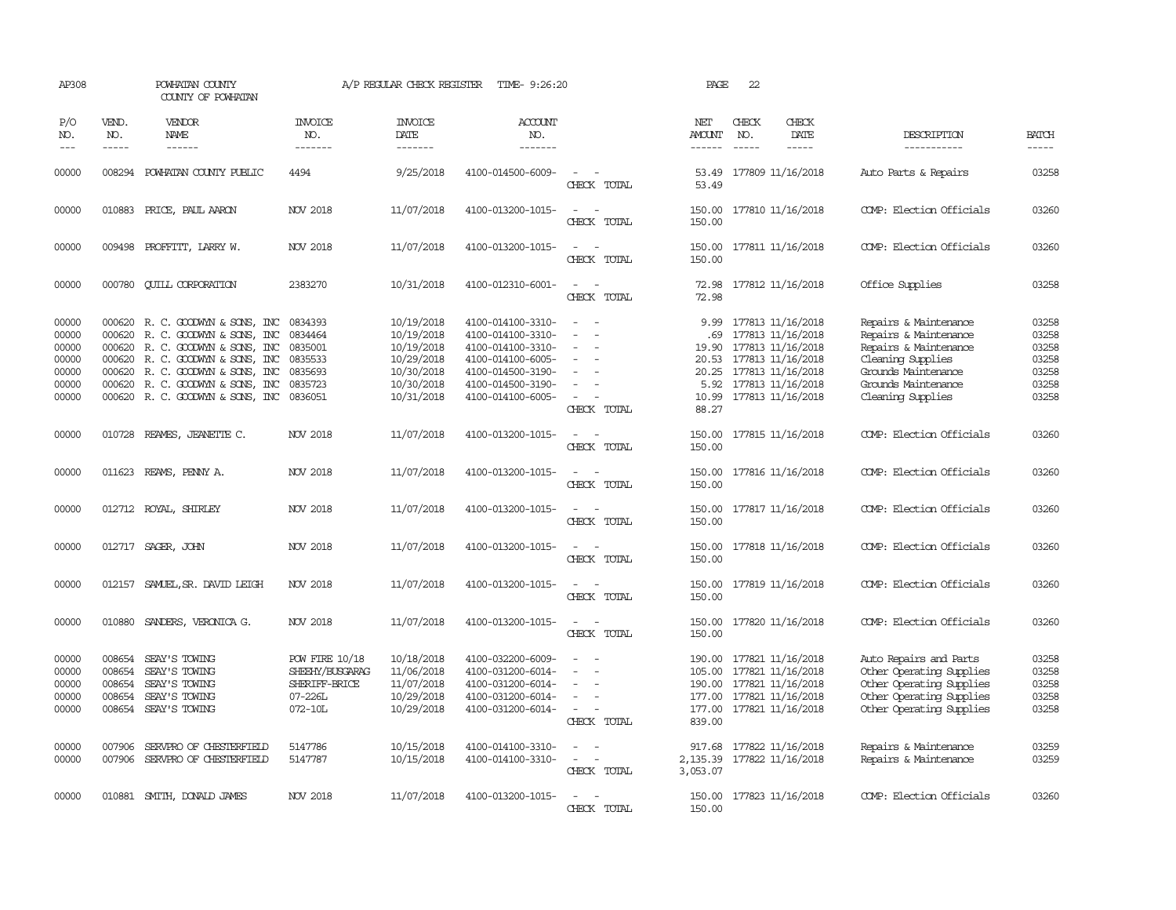| AP308                                                       |                                      | POWHATAN COUNTY<br>COUNTY OF POWHATAN                                                                                                                                                                                                |                                                                                 | A/P REGULAR CHECK REGISTER                                                                     | TIME- 9:26:20                                                                                                                                   |                                                                                                                             | PAGE                                     | 22                                                                                                                                                             |                                                                                                                                                                 |                                                             |
|-------------------------------------------------------------|--------------------------------------|--------------------------------------------------------------------------------------------------------------------------------------------------------------------------------------------------------------------------------------|---------------------------------------------------------------------------------|------------------------------------------------------------------------------------------------|-------------------------------------------------------------------------------------------------------------------------------------------------|-----------------------------------------------------------------------------------------------------------------------------|------------------------------------------|----------------------------------------------------------------------------------------------------------------------------------------------------------------|-----------------------------------------------------------------------------------------------------------------------------------------------------------------|-------------------------------------------------------------|
| P/O<br>NO.<br>$---$                                         | VEND.<br>NO.<br>$- - - - -$          | VENDOR<br><b>NAME</b><br>------                                                                                                                                                                                                      | <b>INVOICE</b><br>NO.<br>-------                                                | <b>INVOICE</b><br>DATE<br>-------                                                              | ACCOUNT<br>NO.<br>-------                                                                                                                       |                                                                                                                             | NET<br>AMOUNT<br>$- - - - - -$           | CHECK<br>CHECK<br>NO.<br>DATE<br>$\frac{1}{2}$<br>$- - - - -$                                                                                                  | DESCRIPTION<br>-----------                                                                                                                                      | <b>BATCH</b><br>$- - - - -$                                 |
| 00000                                                       |                                      | 008294 POWHATAN COUNTY PUBLIC                                                                                                                                                                                                        | 4494                                                                            | 9/25/2018                                                                                      | 4100-014500-6009-                                                                                                                               | $\sim$ $-$<br>CHECK TOTAL                                                                                                   | 53.49                                    | 53.49 177809 11/16/2018                                                                                                                                        | Auto Parts & Repairs                                                                                                                                            | 03258                                                       |
| 00000                                                       |                                      | 010883 PRICE, PAUL AARON                                                                                                                                                                                                             | <b>NOV 2018</b>                                                                 | 11/07/2018                                                                                     | 4100-013200-1015-                                                                                                                               | $\sim$<br>$\sim$<br>CHECK TOTAL                                                                                             | 150.00                                   | 150.00 177810 11/16/2018                                                                                                                                       | COMP: Election Officials                                                                                                                                        | 03260                                                       |
| 00000                                                       |                                      | 009498 PROFFITT, LARRY W.                                                                                                                                                                                                            | <b>NOV 2018</b>                                                                 | 11/07/2018                                                                                     | 4100-013200-1015-                                                                                                                               | $\sim$ $\sim$<br>CHECK TOTAL                                                                                                | 150.00                                   | 150.00 177811 11/16/2018                                                                                                                                       | COMP: Election Officials                                                                                                                                        | 03260                                                       |
| 00000                                                       |                                      | 000780 CUILL CORPORATION                                                                                                                                                                                                             | 2383270                                                                         | 10/31/2018                                                                                     | 4100-012310-6001-                                                                                                                               | $\sim$<br>CHECK TOTAL                                                                                                       | 72.98                                    | 72.98 177812 11/16/2018                                                                                                                                        | Office Supplies                                                                                                                                                 | 03258                                                       |
| 00000<br>00000<br>00000<br>00000<br>00000<br>00000<br>00000 | 000620<br>000620<br>000620<br>000620 | R. C. GOODWYN & SONS, INC<br>R. C. GOODWYN & SONS, INC<br>R. C. GOODWYN & SONS, INC<br>R. C. GOODWYN & SONS, INC<br>000620 R. C. GOODWYN & SONS, INC<br>000620 R. C. GOODWYN & SONS, INC<br>000620 R. C. GOODWYN & SONS, INC 0836051 | 0834393<br>0834464<br>0835001<br>0835533<br>0835693<br>0835723                  | 10/19/2018<br>10/19/2018<br>10/19/2018<br>10/29/2018<br>10/30/2018<br>10/30/2018<br>10/31/2018 | 4100-014100-3310-<br>4100-014100-3310-<br>4100-014100-3310-<br>4100-014100-6005-<br>4100-014500-3190-<br>4100-014500-3190-<br>4100-014100-6005- | $\sim$<br>$\sim$<br>$\overline{\phantom{a}}$<br>$\equiv$<br>$\sim$<br>CHECK TOTAL                                           | 9.99<br>19.90<br>20.53<br>20.25<br>88.27 | 177813 11/16/2018<br>.69 177813 11/16/2018<br>177813 11/16/2018<br>177813 11/16/2018<br>177813 11/16/2018<br>5.92 177813 11/16/2018<br>10.99 177813 11/16/2018 | Repairs & Maintenance<br>Repairs & Maintenance<br>Repairs & Maintenance<br>Cleaning Supplies<br>Grounds Maintenance<br>Grounds Maintenance<br>Cleaning Supplies | 03258<br>03258<br>03258<br>03258<br>03258<br>03258<br>03258 |
| 00000                                                       |                                      | 010728 REAMES, JEANETTE C.                                                                                                                                                                                                           | NOV 2018                                                                        | 11/07/2018                                                                                     | 4100-013200-1015-                                                                                                                               | $\sim$ $ \sim$<br>CHECK TOTAL                                                                                               | 150.00<br>150.00                         | 177815 11/16/2018                                                                                                                                              | COMP: Election Officials                                                                                                                                        | 03260                                                       |
| 00000                                                       |                                      | 011623 REAMS, PENNY A.                                                                                                                                                                                                               | NOV 2018                                                                        | 11/07/2018                                                                                     | 4100-013200-1015-                                                                                                                               | $\sim$<br>$\overline{\phantom{a}}$<br>CHECK TOTAL                                                                           | 150.00                                   | 150.00 177816 11/16/2018                                                                                                                                       | COMP: Election Officials                                                                                                                                        | 03260                                                       |
| 00000                                                       |                                      | 012712 ROYAL, SHIRLEY                                                                                                                                                                                                                | NOV 2018                                                                        | 11/07/2018                                                                                     | 4100-013200-1015-                                                                                                                               | $\overline{\phantom{a}}$<br>CHECK TOTAL                                                                                     | 150.00<br>150.00                         | 177817 11/16/2018                                                                                                                                              | COMP: Election Officials                                                                                                                                        | 03260                                                       |
| 00000                                                       |                                      | 012717 SAGER, JOHN                                                                                                                                                                                                                   | <b>NOV 2018</b>                                                                 | 11/07/2018                                                                                     | 4100-013200-1015-                                                                                                                               | $\sim$<br>CHECK TOTAL                                                                                                       | 150.00<br>150.00                         | 177818 11/16/2018                                                                                                                                              | COMP: Election Officials                                                                                                                                        | 03260                                                       |
| 00000                                                       |                                      | 012157 SAMUEL, SR. DAVID LEIGH                                                                                                                                                                                                       | <b>NOV 2018</b>                                                                 | 11/07/2018                                                                                     | 4100-013200-1015-                                                                                                                               | $\sim$<br>CHECK TOTAL                                                                                                       | 150.00                                   | 150.00 177819 11/16/2018                                                                                                                                       | COMP: Election Officials                                                                                                                                        | 03260                                                       |
| 00000                                                       |                                      | 010880 SANDERS, VERONICA G.                                                                                                                                                                                                          | <b>NOV 2018</b>                                                                 | 11/07/2018                                                                                     | 4100-013200-1015-                                                                                                                               | $\frac{1}{2} \left( \frac{1}{2} \right) \left( \frac{1}{2} \right) = \frac{1}{2} \left( \frac{1}{2} \right)$<br>CHECK TOTAL | 150.00                                   | 150.00 177820 11/16/2018                                                                                                                                       | COMP: Election Officials                                                                                                                                        | 03260                                                       |
| 00000<br>00000<br>00000<br>00000<br>00000                   | 008654<br>008654<br>008654<br>008654 | SEAY'S TOWING<br>SEAY'S TOWING<br>SEAY'S TOWING<br>SEAY'S TOWING<br>008654 SEAY'S TOWING                                                                                                                                             | <b>POW FIRE 10/18</b><br>SHEEHY/BUSGARAG<br>SHERIFF-BRICE<br>07-226L<br>072-10L | 10/18/2018<br>11/06/2018<br>11/07/2018<br>10/29/2018<br>10/29/2018                             | 4100-032200-6009-<br>4100-031200-6014-<br>4100-031200-6014-<br>4100-031200-6014-<br>4100-031200-6014-                                           | $\equiv$<br>$\overline{\phantom{a}}$<br>$\overline{\phantom{a}}$<br>$\equiv$<br>$\sim$<br>CHECK TOTAL                       | 839.00                                   | 190.00 177821 11/16/2018<br>105.00 177821 11/16/2018<br>190.00 177821 11/16/2018<br>177.00 177821 11/16/2018<br>177.00 177821 11/16/2018                       | Auto Repairs and Parts<br>Other Operating Supplies<br>Other Operating Supplies<br>Other Operating Supplies<br>Other Operating Supplies                          | 03258<br>03258<br>03258<br>03258<br>03258                   |
| 00000<br>00000                                              | 007906                               | SERVPRO OF CHESTERFIELD<br>007906 SERVPRO OF CHESTERFIELD                                                                                                                                                                            | 5147786<br>5147787                                                              | 10/15/2018<br>10/15/2018                                                                       | 4100-014100-3310-<br>4100-014100-3310-                                                                                                          | $\overline{\phantom{a}}$<br>$\sim$<br>CHECK TOTAL                                                                           | 3,053.07                                 | 917.68 177822 11/16/2018<br>2, 135.39 177822 11/16/2018                                                                                                        | Repairs & Maintenance<br>Repairs & Maintenance                                                                                                                  | 03259<br>03259                                              |
| 00000                                                       |                                      | 010881 SMITH, DONALD JAMES                                                                                                                                                                                                           | <b>NOV 2018</b>                                                                 | 11/07/2018                                                                                     | 4100-013200-1015-                                                                                                                               | $\sim$<br>CHECK TOTAL                                                                                                       | 150.00                                   | 150.00 177823 11/16/2018                                                                                                                                       | COMP: Election Officials                                                                                                                                        | 03260                                                       |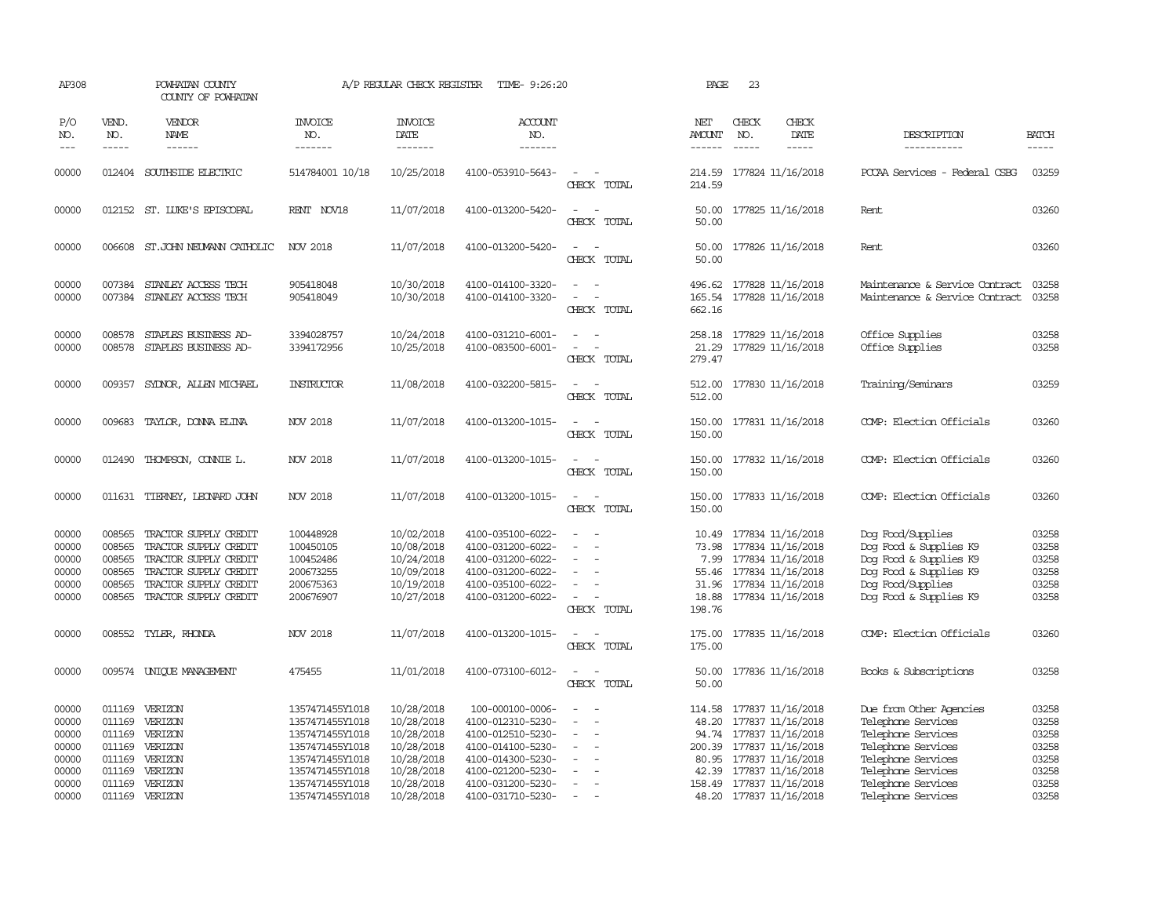| AP308                                                       |                                                | POWHATAN COUNTY<br>COUNTY OF POWHATAN                                                                                                                     |                                                                                                                                   | A/P REGULAR CHECK REGISTER                                                                     | TIME- 9:26:20                                                                                                                                  |                                                                          | PAGE                                                 | 23                            |                                                                                                                                                        |                                                                                                                                                             |                                                             |
|-------------------------------------------------------------|------------------------------------------------|-----------------------------------------------------------------------------------------------------------------------------------------------------------|-----------------------------------------------------------------------------------------------------------------------------------|------------------------------------------------------------------------------------------------|------------------------------------------------------------------------------------------------------------------------------------------------|--------------------------------------------------------------------------|------------------------------------------------------|-------------------------------|--------------------------------------------------------------------------------------------------------------------------------------------------------|-------------------------------------------------------------------------------------------------------------------------------------------------------------|-------------------------------------------------------------|
| P/O<br>NO.<br>$---$                                         | VEND.<br>NO.<br>$\frac{1}{2}$                  | <b>VENDOR</b><br>NAME<br>$- - - - - -$                                                                                                                    | <b>INVOICE</b><br>NO.<br>--------                                                                                                 | <b>INVOICE</b><br>DATE<br>--------                                                             | ACCOUNT<br>NO.<br>-------                                                                                                                      |                                                                          | NET<br>AMOUNT<br>------                              | CHECK<br>NO.<br>$\frac{1}{2}$ | CHECK<br>DATE<br>-----                                                                                                                                 | DESCRIPTION<br>-----------                                                                                                                                  | <b>BATCH</b><br>$- - - - -$                                 |
| 00000                                                       |                                                | 012404 SOUTHSIDE ELECTRIC                                                                                                                                 | 514784001 10/18                                                                                                                   | 10/25/2018                                                                                     | 4100-053910-5643-                                                                                                                              | $\equiv$<br>CHECK TOTAL                                                  | 214.59<br>214.59                                     |                               | 177824 11/16/2018                                                                                                                                      | PCCAA Services - Federal CSBG                                                                                                                               | 03259                                                       |
| 00000                                                       |                                                | 012152 ST. LUKE'S EPISCOPAL                                                                                                                               | RENT NOV18                                                                                                                        | 11/07/2018                                                                                     | 4100-013200-5420-                                                                                                                              | CHECK TOTAL                                                              | 50.00<br>50.00                                       |                               | 177825 11/16/2018                                                                                                                                      | Rent                                                                                                                                                        | 03260                                                       |
| 00000                                                       |                                                | 006608 ST.JOHN NEUMANN CATHOLIC                                                                                                                           | NOV 2018                                                                                                                          | 11/07/2018                                                                                     | 4100-013200-5420-                                                                                                                              | $\sim$<br>$\sim$<br>CHECK TOTAL                                          | 50.00<br>50.00                                       |                               | 177826 11/16/2018                                                                                                                                      | Rent                                                                                                                                                        | 03260                                                       |
| 00000<br>00000                                              | 007384                                         | STANLEY ACCESS TECH<br>007384 STANLEY ACCESS TECH                                                                                                         | 905418048<br>905418049                                                                                                            | 10/30/2018<br>10/30/2018                                                                       | 4100-014100-3320-<br>4100-014100-3320-                                                                                                         | $\equiv$<br>CHECK TOTAL                                                  | 496.62<br>165.54<br>662.16                           |                               | 177828 11/16/2018<br>177828 11/16/2018                                                                                                                 | Maintenance & Service Contract<br>Maintenance & Service Contract                                                                                            | 03258<br>03258                                              |
| 00000<br>00000                                              | 008578<br>008578                               | STAPLES BUSINESS AD-<br>STAPLES BUSINESS AD-                                                                                                              | 3394028757<br>3394172956                                                                                                          | 10/24/2018<br>10/25/2018                                                                       | 4100-031210-6001-<br>4100-083500-6001-                                                                                                         | CHECK TOTAL                                                              | 258.18<br>21.29<br>279.47                            |                               | 177829 11/16/2018<br>177829 11/16/2018                                                                                                                 | Office Supplies<br>Office Supplies                                                                                                                          | 03258<br>03258                                              |
| 00000                                                       | 009357                                         | SYDNOR, ALLEN MICHAEL                                                                                                                                     | INSTRUCTOR                                                                                                                        | 11/08/2018                                                                                     | 4100-032200-5815-                                                                                                                              | $\sim$<br>$\sim$<br>CHECK TOTAL                                          | 512.00<br>512.00                                     |                               | 177830 11/16/2018                                                                                                                                      | Training/Seminars                                                                                                                                           | 03259                                                       |
| 00000                                                       |                                                | 009683 TAYLOR, DONNA ELINA                                                                                                                                | NOV 2018                                                                                                                          | 11/07/2018                                                                                     | 4100-013200-1015-                                                                                                                              | CHECK TOTAL                                                              | 150.00                                               |                               | 150.00 177831 11/16/2018                                                                                                                               | COMP: Election Officials                                                                                                                                    | 03260                                                       |
| 00000                                                       |                                                | 012490 THOMPSON, CONNIE L.                                                                                                                                | NOV 2018                                                                                                                          | 11/07/2018                                                                                     | 4100-013200-1015-                                                                                                                              | $\sim$<br>- 11<br>CHECK TOTAL                                            | 150.00<br>150.00                                     |                               | 177832 11/16/2018                                                                                                                                      | COMP: Election Officials                                                                                                                                    | 03260                                                       |
| 00000                                                       |                                                | 011631 TIERNEY, LEONARD JOHN                                                                                                                              | <b>NOV 2018</b>                                                                                                                   | 11/07/2018                                                                                     | 4100-013200-1015-                                                                                                                              | $\sim$ 10 $\sim$ 10 $\sim$<br>CHECK TOTAL                                | 150.00<br>150.00                                     |                               | 177833 11/16/2018                                                                                                                                      | COMP: Election Officials                                                                                                                                    | 03260                                                       |
| 00000<br>00000<br>00000<br>00000<br>00000<br>00000          | 008565<br>008565<br>008565<br>008565<br>008565 | TRACTOR SUPPLY CREDIT<br>TRACTOR SUPPLY CREDIT<br>TRACTOR SUPPLY CREDIT<br>TRACTOR SUPPLY CREDIT<br>TRACTOR SUPPLY CREDIT<br>008565 TRACTOR SUPPLY CREDIT | 100448928<br>100450105<br>100452486<br>200673255<br>200675363<br>200676907                                                        | 10/02/2018<br>10/08/2018<br>10/24/2018<br>10/09/2018<br>10/19/2018<br>10/27/2018               | 4100-035100-6022-<br>4100-031200-6022-<br>4100-031200-6022-<br>4100-031200-6022-<br>4100-035100-6022-<br>4100-031200-6022-                     | $\sim$<br>CHECK TOTAL                                                    | 10.49<br>73.98<br>7.99<br>31.96<br>18.88<br>198.76   |                               | 177834 11/16/2018<br>177834 11/16/2018<br>177834 11/16/2018<br>55.46 177834 11/16/2018<br>177834 11/16/2018<br>177834 11/16/2018                       | Dog Food/Supplies<br>Dog Food & Supplies K9<br>Dog Food & Supplies K9<br>Dog Food & Supplies K9<br>Dog Food/Supplies<br>Dog Food & Supplies K9              | 03258<br>03258<br>03258<br>03258<br>03258<br>03258          |
| 00000                                                       |                                                | 008552 TYLER, RHONDA                                                                                                                                      | <b>NOV 2018</b>                                                                                                                   | 11/07/2018                                                                                     | 4100-013200-1015-                                                                                                                              | CHECK TOTAL                                                              | 175.00                                               |                               | 175.00 177835 11/16/2018                                                                                                                               | COMP: Election Officials                                                                                                                                    | 03260                                                       |
| 00000                                                       |                                                | 009574 UNIOUE MANAGEMENT                                                                                                                                  | 475455                                                                                                                            | 11/01/2018                                                                                     | 4100-073100-6012-                                                                                                                              | $\sim$<br>CHECK TOTAL                                                    | 50.00<br>50.00                                       |                               | 177836 11/16/2018                                                                                                                                      | Books & Subscriptions                                                                                                                                       | 03258                                                       |
| 00000<br>00000<br>00000<br>00000<br>00000<br>00000<br>00000 | 011169<br>011169                               | 011169 VERIZON<br>011169 VERIZON<br>011169 VERIZON<br>011169 VERIZON<br>VERIZON<br>VERIZON<br>011169 VERIZON                                              | 1357471455Y1018<br>1357471455Y1018<br>1357471455Y1018<br>1357471455Y1018<br>1357471455Y1018<br>1357471455Y1018<br>1357471455Y1018 | 10/28/2018<br>10/28/2018<br>10/28/2018<br>10/28/2018<br>10/28/2018<br>10/28/2018<br>10/28/2018 | 100-000100-0006-<br>4100-012310-5230-<br>4100-012510-5230-<br>4100-014100-5230-<br>4100-014300-5230-<br>4100-021200-5230-<br>4100-031200-5230- | $\overline{\phantom{a}}$<br>$\overline{\phantom{a}}$<br>$\sim$<br>$\sim$ | 114.58<br>48.20<br>94.74<br>200.39<br>80.95<br>42.39 |                               | 177837 11/16/2018<br>177837 11/16/2018<br>177837 11/16/2018<br>177837 11/16/2018<br>177837 11/16/2018<br>177837 11/16/2018<br>158.49 177837 11/16/2018 | Due from Other Agencies<br>Telephone Services<br>Telephone Services<br>Telephone Services<br>Telephone Services<br>Telephone Services<br>Telephone Services | 03258<br>03258<br>03258<br>03258<br>03258<br>03258<br>03258 |
| 00000                                                       |                                                | 011169 VERIZON                                                                                                                                            | 1357471455Y1018                                                                                                                   | 10/28/2018                                                                                     | 4100-031710-5230-                                                                                                                              | $\sim$                                                                   |                                                      |                               | 48.20 177837 11/16/2018                                                                                                                                | Telephone Services                                                                                                                                          | 03258                                                       |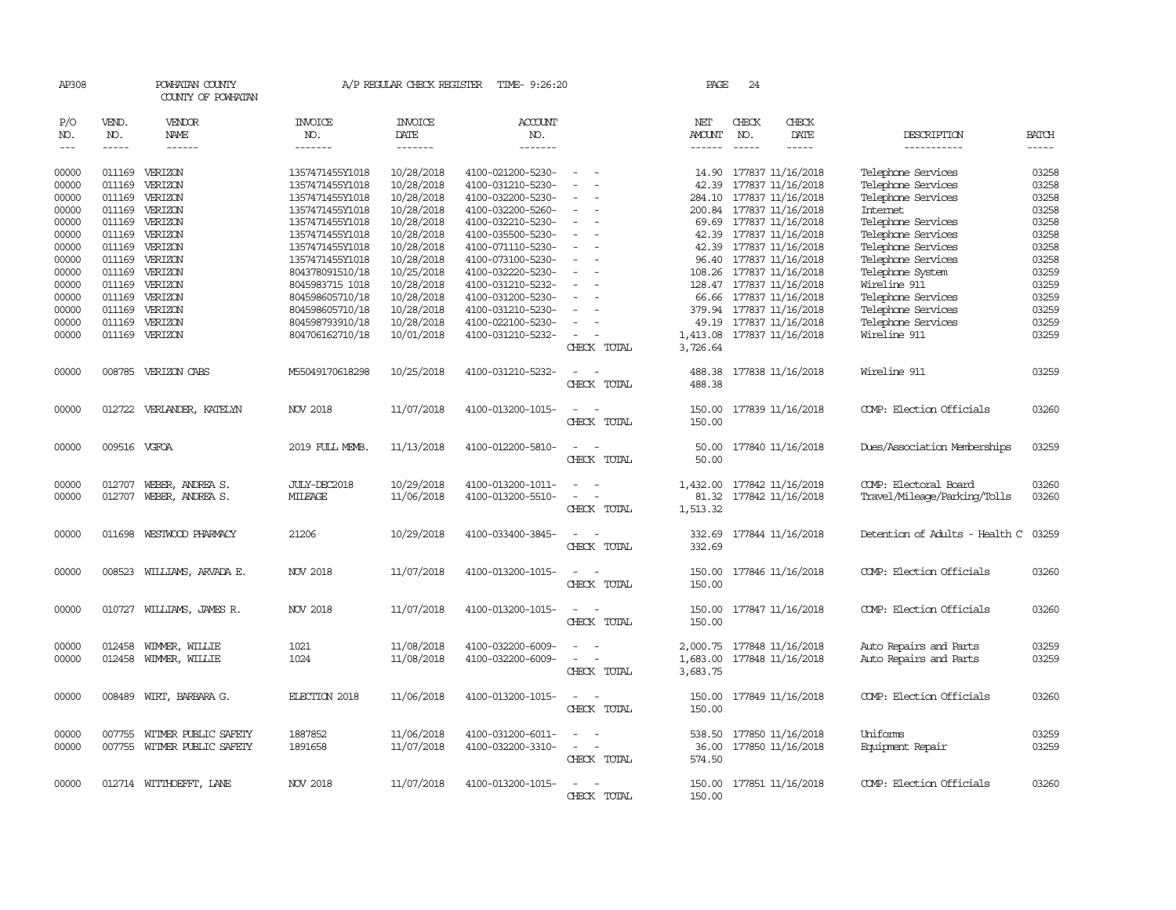| AP308         |               | POWHATAN COUNTY<br>COUNTY OF POWHATAN |                 | A/P REGULAR CHECK REGISTER | TIME- 9:26:20     |                                        |             | PAGE          | 24            |                            |                                |              |
|---------------|---------------|---------------------------------------|-----------------|----------------------------|-------------------|----------------------------------------|-------------|---------------|---------------|----------------------------|--------------------------------|--------------|
| P/O           | VEND.         | <b>VENDOR</b>                         | <b>INVOICE</b>  | <b>INVOICE</b>             | <b>ACCOUNT</b>    |                                        |             | NET           | CHECK         | CHECK                      |                                |              |
| NO.           | NO.           | NAME                                  | NO.             | DATE                       | NO.               |                                        |             | AMOUNT        | NO.           | DATE                       | DESCRIPTION                    | <b>BATCH</b> |
| $\frac{1}{2}$ | $\frac{1}{2}$ | $- - - - - -$                         | -------         | --------                   | -------           |                                        |             | $- - - - - -$ | $\frac{1}{2}$ | -----                      | -----------                    | $- - - - -$  |
| 00000         |               | 011169 VERIZON                        | 1357471455Y1018 | 10/28/2018                 | 4100-021200-5230- | $\sim$                                 |             | 14.90         |               | 177837 11/16/2018          | Telephone Services             | 03258        |
| 00000         | 011169        | VERIZON                               | 1357471455Y1018 | 10/28/2018                 | 4100-031210-5230- |                                        |             | 42.39         |               | 177837 11/16/2018          | Telephone Services             | 03258        |
| 00000         | 011169        | VERIZON                               | 1357471455Y1018 | 10/28/2018                 | 4100-032200-5230- |                                        |             |               |               | 284.10 177837 11/16/2018   | Telephone Services             | 03258        |
| 00000         |               | 011169 VERIZON                        | 1357471455Y1018 | 10/28/2018                 | 4100-032200-5260- | $\sim$                                 |             |               |               | 200.84 177837 11/16/2018   | Internet                       | 03258        |
| 00000         |               | 011169 VERIZON                        | 1357471455Y1018 | 10/28/2018                 | 4100-032210-5230- | $\sim$                                 |             | 69.69         |               | 177837 11/16/2018          | Telephone Services             | 03258        |
| 00000         | 011169        | VERIZON                               | 1357471455Y1018 | 10/28/2018                 | 4100-035500-5230- |                                        |             |               |               | 42.39 177837 11/16/2018    | Telephone Services             | 03258        |
| 00000         |               | 011169 VERIZON                        | 1357471455Y1018 | 10/28/2018                 | 4100-071110-5230- | $\equiv$                               |             |               |               | 42.39 177837 11/16/2018    | Telephone Services             | 03258        |
| 00000         |               | 011169 VERIZON                        | 1357471455Y1018 | 10/28/2018                 | 4100-073100-5230- | $\equiv$                               |             |               |               | 96.40 177837 11/16/2018    | Telephone Services             | 03258        |
| 00000         |               | 011169 VERIZON                        | 804378091510/18 | 10/25/2018                 | 4100-032220-5230- |                                        |             |               |               | 108.26 177837 11/16/2018   | Telephone System               | 03259        |
| 00000         |               | 011169 VERIZON                        | 8045983715 1018 | 10/28/2018                 | 4100-031210-5232- |                                        |             |               |               | 128.47 177837 11/16/2018   | Wireline 911                   | 03259        |
| 00000         |               | 011169 VERIZON                        | 804598605710/18 | 10/28/2018                 | 4100-031200-5230- | $\sim$                                 |             |               |               | 66.66 177837 11/16/2018    | Telephone Services             | 03259        |
| 00000         | 011169        | VERIZON                               | 804598605710/18 | 10/28/2018                 | 4100-031210-5230- |                                        |             |               |               | 379.94 177837 11/16/2018   | Telephone Services             | 03259        |
| 00000         | 011169        | VERIZON                               | 804598793910/18 | 10/28/2018                 | 4100-022100-5230- |                                        |             | 49.19         |               | 177837 11/16/2018          | Telephone Services             | 03259        |
| 00000         |               | 011169 VERIZON                        | 804706162710/18 | 10/01/2018                 | 4100-031210-5232- | $\sim$                                 |             |               |               | 1,413.08 177837 11/16/2018 | Wireline 911                   | 03259        |
|               |               |                                       |                 |                            |                   |                                        | CHECK TOTAL | 3,726.64      |               |                            |                                |              |
| 00000         |               | 008785 VERIZON CABS                   | M55049170618298 | 10/25/2018                 | 4100-031210-5232- |                                        |             | 488.38        |               | 177838 11/16/2018          | Wireline 911                   | 03259        |
|               |               |                                       |                 |                            |                   |                                        | CHECK TOTAL | 488.38        |               |                            |                                |              |
| 00000         |               | 012722 VERLANDER, KATELYN             | <b>NOV 2018</b> | 11/07/2018                 | 4100-013200-1015- |                                        |             | 150.00        |               | 177839 11/16/2018          | COMP: Election Officials       | 03260        |
|               |               |                                       |                 |                            |                   |                                        | CHECK TOTAL | 150.00        |               |                            |                                |              |
|               |               |                                       |                 |                            |                   |                                        |             |               |               |                            |                                |              |
| 00000         | 009516 VGFOA  |                                       | 2019 FULL MEMB. | 11/13/2018                 | 4100-012200-5810- |                                        |             | 50.00         |               | 177840 11/16/2018          | Dues/Association Memberships   | 03259        |
|               |               |                                       |                 |                            |                   |                                        | CHECK TOTAL | 50.00         |               |                            |                                |              |
| 00000         | 012707        | WEBER, ANDREA S.                      | JULY-DEC2018    | 10/29/2018                 | 4100-013200-1011- |                                        |             |               |               | 1,432.00 177842 11/16/2018 | COMP: Electoral Board          | 03260        |
| 00000         | 012707        | WEBER, ANDREA S.                      | MILEAGE         | 11/06/2018                 | 4100-013200-5510- | $\sim$                                 |             | 81.32         |               | 177842 11/16/2018          | Travel/Mileage/Parking/Tolls   | 03260        |
|               |               |                                       |                 |                            |                   |                                        | CHECK TOTAL | 1,513.32      |               |                            |                                |              |
| 00000         |               | 011698 WESTWOOD PHARMACY              | 21206           | 10/29/2018                 | 4100-033400-3845- |                                        |             |               |               | 332.69 177844 11/16/2018   | Detention of Adults - Health C | 03259        |
|               |               |                                       |                 |                            |                   |                                        | CHECK TOTAL | 332.69        |               |                            |                                |              |
|               |               |                                       |                 |                            |                   |                                        |             |               |               |                            |                                |              |
| 00000         |               | 008523 WILLIAMS, ARVADA E.            | <b>NOV 2018</b> | 11/07/2018                 | 4100-013200-1015- | $\sim$<br>- 1                          |             | 150.00        |               | 177846 11/16/2018          | COMP: Election Officials       | 03260        |
|               |               |                                       |                 |                            |                   |                                        | CHECK TOTAL | 150.00        |               |                            |                                |              |
| 00000         |               | 010727 WILLIAMS, JAMES R.             | <b>NOV 2018</b> | 11/07/2018                 | 4100-013200-1015- | $\sim$                                 |             |               |               | 150.00 177847 11/16/2018   | COMP: Election Officials       | 03260        |
|               |               |                                       |                 |                            |                   |                                        | CHECK TOTAL | 150.00        |               |                            |                                |              |
| 00000         | 012458        | WIMMER, WILLIE                        | 1021            | 11/08/2018                 | 4100-032200-6009- |                                        |             | 2,000.75      |               | 177848 11/16/2018          | Auto Repairs and Parts         | 03259        |
| 00000         | 012458        | WIMMER, WILLIE                        | 1024            | 11/08/2018                 | 4100-032200-6009- |                                        |             | 1,683.00      |               | 177848 11/16/2018          | Auto Repairs and Parts         | 03259        |
|               |               |                                       |                 |                            |                   |                                        | CHECK TOTAL | 3,683.75      |               |                            |                                |              |
| 00000         | 008489        | WIRT, BARBARA G.                      | ELECTION 2018   | 11/06/2018                 | 4100-013200-1015- |                                        |             | 150.00        |               | 177849 11/16/2018          | COMP: Election Officials       | 03260        |
|               |               |                                       |                 |                            |                   |                                        | CHECK TOTAL | 150.00        |               |                            |                                |              |
|               |               |                                       |                 |                            |                   |                                        |             |               |               |                            |                                |              |
| 00000         | 007755        | WITMER PUBLIC SAFETY                  | 1887852         | 11/06/2018                 | 4100-031200-6011- | $\sim$ $-$<br>$\overline{\phantom{a}}$ |             | 538.50        |               | 177850 11/16/2018          | Uniforms                       | 03259        |
| 00000         |               | 007755 WITMER PUBLIC SAFETY           | 1891658         | 11/07/2018                 | 4100-032200-3310- |                                        |             | 36.00         |               | 177850 11/16/2018          | Equipment Repair               | 03259        |
|               |               |                                       |                 |                            |                   |                                        | CHECK TOTAL | 574.50        |               |                            |                                |              |
| 00000         |               | 012714 WITTHOEFFT, LANE               | <b>NOV 2018</b> | 11/07/2018                 | 4100-013200-1015- | $\overline{\phantom{a}}$<br>. —        |             |               |               | 150.00 177851 11/16/2018   | COMP: Election Officials       | 03260        |
|               |               |                                       |                 |                            |                   |                                        | CHECK TOTAL | 150.00        |               |                            |                                |              |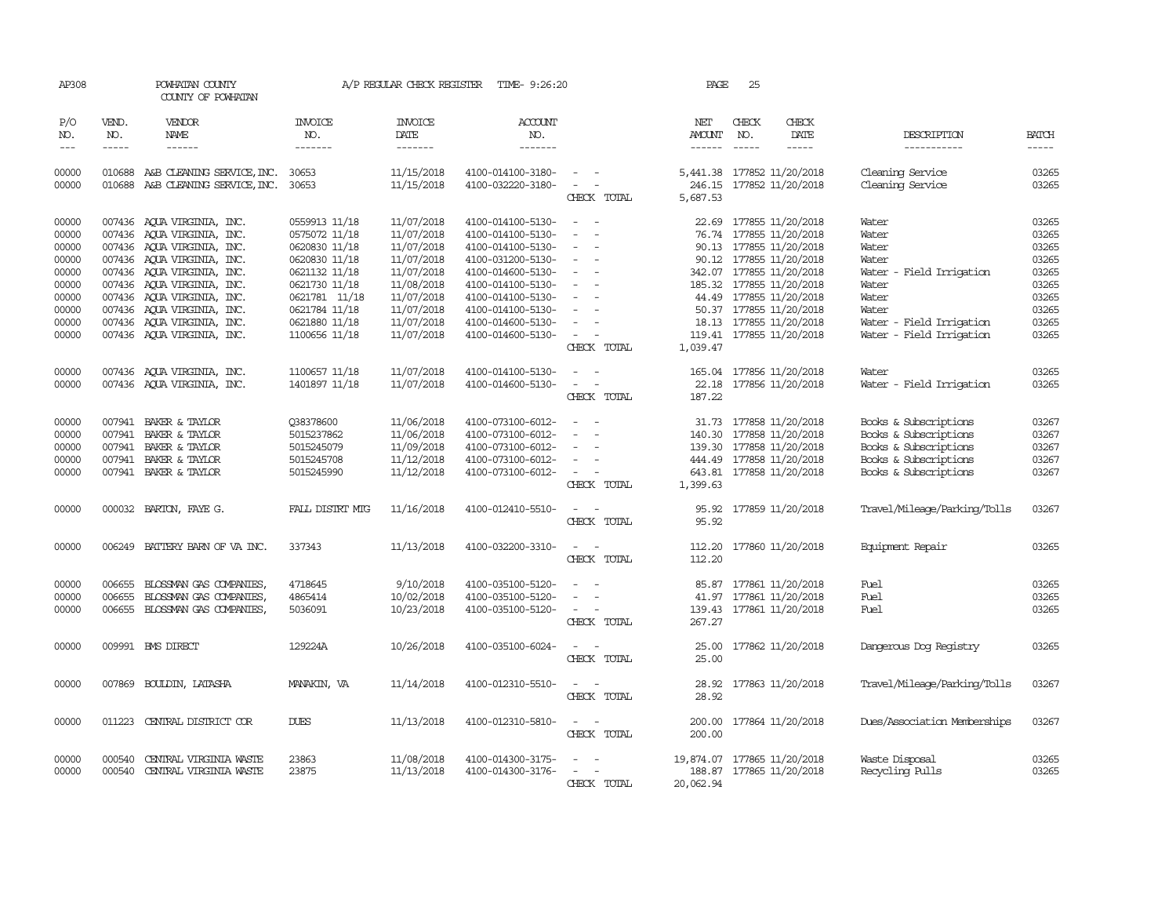| AP308          |                  | POWHATAN COUNTY<br>COUNTY OF POWHATAN                    |                       |                          | A/P REGULAR CHECK REGISTER TIME- 9:26:20 |                                                      | PAGE                        | 25           |                                                 |                                      |                |
|----------------|------------------|----------------------------------------------------------|-----------------------|--------------------------|------------------------------------------|------------------------------------------------------|-----------------------------|--------------|-------------------------------------------------|--------------------------------------|----------------|
| P/O<br>NO.     | VEND.<br>NO.     | VENDOR<br>NAME                                           | <b>INVOICE</b><br>NO. | <b>INVOICE</b><br>DATE   | <b>ACCOUNT</b><br>NO.                    |                                                      | NET<br>AMOUNT               | CHECK<br>NO. | CHECK<br>DATE                                   | DESCRIPTION                          | <b>BATCH</b>   |
| $\frac{1}{2}$  | $- - - - -$      | ------                                                   | -------               | -------                  | -------                                  |                                                      | $- - - - - -$               | $- - - - -$  | -----                                           | -----------                          | $- - - - -$    |
| 00000<br>00000 | 010688<br>010688 | A&B CLEANING SERVICE, INC.<br>A&B CLEANING SERVICE, INC. | 30653<br>30653        | 11/15/2018<br>11/15/2018 | 4100-014100-3180-<br>4100-032220-3180-   | $\sim$ $ \sim$<br>$\overline{\phantom{a}}$           | 246.15                      |              | 5,441.38 177852 11/20/2018<br>177852 11/20/2018 | Cleaning Service<br>Cleaning Service | 03265<br>03265 |
|                |                  |                                                          |                       |                          |                                          | CHECK TOTAL                                          | 5,687.53                    |              |                                                 |                                      |                |
|                |                  |                                                          |                       |                          |                                          |                                                      |                             |              |                                                 |                                      |                |
| 00000          | 007436           | AQUA VIRGINIA, INC.                                      | 0559913 11/18         | 11/07/2018               | 4100-014100-5130-                        | $\overline{a}$                                       | 22.69                       |              | 177855 11/20/2018                               | Water                                | 03265          |
| 00000          |                  | 007436 AQUA VIRGINIA, INC.                               | 0575072 11/18         | 11/07/2018               | 4100-014100-5130-                        | $\overline{\phantom{a}}$                             |                             |              | 76.74 177855 11/20/2018                         | Water                                | 03265          |
| 00000          |                  | 007436 AQUA VIRGINIA, INC.                               | 0620830 11/18         | 11/07/2018               | 4100-014100-5130-                        | $\overline{\phantom{a}}$<br>$\overline{\phantom{a}}$ |                             |              | 90.13 177855 11/20/2018                         | Water                                | 03265          |
| 00000          |                  | 007436 AQUA VIRGINIA, INC.                               | 0620830 11/18         | 11/07/2018               | 4100-031200-5130-                        | $\sim$                                               |                             |              | 90.12 177855 11/20/2018                         | Water                                | 03265          |
| 00000          |                  | 007436 AQUA VIRGINIA, INC.                               | 0621132 11/18         | 11/07/2018               | 4100-014600-5130-                        | $\overline{a}$                                       |                             |              | 342.07 177855 11/20/2018                        | Water - Field Irrigation             | 03265          |
| 00000          |                  | 007436 AQUA VIRGINIA, INC.                               | 0621730 11/18         | 11/08/2018               | 4100-014100-5130-                        | $\overline{\phantom{a}}$                             |                             |              | 185.32 177855 11/20/2018                        | Water                                | 03265          |
| 00000          |                  | 007436 AQUA VIRGINIA, INC.                               | 0621781 11/18         | 11/07/2018               | 4100-014100-5130-                        | $\sim$                                               |                             |              | 44.49 177855 11/20/2018                         | Water                                | 03265          |
| 00000          |                  | 007436 AQUA VIRGINIA, INC.                               | 0621784 11/18         | 11/07/2018               | 4100-014100-5130-                        | $\overline{\phantom{a}}$                             |                             |              | 50.37 177855 11/20/2018                         | Water                                | 03265          |
| 00000          |                  | 007436 AQUA VIRGINIA, INC.                               | 0621880 11/18         | 11/07/2018               | 4100-014600-5130-                        | $\overline{a}$                                       |                             |              | 18.13 177855 11/20/2018                         | Water - Field Irrigation             | 03265          |
| 00000          |                  | 007436 AQUA VIRGINIA, INC.                               | 1100656 11/18         | 11/07/2018               | 4100-014600-5130-                        | $\overline{\phantom{a}}$                             |                             |              | 119.41 177855 11/20/2018                        | Water - Field Irrigation             | 03265          |
|                |                  |                                                          |                       |                          |                                          | CHECK TOTAL                                          | 1,039.47                    |              |                                                 |                                      |                |
| 00000          |                  | 007436 AQUA VIRGINIA, INC.                               | 1100657 11/18         | 11/07/2018               | 4100-014100-5130-                        | $\equiv$                                             |                             |              | 165.04 177856 11/20/2018                        | Water                                | 03265          |
| 00000          |                  | 007436 AQUA VIRGINIA, INC.                               | 1401897 11/18         | 11/07/2018               | 4100-014600-5130-                        | $\overline{\phantom{a}}$<br>$\overline{\phantom{a}}$ | 22.18                       |              | 177856 11/20/2018                               | Water - Field Irrigation             | 03265          |
|                |                  |                                                          |                       |                          |                                          | CHECK TOTAL                                          | 187.22                      |              |                                                 |                                      |                |
| 00000          |                  | 007941 BAKER & TAYLOR                                    | 038378600             | 11/06/2018               | 4100-073100-6012-                        | $\sim$<br>$\sim$                                     | 31.73                       |              | 177858 11/20/2018                               | Books & Subscriptions                | 03267          |
| 00000          |                  | 007941 BAKER & TAYLOR                                    | 5015237862            | 11/06/2018               | 4100-073100-6012-                        |                                                      |                             |              | 140.30 177858 11/20/2018                        | Books & Subscriptions                | 03267          |
| 00000          | 007941           | BAKER & TAYLOR                                           | 5015245079            | 11/09/2018               | 4100-073100-6012-                        | $\overline{\phantom{a}}$                             |                             |              | 139.30 177858 11/20/2018                        | Books & Subscriptions                | 03267          |
| 00000          |                  | 007941 BAKER & TAYLOR                                    | 5015245708            | 11/12/2018               | 4100-073100-6012-                        | $\sim$                                               |                             |              | 444.49 177858 11/20/2018                        | Books & Subscriptions                | 03267          |
| 00000          |                  | 007941 BAKER & TAYLOR                                    | 5015245990            | 11/12/2018               | 4100-073100-6012-                        | $\sim$<br>$\sim$                                     |                             |              | 643.81 177858 11/20/2018                        | Books & Subscriptions                | 03267          |
|                |                  |                                                          |                       |                          |                                          | CHECK TOTAL                                          | 1,399.63                    |              |                                                 |                                      |                |
|                |                  |                                                          |                       |                          |                                          |                                                      |                             |              |                                                 |                                      |                |
| 00000          |                  | 000032 BARTON, FAYE G.                                   | FALL DISTRT MTG       | 11/16/2018               | 4100-012410-5510-                        | $\overline{\phantom{a}}$                             |                             |              | 95.92 177859 11/20/2018                         | Travel/Mileage/Parking/Tolls         | 03267          |
|                |                  |                                                          |                       |                          |                                          | CHECK TOTAL                                          | 95.92                       |              |                                                 |                                      |                |
| 00000          | 006249           | BATTERY BARN OF VA INC.                                  | 337343                | 11/13/2018               | 4100-032200-3310-                        | $\overline{\phantom{a}}$                             | 112.20                      |              | 177860 11/20/2018                               | Equipment Repair                     | 03265          |
|                |                  |                                                          |                       |                          |                                          | CHECK TOTAL                                          | 112.20                      |              |                                                 |                                      |                |
| 00000          | 006655           | BLOSSMAN GAS COMPANIES,                                  | 4718645               | 9/10/2018                | 4100-035100-5120-                        | $\overline{\phantom{a}}$                             | 85.87                       |              | 177861 11/20/2018                               | Fuel                                 | 03265          |
| 00000          | 006655           | BLOSSMAN GAS COMPANIES,                                  | 4865414               | 10/02/2018               | 4100-035100-5120-                        |                                                      |                             |              | 41.97 177861 11/20/2018                         | Fuel                                 | 03265          |
| 00000          |                  | 006655 BLOSSMAN GAS COMPANIES,                           | 5036091               | 10/23/2018               | 4100-035100-5120-                        | $\overline{\phantom{a}}$<br>$\overline{\phantom{a}}$ |                             |              | 139.43 177861 11/20/2018                        | Fuel                                 | 03265          |
|                |                  |                                                          |                       |                          |                                          | CHECK TOTAL                                          | 267.27                      |              |                                                 |                                      |                |
|                |                  |                                                          |                       |                          |                                          |                                                      |                             |              |                                                 |                                      |                |
| 00000          |                  | 009991 BMS DIRECT                                        | 129224A               | 10/26/2018               | 4100-035100-6024-                        | $\sim$<br>CHECK TOTAL                                | 25.00                       |              | 177862 11/20/2018                               | Dangerous Dog Registry               | 03265          |
|                |                  |                                                          |                       |                          |                                          |                                                      | 25.00                       |              |                                                 |                                      |                |
| 00000          |                  | 007869 BOULDIN, LATASHA                                  | MANAKIN, VA           | 11/14/2018               | 4100-012310-5510-                        | $\sim$ $\sim$                                        |                             |              | 28.92 177863 11/20/2018                         | Travel/Mileage/Parking/Tolls         | 03267          |
|                |                  |                                                          |                       |                          |                                          | CHECK TOTAL                                          | 28.92                       |              |                                                 |                                      |                |
| 00000          | 011223           | CENTRAL DISTRICT COR                                     | <b>DUES</b>           | 11/13/2018               | 4100-012310-5810-                        | $\sim$<br>$\sim$                                     |                             |              | 200.00 177864 11/20/2018                        | Dues/Association Memberships         | 03267          |
|                |                  |                                                          |                       |                          |                                          | CHECK TOTAL                                          | 200.00                      |              |                                                 |                                      |                |
|                |                  |                                                          |                       |                          |                                          |                                                      |                             |              |                                                 |                                      |                |
| 00000          | 000540           | CENTRAL VIRGINIA WASTE                                   | 23863                 | 11/08/2018               | 4100-014300-3175-                        |                                                      | 19,874.07 177865 11/20/2018 |              |                                                 | Waste Disposal                       | 03265          |
| 00000          | 000540           | CENTRAL VIRGINIA WASTE                                   | 23875                 | 11/13/2018               | 4100-014300-3176-                        |                                                      |                             |              | 188.87 177865 11/20/2018                        | Recycling Pulls                      | 03265          |
|                |                  |                                                          |                       |                          |                                          | CHECK TOTAL                                          | 20,062.94                   |              |                                                 |                                      |                |
|                |                  |                                                          |                       |                          |                                          |                                                      |                             |              |                                                 |                                      |                |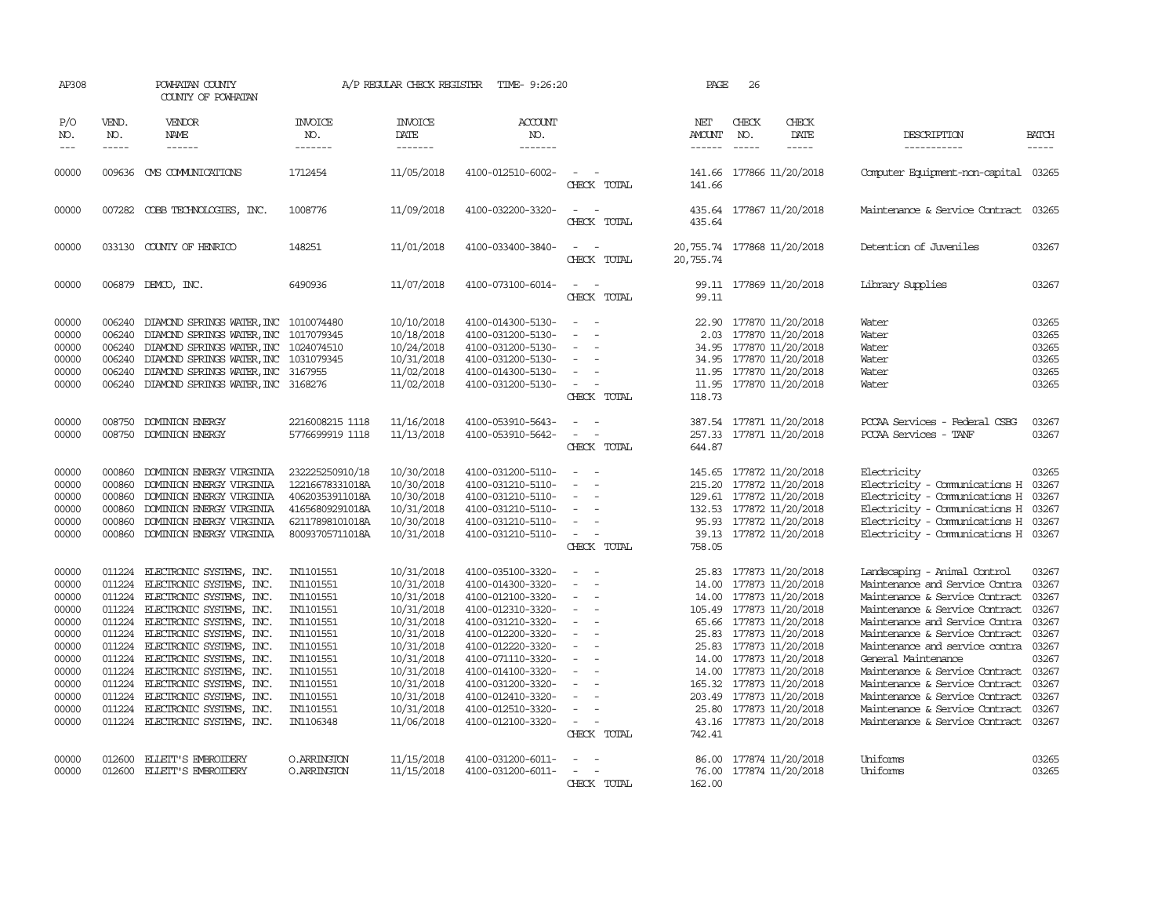| AP308                                                                                                             |                                                                                                                                | POWHATAN COUNTY<br>COUNTY OF POWHATAN                                                                                                                                                                                                                                                                                                                                    |                                                                                                                                                                       | A/P REGULAR CHECK REGISTER                                                                                                                                                         | TIME- 9:26:20                                                                                                                                                                                                                                                                 |                                                                                                                                                                                                                                   | PAGE                                       | 26                                                                                                                                                                                                                                                                                                                                     |                                                                                                                                                                                                                                                                                                                                                                                                                                           |                                                                                                                   |
|-------------------------------------------------------------------------------------------------------------------|--------------------------------------------------------------------------------------------------------------------------------|--------------------------------------------------------------------------------------------------------------------------------------------------------------------------------------------------------------------------------------------------------------------------------------------------------------------------------------------------------------------------|-----------------------------------------------------------------------------------------------------------------------------------------------------------------------|------------------------------------------------------------------------------------------------------------------------------------------------------------------------------------|-------------------------------------------------------------------------------------------------------------------------------------------------------------------------------------------------------------------------------------------------------------------------------|-----------------------------------------------------------------------------------------------------------------------------------------------------------------------------------------------------------------------------------|--------------------------------------------|----------------------------------------------------------------------------------------------------------------------------------------------------------------------------------------------------------------------------------------------------------------------------------------------------------------------------------------|-------------------------------------------------------------------------------------------------------------------------------------------------------------------------------------------------------------------------------------------------------------------------------------------------------------------------------------------------------------------------------------------------------------------------------------------|-------------------------------------------------------------------------------------------------------------------|
| P/O<br>NO.<br>$\qquad \qquad - -$                                                                                 | VEND.<br>NO.<br>$- - - - -$                                                                                                    | VENDOR<br><b>NAME</b><br>------                                                                                                                                                                                                                                                                                                                                          | <b>INVOICE</b><br>NO.<br>-------                                                                                                                                      | <b>INVOICE</b><br>DATE<br>-------                                                                                                                                                  | ACCOUNT<br>NO.<br>-------                                                                                                                                                                                                                                                     |                                                                                                                                                                                                                                   | NET<br>AMOUNT<br>------                    | CHECK<br>CHECK<br><b>DATE</b><br>NO.<br>$\cdots \cdots \cdots$<br>$\frac{1}{2}$                                                                                                                                                                                                                                                        | DESCRIPTION<br>-----------                                                                                                                                                                                                                                                                                                                                                                                                                | <b>BATCH</b><br>-----                                                                                             |
| 00000                                                                                                             |                                                                                                                                | 009636 CMS COMMUNICATIONS                                                                                                                                                                                                                                                                                                                                                | 1712454                                                                                                                                                               | 11/05/2018                                                                                                                                                                         | 4100-012510-6002-                                                                                                                                                                                                                                                             | $\overline{\phantom{a}}$<br>CHECK TOTAL                                                                                                                                                                                           | 141.66<br>141.66                           | 177866 11/20/2018                                                                                                                                                                                                                                                                                                                      | Computer Equipment-non-capital 03265                                                                                                                                                                                                                                                                                                                                                                                                      |                                                                                                                   |
| 00000                                                                                                             |                                                                                                                                | 007282 COBB TECHNOLOGIES, INC.                                                                                                                                                                                                                                                                                                                                           | 1008776                                                                                                                                                               | 11/09/2018                                                                                                                                                                         | 4100-032200-3320-                                                                                                                                                                                                                                                             | $\equiv$<br>CHECK TOTAL                                                                                                                                                                                                           | 435.64<br>435.64                           | 177867 11/20/2018                                                                                                                                                                                                                                                                                                                      | Maintenance & Service Contract                                                                                                                                                                                                                                                                                                                                                                                                            | 03265                                                                                                             |
| 00000                                                                                                             |                                                                                                                                | 033130 COUNTY OF HENRICO                                                                                                                                                                                                                                                                                                                                                 | 148251                                                                                                                                                                | 11/01/2018                                                                                                                                                                         | 4100-033400-3840-                                                                                                                                                                                                                                                             | $\overline{\phantom{a}}$<br>CHECK TOTAL                                                                                                                                                                                           | 20,755.74<br>20,755.74                     | 177868 11/20/2018                                                                                                                                                                                                                                                                                                                      | Detention of Juveniles                                                                                                                                                                                                                                                                                                                                                                                                                    | 03267                                                                                                             |
| 00000                                                                                                             |                                                                                                                                | 006879 DEMCO, INC.                                                                                                                                                                                                                                                                                                                                                       | 6490936                                                                                                                                                               | 11/07/2018                                                                                                                                                                         | 4100-073100-6014-                                                                                                                                                                                                                                                             | $\equiv$<br>CHECK TOTAL                                                                                                                                                                                                           | 99.11                                      | 99.11 177869 11/20/2018                                                                                                                                                                                                                                                                                                                | Library Supplies                                                                                                                                                                                                                                                                                                                                                                                                                          | 03267                                                                                                             |
| 00000<br>00000<br>00000<br>00000<br>00000<br>00000                                                                | 006240<br>006240<br>006240<br>006240<br>006240<br>006240                                                                       | DIAMOND SPRINGS WATER, INC 1010074480<br>DIAMOND SPRINGS WATER, INC<br>DIAMOND SPRINGS WATER, INC 1024074510<br>DIAMOND SPRINGS WATER, INC 1031079345<br>DIAMOND SPRINGS WATER, INC<br>DIAMOND SPRINGS WATER, INC 3168276                                                                                                                                                | 1017079345<br>3167955                                                                                                                                                 | 10/10/2018<br>10/18/2018<br>10/24/2018<br>10/31/2018<br>11/02/2018<br>11/02/2018                                                                                                   | 4100-014300-5130-<br>4100-031200-5130-<br>4100-031200-5130-<br>4100-031200-5130-<br>4100-014300-5130-<br>4100-031200-5130-                                                                                                                                                    | $\overline{\phantom{a}}$<br>$\equiv$<br>$\equiv$<br>$\equiv$<br>$\equiv$<br>CHECK TOTAL                                                                                                                                           | 2.03<br>11.95<br>118.73                    | 22.90 177870 11/20/2018<br>177870 11/20/2018<br>34.95 177870 11/20/2018<br>34.95 177870 11/20/2018<br>177870 11/20/2018<br>11.95 177870 11/20/2018                                                                                                                                                                                     | Water<br>Water<br>Water<br>Water<br>Water<br>Water                                                                                                                                                                                                                                                                                                                                                                                        | 03265<br>03265<br>03265<br>03265<br>03265<br>03265                                                                |
| 00000<br>00000                                                                                                    | 008750<br>008750                                                                                                               | DOMINION ENERGY<br><b>DOMINION ENERGY</b>                                                                                                                                                                                                                                                                                                                                | 2216008215 1118<br>5776699919 1118                                                                                                                                    | 11/16/2018<br>11/13/2018                                                                                                                                                           | 4100-053910-5643-<br>4100-053910-5642-                                                                                                                                                                                                                                        | $\sim$<br>CHECK TOTAL                                                                                                                                                                                                             | 644.87                                     | 387.54 177871 11/20/2018<br>257.33 177871 11/20/2018                                                                                                                                                                                                                                                                                   | PCCAA Services - Federal CSBG<br>PCCAA Services - TANF                                                                                                                                                                                                                                                                                                                                                                                    | 03267<br>03267                                                                                                    |
| 00000<br>00000<br>00000<br>00000<br>00000<br>00000                                                                | 000860<br>000860<br>000860<br>000860<br>000860<br>000860                                                                       | DOMINION ENERGY VIRGINIA<br>DOMINION ENERGY VIRGINIA<br>DOMINION ENERGY VIRGINIA<br>DOMINION ENERGY VIRGINIA<br>DOMINION ENERGY VIRGINIA<br>DOMINION ENERGY VIRGINIA                                                                                                                                                                                                     | 232225250910/18<br>12216678331018A<br>40620353911018A<br>41656809291018A<br>62117898101018A<br>80093705711018A                                                        | 10/30/2018<br>10/30/2018<br>10/30/2018<br>10/31/2018<br>10/30/2018<br>10/31/2018                                                                                                   | 4100-031200-5110-<br>4100-031210-5110-<br>4100-031210-5110-<br>4100-031210-5110-<br>4100-031210-5110-<br>4100-031210-5110-                                                                                                                                                    | $\equiv$<br>$\overline{\phantom{a}}$<br>$\overline{\phantom{a}}$<br>$\overline{\phantom{a}}$<br>$\equiv$<br>$\sim$<br>CHECK TOTAL                                                                                                 | 758.05                                     | 145.65 177872 11/20/2018<br>215.20 177872 11/20/2018<br>129.61 177872 11/20/2018<br>132.53 177872 11/20/2018<br>95.93 177872 11/20/2018<br>39.13 177872 11/20/2018                                                                                                                                                                     | Electricity<br>Electricity - Comunications H 03267<br>Electricity - Communications H 03267<br>Electricity - Comunications H<br>Electricity - Communications H 03267<br>Electricity - Comunications H 03267                                                                                                                                                                                                                                | 03265<br>03267                                                                                                    |
| 00000<br>00000<br>00000<br>00000<br>00000<br>00000<br>00000<br>00000<br>00000<br>00000<br>00000<br>00000<br>00000 | 011224<br>011224<br>011224<br>011224<br>011224<br>011224<br>011224<br>011224<br>011224<br>011224<br>011224<br>011224<br>011224 | ELECTRONIC SYSTEMS, INC.<br>ELECTRONIC SYSTEMS, INC.<br>ELECTRONIC SYSTEMS, INC.<br>ELECTRONIC SYSTEMS, INC.<br>ELECTRONIC SYSTEMS, INC.<br>ELECTRONIC SYSTEMS, INC.<br>ELECTRONIC SYSTEMS, INC.<br>ELECTRONIC SYSTEMS, INC.<br>ELECTRONIC SYSTEMS, INC.<br>ELECTRONIC SYSTEMS, INC.<br>ELECTRONIC SYSTEMS, INC.<br>ELECTRONIC SYSTEMS, INC.<br>ELECTRONIC SYSTEMS, INC. | IN1101551<br>IN1101551<br>IN1101551<br>IN1101551<br>IN1101551<br>IN1101551<br>IN1101551<br>IN1101551<br>IN1101551<br>IN1101551<br>IN1101551<br>IN1101551<br>IN1106348 | 10/31/2018<br>10/31/2018<br>10/31/2018<br>10/31/2018<br>10/31/2018<br>10/31/2018<br>10/31/2018<br>10/31/2018<br>10/31/2018<br>10/31/2018<br>10/31/2018<br>10/31/2018<br>11/06/2018 | 4100-035100-3320-<br>4100-014300-3320-<br>4100-012100-3320-<br>4100-012310-3320-<br>4100-031210-3320-<br>4100-012200-3320-<br>4100-012220-3320-<br>4100-071110-3320-<br>4100-014100-3320-<br>4100-031200-3320-<br>4100-012410-3320-<br>4100-012510-3320-<br>4100-012100-3320- | $\sim$<br>$\equiv$<br>$\overline{\phantom{a}}$<br>$\equiv$<br>$\overline{\phantom{a}}$<br>$\overline{\phantom{a}}$<br>$\overline{\phantom{a}}$<br>$\overline{\phantom{a}}$<br>$\overline{\phantom{a}}$<br>$\equiv$<br>CHECK TOTAL | 25.83<br>14.00<br>14.00<br>14.00<br>742.41 | 177873 11/20/2018<br>177873 11/20/2018<br>177873 11/20/2018<br>105.49 177873 11/20/2018<br>65.66 177873 11/20/2018<br>25.83 177873 11/20/2018<br>25.83 177873 11/20/2018<br>14.00 177873 11/20/2018<br>177873 11/20/2018<br>165.32 177873 11/20/2018<br>203.49 177873 11/20/2018<br>25.80 177873 11/20/2018<br>43.16 177873 11/20/2018 | Landscaping - Animal Control<br>Maintenance and Service Contra<br>Maintenance & Service Contract<br>Maintenance & Service Contract<br>Maintenance and Service Contra<br>Maintenance & Service Contract<br>Maintenance and service contra<br>General Maintenance<br>Maintenance & Service Contract<br>Maintenance & Service Contract<br>Maintenance & Service Contract<br>Maintenance & Service Contract<br>Maintenance & Service Contract | 03267<br>03267<br>03267<br>03267<br>03267<br>03267<br>03267<br>03267<br>03267<br>03267<br>03267<br>03267<br>03267 |
| 00000<br>00000                                                                                                    | 012600<br>012600                                                                                                               | ELLEIT'S EMBROIDERY<br>ELLEIT'S EMBROIDERY                                                                                                                                                                                                                                                                                                                               | O. ARRINGTON<br>O.ARRINGTON                                                                                                                                           | 11/15/2018<br>11/15/2018                                                                                                                                                           | 4100-031200-6011-<br>4100-031200-6011-                                                                                                                                                                                                                                        | $\sim$<br>CHECK TOTAL                                                                                                                                                                                                             | 86.00<br>76.00<br>162.00                   | 177874 11/20/2018<br>177874 11/20/2018                                                                                                                                                                                                                                                                                                 | Uniforms<br>Uniforms                                                                                                                                                                                                                                                                                                                                                                                                                      | 03265<br>03265                                                                                                    |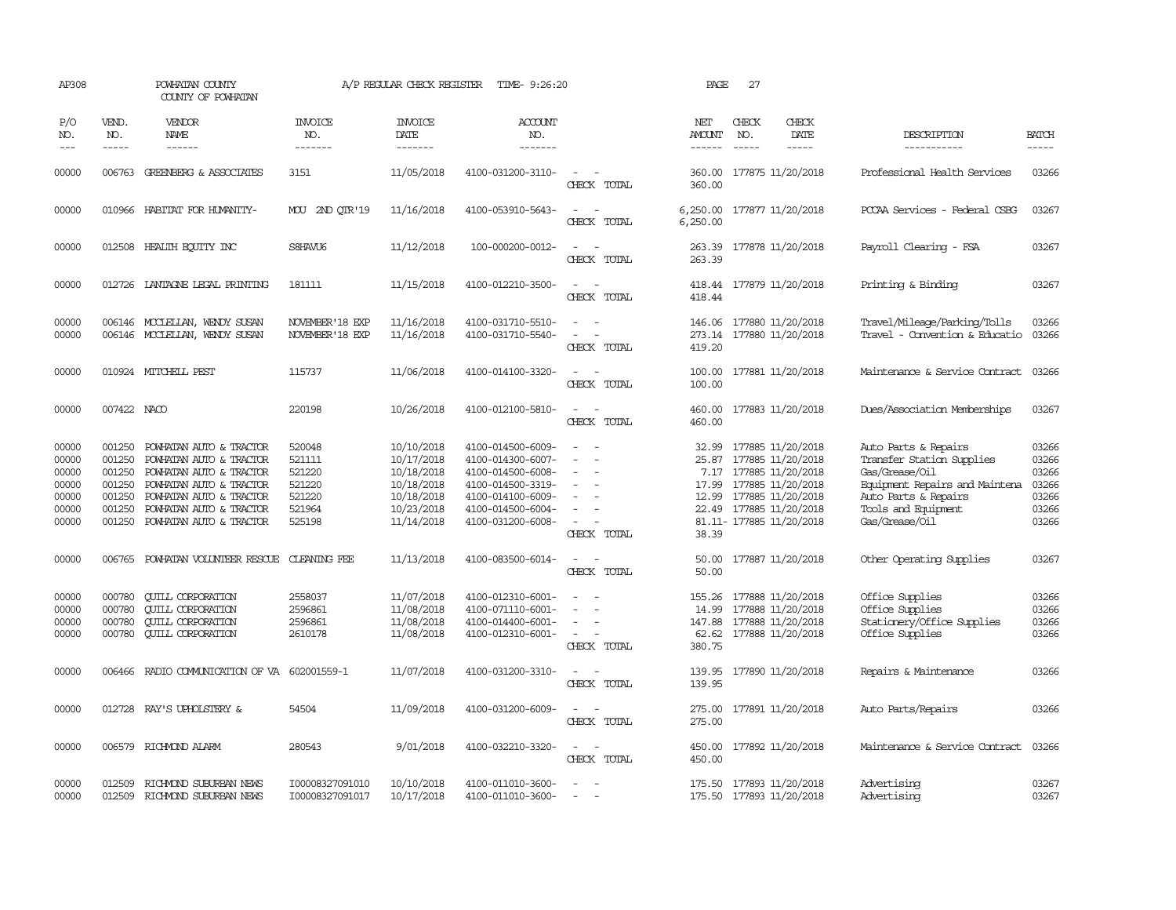| AP308                                                       |                                                                    | POWHATAN COUNTY<br>COUNTY OF POWHATAN                                                                                                                                                     |                                                                    | A/P REGULAR CHECK REGISTER                                                                     | TIME- 9:26:20                                                                                                                                   |                                                                         | PAGE                             | 27                            |                                                                                                                                                                         |                                                                                                                                                                        |                                                             |
|-------------------------------------------------------------|--------------------------------------------------------------------|-------------------------------------------------------------------------------------------------------------------------------------------------------------------------------------------|--------------------------------------------------------------------|------------------------------------------------------------------------------------------------|-------------------------------------------------------------------------------------------------------------------------------------------------|-------------------------------------------------------------------------|----------------------------------|-------------------------------|-------------------------------------------------------------------------------------------------------------------------------------------------------------------------|------------------------------------------------------------------------------------------------------------------------------------------------------------------------|-------------------------------------------------------------|
| P/O<br>NO.<br>$- - -$                                       | VEND.<br>NO.<br>$- - - - -$                                        | <b>VENDOR</b><br>NAME<br>$- - - - - -$                                                                                                                                                    | <b>INVOICE</b><br>NO.<br>--------                                  | <b>INVOICE</b><br>DATE<br>--------                                                             | ACCOUNT<br>NO.<br>-------                                                                                                                       |                                                                         | NET<br>AMOUNT<br>------          | CHECK<br>NO.<br>$\frac{1}{2}$ | CHECK<br>DATE<br>$\frac{1}{2}$                                                                                                                                          | DESCRIPTION<br>-----------                                                                                                                                             | <b>BATCH</b><br>-----                                       |
| 00000                                                       | 006763                                                             | GREENBERG & ASSOCIATES                                                                                                                                                                    | 3151                                                               | 11/05/2018                                                                                     | 4100-031200-3110-                                                                                                                               | $\overline{\phantom{a}}$<br>CHECK TOTAL                                 | 360.00<br>360.00                 |                               | 177875 11/20/2018                                                                                                                                                       | Professional Health Services                                                                                                                                           | 03266                                                       |
| 00000                                                       |                                                                    | 010966 HABITAT FOR HUMANITY-                                                                                                                                                              | MOU 2ND OIR'19                                                     | 11/16/2018                                                                                     | 4100-053910-5643-                                                                                                                               | CHECK TOTAL                                                             | 6,250.00                         |                               | 6,250.00 177877 11/20/2018                                                                                                                                              | PCCAA Services - Federal CSBG                                                                                                                                          | 03267                                                       |
| 00000                                                       |                                                                    | 012508 HEALTH ECUTTY INC                                                                                                                                                                  | S8HAVU6                                                            | 11/12/2018                                                                                     | 100-000200-0012-                                                                                                                                | CHECK TOTAL                                                             | 263.39                           |                               | 263.39 177878 11/20/2018                                                                                                                                                | Payroll Clearing - FSA                                                                                                                                                 | 03267                                                       |
| 00000                                                       |                                                                    | 012726 LANTAGNE LEGAL PRINTING                                                                                                                                                            | 181111                                                             | 11/15/2018                                                                                     | 4100-012210-3500-                                                                                                                               | $\sim$ $\sim$<br>CHECK TOTAL                                            | 418.44                           |                               | 418.44 177879 11/20/2018                                                                                                                                                | Printing & Binding                                                                                                                                                     | 03267                                                       |
| 00000<br>00000                                              |                                                                    | 006146 MCCLELLAN, WENDY SUSAN<br>006146 MCCLELLAN, WENDY SUSAN                                                                                                                            | NOVEMBER'18 EXP<br>NOVEMBER'18 EXP                                 | 11/16/2018<br>11/16/2018                                                                       | 4100-031710-5510-<br>4100-031710-5540-                                                                                                          | CHECK TOTAL                                                             | 419.20                           |                               | 146.06 177880 11/20/2018<br>273.14 177880 11/20/2018                                                                                                                    | Travel/Mileage/Parking/Tolls<br>Travel - Convention & Educatio                                                                                                         | 03266<br>03266                                              |
| 00000                                                       |                                                                    | 010924 MITCHELL PEST                                                                                                                                                                      | 115737                                                             | 11/06/2018                                                                                     | 4100-014100-3320-                                                                                                                               | $\sim$<br>CHECK TOTAL                                                   | 100.00<br>100.00                 |                               | 177881 11/20/2018                                                                                                                                                       | Maintenance & Service Contract                                                                                                                                         | 03266                                                       |
| 00000                                                       | 007422 NACO                                                        |                                                                                                                                                                                           | 220198                                                             | 10/26/2018                                                                                     | 4100-012100-5810-                                                                                                                               | CHECK TOTAL                                                             | 460.00<br>460.00                 |                               | 177883 11/20/2018                                                                                                                                                       | Dues/Association Memberships                                                                                                                                           | 03267                                                       |
| 00000<br>00000<br>00000<br>00000<br>00000<br>00000<br>00000 | 001250<br>001250<br>001250<br>001250<br>001250<br>001250<br>001250 | POWHATAN AUTO & TRACTOR<br>POWHATAN AUTO & TRACTOR<br>POWHATAN AUTO & TRACTOR<br>POWHATAN AUTO & TRACTOR<br>POWHATAN AUTO & TRACTOR<br>POWHATAN AUTO & TRACTOR<br>POWHATAN AUTO & TRACTOR | 520048<br>521111<br>521220<br>521220<br>521220<br>521964<br>525198 | 10/10/2018<br>10/17/2018<br>10/18/2018<br>10/18/2018<br>10/18/2018<br>10/23/2018<br>11/14/2018 | 4100-014500-6009-<br>4100-014300-6007-<br>4100-014500-6008-<br>4100-014500-3319-<br>4100-014100-6009-<br>4100-014500-6004-<br>4100-031200-6008- | $\equiv$<br>$\sim$<br>$\sim$<br>CHECK TOTAL                             | 32.99<br>25.87<br>17.99<br>38.39 |                               | 177885 11/20/2018<br>177885 11/20/2018<br>7.17 177885 11/20/2018<br>177885 11/20/2018<br>12.99 177885 11/20/2018<br>22.49 177885 11/20/2018<br>81.11- 177885 11/20/2018 | Auto Parts & Repairs<br>Transfer Station Supplies<br>Gas/Grease/Oil<br>Equipment Repairs and Maintena<br>Auto Parts & Repairs<br>Tools and Equipment<br>Gas/Grease/Oil | 03266<br>03266<br>03266<br>03266<br>03266<br>03266<br>03266 |
| 00000                                                       | 006765                                                             | POWHATAN VOLUNTEER RESCUE                                                                                                                                                                 | <b>CLEANING FEE</b>                                                | 11/13/2018                                                                                     | 4100-083500-6014-                                                                                                                               | $\sim$<br>CHECK TOTAL                                                   | 50.00<br>50.00                   |                               | 177887 11/20/2018                                                                                                                                                       | Other Operating Supplies                                                                                                                                               | 03267                                                       |
| 00000<br>00000<br>00000<br>00000                            | 000780<br>000780<br>000780                                         | <b>CUILL CORPORATION</b><br><b>CUILL CORPORATION</b><br><b>CUILL CORPORATION</b><br>000780 CUILL CORPORATION                                                                              | 2558037<br>2596861<br>2596861<br>2610178                           | 11/07/2018<br>11/08/2018<br>11/08/2018<br>11/08/2018                                           | 4100-012310-6001-<br>4100-071110-6001-<br>4100-014400-6001-<br>4100-012310-6001-                                                                | $\overline{\phantom{a}}$<br>$\sim$<br>$\equiv$<br>$\sim$<br>CHECK TOTAL | 14.99<br>380.75                  |                               | 155.26 177888 11/20/2018<br>177888 11/20/2018<br>147.88 177888 11/20/2018<br>62.62 177888 11/20/2018                                                                    | Office Supplies<br>Office Supplies<br>Stationery/Office Supplies<br>Office Supplies                                                                                    | 03266<br>03266<br>03266<br>03266                            |
| 00000                                                       |                                                                    | 006466 RADIO COMMUNICATION OF VA                                                                                                                                                          | 602001559-1                                                        | 11/07/2018                                                                                     | 4100-031200-3310-                                                                                                                               | $\equiv$<br>CHECK TOTAL                                                 | 139.95                           |                               | 139.95 177890 11/20/2018                                                                                                                                                | Repairs & Maintenance                                                                                                                                                  | 03266                                                       |
| 00000                                                       |                                                                    | 012728 RAY'S UPHOLSTERY &                                                                                                                                                                 | 54504                                                              | 11/09/2018                                                                                     | 4100-031200-6009-                                                                                                                               | CHECK TOTAL                                                             | 275.00                           |                               | 275.00 177891 11/20/2018                                                                                                                                                | Auto Parts/Repairs                                                                                                                                                     | 03266                                                       |
| 00000                                                       |                                                                    | 006579 RICHMOND ALARM                                                                                                                                                                     | 280543                                                             | 9/01/2018                                                                                      | 4100-032210-3320-                                                                                                                               | $\sim$<br>$\sim$<br>CHECK TOTAL                                         | 450.00                           |                               | 450.00 177892 11/20/2018                                                                                                                                                | Maintenance & Service Contract                                                                                                                                         | 03266                                                       |
| 00000<br>00000                                              | 012509<br>012509                                                   | RICHMOND SUBURBAN NEWS<br>RICHMOND SUBURBAN NEWS                                                                                                                                          | I00008327091010<br>I00008327091017                                 | 10/10/2018<br>10/17/2018                                                                       | 4100-011010-3600-<br>4100-011010-3600-                                                                                                          | $\overline{\phantom{a}}$                                                |                                  |                               | 175.50 177893 11/20/2018<br>175.50 177893 11/20/2018                                                                                                                    | Advertising<br>Advertising                                                                                                                                             | 03267<br>03267                                              |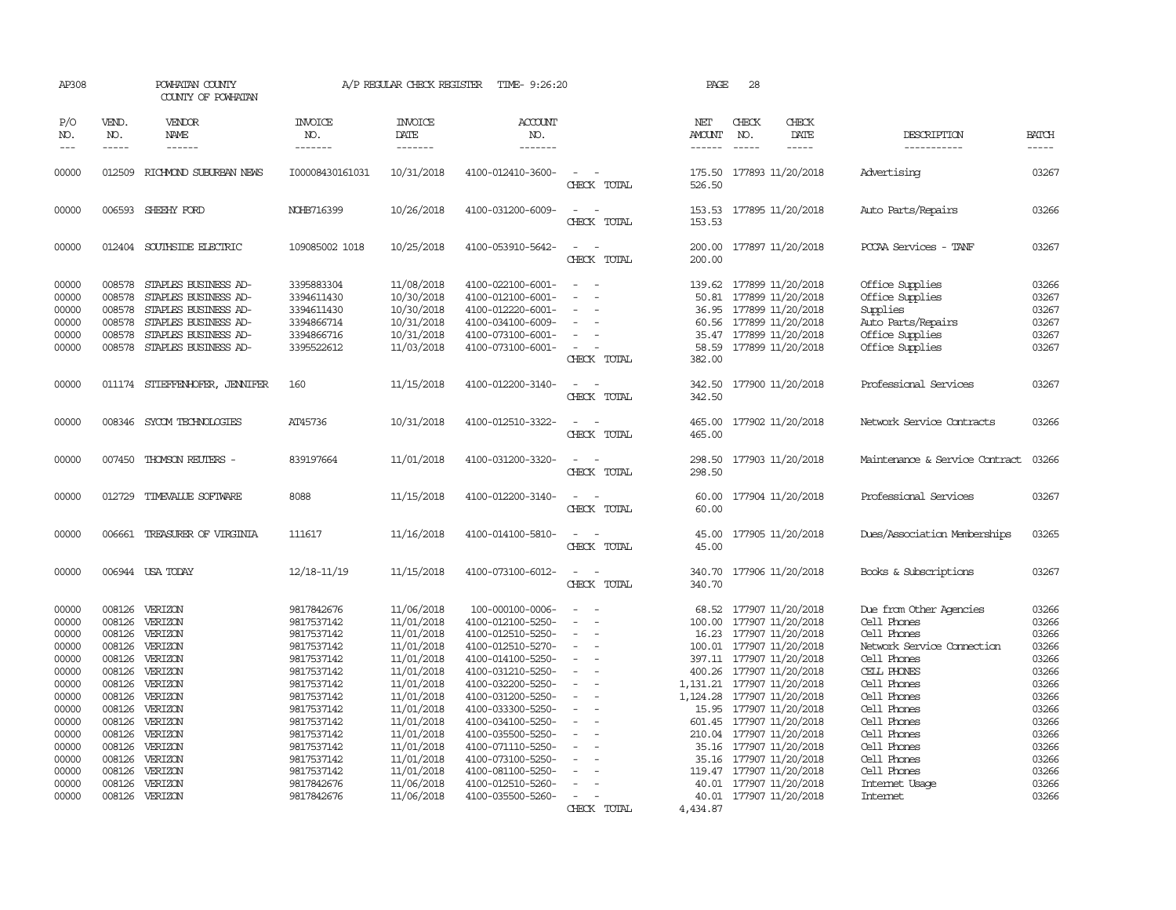| AP308                                                                                                                               |                                                                    | POWHATAN COUNTY<br>COUNTY OF POWHATAN                                                                                                                                                                                     |                                                                                                                                                                                                                | A/P REGULAR CHECK REGISTER                                                                                                                                                                                     | TIME- 9:26:20                                                                                                                                                                                                                                                                                                          |                                                     | PAGE                           | 28                                                                                                                                                                                                                                                                                                                                                                                                                     |                                                                                                                                                                                                                                                             |                                                                                                                                     |
|-------------------------------------------------------------------------------------------------------------------------------------|--------------------------------------------------------------------|---------------------------------------------------------------------------------------------------------------------------------------------------------------------------------------------------------------------------|----------------------------------------------------------------------------------------------------------------------------------------------------------------------------------------------------------------|----------------------------------------------------------------------------------------------------------------------------------------------------------------------------------------------------------------|------------------------------------------------------------------------------------------------------------------------------------------------------------------------------------------------------------------------------------------------------------------------------------------------------------------------|-----------------------------------------------------|--------------------------------|------------------------------------------------------------------------------------------------------------------------------------------------------------------------------------------------------------------------------------------------------------------------------------------------------------------------------------------------------------------------------------------------------------------------|-------------------------------------------------------------------------------------------------------------------------------------------------------------------------------------------------------------------------------------------------------------|-------------------------------------------------------------------------------------------------------------------------------------|
| P/O<br>NO.<br>$---$                                                                                                                 | VEND.<br>NO.<br>$- - - - -$                                        | VENDOR<br>NAME<br>$- - - - - -$                                                                                                                                                                                           | <b>INVOICE</b><br>NO.<br>-------                                                                                                                                                                               | <b>INVOICE</b><br>DATE<br>-------                                                                                                                                                                              | <b>ACCOUNT</b><br>NO.<br>-------                                                                                                                                                                                                                                                                                       |                                                     | NET<br><b>AMOUNT</b><br>------ | CHECK<br>CHECK<br>NO.<br>DATE<br>$- - - - -$                                                                                                                                                                                                                                                                                                                                                                           | DESCRIPTION<br>-----------                                                                                                                                                                                                                                  | <b>BATCH</b><br>-----                                                                                                               |
| 00000                                                                                                                               |                                                                    | 012509 RICHMOND SUBURBAN NEWS                                                                                                                                                                                             | I00008430161031                                                                                                                                                                                                | 10/31/2018                                                                                                                                                                                                     | 4100-012410-3600-                                                                                                                                                                                                                                                                                                      | $\equiv$<br>CHECK TOTAL                             | 526.50                         | 175.50 177893 11/20/2018                                                                                                                                                                                                                                                                                                                                                                                               | Advertising                                                                                                                                                                                                                                                 | 03267                                                                                                                               |
| 00000                                                                                                                               |                                                                    | 006593 SHEEHY FORD                                                                                                                                                                                                        | NOHB716399                                                                                                                                                                                                     | 10/26/2018                                                                                                                                                                                                     | 4100-031200-6009-                                                                                                                                                                                                                                                                                                      | $\equiv$<br>$\overline{\phantom{a}}$<br>CHECK TOTAL | 153.53                         | 153.53 177895 11/20/2018                                                                                                                                                                                                                                                                                                                                                                                               | Auto Parts/Repairs                                                                                                                                                                                                                                          | 03266                                                                                                                               |
| 00000                                                                                                                               |                                                                    | 012404 SOUTHSIDE ELECTRIC                                                                                                                                                                                                 | 109085002 1018                                                                                                                                                                                                 | 10/25/2018                                                                                                                                                                                                     | 4100-053910-5642-                                                                                                                                                                                                                                                                                                      | $\sim$<br>CHECK TOTAL                               | 200.00                         | 200.00 177897 11/20/2018                                                                                                                                                                                                                                                                                                                                                                                               | PCCAA Services - TANF                                                                                                                                                                                                                                       | 03267                                                                                                                               |
| 00000<br>00000<br>00000<br>00000<br>00000<br>00000                                                                                  | 008578<br>008578<br>008578<br>008578<br>008578                     | STAPLES BUSINESS AD-<br>STAPLES BUSINESS AD-<br>STAPLES BUSINESS AD-<br>STAPLES BUSINESS AD-<br>STAPLES BUSINESS AD-<br>008578 STAPLES BUSINESS AD-                                                                       | 3395883304<br>3394611430<br>3394611430<br>3394866714<br>3394866716<br>3395522612                                                                                                                               | 11/08/2018<br>10/30/2018<br>10/30/2018<br>10/31/2018<br>10/31/2018<br>11/03/2018                                                                                                                               | 4100-022100-6001-<br>4100-012100-6001-<br>4100-012220-6001-<br>4100-034100-6009-<br>4100-073100-6001-<br>4100-073100-6001-                                                                                                                                                                                             | CHECK TOTAL                                         | 50.81<br>382.00                | 139.62 177899 11/20/2018<br>177899 11/20/2018<br>36.95 177899 11/20/2018<br>60.56 177899 11/20/2018<br>35.47 177899 11/20/2018<br>58.59 177899 11/20/2018                                                                                                                                                                                                                                                              | Office Supplies<br>Office Supplies<br>Supplies<br>Auto Parts/Repairs<br>Office Supplies<br>Office Supplies                                                                                                                                                  | 03266<br>03267<br>03267<br>03267<br>03267<br>03267                                                                                  |
| 00000                                                                                                                               |                                                                    | 011174 STIEFFENHOFER, JENNIFER                                                                                                                                                                                            | 160                                                                                                                                                                                                            | 11/15/2018                                                                                                                                                                                                     | 4100-012200-3140-                                                                                                                                                                                                                                                                                                      | $\sim$<br>$\sim$<br>CHECK TOTAL                     | 342.50                         | 342.50 177900 11/20/2018                                                                                                                                                                                                                                                                                                                                                                                               | Professional Services                                                                                                                                                                                                                                       | 03267                                                                                                                               |
| 00000                                                                                                                               |                                                                    | 008346 SYCOM TECHNOLOGIES                                                                                                                                                                                                 | AT45736                                                                                                                                                                                                        | 10/31/2018                                                                                                                                                                                                     | 4100-012510-3322-                                                                                                                                                                                                                                                                                                      | CHECK TOTAL                                         | 465.00<br>465.00               | 177902 11/20/2018                                                                                                                                                                                                                                                                                                                                                                                                      | Network Service Contracts                                                                                                                                                                                                                                   | 03266                                                                                                                               |
| 00000                                                                                                                               |                                                                    | 007450 THOMSON REUTERS -                                                                                                                                                                                                  | 839197664                                                                                                                                                                                                      | 11/01/2018                                                                                                                                                                                                     | 4100-031200-3320-                                                                                                                                                                                                                                                                                                      | CHECK TOTAL                                         | 298.50<br>298.50               | 177903 11/20/2018                                                                                                                                                                                                                                                                                                                                                                                                      | Maintenance & Service Contract                                                                                                                                                                                                                              | 03266                                                                                                                               |
| 00000                                                                                                                               |                                                                    | 012729 TIMEVALUE SOFTWARE                                                                                                                                                                                                 | 8088                                                                                                                                                                                                           | 11/15/2018                                                                                                                                                                                                     | 4100-012200-3140-                                                                                                                                                                                                                                                                                                      | CHECK TOTAL                                         | 60.00<br>60.00                 | 177904 11/20/2018                                                                                                                                                                                                                                                                                                                                                                                                      | Professional Services                                                                                                                                                                                                                                       | 03267                                                                                                                               |
| 00000                                                                                                                               | 006661                                                             | TREASURER OF VIRGINIA                                                                                                                                                                                                     | 111617                                                                                                                                                                                                         | 11/16/2018                                                                                                                                                                                                     | 4100-014100-5810-                                                                                                                                                                                                                                                                                                      | CHECK TOTAL                                         | 45.00<br>45.00                 | 177905 11/20/2018                                                                                                                                                                                                                                                                                                                                                                                                      | Dues/Association Memberships                                                                                                                                                                                                                                | 03265                                                                                                                               |
| 00000                                                                                                                               |                                                                    | 006944 USA TODAY                                                                                                                                                                                                          | 12/18-11/19                                                                                                                                                                                                    | 11/15/2018                                                                                                                                                                                                     | 4100-073100-6012-                                                                                                                                                                                                                                                                                                      | CHECK TOTAL                                         | 340.70                         | 340.70 177906 11/20/2018                                                                                                                                                                                                                                                                                                                                                                                               | Books & Subscriptions                                                                                                                                                                                                                                       | 03267                                                                                                                               |
| 00000<br>00000<br>00000<br>00000<br>00000<br>00000<br>00000<br>00000<br>00000<br>00000<br>00000<br>00000<br>00000<br>00000<br>00000 | 008126<br>008126<br>008126<br>008126<br>008126<br>008126<br>008126 | 008126 VERIZON<br>VERIZON<br>008126 VERIZON<br>008126 VERIZON<br>008126 VERIZON<br>008126 VERIZON<br>008126 VERIZON<br>008126 VERIZON<br>VERIZON<br>008126 VERIZON<br>VERIZON<br>VERIZON<br>VERIZON<br>VERIZON<br>VERIZON | 9817842676<br>9817537142<br>9817537142<br>9817537142<br>9817537142<br>9817537142<br>9817537142<br>9817537142<br>9817537142<br>9817537142<br>9817537142<br>9817537142<br>9817537142<br>9817537142<br>9817842676 | 11/06/2018<br>11/01/2018<br>11/01/2018<br>11/01/2018<br>11/01/2018<br>11/01/2018<br>11/01/2018<br>11/01/2018<br>11/01/2018<br>11/01/2018<br>11/01/2018<br>11/01/2018<br>11/01/2018<br>11/01/2018<br>11/06/2018 | 100-000100-0006-<br>4100-012100-5250-<br>4100-012510-5250-<br>4100-012510-5270-<br>4100-014100-5250-<br>4100-031210-5250-<br>4100-032200-5250-<br>4100-031200-5250-<br>4100-033300-5250-<br>4100-034100-5250-<br>4100-035500-5250-<br>4100-071110-5250-<br>4100-073100-5250-<br>4100-081100-5250-<br>4100-012510-5260- | $\equiv$<br>$\sim$                                  | 1,124.28                       | 68.52 177907 11/20/2018<br>100.00 177907 11/20/2018<br>16.23 177907 11/20/2018<br>100.01 177907 11/20/2018<br>397.11 177907 11/20/2018<br>400.26 177907 11/20/2018<br>1, 131.21 177907 11/20/2018<br>177907 11/20/2018<br>15.95 177907 11/20/2018<br>601.45 177907 11/20/2018<br>210.04 177907 11/20/2018<br>35.16 177907 11/20/2018<br>35.16 177907 11/20/2018<br>119.47 177907 11/20/2018<br>40.01 177907 11/20/2018 | Due from Other Agencies<br>Cell Phones<br>Cell Phones<br>Network Service Connection<br>Cell Phones<br>CELL PHONES<br>Cell Phones<br>Cell Phones<br>Cell Phones<br>Cell Phones<br>Cell Phones<br>Cell Phones<br>Cell Phones<br>Cell Phones<br>Internet Usage | 03266<br>03266<br>03266<br>03266<br>03266<br>03266<br>03266<br>03266<br>03266<br>03266<br>03266<br>03266<br>03266<br>03266<br>03266 |
| 00000                                                                                                                               |                                                                    | 008126 VERIZON                                                                                                                                                                                                            | 9817842676                                                                                                                                                                                                     | 11/06/2018                                                                                                                                                                                                     | 4100-035500-5260-                                                                                                                                                                                                                                                                                                      | CHECK TOTAL                                         | 4,434.87                       | 40.01 177907 11/20/2018                                                                                                                                                                                                                                                                                                                                                                                                | <b>Intemet</b>                                                                                                                                                                                                                                              | 03266                                                                                                                               |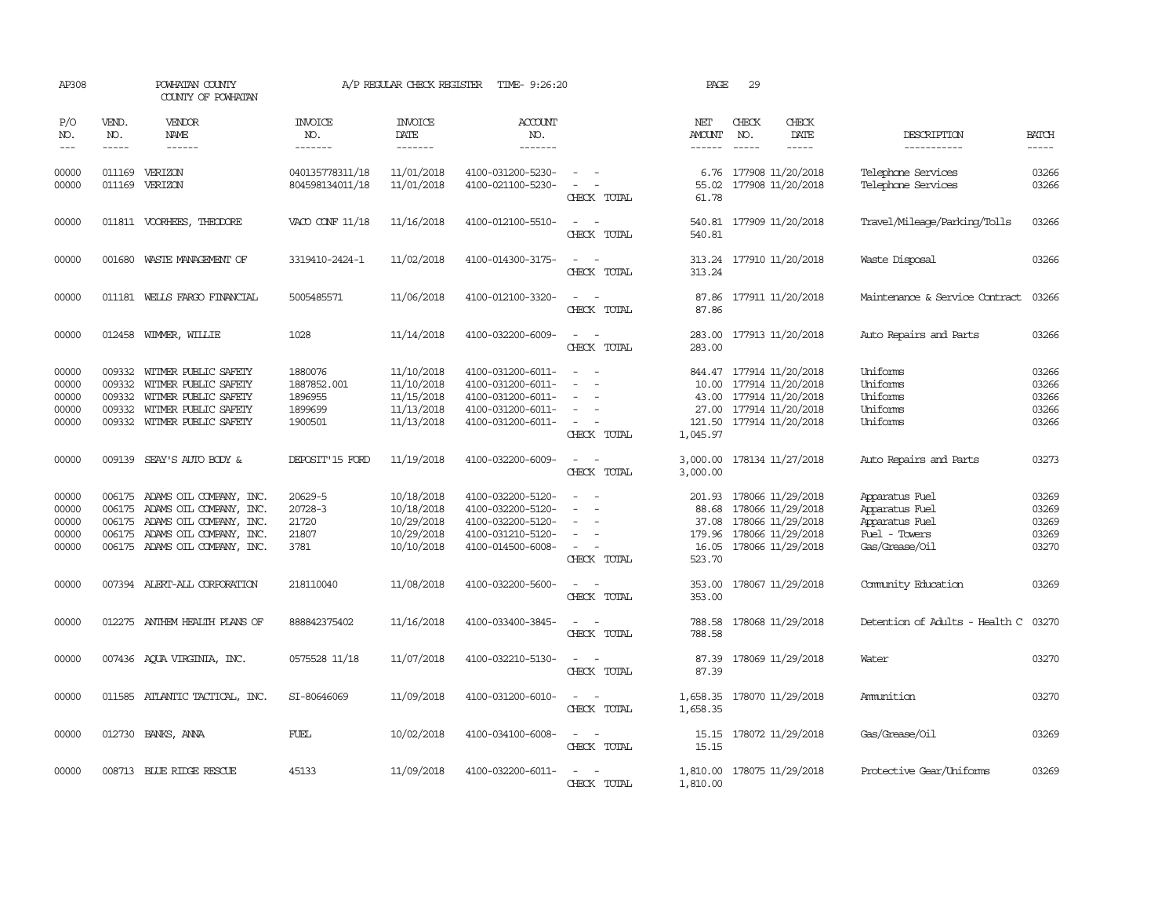| AP308                                     |                                      | POWHATAN COUNTY<br>COUNTY OF POWHATAN                                                                                                                    |                                                         | A/P REGULAR CHECK REGISTER                                         | TIME- 9:26:20                                                                                         |                                                             | PAGE                                          | 29                                                                                                                  |                              |                                                                                       |                                           |
|-------------------------------------------|--------------------------------------|----------------------------------------------------------------------------------------------------------------------------------------------------------|---------------------------------------------------------|--------------------------------------------------------------------|-------------------------------------------------------------------------------------------------------|-------------------------------------------------------------|-----------------------------------------------|---------------------------------------------------------------------------------------------------------------------|------------------------------|---------------------------------------------------------------------------------------|-------------------------------------------|
| P/O<br>NO.<br>$---$                       | VEND.<br>NO.<br>$\frac{1}{2}$        | VENDOR<br>NAME<br>------                                                                                                                                 | <b>INVOICE</b><br>NO.<br>-------                        | <b>INVOICE</b><br>DATE<br>-------                                  | <b>ACCOUNT</b><br>NO.<br>-------                                                                      |                                                             | NET<br><b>AMOUNT</b><br>------                | CHECK<br>NO.<br>$\frac{1}{2}$                                                                                       | CHECK<br>DATE<br>$- - - - -$ | DESCRIPTION<br>-----------                                                            | <b>BATCH</b><br>$\frac{1}{2}$             |
| 00000<br>00000                            | 011169                               | VERIZON<br>011169 VERIZON                                                                                                                                | 040135778311/18<br>804598134011/18                      | 11/01/2018<br>11/01/2018                                           | 4100-031200-5230-<br>4100-021100-5230-                                                                | CHECK TOTAL                                                 | 6.76<br>55.02<br>61.78                        | 177908 11/20/2018<br>177908 11/20/2018                                                                              |                              | Telephone Services<br>Telephone Services                                              | 03266<br>03266                            |
| 00000                                     |                                      | 011811 VOORHEES, THEODORE                                                                                                                                | VACO CONF 11/18                                         | 11/16/2018                                                         | 4100-012100-5510-                                                                                     | $\sim$<br>CHECK TOTAL                                       | 540.81                                        | 540.81 177909 11/20/2018                                                                                            |                              | Travel/Mileage/Parking/Tolls                                                          | 03266                                     |
| 00000                                     | 001680                               | WASTE MANAGEMENT OF                                                                                                                                      | 3319410-2424-1                                          | 11/02/2018                                                         | 4100-014300-3175-                                                                                     | $\sim$<br>$\sim$<br>CHECK TOTAL                             | 313.24                                        | 313.24 177910 11/20/2018                                                                                            |                              | Waste Disposal                                                                        | 03266                                     |
| 00000                                     |                                      | 011181 WELLS FARGO FINANCIAL                                                                                                                             | 5005485571                                              | 11/06/2018                                                         | 4100-012100-3320-                                                                                     | $\sim$<br>CHECK TOTAL                                       | 87.86                                         | 87.86 177911 11/20/2018                                                                                             |                              | Maintenance & Service Contract                                                        | 03266                                     |
| 00000                                     |                                      | 012458 WIMMER, WILLIE                                                                                                                                    | 1028                                                    | 11/14/2018                                                         | 4100-032200-6009-                                                                                     | $\sim$<br>CHECK TOTAL                                       | 283.00<br>283.00                              | 177913 11/20/2018                                                                                                   |                              | Auto Repairs and Parts                                                                | 03266                                     |
| 00000<br>00000<br>00000<br>00000<br>00000 | 009332<br>009332<br>009332<br>009332 | WITMER PUBLIC SAFETY<br>WITMER PUBLIC SAFETY<br>WITMER PUBLIC SAFETY<br>WITMER PUBLIC SAFETY<br>009332 WITMER PUBLIC SAFETY                              | 1880076<br>1887852.001<br>1896955<br>1899699<br>1900501 | 11/10/2018<br>11/10/2018<br>11/15/2018<br>11/13/2018<br>11/13/2018 | 4100-031200-6011-<br>4100-031200-6011-<br>4100-031200-6011-<br>4100-031200-6011-<br>4100-031200-6011- | CHECK TOTAL                                                 | 844.47<br>10.00<br>43.00<br>27.00<br>1,045.97 | 177914 11/20/2018<br>177914 11/20/2018<br>177914 11/20/2018<br>177914 11/20/2018<br>121.50 177914 11/20/2018        |                              | Uniforms<br>Uniforms<br>Uniforms<br>Uniforms<br>Uniforms                              | 03266<br>03266<br>03266<br>03266<br>03266 |
| 00000                                     | 009139                               | SEAY'S AUTO BODY &                                                                                                                                       | DEPOSIT'15 FORD                                         | 11/19/2018                                                         | 4100-032200-6009-                                                                                     | $\overline{\phantom{a}}$<br>CHECK TOTAL                     | 3,000.00<br>3,000.00                          | 178134 11/27/2018                                                                                                   |                              | Auto Repairs and Parts                                                                | 03273                                     |
| 00000<br>00000<br>00000<br>00000<br>00000 | 006175<br>006175                     | 006175 ADAMS OIL COMPANY, INC.<br>ADAMS OIL COMPANY, INC.<br>ADAMS OIL COMPANY, INC.<br>006175 ADAMS OIL COMPANY, INC.<br>006175 ADAMS OIL COMPANY, INC. | 20629-5<br>20728-3<br>21720<br>21807<br>3781            | 10/18/2018<br>10/18/2018<br>10/29/2018<br>10/29/2018<br>10/10/2018 | 4100-032200-5120-<br>4100-032200-5120-<br>4100-032200-5120-<br>4100-031210-5120-<br>4100-014500-6008- | $\sim$<br>$\sim$<br>$\overline{\phantom{a}}$<br>CHECK TOTAL | 88.68<br>37.08<br>16.05<br>523.70             | 201.93 178066 11/29/2018<br>178066 11/29/2018<br>178066 11/29/2018<br>179.96 178066 11/29/2018<br>178066 11/29/2018 |                              | Apparatus Fuel<br>Apparatus Fuel<br>Apparatus Fuel<br>Fuel - Towers<br>Gas/Grease/Oil | 03269<br>03269<br>03269<br>03269<br>03270 |
| 00000                                     |                                      | 007394 ALERT-ALL CORPORATION                                                                                                                             | 218110040                                               | 11/08/2018                                                         | 4100-032200-5600-                                                                                     | $\sim$ $ \sim$<br>CHECK TOTAL                               | 353.00<br>353.00                              | 178067 11/29/2018                                                                                                   |                              | Community Education                                                                   | 03269                                     |
| 00000                                     |                                      | 012275 ANTHEM HEALTH PLANS OF                                                                                                                            | 888842375402                                            | 11/16/2018                                                         | 4100-033400-3845-                                                                                     | CHECK TOTAL                                                 | 788.58<br>788.58                              | 178068 11/29/2018                                                                                                   |                              | Detention of Adults - Health C                                                        | 03270                                     |
| 00000                                     |                                      | 007436 AQUA VIRGINIA, INC.                                                                                                                               | 0575528 11/18                                           | 11/07/2018                                                         | 4100-032210-5130-                                                                                     | $\sim$<br>CHECK TOTAL                                       | 87.39<br>87.39                                | 178069 11/29/2018                                                                                                   |                              | Water                                                                                 | 03270                                     |
| 00000                                     |                                      | 011585 ATLANTIC TACTICAL, INC.                                                                                                                           | SI-80646069                                             | 11/09/2018                                                         | 4100-031200-6010-                                                                                     | $\sim$<br>$\overline{\phantom{a}}$<br>CHECK TOTAL           | 1,658.35 178070 11/29/2018<br>1,658.35        |                                                                                                                     |                              | Ammunition                                                                            | 03270                                     |
| 00000                                     |                                      | 012730 BANKS, ANNA                                                                                                                                       | FUEL                                                    | 10/02/2018                                                         | 4100-034100-6008-                                                                                     | $\sim$<br>CHECK TOTAL                                       | 15.15                                         | 15.15 178072 11/29/2018                                                                                             |                              | Gas/Grease/Oil                                                                        | 03269                                     |
| 00000                                     |                                      | 008713 BLUE RIDGE RESCUE                                                                                                                                 | 45133                                                   | 11/09/2018                                                         | 4100-032200-6011-                                                                                     | $\overline{\phantom{a}}$<br>CHECK TOTAL                     | 1,810.00 178075 11/29/2018<br>1,810.00        |                                                                                                                     |                              | Protective Gear/Uniforms                                                              | 03269                                     |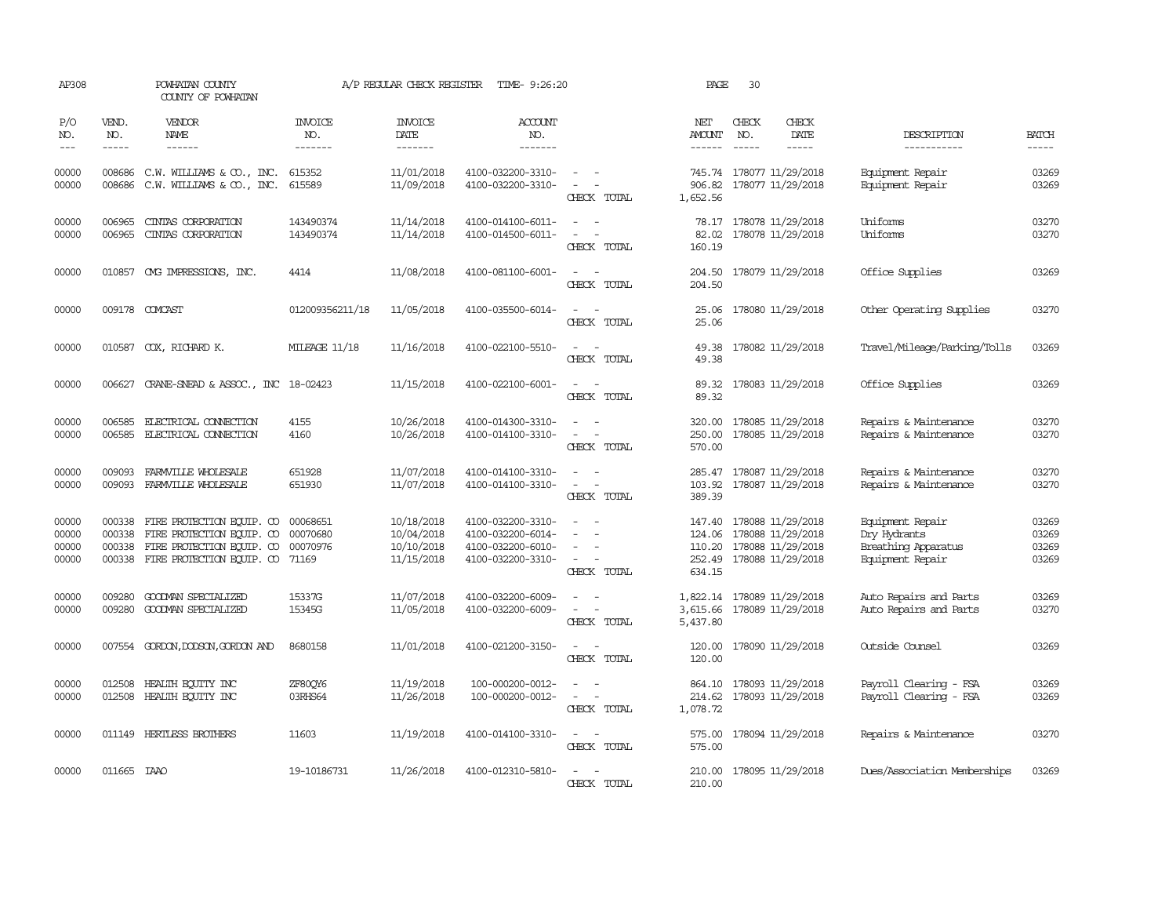| P/O<br>NO.<br>$\frac{1}{2}$      | VEND.<br>NO.<br>$- - - - -$ | <b>VENDOR</b><br>NAME<br>$- - - - - -$                                                                                  | <b>INVOICE</b><br>NO.<br>-------          | <b>INVOICE</b><br>DATE<br>-------                    | <b>ACCOUNT</b><br>NO.<br>-------                                                 |                                                                                                           | NET<br>AMOUNT              | CHECK<br>NO.<br>$\frac{1}{2}$ | CHECK<br>DATE<br>-----                                                                         | DESCRIPTION<br>-----------                                                  | <b>BATCH</b><br>$- - - - -$      |
|----------------------------------|-----------------------------|-------------------------------------------------------------------------------------------------------------------------|-------------------------------------------|------------------------------------------------------|----------------------------------------------------------------------------------|-----------------------------------------------------------------------------------------------------------|----------------------------|-------------------------------|------------------------------------------------------------------------------------------------|-----------------------------------------------------------------------------|----------------------------------|
| 00000<br>00000                   | 008686<br>008686            | C.W. WILLIAMS & CO., INC.<br>C.W. WILLIAMS & CO., INC.                                                                  | 615352<br>615589                          | 11/01/2018<br>11/09/2018                             | 4100-032200-3310-<br>4100-032200-3310-                                           | $\sim$ $ \sim$<br>$\sim$<br>CHECK TOTAL                                                                   | 1,652.56                   |                               | 745.74 178077 11/29/2018<br>906.82 178077 11/29/2018                                           | Equipment Repair<br>Equipment Repair                                        | 03269<br>03269                   |
| 00000<br>00000                   | 006965<br>006965            | CINTAS CORPORATION<br>CINIAS CORPORATION                                                                                | 143490374<br>143490374                    | 11/14/2018<br>11/14/2018                             | 4100-014100-6011-<br>4100-014500-6011-                                           | $\sim$<br>CHECK TOTAL                                                                                     | 78.17<br>82.02<br>160.19   |                               | 178078 11/29/2018<br>178078 11/29/2018                                                         | <b>Uniforms</b><br>Uniforms                                                 | 03270<br>03270                   |
| 00000                            |                             | 010857 CMG IMPRESSIONS, INC.                                                                                            | 4414                                      | 11/08/2018                                           | 4100-081100-6001-                                                                | CHECK TOTAL                                                                                               | 204.50<br>204.50           |                               | 178079 11/29/2018                                                                              | Office Supplies                                                             | 03269                            |
| 00000                            |                             | 009178 COMCAST                                                                                                          | 012009356211/18                           | 11/05/2018                                           | 4100-035500-6014-                                                                | $\sim$<br>CHECK TOTAL                                                                                     | 25.06                      |                               | 25.06 178080 11/29/2018                                                                        | Other Operating Supplies                                                    | 03270                            |
| 00000                            |                             | 010587 COX, RICHARD K.                                                                                                  | <b>MILEAGE 11/18</b>                      | 11/16/2018                                           | 4100-022100-5510-                                                                | $\sim$<br>CHECK TOTAL                                                                                     | 49.38                      |                               | 49.38 178082 11/29/2018                                                                        | Travel/Mileage/Parking/Tolls                                                | 03269                            |
| 00000                            |                             | 006627 CRANE-SNEAD & ASSOC., INC 18-02423                                                                               |                                           | 11/15/2018                                           | 4100-022100-6001-                                                                | CHECK TOTAL                                                                                               | 89.32                      |                               | 89.32 178083 11/29/2018                                                                        | Office Supplies                                                             | 03269                            |
| 00000<br>00000                   | 006585                      | ELECTRICAL CONNECTION<br>006585 ELECTRICAL CONNECTION                                                                   | 4155<br>4160                              | 10/26/2018<br>10/26/2018                             | 4100-014300-3310-<br>4100-014100-3310-                                           | $\overline{\phantom{a}}$<br>$\sim$<br>CHECK TOTAL                                                         | 320.00<br>250.00<br>570.00 |                               | 178085 11/29/2018<br>178085 11/29/2018                                                         | Repairs & Maintenance<br>Repairs & Maintenance                              | 03270<br>03270                   |
| 00000<br>00000                   | 009093<br>009093            | FARMVILLE WHOLESALE<br>FARMVILLE WHOLESALE                                                                              | 651928<br>651930                          | 11/07/2018<br>11/07/2018                             | 4100-014100-3310-<br>4100-014100-3310-                                           | $\overline{\phantom{a}}$<br>CHECK TOTAL                                                                   | 103.92<br>389.39           |                               | 285.47 178087 11/29/2018<br>178087 11/29/2018                                                  | Repairs & Maintenance<br>Repairs & Maintenance                              | 03270<br>03270                   |
| 00000<br>00000<br>00000<br>00000 | 000338<br>000338<br>000338  | FIRE PROTECTION EQUIP. CO<br>FIRE PROTECTION EQUIP. CO<br>FIRE PROTECTION EQUIP. CO<br>000338 FIRE PROTECTION EQUIP. CO | 00068651<br>00070680<br>00070976<br>71169 | 10/18/2018<br>10/04/2018<br>10/10/2018<br>11/15/2018 | 4100-032200-3310-<br>4100-032200-6014-<br>4100-032200-6010-<br>4100-032200-3310- | $\overline{\phantom{a}}$<br>$\overline{\phantom{a}}$<br>$\overline{\phantom{a}}$<br>$\sim$<br>CHECK TOTAL | 147.40<br>110.20<br>634.15 |                               | 178088 11/29/2018<br>124.06 178088 11/29/2018<br>178088 11/29/2018<br>252.49 178088 11/29/2018 | Equipment Repair<br>Dry Hydrants<br>Breathing Apparatus<br>Equipment Repair | 03269<br>03269<br>03269<br>03269 |
| 00000<br>00000                   | 009280<br>009280            | GOODMAN SPECIALIZED<br>GOODMAN SPECIALIZED                                                                              | 15337G<br>15345G                          | 11/07/2018<br>11/05/2018                             | 4100-032200-6009-<br>4100-032200-6009-                                           | $\sim$<br>$\overline{\phantom{a}}$<br>CHECK TOTAL                                                         | 5,437.80                   |                               | 1,822.14 178089 11/29/2018<br>3,615.66 178089 11/29/2018                                       | Auto Repairs and Parts<br>Auto Repairs and Parts                            | 03269<br>03270                   |
| 00000                            |                             | 007554 GORDON, DODSON, GORDON AND                                                                                       | 8680158                                   | 11/01/2018                                           | 4100-021200-3150-                                                                | $\sim$ $ \sim$<br>CHECK TOTAL                                                                             | 120.00<br>120.00           |                               | 178090 11/29/2018                                                                              | Outside Counsel                                                             | 03269                            |
| 00000<br>00000                   | 012508                      | HEALTH EQUITY INC<br>012508 HEALTH ECUTTY INC                                                                           | ZF80QY6<br>03RHS64                        | 11/19/2018<br>11/26/2018                             | 100-000200-0012-<br>100-000200-0012-                                             | $\overline{\phantom{a}}$<br>$\overline{\phantom{a}}$<br>CHECK TOTAL                                       | 214.62<br>1,078.72         |                               | 864.10 178093 11/29/2018<br>178093 11/29/2018                                                  | Payroll Clearing - FSA<br>Payroll Clearing - FSA                            | 03269<br>03269                   |
| 00000                            |                             | 011149 HERTLESS BROTHERS                                                                                                | 11603                                     | 11/19/2018                                           | 4100-014100-3310-                                                                | $\sim$ $ \sim$<br>CHECK TOTAL                                                                             | 575.00<br>575.00           |                               | 178094 11/29/2018                                                                              | Repairs & Maintenance                                                       | 03270                            |
| 00000                            | 011665 TAAO                 |                                                                                                                         | 19-10186731                               | 11/26/2018                                           | 4100-012310-5810-                                                                | $\overline{\phantom{a}}$<br>$\overline{\phantom{a}}$<br>CHECK TOTAL                                       | 210.00<br>210.00           |                               | 178095 11/29/2018                                                                              | Dues/Association Memberships                                                | 03269                            |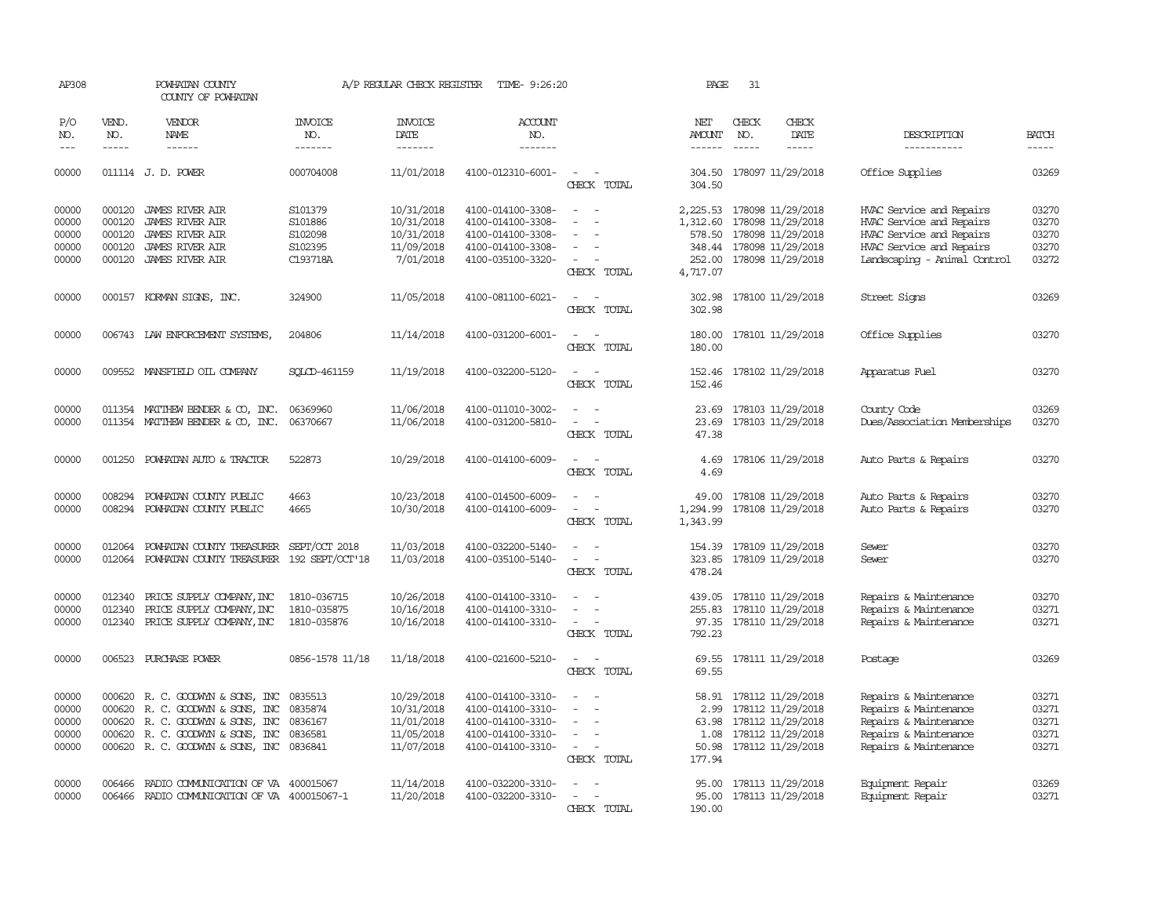| AP308                                     |                                                | POWHATAN COUNTY<br>COUNTY OF POWHATAN                                                                                                                              |                                                      | A/P REGULAR CHECK REGISTER                                         | TIME- 9:26:20                                                                                         |                                                                                                                     | PAGE                                     | 31                          |                                                                                                                        |                                                                                                                                              |                                           |
|-------------------------------------------|------------------------------------------------|--------------------------------------------------------------------------------------------------------------------------------------------------------------------|------------------------------------------------------|--------------------------------------------------------------------|-------------------------------------------------------------------------------------------------------|---------------------------------------------------------------------------------------------------------------------|------------------------------------------|-----------------------------|------------------------------------------------------------------------------------------------------------------------|----------------------------------------------------------------------------------------------------------------------------------------------|-------------------------------------------|
| P/O<br>NO.<br>$---$                       | VEND.<br>NO.<br>$- - - - -$                    | <b>VENDOR</b><br>NAME<br>$- - - - - -$                                                                                                                             | <b>INVOICE</b><br>NO.<br>-------                     | <b>INVOICE</b><br>DATE<br>-------                                  | ACCOUNT<br>NO.<br>-------                                                                             |                                                                                                                     | NET<br>AMOUNT<br>$- - - - - -$           | CHECK<br>NO.<br>$- - - - -$ | CHECK<br>DATE<br>-----                                                                                                 | DESCRIPTION<br>-----------                                                                                                                   | <b>BATCH</b><br>-----                     |
| 00000                                     |                                                | 011114 J.D. POWER                                                                                                                                                  | 000704008                                            | 11/01/2018                                                         | 4100-012310-6001-                                                                                     | $\overline{\phantom{a}}$<br>CHECK TOTAL                                                                             | 304.50                                   |                             | 304.50 178097 11/29/2018                                                                                               | Office Supplies                                                                                                                              | 03269                                     |
| 00000<br>00000<br>00000<br>00000<br>00000 | 000120<br>000120<br>000120<br>000120<br>000120 | <b>JAMES RIVER AIR</b><br><b>JAMES RIVER AIR</b><br><b>JAMES RIVER AIR</b><br><b>JAMES RIVER AIR</b><br>JAMES RIVER AIR                                            | S101379<br>S101886<br>S102098<br>S102395<br>C193718A | 10/31/2018<br>10/31/2018<br>10/31/2018<br>11/09/2018<br>7/01/2018  | 4100-014100-3308-<br>4100-014100-3308-<br>4100-014100-3308-<br>4100-014100-3308-<br>4100-035100-3320- | $\equiv$<br>$\overline{\phantom{a}}$<br>$\sim$<br>CHECK TOTAL                                                       | 1,312.60<br>578.50<br>252.00<br>4,717.07 |                             | 2, 225.53 178098 11/29/2018<br>178098 11/29/2018<br>178098 11/29/2018<br>348.44 178098 11/29/2018<br>178098 11/29/2018 | HVAC Service and Repairs<br>HVAC Service and Repairs<br>HVAC Service and Repairs<br>HVAC Service and Repairs<br>Landscaping - Animal Control | 03270<br>03270<br>03270<br>03270<br>03272 |
| 00000                                     |                                                | 000157 KORMAN SIGNS, INC.                                                                                                                                          | 324900                                               | 11/05/2018                                                         | 4100-081100-6021-                                                                                     | $\sim$<br>$\sim$<br>CHECK TOTAL                                                                                     | 302.98                                   |                             | 302.98 178100 11/29/2018                                                                                               | Street Signs                                                                                                                                 | 03269                                     |
| 00000                                     |                                                | 006743 LAW ENFORCEMENT SYSTEMS,                                                                                                                                    | 204806                                               | 11/14/2018                                                         | 4100-031200-6001-                                                                                     | CHECK TOTAL                                                                                                         | 180.00<br>180.00                         |                             | 178101 11/29/2018                                                                                                      | Office Supplies                                                                                                                              | 03270                                     |
| 00000                                     |                                                | 009552 MANSFIELD OIL COMPANY                                                                                                                                       | SOLCD-461159                                         | 11/19/2018                                                         | 4100-032200-5120-                                                                                     | CHECK TOTAL                                                                                                         | 152.46<br>152.46                         |                             | 178102 11/29/2018                                                                                                      | Apparatus Fuel                                                                                                                               | 03270                                     |
| 00000<br>00000                            |                                                | 011354 MATTHEW BENDER & CO, INC.<br>011354 MATTHEW BENDER & CO, INC.                                                                                               | 06369960<br>06370667                                 | 11/06/2018<br>11/06/2018                                           | 4100-011010-3002-<br>4100-031200-5810-                                                                | $\sim$<br>$\sim$<br>$\overline{a}$<br>$\overline{\phantom{a}}$<br>CHECK TOTAL                                       | 23.69<br>47.38                           |                             | 23.69 178103 11/29/2018<br>178103 11/29/2018                                                                           | County Code<br>Dues/Association Memberships                                                                                                  | 03269<br>03270                            |
| 00000                                     |                                                | 001250 POWHATAN AUTO & TRACTOR                                                                                                                                     | 522873                                               | 10/29/2018                                                         | 4100-014100-6009-                                                                                     | $\sim$<br>$\overline{\phantom{a}}$<br>CHECK TOTAL                                                                   | 4.69<br>4.69                             |                             | 178106 11/29/2018                                                                                                      | Auto Parts & Repairs                                                                                                                         | 03270                                     |
| 00000<br>00000                            | 008294<br>008294                               | POWHATAN COUNTY PUBLIC<br>POWHATAN COUNTY PUBLIC                                                                                                                   | 4663<br>4665                                         | 10/23/2018<br>10/30/2018                                           | 4100-014500-6009-<br>4100-014100-6009-                                                                | $\sim$<br>$\overline{\phantom{a}}$<br>CHECK TOTAL                                                                   | 49.00<br>1,294.99<br>1,343.99            |                             | 178108 11/29/2018<br>178108 11/29/2018                                                                                 | Auto Parts & Repairs<br>Auto Parts & Repairs                                                                                                 | 03270<br>03270                            |
| 00000<br>00000                            | 012064                                         | POWHATAN COUNTY TREASURER<br>012064 POWHATAN COUNTY TREASURER                                                                                                      | SEPT/OCT 2018<br>192 SEPT/OCT'18                     | 11/03/2018<br>11/03/2018                                           | 4100-032200-5140-<br>4100-035100-5140-                                                                | $\sim$<br>$\sim$<br>$\overline{\phantom{a}}$<br>$\overline{\phantom{a}}$<br>CHECK TOTAL                             | 323.85<br>478.24                         |                             | 154.39 178109 11/29/2018<br>178109 11/29/2018                                                                          | Sewer<br>Sewer                                                                                                                               | 03270<br>03270                            |
| 00000<br>00000<br>00000                   | 012340<br>012340                               | PRICE SUPPLY COMPANY, INC<br>PRICE SUPPLY COMPANY, INC<br>012340 PRICE SUPPLY COMPANY, INC                                                                         | 1810-036715<br>1810-035875<br>1810-035876            | 10/26/2018<br>10/16/2018<br>10/16/2018                             | 4100-014100-3310-<br>4100-014100-3310-<br>4100-014100-3310-                                           | $\sim$<br>$\overline{\phantom{a}}$<br>$\overline{\phantom{a}}$<br>$\sim$<br>$\overline{\phantom{a}}$<br>CHECK TOTAL | 439.05<br>255.83<br>792.23               |                             | 178110 11/29/2018<br>178110 11/29/2018<br>97.35 178110 11/29/2018                                                      | Repairs & Maintenance<br>Repairs & Maintenance<br>Repairs & Maintenance                                                                      | 03270<br>03271<br>03271                   |
| 00000                                     |                                                | 006523 PURCHASE POWER                                                                                                                                              | 0856-1578 11/18                                      | 11/18/2018                                                         | 4100-021600-5210-                                                                                     | CHECK TOTAL                                                                                                         | 69.55<br>69.55                           |                             | 178111 11/29/2018                                                                                                      | Postage                                                                                                                                      | 03269                                     |
| 00000<br>00000<br>00000<br>00000<br>00000 | 000620<br>000620                               | 000620 R. C. GOODWYN & SONS, INC<br>R. C. GOODWYN & SONS, INC<br>R. C. GOODWYN & SONS, INC<br>000620 R. C. GOODWYN & SONS, INC<br>000620 R. C. GOODWYN & SONS, INC | 0835513<br>0835874<br>0836167<br>0836581<br>0836841  | 10/29/2018<br>10/31/2018<br>11/01/2018<br>11/05/2018<br>11/07/2018 | 4100-014100-3310-<br>4100-014100-3310-<br>4100-014100-3310-<br>4100-014100-3310-<br>4100-014100-3310- | $\equiv$<br>$\sim$<br>CHECK TOTAL                                                                                   | 2.99<br>50.98<br>177.94                  |                             | 58.91 178112 11/29/2018<br>178112 11/29/2018<br>63.98 178112 11/29/2018<br>1.08 178112 11/29/2018<br>178112 11/29/2018 | Repairs & Maintenance<br>Repairs & Maintenance<br>Repairs & Maintenance<br>Repairs & Maintenance<br>Repairs & Maintenance                    | 03271<br>03271<br>03271<br>03271<br>03271 |
| 00000<br>00000                            | 006466<br>006466                               | RADIO COMMUNICATION OF VA 400015067<br>RADIO COMMUNICATION OF VA 400015067-1                                                                                       |                                                      | 11/14/2018<br>11/20/2018                                           | 4100-032200-3310-<br>4100-032200-3310-                                                                | $\overline{\phantom{a}}$<br>$\overline{\phantom{a}}$<br>$\overline{\phantom{a}}$<br>CHECK TOTAL                     | 95.00<br>190.00                          |                             | 95.00 178113 11/29/2018<br>178113 11/29/2018                                                                           | Equipment Repair<br>Equipment Repair                                                                                                         | 03269<br>03271                            |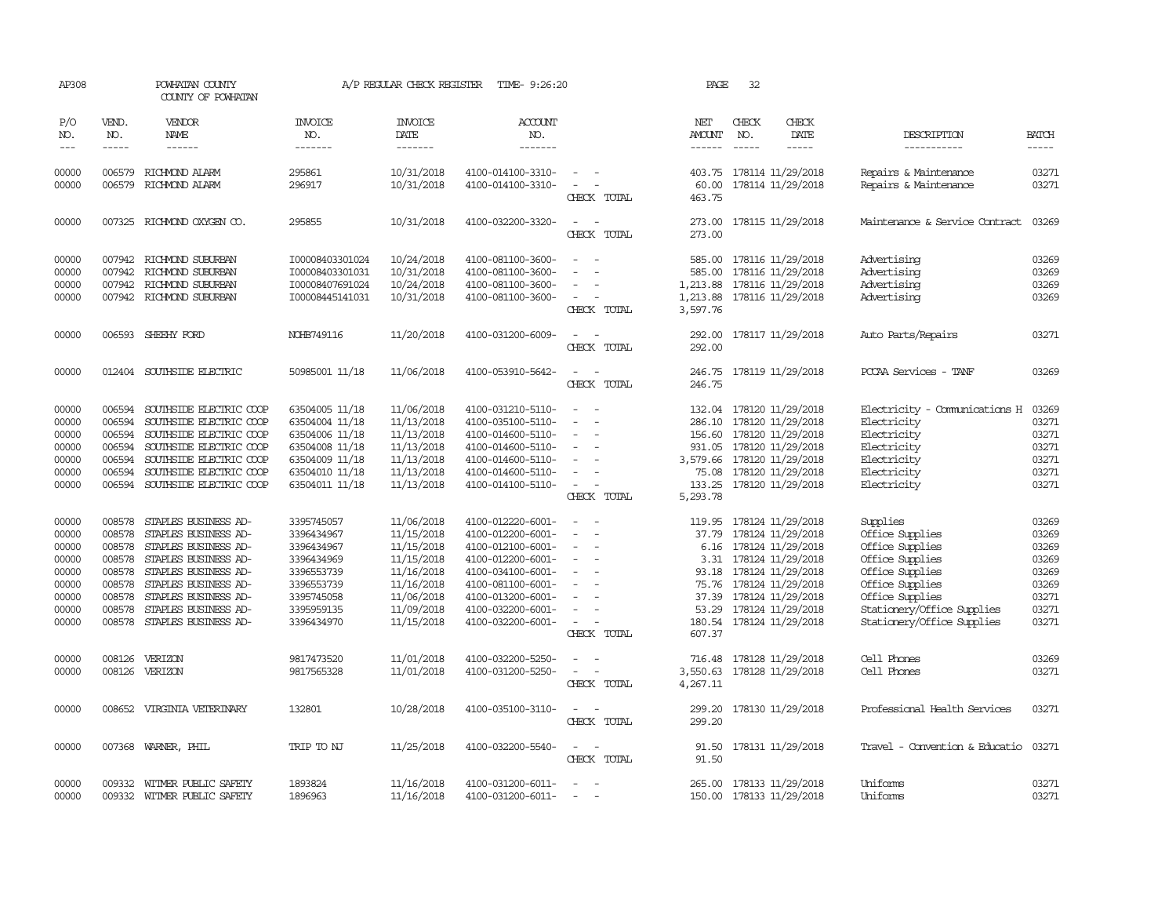| AP308                                                                         |                                                                    | POWHATAN COUNTY<br>COUNTY OF POWHATAN                                                                                                                                                                                                     |                                                                                                                            | A/P REGULAR CHECK REGISTER                                                                                                 | TIME- 9:26:20                                                                                                                                                                             |                                                                                                                             | PAGE                                                                                              | 32                                                                                                                                                                                                         |                              |                                                                                                                                                                                        |                                                                               |
|-------------------------------------------------------------------------------|--------------------------------------------------------------------|-------------------------------------------------------------------------------------------------------------------------------------------------------------------------------------------------------------------------------------------|----------------------------------------------------------------------------------------------------------------------------|----------------------------------------------------------------------------------------------------------------------------|-------------------------------------------------------------------------------------------------------------------------------------------------------------------------------------------|-----------------------------------------------------------------------------------------------------------------------------|---------------------------------------------------------------------------------------------------|------------------------------------------------------------------------------------------------------------------------------------------------------------------------------------------------------------|------------------------------|----------------------------------------------------------------------------------------------------------------------------------------------------------------------------------------|-------------------------------------------------------------------------------|
| P/O<br>NO.<br>$---$                                                           | VEND.<br>NO.<br>$- - - - -$                                        | <b>VENDOR</b><br><b>NAME</b><br>$- - - - - -$                                                                                                                                                                                             | <b>INVOICE</b><br>NO.<br>-------                                                                                           | <b>INVOICE</b><br>DATE<br>-------                                                                                          | <b>ACCOUNT</b><br>NO.<br>-------                                                                                                                                                          |                                                                                                                             | NET<br>AMOUNT<br>------                                                                           | CHECK<br>NO.<br>$\frac{1}{2}$                                                                                                                                                                              | CHECK<br>DATE<br>$- - - - -$ | DESCRIPTION<br>-----------                                                                                                                                                             | <b>BATCH</b><br>-----                                                         |
| 00000<br>00000                                                                | 006579                                                             | RICHMOND ALARM<br>006579 RICHMOND ALARM                                                                                                                                                                                                   | 295861<br>296917                                                                                                           | 10/31/2018<br>10/31/2018                                                                                                   | 4100-014100-3310-<br>4100-014100-3310-                                                                                                                                                    | $\sim$<br>$\sim$ $-$<br>CHECK TOTAL                                                                                         | 403.75<br>60.00<br>463.75                                                                         | 178114 11/29/2018<br>178114 11/29/2018                                                                                                                                                                     |                              | Repairs & Maintenance<br>Repairs & Maintenance                                                                                                                                         | 03271<br>03271                                                                |
| 00000                                                                         |                                                                    | 007325 RICHMOND OXYGEN CO.                                                                                                                                                                                                                | 295855                                                                                                                     | 10/31/2018                                                                                                                 | 4100-032200-3320-                                                                                                                                                                         | CHECK TOTAL                                                                                                                 | 273.00<br>273.00                                                                                  |                                                                                                                                                                                                            | 178115 11/29/2018            | Maintenance & Service Contract                                                                                                                                                         | 03269                                                                         |
| 00000<br>00000<br>00000<br>00000                                              | 007942<br>007942<br>007942                                         | RICHMOND SUBURBAN<br>RICHMOND SUBURBAN<br>RICHMOND SUBURBAN<br>007942 RICHMOND SUBURBAN                                                                                                                                                   | I00008403301024<br>I00008403301031<br>I00008407691024<br>I00008445141031                                                   | 10/24/2018<br>10/31/2018<br>10/24/2018<br>10/31/2018                                                                       | 4100-081100-3600-<br>4100-081100-3600-<br>4100-081100-3600-<br>4100-081100-3600-                                                                                                          | $\sim$<br>CHECK TOTAL                                                                                                       | 585.00<br>585.00<br>1,213.88<br>1,213.88<br>3,597.76                                              | 178116 11/29/2018<br>178116 11/29/2018<br>178116 11/29/2018                                                                                                                                                | 178116 11/29/2018            | Advertising<br>Advertising<br>Advertising<br>Advertising                                                                                                                               | 03269<br>03269<br>03269<br>03269                                              |
| 00000                                                                         | 006593                                                             | SHEEHY FORD                                                                                                                                                                                                                               | NOHB749116                                                                                                                 | 11/20/2018                                                                                                                 | 4100-031200-6009-                                                                                                                                                                         | $\sim$<br>CHECK TOTAL                                                                                                       | 292.00<br>292.00                                                                                  |                                                                                                                                                                                                            | 178117 11/29/2018            | Auto Parts/Repairs                                                                                                                                                                     | 03271                                                                         |
| 00000                                                                         |                                                                    | 012404 SOUTHSIDE ELECTRIC                                                                                                                                                                                                                 | 50985001 11/18                                                                                                             | 11/06/2018                                                                                                                 | 4100-053910-5642-                                                                                                                                                                         | CHECK TOTAL                                                                                                                 | 246.75<br>246.75                                                                                  |                                                                                                                                                                                                            | 178119 11/29/2018            | PCCAA Services - TANF                                                                                                                                                                  | 03269                                                                         |
| 00000<br>00000<br>00000<br>00000<br>00000<br>00000<br>00000                   | 006594<br>006594<br>006594<br>006594<br>006594<br>006594<br>006594 | SOUTHSIDE ELECTRIC COOP<br>SOUTHSIDE ELECTRIC COOP<br>SOUTHSIDE ELECTRIC COOP<br>SOUTHSIDE ELECTRIC COOP<br>SOUTHSIDE ELECTRIC COOP<br>SOUTHSIDE ELECTRIC COOP<br>SOUTHSIDE ELECTRIC COOP                                                 | 63504005 11/18<br>63504004 11/18<br>63504006 11/18<br>63504008 11/18<br>63504009 11/18<br>63504010 11/18<br>63504011 11/18 | 11/06/2018<br>11/13/2018<br>11/13/2018<br>11/13/2018<br>11/13/2018<br>11/13/2018<br>11/13/2018                             | 4100-031210-5110-<br>4100-035100-5110-<br>4100-014600-5110-<br>4100-014600-5110-<br>4100-014600-5110-<br>4100-014600-5110-<br>4100-014100-5110-                                           | $\overline{\phantom{a}}$<br>$\sim$<br>$\overline{\phantom{a}}$<br>$\sim$<br>CHECK TOTAL                                     | 132.04<br>286.10<br>156.60<br>931.05<br>3,579.66 178120 11/29/2018<br>75.08<br>133.25<br>5,293.78 | 178120 11/29/2018<br>178120 11/29/2018<br>178120 11/29/2018<br>178120 11/29/2018<br>178120 11/29/2018<br>178120 11/29/2018                                                                                 |                              | Electricity - Comunications H<br>Electricity<br>Electricity<br>Electricity<br>Electricity<br>Electricity<br>Electricity                                                                | 03269<br>03271<br>03271<br>03271<br>03271<br>03271<br>03271                   |
| 00000<br>00000<br>00000<br>00000<br>00000<br>00000<br>00000<br>00000<br>00000 | 008578<br>008578<br>008578<br>008578<br>008578<br>008578           | STAPLES BUSINESS AD-<br>STAPLES BUSINESS AD-<br>008578 STAPLES BUSINESS AD-<br>008578 STAPLES BUSINESS AD-<br>STAPLES BUSINESS AD-<br>STAPLES BUSINESS AD-<br>STAPLES BUSINESS AD-<br>STAPLES BUSINESS AD-<br>008578 STAPLES BUSINESS AD- | 3395745057<br>3396434967<br>3396434967<br>3396434969<br>3396553739<br>3396553739<br>3395745058<br>3395959135<br>3396434970 | 11/06/2018<br>11/15/2018<br>11/15/2018<br>11/15/2018<br>11/16/2018<br>11/16/2018<br>11/06/2018<br>11/09/2018<br>11/15/2018 | 4100-012220-6001-<br>4100-012200-6001-<br>4100-012100-6001-<br>4100-012200-6001-<br>4100-034100-6001-<br>4100-081100-6001-<br>4100-013200-6001-<br>4100-032200-6001-<br>4100-032200-6001- | $\overline{\phantom{a}}$<br>$\overline{\phantom{a}}$<br>$\overline{\phantom{a}}$<br>CHECK TOTAL                             | 119.95<br>37.79<br>93.18<br>75.76<br>37.39<br>53.29<br>607.37                                     | 178124 11/29/2018<br>178124 11/29/2018<br>6.16 178124 11/29/2018<br>3.31 178124 11/29/2018<br>178124 11/29/2018<br>178124 11/29/2018<br>178124 11/29/2018<br>178124 11/29/2018<br>180.54 178124 11/29/2018 |                              | Supplies<br>Office Supplies<br>Office Supplies<br>Office Supplies<br>Office Supplies<br>Office Supplies<br>Office Supplies<br>Stationery/Office Supplies<br>Stationery/Office Supplies | 03269<br>03269<br>03269<br>03269<br>03269<br>03269<br>03271<br>03271<br>03271 |
| 00000<br>00000                                                                | 008126                                                             | VERIZON<br>008126 VERIZON                                                                                                                                                                                                                 | 9817473520<br>9817565328                                                                                                   | 11/01/2018<br>11/01/2018                                                                                                   | 4100-032200-5250-<br>4100-031200-5250-                                                                                                                                                    | $\overline{\phantom{a}}$<br>CHECK TOTAL                                                                                     | 3,550.63 178128 11/29/2018<br>4,267.11                                                            | 716.48 178128 11/29/2018                                                                                                                                                                                   |                              | Cell Phones<br>Cell Phones                                                                                                                                                             | 03269<br>03271                                                                |
| 00000                                                                         |                                                                    | 008652 VIRGINIA VEIERINARY                                                                                                                                                                                                                | 132801                                                                                                                     | 10/28/2018                                                                                                                 | 4100-035100-3110-                                                                                                                                                                         | $\frac{1}{2} \left( \frac{1}{2} \right) \left( \frac{1}{2} \right) = \frac{1}{2} \left( \frac{1}{2} \right)$<br>CHECK TOTAL | 299.20<br>299.20                                                                                  | 178130 11/29/2018                                                                                                                                                                                          |                              | Professional Health Services                                                                                                                                                           | 03271                                                                         |
| 00000                                                                         |                                                                    | 007368 WARNER, PHIL                                                                                                                                                                                                                       | TRIP TO NJ                                                                                                                 | 11/25/2018                                                                                                                 | 4100-032200-5540-                                                                                                                                                                         | $\sim$<br>$\sim$<br>CHECK TOTAL                                                                                             | 91.50<br>91.50                                                                                    | 178131 11/29/2018                                                                                                                                                                                          |                              | Travel - Convention & Educatio                                                                                                                                                         | 03271                                                                         |
| 00000<br>00000                                                                | 009332                                                             | 009332 WITMER PUBLIC SAFETY<br>WITMER PUBLIC SAFETY                                                                                                                                                                                       | 1893824<br>1896963                                                                                                         | 11/16/2018<br>11/16/2018                                                                                                   | 4100-031200-6011-<br>4100-031200-6011-                                                                                                                                                    | $\overline{\phantom{a}}$                                                                                                    |                                                                                                   | 265.00 178133 11/29/2018<br>150.00 178133 11/29/2018                                                                                                                                                       |                              | Uniforms<br>Uniforms                                                                                                                                                                   | 03271<br>03271                                                                |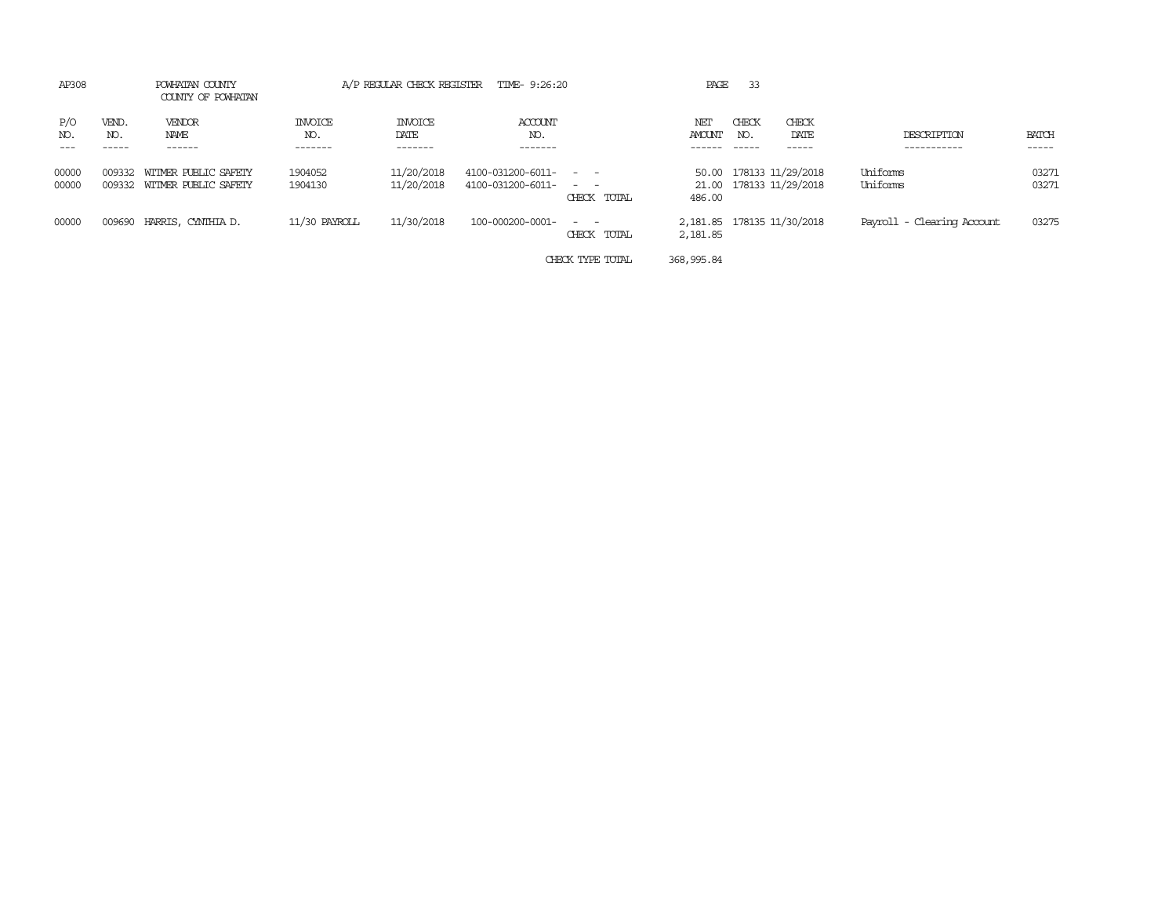| AP308          |              | POWHATAN COUNTY<br>COUNTY OF POWHATAN               |                           | A/P REGULAR CHECK REGISTER        | TIME- 9:26:20                              |                               | PAGE                                    | 33           |                                              |                            |                |
|----------------|--------------|-----------------------------------------------------|---------------------------|-----------------------------------|--------------------------------------------|-------------------------------|-----------------------------------------|--------------|----------------------------------------------|----------------------------|----------------|
| P/O<br>NO.     | VEND.<br>NO. | VENDOR<br>NAME<br>------                            | INVOICE<br>NO.<br>------- | <b>INVOICE</b><br>DATE<br>------- | ACCOUNT<br>NO.<br>-------                  |                               | NET<br><b>AMOUNT</b>                    | CHECK<br>NO. | CHECK<br>DATE<br>-----                       | DESCRIPTION<br>----------  | BATCH<br>----- |
| 00000<br>00000 | 009332       | WITMER PUBLIC SAFETY<br>009332 WITMER PUBLIC SAFETY | 1904052<br>1904130        | 11/20/2018<br>11/20/2018          | 4100-031200-6011- - -<br>4100-031200-6011- | $\sim$ $ \sim$<br>CHECK TOTAL | 50.00<br>486.00                         |              | 178133 11/29/2018<br>21.00 178133 11/29/2018 | Uniforms<br>Uniforms       | 03271<br>03271 |
| 00000          | 009690       | HARRIS, CYNTHIA D.                                  | 11/30 PAYROLL             | 11/30/2018                        | 100-000200-0001-                           | $\sim$ $\sim$<br>CHECK TOTAL  | 2, 181.85 178135 11/30/2018<br>2,181.85 |              |                                              | Payroll - Clearing Account | 03275          |
|                |              |                                                     |                           |                                   |                                            | CHECK TYPE TOTAL              | 368, 995.84                             |              |                                              |                            |                |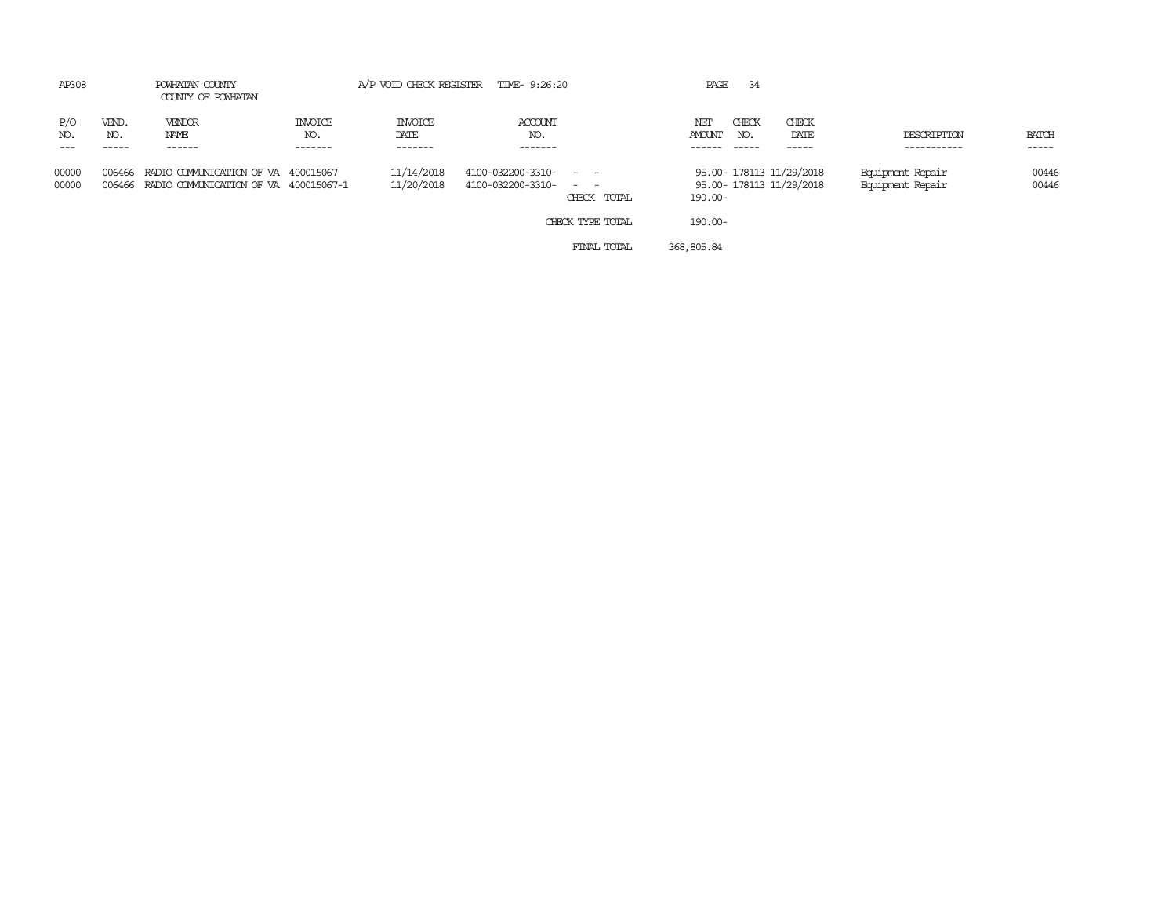| AP308          |                       | POWHATAN COUNTY<br>COUNTY OF POWHATAN                                               |                           |                            | A/P VOID CHECK REGISTER TIME- 9:26:20      |                                                | PAGE                                   | 34                                                   |                                      |                 |
|----------------|-----------------------|-------------------------------------------------------------------------------------|---------------------------|----------------------------|--------------------------------------------|------------------------------------------------|----------------------------------------|------------------------------------------------------|--------------------------------------|-----------------|
| P/O<br>NO.     | VEND.<br>NO.<br>----- | VENDOR<br>NAME<br>------                                                            | INVOICE<br>NO.<br>------- | INVOICE<br>DATE<br>------- | <b>ACCOUNT</b><br>NO.<br>-------           |                                                | CHECK<br>NET<br>AMOUNT<br>NO.<br>----- | CHECK<br>DATE<br>$- - - - -$                         | DESCRIPTION<br>-----------           | BATCH<br>------ |
| 00000<br>00000 | 006466                | RADIO COMMUNICATION OF VA 400015067<br>006466 RADIO COMMUNICATION OF VA 400015067-1 |                           | 11/14/2018<br>11/20/2018   | 4100-032200-3310- - -<br>4100-032200-3310- | the company<br>CHECK TOTAL<br>CHECK TYPE TOTAL | $190.00 -$<br>$190.00 -$               | 95.00- 178113 11/29/2018<br>95.00- 178113 11/29/2018 | Equipment Repair<br>Equipment Repair | 00446<br>00446  |
|                |                       |                                                                                     |                           |                            |                                            |                                                |                                        |                                                      |                                      |                 |

FINAL TOTAL 368,805.84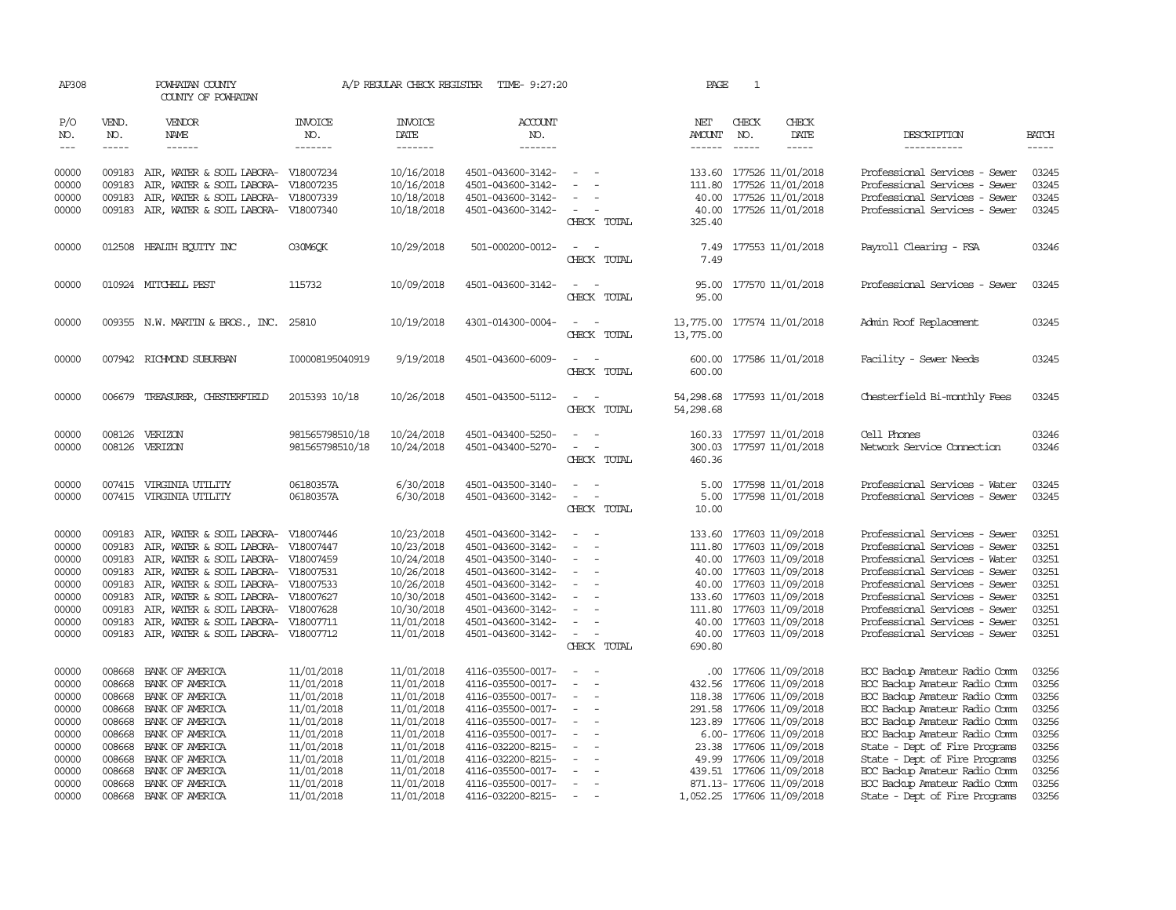| AP308          | POWHATAN COUNTY<br>COUNTY OF POWHATAN |                                                                  | A/P REGULAR CHECK REGISTER<br>TIME- 9:27:20 |                          |                                        | $\mathbf{1}$<br>PAGE                                                     |                 |               |                                               |                                                                |                |
|----------------|---------------------------------------|------------------------------------------------------------------|---------------------------------------------|--------------------------|----------------------------------------|--------------------------------------------------------------------------|-----------------|---------------|-----------------------------------------------|----------------------------------------------------------------|----------------|
| P/O<br>NO.     | VEND.<br>NO.                          | VENDOR<br>NAME                                                   | INVOICE<br>NO.                              | <b>INVOICE</b><br>DATE   | ACCOUNT<br>NO.                         |                                                                          | NET<br>AMOUNT   | CHECK<br>NO.  | CHECK<br>DATE                                 | DESCRIPTION                                                    | <b>BATCH</b>   |
| $---$          | $\frac{1}{2}$                         | ------                                                           | -------                                     | -------                  | -------                                |                                                                          | $- - - - - -$   | $\frac{1}{2}$ | -----                                         | -----------                                                    | $- - - - -$    |
| 00000<br>00000 | 009183<br>009183                      | AIR, WATER & SOIL LABORA- V18007234<br>AIR, WATER & SOIL LABORA- | V18007235                                   | 10/16/2018<br>10/16/2018 | 4501-043600-3142-<br>4501-043600-3142- | $\sim$                                                                   | 111.80          |               | 133.60 177526 11/01/2018<br>177526 11/01/2018 | Professional Services - Sewer<br>Professional Services - Sewer | 03245<br>03245 |
| 00000          | 009183                                | AIR, WATER & SOIL LABORA-                                        | V18007339                                   | 10/18/2018               | 4501-043600-3142-                      |                                                                          | 40.00           |               | 177526 11/01/2018                             | Professional Services - Sewer                                  | 03245          |
| 00000          |                                       | 009183 AIR, WATER & SOIL LABORA- V18007340                       |                                             | 10/18/2018               | 4501-043600-3142-                      | $\overline{\phantom{a}}$<br>$\overline{\phantom{a}}$                     | 40.00           |               | 177526 11/01/2018                             | Professional Services - Sewer                                  | 03245          |
|                |                                       |                                                                  |                                             |                          |                                        | CHECK TOTAL                                                              | 325.40          |               |                                               |                                                                |                |
| 00000          |                                       | 012508 HEALTH EQUITY INC                                         | O30M6OK                                     | 10/29/2018               | 501-000200-0012-                       | $\sim$<br>$\sim$                                                         | 7.49            |               | 177553 11/01/2018                             | Payroll Clearing - FSA                                         | 03246          |
|                |                                       |                                                                  |                                             |                          |                                        | CHECK TOTAL                                                              | 7.49            |               |                                               |                                                                |                |
|                |                                       |                                                                  |                                             |                          |                                        |                                                                          |                 |               |                                               |                                                                |                |
| 00000          |                                       | 010924 MITCHELL PEST                                             | 115732                                      | 10/09/2018               | 4501-043600-3142-                      | $\sim$<br>$\overline{\phantom{a}}$<br>CHECK TOTAL                        | 95.00<br>95.00  |               | 177570 11/01/2018                             | Professional Services - Sewer                                  | 03245          |
|                |                                       |                                                                  |                                             |                          |                                        |                                                                          |                 |               |                                               |                                                                |                |
| 00000          |                                       | 009355 N.W. MARTIN & BROS., INC. 25810                           |                                             | 10/19/2018               | 4301-014300-0004-                      | $\overline{\phantom{a}}$                                                 | 13,775.00       |               | 177574 11/01/2018                             | Admin Roof Replacement                                         | 03245          |
|                |                                       |                                                                  |                                             |                          |                                        | CHECK TOTAL                                                              | 13,775.00       |               |                                               |                                                                |                |
| 00000          |                                       | 007942 RICHMOND SUBURBAN                                         | I00008195040919                             | 9/19/2018                | 4501-043600-6009-                      | $\overline{a}$<br>$\sim$                                                 | 600.00          |               | 177586 11/01/2018                             | Facility - Sewer Needs                                         | 03245          |
|                |                                       |                                                                  |                                             |                          |                                        | CHECK TOTAL                                                              | 600.00          |               |                                               |                                                                |                |
|                |                                       |                                                                  |                                             |                          |                                        |                                                                          |                 |               |                                               |                                                                |                |
| 00000          | 006679                                | TREASURER, CHESTERFIELD                                          | 2015393 10/18                               | 10/26/2018               | 4501-043500-5112-                      | $\sim$<br>$\overline{\phantom{a}}$                                       | 54,298.68       |               | 177593 11/01/2018                             | Chesterfield Bi-monthly Fees                                   | 03245          |
|                |                                       |                                                                  |                                             |                          |                                        | CHECK TOTAL                                                              | 54,298.68       |               |                                               |                                                                |                |
| 00000          | 008126                                | VERIZON                                                          | 981565798510/18                             | 10/24/2018               | 4501-043400-5250-                      | $\sim$                                                                   |                 |               | 160.33 177597 11/01/2018                      | Cell Phones                                                    | 03246          |
| 00000          | 008126                                | VERIZON                                                          | 981565798510/18                             | 10/24/2018               | 4501-043400-5270-                      | $\sim$<br>$\sim$                                                         | 300.03          |               | 177597 11/01/2018                             | Network Service Connection                                     | 03246          |
|                |                                       |                                                                  |                                             |                          |                                        | CHECK TOTAL                                                              | 460.36          |               |                                               |                                                                |                |
|                |                                       |                                                                  |                                             |                          |                                        |                                                                          |                 |               |                                               |                                                                |                |
| 00000<br>00000 | 007415                                | 007415 VIRGINIA UTILITY<br>VIRGINIA UTILITY                      | 06180357A<br>06180357A                      | 6/30/2018<br>6/30/2018   | 4501-043500-3140-<br>4501-043600-3142- | $\sim$<br>$\sim$<br>$\overline{\phantom{a}}$<br>$\overline{\phantom{a}}$ | 5.00<br>5.00    |               | 177598 11/01/2018<br>177598 11/01/2018        | Professional Services - Water<br>Professional Services - Sewer | 03245<br>03245 |
|                |                                       |                                                                  |                                             |                          |                                        | CHECK TOTAL                                                              | 10.00           |               |                                               |                                                                |                |
|                |                                       |                                                                  |                                             |                          |                                        |                                                                          |                 |               |                                               |                                                                |                |
| 00000          | 009183                                | AIR, WATER & SOIL LABORA-                                        | V18007446                                   | 10/23/2018               | 4501-043600-3142-                      | $\sim$                                                                   | 133.60          |               | 177603 11/09/2018                             | Professional Services - Sewer                                  | 03251          |
| 00000          | 009183                                | AIR, WATER & SOIL LABORA-                                        | V18007447                                   | 10/23/2018               | 4501-043600-3142-                      | $\sim$                                                                   | 111.80          |               | 177603 11/09/2018                             | Professional Services - Sewer                                  | 03251          |
| 00000          | 009183                                | AIR, WATER & SOIL LABORA- V18007459                              |                                             | 10/24/2018               | 4501-043500-3140-                      |                                                                          | 40.00           |               | 177603 11/09/2018                             | Professional Services - Water                                  | 03251          |
| 00000          | 009183                                | AIR, WATER & SOIL LABORA- V18007531                              |                                             | 10/26/2018               | 4501-043600-3142-                      | $\equiv$<br>$\sim$                                                       |                 |               | 40.00 177603 11/09/2018                       | Professional Services - Sewer                                  | 03251          |
| 00000          | 009183                                | AIR, WATER & SOIL LABORA- V18007533                              |                                             | 10/26/2018               | 4501-043600-3142-                      |                                                                          | 40.00           |               | 177603 11/09/2018                             | Professional Services - Sewer                                  | 03251          |
| 00000          | 009183                                | AIR, WATER & SOIL LABORA- V18007627                              |                                             | 10/30/2018               | 4501-043600-3142-                      |                                                                          | 133.60          |               | 177603 11/09/2018                             | Professional Services - Sewer                                  | 03251<br>03251 |
| 00000<br>00000 | 009183<br>009183                      | AIR, WATER & SOIL LABORA-<br>AIR, WATER & SOIL LABORA-           | V18007628<br>V18007711                      | 10/30/2018               | 4501-043600-3142-<br>4501-043600-3142- | $\equiv$                                                                 | 111.80<br>40.00 |               | 177603 11/09/2018<br>177603 11/09/2018        | Professional Services - Sewer<br>Professional Services - Sewer | 03251          |
| 00000          |                                       | 009183 AIR, WATER & SOIL LABORA- V18007712                       |                                             | 11/01/2018<br>11/01/2018 | 4501-043600-3142-                      | $\equiv$<br>$\sim$                                                       | 40.00           |               | 177603 11/09/2018                             | Professional Services - Sewer                                  | 03251          |
|                |                                       |                                                                  |                                             |                          |                                        | CHECK TOTAL                                                              | 690.80          |               |                                               |                                                                |                |
|                |                                       |                                                                  |                                             |                          |                                        |                                                                          |                 |               |                                               |                                                                |                |
| 00000          | 008668                                | BANK OF AMERICA                                                  | 11/01/2018                                  | 11/01/2018               | 4116-035500-0017-                      | $\equiv$<br>. —                                                          | .00.            |               | 177606 11/09/2018                             | EOC Backup Amateur Radio Comm                                  | 03256          |
| 00000          | 008668                                | BANK OF AMERICA                                                  | 11/01/2018                                  | 11/01/2018               | 4116-035500-0017-                      | $\sim$                                                                   |                 |               | 432.56 177606 11/09/2018                      | ECC Backup Amateur Radio Comm                                  | 03256          |
| 00000          | 008668                                | BANK OF AMERICA                                                  | 11/01/2018                                  | 11/01/2018               | 4116-035500-0017-                      | $\equiv$                                                                 | 118.38          |               | 177606 11/09/2018                             | EOC Backup Amateur Radio Comm                                  | 03256          |
| 00000          | 008668                                | BANK OF AMERICA                                                  | 11/01/2018                                  | 11/01/2018               | 4116-035500-0017-                      | $\sim$<br>$\sim$                                                         | 291.58          |               | 177606 11/09/2018                             | ECC Backup Amateur Radio Comm                                  | 03256          |
| 00000          | 008668                                | BANK OF AMERICA                                                  | 11/01/2018                                  | 11/01/2018               | 4116-035500-0017-                      | $\sim$<br>$\sim$                                                         | 123.89          |               | 177606 11/09/2018                             | ECC Backup Amateur Radio Comm                                  | 03256          |
| 00000          | 008668                                | BANK OF AMERICA                                                  | 11/01/2018                                  | 11/01/2018               | 4116-035500-0017-                      | $\overline{\phantom{a}}$<br>$\sim$                                       |                 |               | 6.00- 177606 11/09/2018                       | ECC Backup Amateur Radio Comm                                  | 03256          |
| 00000          | 008668                                | BANK OF AMERICA                                                  | 11/01/2018                                  | 11/01/2018               | 4116-032200-8215-                      | $\equiv$<br>$\overline{\phantom{a}}$                                     |                 |               | 23.38 177606 11/09/2018                       | State - Dept of Fire Programs                                  | 03256          |
| 00000          | 008668                                | BANK OF AMERICA                                                  | 11/01/2018                                  | 11/01/2018               | 4116-032200-8215-                      |                                                                          |                 |               | 49.99 177606 11/09/2018                       | State - Dept of Fire Programs                                  | 03256          |
| 00000          | 008668                                | BANK OF AMERICA                                                  | 11/01/2018                                  | 11/01/2018               | 4116-035500-0017-                      | $\overline{\phantom{a}}$<br>$\overline{\phantom{0}}$                     |                 |               | 439.51 177606 11/09/2018                      | ECC Backup Amateur Radio Comm                                  | 03256          |
| 00000          | 008668                                | BANK OF AMERICA                                                  | 11/01/2018                                  | 11/01/2018               | 4116-035500-0017-                      | $\overline{\phantom{a}}$<br>$\sim$                                       |                 |               | 871.13- 177606 11/09/2018                     | EOC Backup Amateur Radio Comm                                  | 03256          |
| 00000          |                                       | 008668 BANK OF AMERICA                                           | 11/01/2018                                  | 11/01/2018               | 4116-032200-8215-                      | $\overline{\phantom{a}}$<br>$\overline{\phantom{a}}$                     |                 |               | 1,052.25 177606 11/09/2018                    | State - Dept of Fire Programs                                  | 03256          |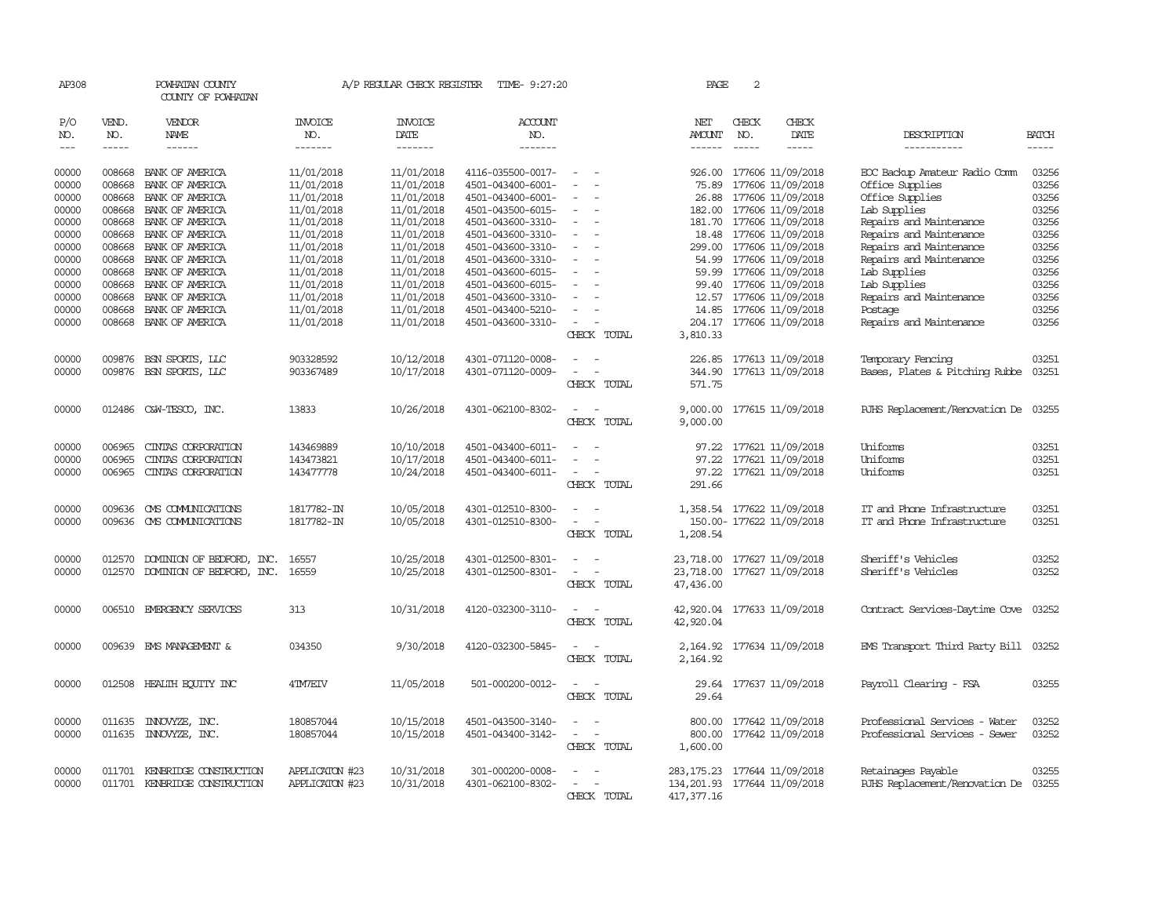| AP308                          |                  | POWHATAN COUNTY<br>COUNTY OF POWHATAN |                          |                          | A/P REGULAR CHECK REGISTER TIME- 9:27:20 |                                                      | PAGE                          | 2            |                                               |                                                  |                |
|--------------------------------|------------------|---------------------------------------|--------------------------|--------------------------|------------------------------------------|------------------------------------------------------|-------------------------------|--------------|-----------------------------------------------|--------------------------------------------------|----------------|
| P/O<br>NO.                     | VEND.<br>NO.     | VENDOR<br>NAME                        | INVOICE<br>NO.           | <b>INVOICE</b><br>DATE   | <b>ACCOUNT</b><br>NO.                    |                                                      | NET<br><b>AMOUNT</b>          | CHECK<br>NO. | CHECK<br>DATE                                 | DESCRIPTION                                      | <b>BATCH</b>   |
| $\!\!\!\!\!-\!-\!$ $\!\!\!-\!$ | $- - - - -$      | $- - - - - -$                         | -------                  | -------                  | -------                                  |                                                      | $- - - - - -$                 | $- - - - -$  | -----                                         | -----------                                      | $- - - - -$    |
| 00000<br>00000                 | 008668<br>008668 | BANK OF AMERICA<br>BANK OF AMERICA    | 11/01/2018<br>11/01/2018 | 11/01/2018<br>11/01/2018 | 4116-035500-0017-<br>4501-043400-6001-   | $\sim$<br>$\sim$                                     | 75.89                         |              | 926.00 177606 11/09/2018<br>177606 11/09/2018 | EOC Backup Amateur Radio Comm<br>Office Supplies | 03256<br>03256 |
| 00000                          | 008668           | BANK OF AMERICA                       | 11/01/2018               | 11/01/2018               | 4501-043400-6001-                        |                                                      |                               |              | 26.88 177606 11/09/2018                       | Office Supplies                                  | 03256          |
| 00000                          | 008668           | BANK OF AMERICA                       | 11/01/2018               | 11/01/2018               | 4501-043500-6015-                        | $\overline{\phantom{a}}$                             |                               |              | 182.00 177606 11/09/2018                      | Lab Supplies                                     | 03256          |
| 00000                          | 008668           | BANK OF AMERICA                       | 11/01/2018               | 11/01/2018               | 4501-043600-3310-                        | $\overline{\phantom{a}}$                             |                               |              | 181.70 177606 11/09/2018                      | Repairs and Maintenance                          | 03256          |
| 00000                          | 008668           | BANK OF AMERICA                       | 11/01/2018               | 11/01/2018               | 4501-043600-3310-                        |                                                      |                               |              | 18.48 177606 11/09/2018                       | Repairs and Maintenance                          | 03256          |
| 00000                          | 008668           | BANK OF AMERICA                       | 11/01/2018               | 11/01/2018               | 4501-043600-3310-                        |                                                      |                               |              | 299.00 177606 11/09/2018                      | Repairs and Maintenance                          | 03256          |
| 00000                          | 008668           | BANK OF AMERICA                       | 11/01/2018               | 11/01/2018<br>11/01/2018 | 4501-043600-3310-                        | $\sim$<br>$\sim$                                     |                               |              | 54.99 177606 11/09/2018                       | Repairs and Maintenance                          | 03256<br>03256 |
| 00000<br>00000                 | 008668<br>008668 | BANK OF AMERICA<br>BANK OF AMERICA    | 11/01/2018<br>11/01/2018 | 11/01/2018               | 4501-043600-6015-<br>4501-043600-6015-   |                                                      | 59.99                         |              | 177606 11/09/2018<br>99.40 177606 11/09/2018  | Lab Supplies<br>Lab Supplies                     | 03256          |
| 00000                          | 008668           | BANK OF AMERICA                       | 11/01/2018               | 11/01/2018               | 4501-043600-3310-                        |                                                      | 12.57                         |              | 177606 11/09/2018                             | Repairs and Maintenance                          | 03256          |
| 00000                          | 008668           | BANK OF AMERICA                       | 11/01/2018               | 11/01/2018               | 4501-043400-5210-                        | $\overline{\phantom{a}}$                             | 14.85                         |              | 177606 11/09/2018                             | Postage                                          | 03256          |
| 00000                          |                  | 008668 BANK OF AMERICA                | 11/01/2018               | 11/01/2018               | 4501-043600-3310-                        | $\overline{\phantom{a}}$<br>$\overline{\phantom{a}}$ |                               |              | 204.17 177606 11/09/2018                      | Repairs and Maintenance                          | 03256          |
|                                |                  |                                       |                          |                          |                                          | CHECK TOTAL                                          | 3,810.33                      |              |                                               |                                                  |                |
| 00000                          | 009876           | BSN SPORTS, LLC                       | 903328592                | 10/12/2018               | 4301-071120-0008-                        |                                                      |                               |              | 226.85 177613 11/09/2018                      | Temporary Fencing                                | 03251          |
| 00000                          | 009876           | BSN SPORTS, LLC                       | 903367489                | 10/17/2018               | 4301-071120-0009-                        | CHECK TOTAL                                          | 571.75                        |              | 344.90 177613 11/09/2018                      | Bases, Plates & Pitching Rubbe                   | 03251          |
|                                |                  |                                       |                          |                          |                                          |                                                      |                               |              |                                               |                                                  |                |
| 00000                          | 012486           | C&W-TESCO, INC.                       | 13833                    | 10/26/2018               | 4301-062100-8302-                        | $\sim$<br>CHECK TOTAL                                | 9,000.00                      |              | 9,000.00 177615 11/09/2018                    | RJHS Replacement/Renovation De                   | 03255          |
|                                |                  |                                       |                          |                          |                                          |                                                      |                               |              |                                               |                                                  |                |
| 00000                          | 006965           | CINIAS CORPORATION                    | 143469889                | 10/10/2018               | 4501-043400-6011-                        |                                                      |                               |              | 97.22 177621 11/09/2018                       | Uniforms                                         | 03251          |
| 00000                          | 006965           | CINIAS CORPORATION                    | 143473821                | 10/17/2018               | 4501-043400-6011-                        |                                                      | 97.22                         |              | 177621 11/09/2018                             | Uniforms                                         | 03251          |
| 00000                          | 006965           | CINIAS CORPORATION                    | 143477778                | 10/24/2018               | 4501-043400-6011-                        | $\overline{\phantom{a}}$                             |                               |              | 97.22 177621 11/09/2018                       | Uniforms                                         | 03251          |
|                                |                  |                                       |                          |                          |                                          | CHECK TOTAL                                          | 291.66                        |              |                                               |                                                  |                |
| 00000                          | 009636           | CMS COMMUNICATIONS                    | 1817782-IN               | 10/05/2018               | 4301-012510-8300-                        | $\sim$<br>$\overline{\phantom{a}}$                   |                               |              | 1,358.54 177622 11/09/2018                    | IT and Phone Infrastructure                      | 03251          |
| 00000                          | 009636           | CMS COMMUNICATIONS                    | 1817782-IN               | 10/05/2018               | 4301-012510-8300-                        | $\sim$<br>$\overline{\phantom{a}}$                   |                               |              | 150.00- 177622 11/09/2018                     | IT and Phone Infrastructure                      | 03251          |
|                                |                  |                                       |                          |                          |                                          | CHECK TOTAL                                          | 1,208.54                      |              |                                               |                                                  |                |
| 00000                          | 012570           | DOMINION OF BEDFORD, INC.             | 16557                    | 10/25/2018               | 4301-012500-8301-                        | $\overline{\phantom{a}}$                             | 23,718.00                     |              | 177627 11/09/2018                             | Sheriff's Vehicles                               | 03252          |
| 00000                          | 012570           | DOMINION OF BEDFORD, INC.             | 16559                    | 10/25/2018               | 4301-012500-8301-                        |                                                      | 23,718.00                     |              | 177627 11/09/2018                             | Sheriff's Vehicles                               | 03252          |
|                                |                  |                                       |                          |                          |                                          | CHECK TOTAL                                          | 47,436.00                     |              |                                               |                                                  |                |
| 00000                          |                  | 006510 EMERGENCY SERVICES             | 313                      | 10/31/2018               | 4120-032300-3110-                        | $\overline{\phantom{0}}$<br>$\overline{\phantom{a}}$ | 42,920.04                     |              | 177633 11/09/2018                             | Contract Services-Daytime Cove                   | 03252          |
|                                |                  |                                       |                          |                          |                                          | CHECK TOTAL                                          | 42,920.04                     |              |                                               |                                                  |                |
| 00000                          |                  | 009639 EMS MANAGEMENT &               | 034350                   | 9/30/2018                | 4120-032300-5845-                        |                                                      |                               |              | 2, 164.92 177634 11/09/2018                   | EMS Transport Third Party Bill                   | 03252          |
|                                |                  |                                       |                          |                          |                                          | CHECK TOTAL                                          | 2,164.92                      |              |                                               |                                                  |                |
| 00000                          |                  | 012508 HEALTH EQUITY INC              | 4TM7EIV                  | 11/05/2018               | 501-000200-0012-                         | $\overline{\phantom{a}}$<br>$\sim$                   |                               |              | 29.64 177637 11/09/2018                       | Payroll Clearing - FSA                           | 03255          |
|                                |                  |                                       |                          |                          |                                          | CHECK TOTAL                                          | 29.64                         |              |                                               |                                                  |                |
| 00000                          | 011635           | INNOVYZE, INC.                        | 180857044                | 10/15/2018               | 4501-043500-3140-                        | $\equiv$                                             | 800.00                        |              | 177642 11/09/2018                             | Professional Services - Water                    | 03252          |
| 00000                          | 011635           | INNOVYZE, INC.                        | 180857044                | 10/15/2018               | 4501-043400-3142-                        | $\overline{\phantom{a}}$<br>$\overline{\phantom{a}}$ | 800.00                        |              | 177642 11/09/2018                             | Professional Services - Sewer                    | 03252          |
|                                |                  |                                       |                          |                          |                                          | CHECK TOTAL                                          | 1,600.00                      |              |                                               |                                                  |                |
| 00000                          | 011701           | KENBRIDGE CONSTRUCTION                | APPLICATON #23           | 10/31/2018               | 301-000200-0008-                         |                                                      | 283,175.23                    |              | 177644 11/09/2018                             | Retainages Payable                               | 03255          |
| 00000                          |                  | 011701 KENBRIDGE CONSTRUCTION         | APPLICATON #23           | 10/31/2018               | 4301-062100-8302-                        | $\overline{\phantom{a}}$                             | 134, 201.93 177644 11/09/2018 |              |                                               | RJHS Replacement/Renovation De                   | 03255          |
|                                |                  |                                       |                          |                          |                                          | CHECK TOTAL                                          | 417, 377. 16                  |              |                                               |                                                  |                |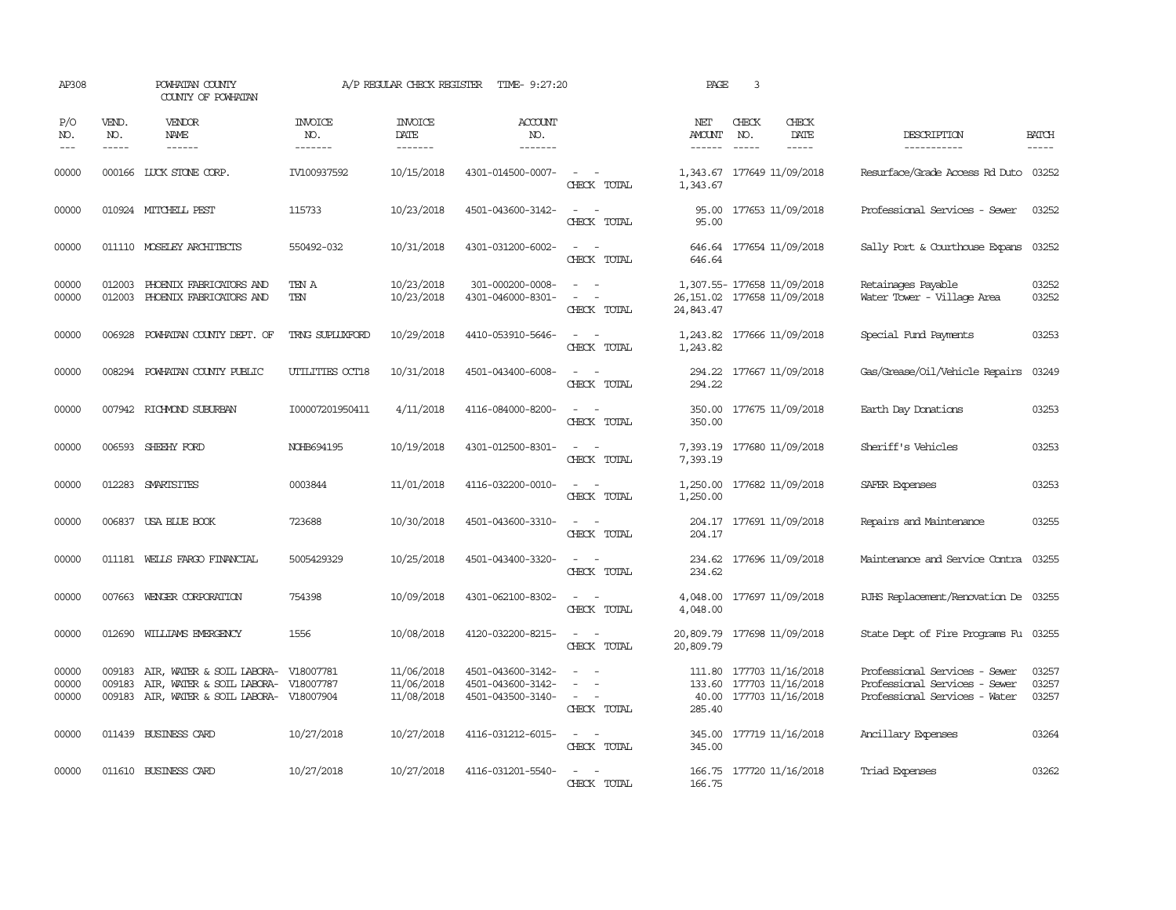| AP308                   |                             | POWHATAN COUNTY<br>COUNTY OF POWHATAN                                                                          |                           | A/P REGULAR CHECK REGISTER             | TIME- 9:27:20                                               |                                                                                                                             | PAGE                                      | 3                             |                                                             |                                                                                                 |                         |
|-------------------------|-----------------------------|----------------------------------------------------------------------------------------------------------------|---------------------------|----------------------------------------|-------------------------------------------------------------|-----------------------------------------------------------------------------------------------------------------------------|-------------------------------------------|-------------------------------|-------------------------------------------------------------|-------------------------------------------------------------------------------------------------|-------------------------|
| P/O<br>NO.<br>$---$     | VEND.<br>NO.<br>$- - - - -$ | VENDOR<br>NAME<br>$- - - - - -$                                                                                | INVOICE<br>NO.<br>------- | <b>INVOICE</b><br>DATE<br>-------      | ACCOUNT<br>NO.<br>$- - - - - - -$                           |                                                                                                                             | NET<br><b>AMOUNT</b><br>$- - - - - -$     | CHECK<br>NO.<br>$\frac{1}{2}$ | CHECK<br>DATE<br>$- - - - -$                                | DESCRIPTION<br>-----------                                                                      | <b>BATCH</b><br>-----   |
| 00000                   |                             | 000166 LUCK STONE CORP.                                                                                        | IV100937592               | 10/15/2018                             | 4301-014500-0007-                                           | CHECK TOTAL                                                                                                                 | 1,343.67<br>1,343.67                      |                               | 177649 11/09/2018                                           | Resurface/Grade Access Rd Duto 03252                                                            |                         |
| 00000                   |                             | 010924 MITCHELL PEST                                                                                           | 115733                    | 10/23/2018                             | 4501-043600-3142-                                           | $\sim$<br>$\overline{\phantom{a}}$<br>CHECK TOTAL                                                                           | 95.00<br>95.00                            |                               | 177653 11/09/2018                                           | Professional Services - Sewer                                                                   | 03252                   |
| 00000                   |                             | 011110 MOSELEY ARCHITECTS                                                                                      | 550492-032                | 10/31/2018                             | 4301-031200-6002-                                           | $\overline{\phantom{a}}$<br>CHECK TOTAL                                                                                     | 646.64                                    |                               | 646.64 177654 11/09/2018                                    | Sally Port & Courthouse Expans                                                                  | 03252                   |
| 00000<br>00000          | 012003                      | 012003 PHOENIX FABRICATORS AND<br>PHOENIX FABRICATORS AND                                                      | TEN A<br>TEN              | 10/23/2018<br>10/23/2018               | 301-000200-0008-<br>4301-046000-8301-                       | $\sim$ $ \sim$<br>$\overline{\phantom{a}}$<br>$\sim$<br>CHECK TOTAL                                                         | 26, 151.02 177658 11/09/2018<br>24,843.47 |                               | 1,307.55- 177658 11/09/2018                                 | Retainages Payable<br>Water Tower - Village Area                                                | 03252<br>03252          |
| 00000                   | 006928                      | POWHATAN COUNTY DEPT. OF                                                                                       | TRNG SUPLUXFORD           | 10/29/2018                             | 4410-053910-5646-                                           | $\overline{\phantom{a}}$<br>$\sim$<br>CHECK TOTAL                                                                           | 1,243.82<br>1,243.82                      |                               | 177666 11/09/2018                                           | Special Fund Payments                                                                           | 03253                   |
| 00000                   |                             | 008294 POWHATAN COUNTY PUBLIC                                                                                  | UTILITIES OCT18           | 10/31/2018                             | 4501-043400-6008-                                           | $\frac{1}{2} \left( \frac{1}{2} \right) \left( \frac{1}{2} \right) = \frac{1}{2} \left( \frac{1}{2} \right)$<br>CHECK TOTAL | 294.22<br>294.22                          |                               | 177667 11/09/2018                                           | Gas/Grease/Oil/Vehicle Repairs                                                                  | 03249                   |
| 00000                   |                             | 007942 RICHMOND SUBURBAN                                                                                       | I00007201950411           | 4/11/2018                              | 4116-084000-8200-                                           | $\sim$<br>- -<br>CHECK TOTAL                                                                                                | 350.00<br>350.00                          |                               | 177675 11/09/2018                                           | Earth Day Donations                                                                             | 03253                   |
| 00000                   |                             | 006593 SHEEHY FORD                                                                                             | NOHB694195                | 10/19/2018                             | 4301-012500-8301-                                           | $\frac{1}{2} \left( \frac{1}{2} \right) \left( \frac{1}{2} \right) = \frac{1}{2} \left( \frac{1}{2} \right)$<br>CHECK TOTAL | 7,393.19<br>7,393.19                      |                               | 177680 11/09/2018                                           | Sheriff's Vehicles                                                                              | 03253                   |
| 00000                   |                             | 012283 SMARISITES                                                                                              | 0003844                   | 11/01/2018                             | 4116-032200-0010-                                           | $\sim$ 100 $\sim$ 100 $\sim$<br>CHECK TOTAL                                                                                 | 1,250.00                                  |                               | 1,250.00 177682 11/09/2018                                  | SAFER Expenses                                                                                  | 03253                   |
| 00000                   |                             | 006837 USA BLUE BOOK                                                                                           | 723688                    | 10/30/2018                             | 4501-043600-3310-                                           | $\sim$ $ \sim$<br>CHECK TOTAL                                                                                               | 204.17                                    |                               | 204.17 177691 11/09/2018                                    | Repairs and Maintenance                                                                         | 03255                   |
| 00000                   |                             | 011181 WELLS FARGO FINANCIAL                                                                                   | 5005429329                | 10/25/2018                             | 4501-043400-3320-                                           | $\frac{1}{2} \left( \frac{1}{2} \right) \left( \frac{1}{2} \right) = \frac{1}{2} \left( \frac{1}{2} \right)$<br>CHECK TOTAL | 234.62<br>234.62                          |                               | 177696 11/09/2018                                           | Maintenance and Service Contra                                                                  | 03255                   |
| 00000                   |                             | 007663 WENGER CORPORATION                                                                                      | 754398                    | 10/09/2018                             | 4301-062100-8302-                                           | $\sim$ 100 $\sim$<br>CHECK TOTAL                                                                                            | 4,048.00<br>4,048.00                      |                               | 177697 11/09/2018                                           | RJHS Replacement/Renovation De 03255                                                            |                         |
| 00000                   | 012690                      | WILLIAMS EMERGENCY                                                                                             | 1556                      | 10/08/2018                             | 4120-032200-8215-                                           | $\sim$<br>CHECK TOTAL                                                                                                       | 20,809.79<br>20,809.79                    |                               | 177698 11/09/2018                                           | State Dept of Fire Programs Fu                                                                  | 03255                   |
| 00000<br>00000<br>00000 | 009183<br>009183            | AIR, WATER & SOIL LABORA-<br>AIR, WATER & SOIL LABORA- V18007787<br>009183 AIR, WATER & SOIL LABORA- V18007904 | V18007781                 | 11/06/2018<br>11/06/2018<br>11/08/2018 | 4501-043600-3142-<br>4501-043600-3142-<br>4501-043500-3140- | $\overline{\phantom{a}}$<br>CHECK TOTAL                                                                                     | 111.80<br>133.60<br>40.00<br>285.40       |                               | 177703 11/16/2018<br>177703 11/16/2018<br>177703 11/16/2018 | Professional Services - Sewer<br>Professional Services - Sewer<br>Professional Services - Water | 03257<br>03257<br>03257 |
| 00000                   |                             | 011439 BUSINESS CARD                                                                                           | 10/27/2018                | 10/27/2018                             | 4116-031212-6015-                                           | $\omega_{\rm{max}}$ and $\omega_{\rm{max}}$<br>CHECK TOTAL                                                                  | 345.00<br>345.00                          |                               | 177719 11/16/2018                                           | Ancillary Expenses                                                                              | 03264                   |
| 00000                   |                             | 011610 BUSINESS CARD                                                                                           | 10/27/2018                | 10/27/2018                             | 4116-031201-5540-                                           | CHECK TOTAL                                                                                                                 | 166.75                                    |                               | 166.75 177720 11/16/2018                                    | Triad Expenses                                                                                  | 03262                   |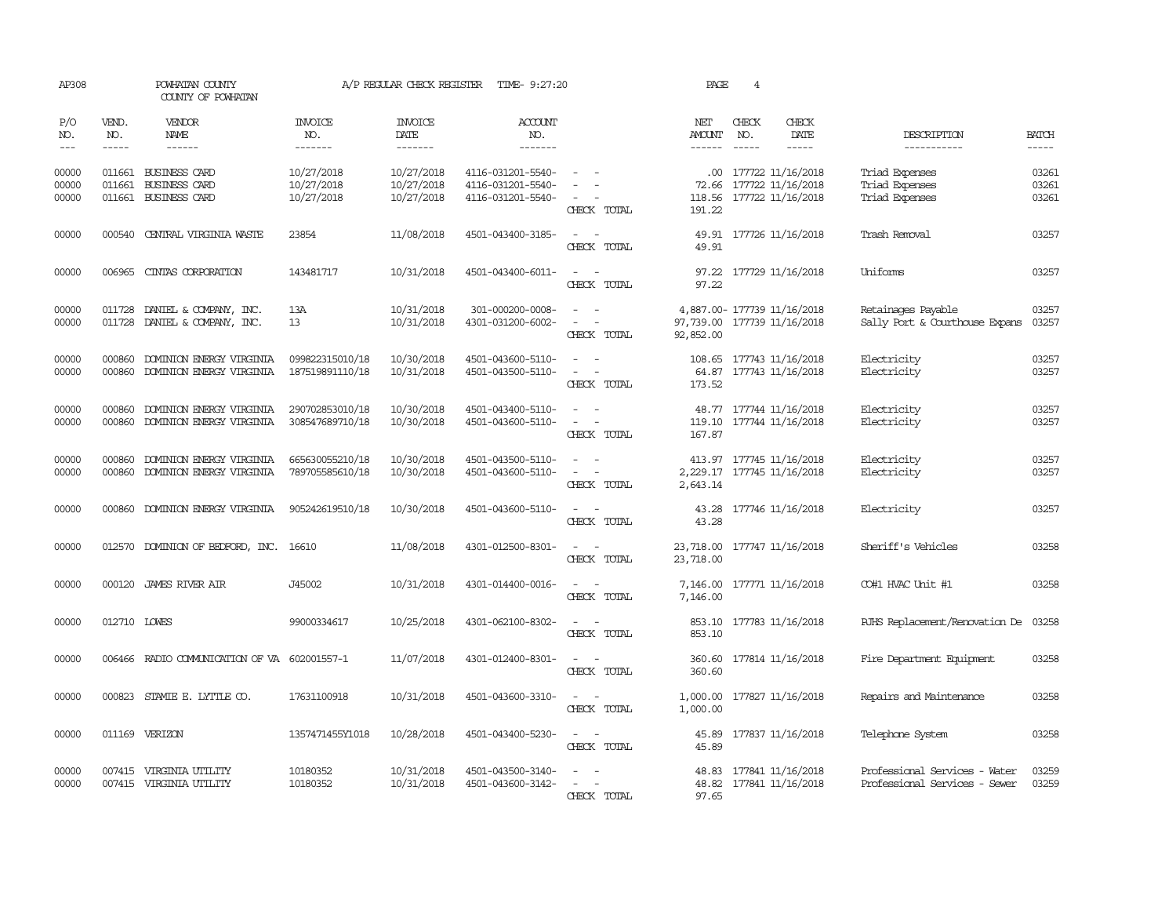| AP308                   |                               | POWHATAN COUNTY<br>COUNTY OF POWHATAN                                |                                        | A/P REGULAR CHECK REGISTER             | TIME- 9:27:20                                               |                                                                                                                             | PAGE                                     | 4                             |                                                                              |                                                                |                               |
|-------------------------|-------------------------------|----------------------------------------------------------------------|----------------------------------------|----------------------------------------|-------------------------------------------------------------|-----------------------------------------------------------------------------------------------------------------------------|------------------------------------------|-------------------------------|------------------------------------------------------------------------------|----------------------------------------------------------------|-------------------------------|
| P/O<br>NO.<br>$---$     | VEND.<br>NO.<br>$\frac{1}{2}$ | <b>VENDOR</b><br>NAME<br>$- - - - - -$                               | <b>INVOICE</b><br>NO.<br>-------       | <b>INVOICE</b><br>DATE<br>-------      | ACCOUNT<br>NO.<br>-------                                   |                                                                                                                             | NET<br><b>AMOUNT</b><br>$- - - - - -$    | CHECK<br>NO.<br>$\frac{1}{2}$ | CHECK<br>DATE<br>$\frac{1}{2}$                                               | DESCRIPTION<br>-----------                                     | <b>BATCH</b><br>$\frac{1}{2}$ |
| 00000<br>00000<br>00000 | 011661<br>011661              | 011661 BUSINESS CARD<br><b>BUSINESS CARD</b><br><b>BUSINESS CARD</b> | 10/27/2018<br>10/27/2018<br>10/27/2018 | 10/27/2018<br>10/27/2018<br>10/27/2018 | 4116-031201-5540-<br>4116-031201-5540-<br>4116-031201-5540- | $\sim$<br>CHECK TOTAL                                                                                                       | 191.22                                   |                               | .00 177722 11/16/2018<br>72.66 177722 11/16/2018<br>118.56 177722 11/16/2018 | Triad Expenses<br>Triad Expenses<br>Triad Expenses             | 03261<br>03261<br>03261       |
| 00000                   | 000540                        | CENTRAL VIRGINIA WASTE                                               | 23854                                  | 11/08/2018                             | 4501-043400-3185-                                           | CHECK TOTAL                                                                                                                 | 49.91                                    |                               | 49.91 177726 11/16/2018                                                      | Trash Removal                                                  | 03257                         |
| 00000                   | 006965                        | CINIAS CORPORATION                                                   | 143481717                              | 10/31/2018                             | 4501-043400-6011-                                           | $\equiv$<br>$\overline{\phantom{a}}$<br>CHECK TOTAL                                                                         | 97.22<br>97.22                           |                               | 177729 11/16/2018                                                            | Uniforms                                                       | 03257                         |
| 00000<br>00000          |                               | 011728 DANIEL & COMPANY, INC.<br>011728 DANIEL & COMPANY, INC.       | 13A<br>13                              | 10/31/2018<br>10/31/2018               | 301-000200-0008-<br>4301-031200-6002-                       | $\sim$<br>$\equiv$<br>$\sim$<br>CHECK TOTAL                                                                                 | 97,739.00 177739 11/16/2018<br>92,852.00 |                               | 4,887.00- 177739 11/16/2018                                                  | Retainages Payable<br>Sally Port & Courthouse Expans           | 03257<br>03257                |
| 00000<br>00000          | 000860<br>000860              | DOMINION ENERGY VIRGINIA<br>DOMINION ENERGY VIRGINIA                 | 099822315010/18<br>187519891110/18     | 10/30/2018<br>10/31/2018               | 4501-043600-5110-<br>4501-043500-5110-                      | $\equiv$<br>$\sim$<br>CHECK TOTAL                                                                                           | 173.52                                   |                               | 108.65 177743 11/16/2018<br>64.87 177743 11/16/2018                          | Electricity<br>Electricity                                     | 03257<br>03257                |
| 00000<br>00000          | 000860<br>000860              | DOMINION ENERGY VIRGINIA<br>DOMINION ENERGY VIRGINIA                 | 290702853010/18<br>308547689710/18     | 10/30/2018<br>10/30/2018               | 4501-043400-5110-<br>4501-043600-5110-                      | $\sim$ $ \sim$<br>CHECK TOTAL                                                                                               | 167.87                                   |                               | 48.77 177744 11/16/2018<br>119.10 177744 11/16/2018                          | Electricity<br>Electricity                                     | 03257<br>03257                |
| 00000<br>00000          | 000860<br>000860              | DOMINION ENERGY VIRGINIA<br>DOMINION ENERGY VIRGINIA                 | 665630055210/18<br>789705585610/18     | 10/30/2018<br>10/30/2018               | 4501-043500-5110-<br>4501-043600-5110-                      | $\sim$<br>$\overline{\phantom{0}}$<br>CHECK TOTAL                                                                           | 2,643.14                                 |                               | 413.97 177745 11/16/2018<br>2,229.17 177745 11/16/2018                       | Electricity<br>Electricity                                     | 03257<br>03257                |
| 00000                   | 000860                        | DOMINION ENERGY VIRGINIA                                             | 905242619510/18                        | 10/30/2018                             | 4501-043600-5110-                                           | CHECK TOTAL                                                                                                                 | 43.28<br>43.28                           |                               | 177746 11/16/2018                                                            | Electricity                                                    | 03257                         |
| 00000                   |                               | 012570 DOMINION OF BEDFORD, INC. 16610                               |                                        | 11/08/2018                             | 4301-012500-8301-                                           | $\frac{1}{2} \left( \frac{1}{2} \right) \left( \frac{1}{2} \right) = \frac{1}{2} \left( \frac{1}{2} \right)$<br>CHECK TOTAL | 23,718.00<br>23,718.00                   |                               | 177747 11/16/2018                                                            | Sheriff's Vehicles                                             | 03258                         |
| 00000                   | 000120                        | JAMES RIVER AIR                                                      | J45002                                 | 10/31/2018                             | 4301-014400-0016-                                           | CHECK TOTAL                                                                                                                 | 7,146.00<br>7,146.00                     |                               | 177771 11/16/2018                                                            | CO#1 HVAC Unit #1                                              | 03258                         |
| 00000                   | 012710 LOWES                  |                                                                      | 99000334617                            | 10/25/2018                             | 4301-062100-8302-                                           | CHECK TOTAL                                                                                                                 | 853.10<br>853.10                         |                               | 177783 11/16/2018                                                            | RJHS Replacement/Renovation De                                 | 03258                         |
| 00000                   |                               | 006466 RADIO COMMUNICATION OF VA 602001557-1                         |                                        | 11/07/2018                             | 4301-012400-8301-                                           | $\omega_{\rm{max}}$ and $\omega_{\rm{max}}$<br>CHECK TOTAL                                                                  | 360.60<br>360.60                         |                               | 177814 11/16/2018                                                            | Fire Department Equipment                                      | 03258                         |
| 00000                   |                               | 000823 STAMIE E. LYTTLE CO.                                          | 17631100918                            | 10/31/2018                             | 4501-043600-3310-                                           | $\sim$<br>$\sim$<br>CHECK TOTAL                                                                                             | 1,000.00<br>1,000.00                     |                               | 177827 11/16/2018                                                            | Repairs and Maintenance                                        | 03258                         |
| 00000                   |                               | 011169 VERIZON                                                       | 1357471455Y1018                        | 10/28/2018                             | 4501-043400-5230-                                           | $\sim$ $ -$<br>CHECK TOTAL                                                                                                  | 45.89<br>45.89                           |                               | 177837 11/16/2018                                                            | Telephone System                                               | 03258                         |
| 00000<br>00000          |                               | 007415 VIRGINIA UTILITY<br>007415 VIRGINIA UTILITY                   | 10180352<br>10180352                   | 10/31/2018<br>10/31/2018               | 4501-043500-3140-<br>4501-043600-3142-                      | $\sim$<br>$\sim$<br>CHECK TOTAL                                                                                             | 48.82<br>97.65                           |                               | 48.83 177841 11/16/2018<br>177841 11/16/2018                                 | Professional Services - Water<br>Professional Services - Sewer | 03259<br>03259                |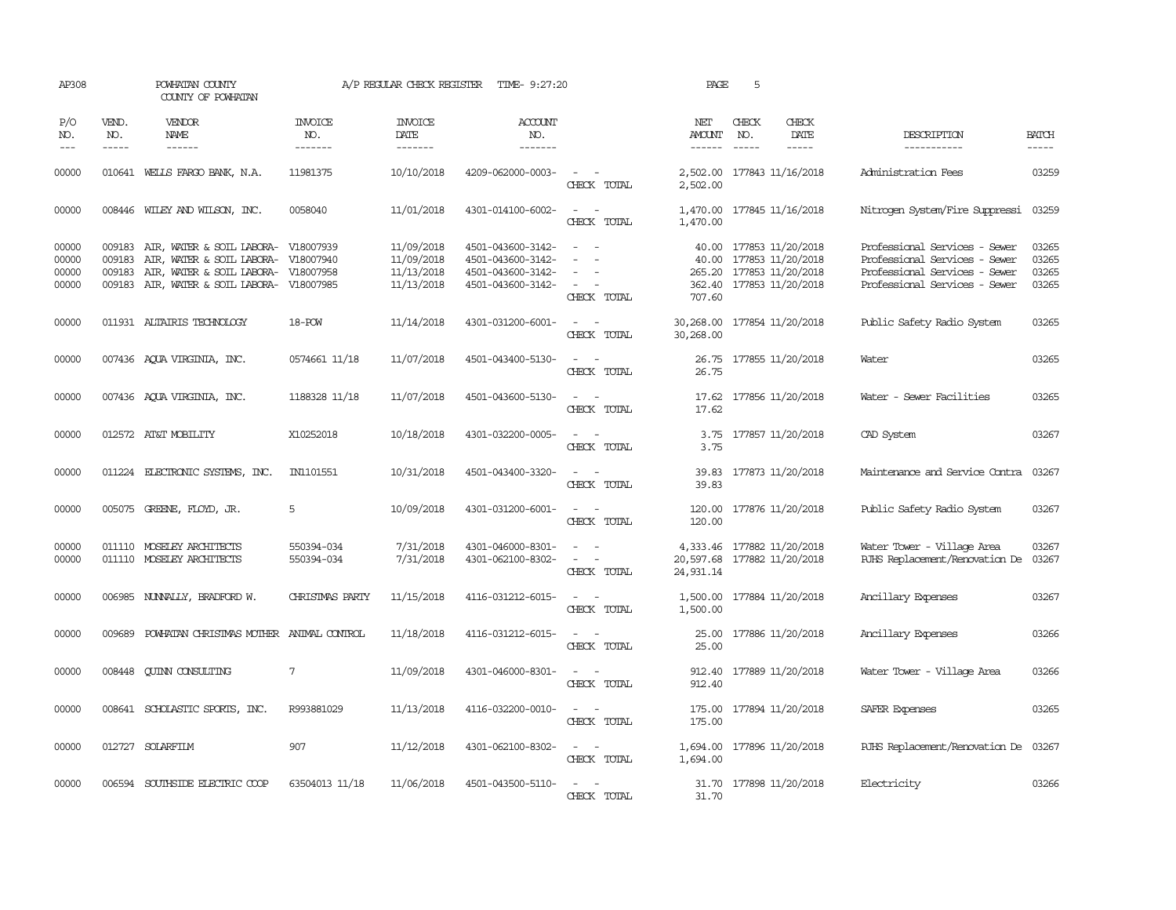| AP308                            |                             | POWHATAN COUNTY<br>COUNTY OF POWHATAN                                                                                                              |                           | A/P REGULAR CHECK REGISTER                           | TIME- 9:27:20                                                                    |                                                                     | PAGE                                     | 5                           |                                                                                                      |                                                                                                                                  |                                  |
|----------------------------------|-----------------------------|----------------------------------------------------------------------------------------------------------------------------------------------------|---------------------------|------------------------------------------------------|----------------------------------------------------------------------------------|---------------------------------------------------------------------|------------------------------------------|-----------------------------|------------------------------------------------------------------------------------------------------|----------------------------------------------------------------------------------------------------------------------------------|----------------------------------|
| P/O<br>NO.<br>$\frac{1}{2}$      | VEND.<br>NO.<br>$- - - - -$ | VENDOR<br>NAME<br>------                                                                                                                           | INVOICE<br>NO.<br>------- | <b>INVOICE</b><br>DATE<br>-------                    | <b>ACCOUNT</b><br>NO.<br>-------                                                 |                                                                     | NET<br>AMOUNT<br>$- - - - - -$           | CHECK<br>NO.<br>$- - - - -$ | CHECK<br>DATE<br>-----                                                                               | DESCRIPTION<br>-----------                                                                                                       | <b>BATCH</b><br>-----            |
| 00000                            |                             | 010641 WELLS FARGO BANK, N.A.                                                                                                                      | 11981375                  | 10/10/2018                                           | 4209-062000-0003-                                                                | $\sim$<br>CHECK TOTAL                                               | 2,502.00<br>2,502.00                     |                             | 177843 11/16/2018                                                                                    | Administration Fees                                                                                                              | 03259                            |
| 00000                            |                             | 008446 WILEY AND WILSON, INC.                                                                                                                      | 0058040                   | 11/01/2018                                           | 4301-014100-6002-                                                                | $\overline{\phantom{a}}$<br>$\sim$ $-$<br>CHECK TOTAL               | 1,470.00                                 |                             | 1,470.00 177845 11/16/2018                                                                           | Nitrogen System/Fire Suppressi                                                                                                   | 03259                            |
| 00000<br>00000<br>00000<br>00000 | 009183<br>009183            | 009183 AIR, WATER & SOIL LABORA- V18007939<br>AIR, WATER & SOIL LABORA-<br>AIR, WATER & SOIL LABORA-<br>009183 AIR, WATER & SOIL LABORA- V18007985 | V18007940<br>V18007958    | 11/09/2018<br>11/09/2018<br>11/13/2018<br>11/13/2018 | 4501-043600-3142-<br>4501-043600-3142-<br>4501-043600-3142-<br>4501-043600-3142- | $\overline{a}$<br>$\sim$<br>$\sim$<br>CHECK TOTAL                   | 40.00<br>707.60                          |                             | 40.00 177853 11/20/2018<br>177853 11/20/2018<br>265.20 177853 11/20/2018<br>362.40 177853 11/20/2018 | Professional Services - Sewer<br>Professional Services - Sewer<br>Professional Services - Sewer<br>Professional Services - Sewer | 03265<br>03265<br>03265<br>03265 |
| 00000                            |                             | 011931 ALTAIRIS TECHNOLOGY                                                                                                                         | 18-POW                    | 11/14/2018                                           | 4301-031200-6001-                                                                | $\sim$ $ \sim$<br>CHECK TOTAL                                       | 30,268.00 177854 11/20/2018<br>30,268.00 |                             |                                                                                                      | Public Safety Radio System                                                                                                       | 03265                            |
| 00000                            |                             | 007436 AQUA VIRGINIA, INC.                                                                                                                         | 0574661 11/18             | 11/07/2018                                           | 4501-043400-5130-                                                                | $\sim$ $ \sim$<br>CHECK TOTAL                                       | 26.75                                    |                             | 26.75 177855 11/20/2018                                                                              | Water                                                                                                                            | 03265                            |
| 00000                            |                             | 007436 AQUA VIRGINIA, INC.                                                                                                                         | 1188328 11/18             | 11/07/2018                                           | 4501-043600-5130-                                                                | $\overline{\phantom{a}}$<br>- -<br>CHECK TOTAL                      | 17.62<br>17.62                           |                             | 177856 11/20/2018                                                                                    | Water - Sewer Facilities                                                                                                         | 03265                            |
| 00000                            |                             | 012572 AT&T MOBILITY                                                                                                                               | X10252018                 | 10/18/2018                                           | 4301-032200-0005-                                                                | $\sim$<br>$\sim$<br>CHECK TOTAL                                     | 3.75<br>3.75                             |                             | 177857 11/20/2018                                                                                    | CAD System                                                                                                                       | 03267                            |
| 00000                            |                             | 011224 ELECTRONIC SYSTEMS, INC.                                                                                                                    | IN1101551                 | 10/31/2018                                           | 4501-043400-3320-                                                                | $ -$<br>CHECK TOTAL                                                 | 39.83<br>39.83                           |                             | 177873 11/20/2018                                                                                    | Maintenance and Service Contra                                                                                                   | 03267                            |
| 00000                            |                             | 005075 GREENE, FLOYD, JR.                                                                                                                          | 5                         | 10/09/2018                                           | 4301-031200-6001-                                                                | $\sim$<br>$\sim$<br>CHECK TOTAL                                     | 120.00                                   |                             | 120.00 177876 11/20/2018                                                                             | Public Safety Radio System                                                                                                       | 03267                            |
| 00000<br>00000                   |                             | 011110 MOSELEY ARCHITECTS<br>011110 MOSELEY ARCHITECTS                                                                                             | 550394-034<br>550394-034  | 7/31/2018<br>7/31/2018                               | 4301-046000-8301-<br>4301-062100-8302-                                           | $\overline{\phantom{a}}$<br>$\overline{\phantom{a}}$<br>CHECK TOTAL | 20,597.68 177882 11/20/2018<br>24,931.14 |                             | 4,333.46 177882 11/20/2018                                                                           | Water Tower - Village Area<br>RJHS Replacement/Renovation De                                                                     | 03267<br>03267                   |
| 00000                            |                             | 006985 NUNNALLY, BRADFORD W.                                                                                                                       | CHRISIMAS PARTY           | 11/15/2018                                           | 4116-031212-6015-                                                                | $\overline{\phantom{a}}$<br>CHECK TOTAL                             | 1,500.00                                 |                             | 1,500.00 177884 11/20/2018                                                                           | Ancillary Expenses                                                                                                               | 03267                            |
| 00000                            | 009689                      | POWHATAN CHRISTMAS MOTHER ANTMAL CONTROL                                                                                                           |                           | 11/18/2018                                           | 4116-031212-6015-                                                                | $\sim$ $\sim$<br>CHECK TOTAL                                        | 25.00<br>25.00                           |                             | 177886 11/20/2018                                                                                    | Ancillary Expenses                                                                                                               | 03266                            |
| 00000                            | 008448                      | <b>CUINN CONSULTING</b>                                                                                                                            | $7\phantom{.0}$           | 11/09/2018                                           | 4301-046000-8301-                                                                | $\sim$<br>$\sim$<br>CHECK TOTAL                                     | 912.40                                   |                             | 912.40 177889 11/20/2018                                                                             | Water Tower - Village Area                                                                                                       | 03266                            |
| 00000                            |                             | 008641 SCHOLASTIC SPORTS, INC.                                                                                                                     | R993881029                | 11/13/2018                                           | 4116-032200-0010-                                                                | $\sim$<br>CHECK TOTAL                                               | 175.00                                   |                             | 175.00 177894 11/20/2018                                                                             | SAFER Expenses                                                                                                                   | 03265                            |
| 00000                            |                             | 012727 SOLARFILM                                                                                                                                   | 907                       | 11/12/2018                                           | 4301-062100-8302-                                                                | $\sim$<br>$\sim$<br>CHECK TOTAL                                     | 1,694.00<br>1,694.00                     |                             | 177896 11/20/2018                                                                                    | RJHS Replacement/Renovation De 03267                                                                                             |                                  |
| 00000                            |                             | 006594 SOUTHSIDE ELECTRIC COOP                                                                                                                     | 63504013 11/18            | 11/06/2018                                           | 4501-043500-5110-                                                                | CHECK TOTAL                                                         | 31.70                                    |                             | 31.70 177898 11/20/2018                                                                              | Electricity                                                                                                                      | 03266                            |